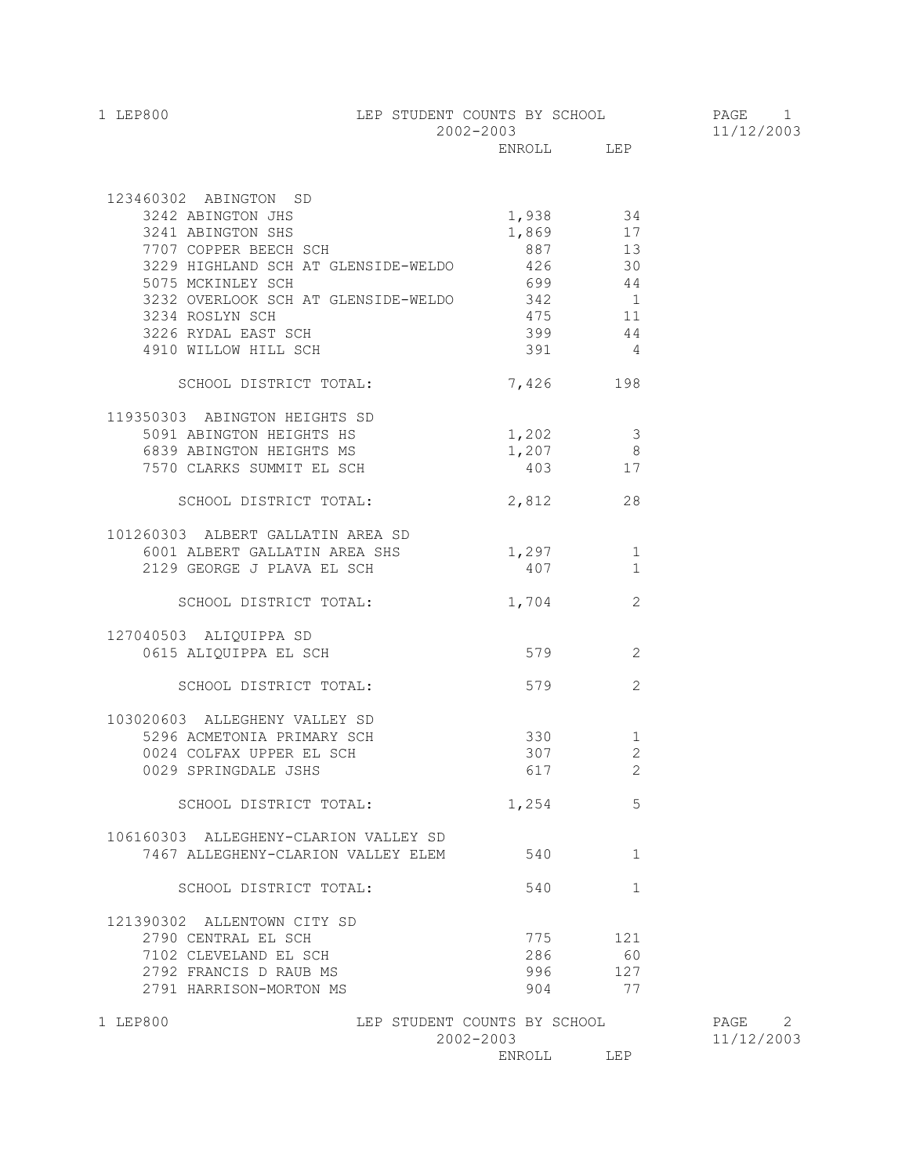| 1 LEP800 | LEP STUDENT COUNTS BY SCHOOL | PAGE       |
|----------|------------------------------|------------|
|          | 2002-2003                    | 11/12/2003 |
|          | LEP<br>ENROLL                |            |

| 123460302 ABINGTON SD                     |                              |                |            |
|-------------------------------------------|------------------------------|----------------|------------|
| 3242 ABINGTON JHS                         | 1,938                        | 34             |            |
| 3241 ABINGTON SHS                         | 1,869 17                     |                |            |
| 7707 COPPER BEECH SCH                     | 887 13                       |                |            |
| 3229 HIGHLAND SCH AT GLENSIDE-WELDO 426   |                              | 30             |            |
| 5075 MCKINLEY SCH                         |                              | 699 44         |            |
| 3232 OVERLOOK SCH AT GLENSIDE-WELDO 342 1 |                              |                |            |
| 3234 ROSLYN SCH                           |                              | 475 11         |            |
| 3226 RYDAL EAST SCH                       | 399                          | 44             |            |
| 4910 WILLOW HILL SCH                      | 391 391                      | $\overline{4}$ |            |
| SCHOOL DISTRICT TOTAL:                    | 7,426 198                    |                |            |
| 119350303 ABINGTON HEIGHTS SD             |                              |                |            |
| 5091 ABINGTON HEIGHTS HS                  | $1,202$ 3                    |                |            |
| 6839 ABINGTON HEIGHTS MS                  | $1,207$ 8                    |                |            |
| 7570 CLARKS SUMMIT EL SCH                 | 403 17                       |                |            |
| SCHOOL DISTRICT TOTAL:                    | 2,812                        | 28             |            |
| 101260303 ALBERT GALLATIN AREA SD         |                              |                |            |
| 6001 ALBERT GALLATIN AREA SHS             | $1,297$ 1                    |                |            |
| 2129 GEORGE J PLAVA EL SCH                | 407 407                      | $\mathbf{1}$   |            |
| SCHOOL DISTRICT TOTAL:                    | 1,704                        | 2              |            |
| 127040503 ALIQUIPPA SD                    |                              |                |            |
| 0615 ALIQUIPPA EL SCH                     | 579                          | $\overline{c}$ |            |
| SCHOOL DISTRICT TOTAL:                    | 579                          | 2              |            |
| 103020603 ALLEGHENY VALLEY SD             |                              |                |            |
| 5296 ACMETONIA PRIMARY SCH                | 330 1                        |                |            |
| 0024 COLFAX UPPER EL SCH                  | 307                          | $\mathbf{2}$   |            |
| 0029 SPRINGDALE JSHS                      | 617                          | 2              |            |
|                                           |                              |                |            |
| SCHOOL DISTRICT TOTAL:                    | 1,254                        | 5              |            |
| 106160303 ALLEGHENY-CLARION VALLEY SD     |                              |                |            |
| 7467 ALLEGHENY-CLARION VALLEY ELEM        | 540                          | -1.            |            |
| SCHOOL DISTRICT TOTAL:                    | 540                          | 1              |            |
| 121390302 ALLENTOWN CITY SD               |                              |                |            |
| 2790 CENTRAL EL SCH                       | 775                          | 121            |            |
| 7102 CLEVELAND EL SCH                     | 286                          | 60             |            |
| 2792 FRANCIS D RAUB MS                    | 996                          | 127            |            |
| 2791 HARRISON-MORTON MS                   | 904                          | 77             |            |
| 1 LEP800                                  | LEP STUDENT COUNTS BY SCHOOL |                | PAGE 2     |
|                                           | 2002-2003                    |                | 11/12/2003 |
|                                           | ENROLL                       | LEP            |            |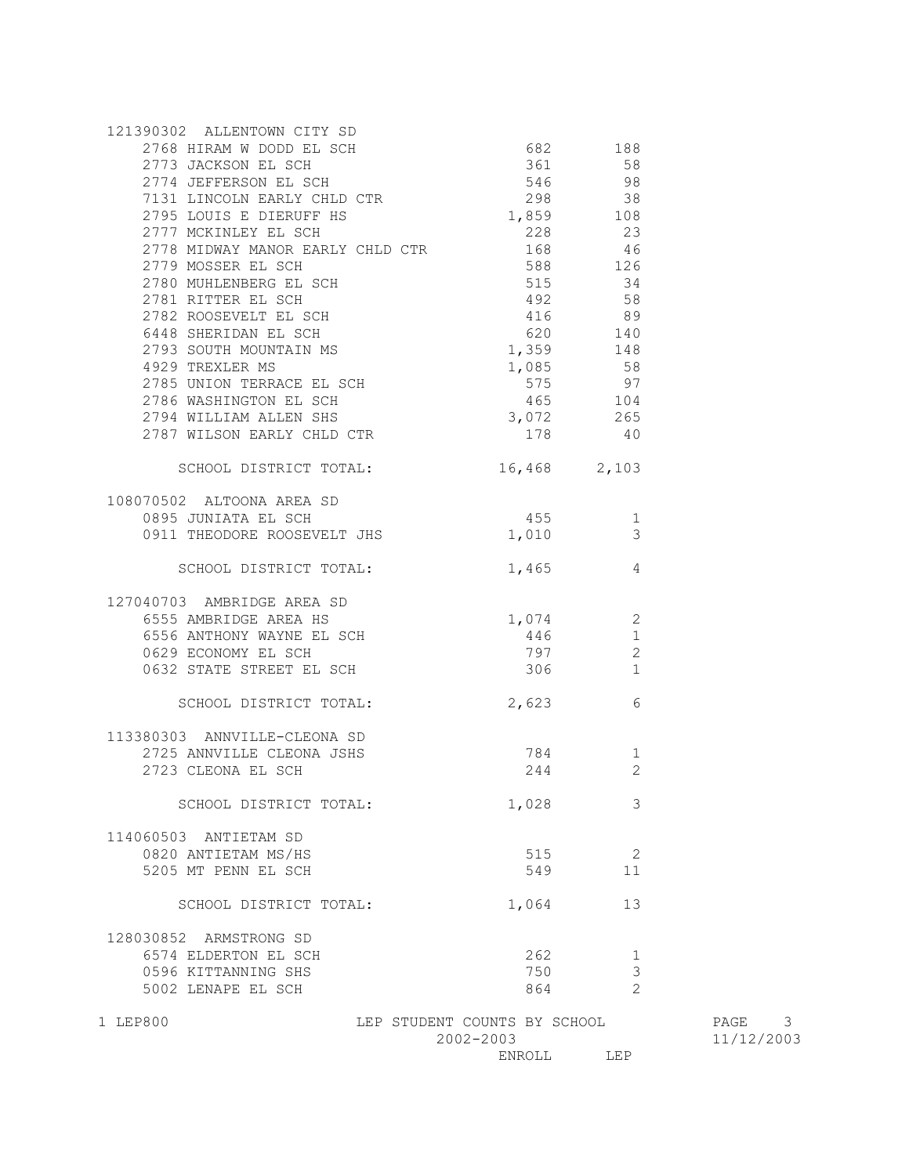| 2768 HIRAM W DODD EL SCH<br>2773 JACKSON EL SCH<br>2774 JEFFERSON EL SCH<br>7131 LINCOLN EARLY CHLD CTR                                                                                                                      | $546$ 98<br>298 38                        | 682 188<br>361 58                    |
|------------------------------------------------------------------------------------------------------------------------------------------------------------------------------------------------------------------------------|-------------------------------------------|--------------------------------------|
| 2795 LOUIS E DIERUFF HS<br>2777 MCKINLEY EL SCH<br>2778 MIDWAY MANOR EARLY CHLD CTR                                                                                                                                          | 1,859 108<br>228<br>168                   | 23<br>46                             |
| 2779 MOSSER EL SCH<br>2780 MUHLENBERG EL SCH                                                                                                                                                                                 | 588<br>515                                | 126<br>34                            |
| 2781 RITTER EL SCH<br>2782 ROOSEVELT EL SCH<br>6448 SHERIDAN EL SCH<br>2793 SOUTH MOUNTAIN MS<br>4929 TREXLER MS<br>4929 TREXLER MS<br>2796 TITALER MS<br>2796 TITALE<br>2785 UNION TERRACE EL SCH<br>2786 WASHINGTON EL SCH | 575                                       | 97                                   |
| 2794 WILLIAM ALLEN SHS<br>2787 WILSON EARLY CHLD CTR                                                                                                                                                                         | 465<br>178                                | 104<br>3,072 265<br>40               |
| SCHOOL DISTRICT TOTAL: 16,468 2,103                                                                                                                                                                                          |                                           |                                      |
| 108070502 ALTOONA AREA SD<br>0895 JUNIATA EL SCH<br>0911 THEODORE ROOSEVELT JHS                                                                                                                                              | 455<br>1,010                              | $\sim$ 1<br>3                        |
| SCHOOL DISTRICT TOTAL:                                                                                                                                                                                                       | 1,465                                     | 4                                    |
| 127040703 AMBRIDGE AREA SD<br>6555 AMBRIDGE AREA HS<br>6556 ANTHONY WAYNE EL SCH<br>0629 ECONOMY EL SCH<br>UGZY EUONOMY EL SCH<br>0632 STATE STREET EL SCH                                                                   | $1,074$ 2<br>306                          | 446<br>1<br>2<br>797<br>$\mathbf{1}$ |
| SCHOOL DISTRICT TOTAL:                                                                                                                                                                                                       |                                           | 2,623<br>6                           |
| 113380303 ANNVILLE-CLEONA SD<br>2725 ANNVILLE CLEONA JSHS<br>2723 CLEONA EL SCH                                                                                                                                              |                                           | 784<br>1<br>244<br>2                 |
| SCHOOL DISTRICT TOTAL:                                                                                                                                                                                                       | 1,028                                     | 3                                    |
| 114060503 ANTIETAM SD<br>0820 ANTIETAM MS/HS<br>5205 MT PENN EL SCH                                                                                                                                                          | 515<br>549                                | 2<br>11                              |
| SCHOOL DISTRICT TOTAL:                                                                                                                                                                                                       | 1,064                                     | 13                                   |
| 128030852 ARMSTRONG SD<br>6574 ELDERTON EL SCH<br>0596 KITTANNING SHS<br>5002 LENAPE EL SCH                                                                                                                                  | 262<br>750<br>864                         | 1<br>3<br>$\overline{2}$             |
| 1 LEP800                                                                                                                                                                                                                     | LEP STUDENT COUNTS BY SCHOOL<br>2002-2003 |                                      |
|                                                                                                                                                                                                                              |                                           | ENROLL LEP                           |

PAGE 3 2002-2003 11/12/2003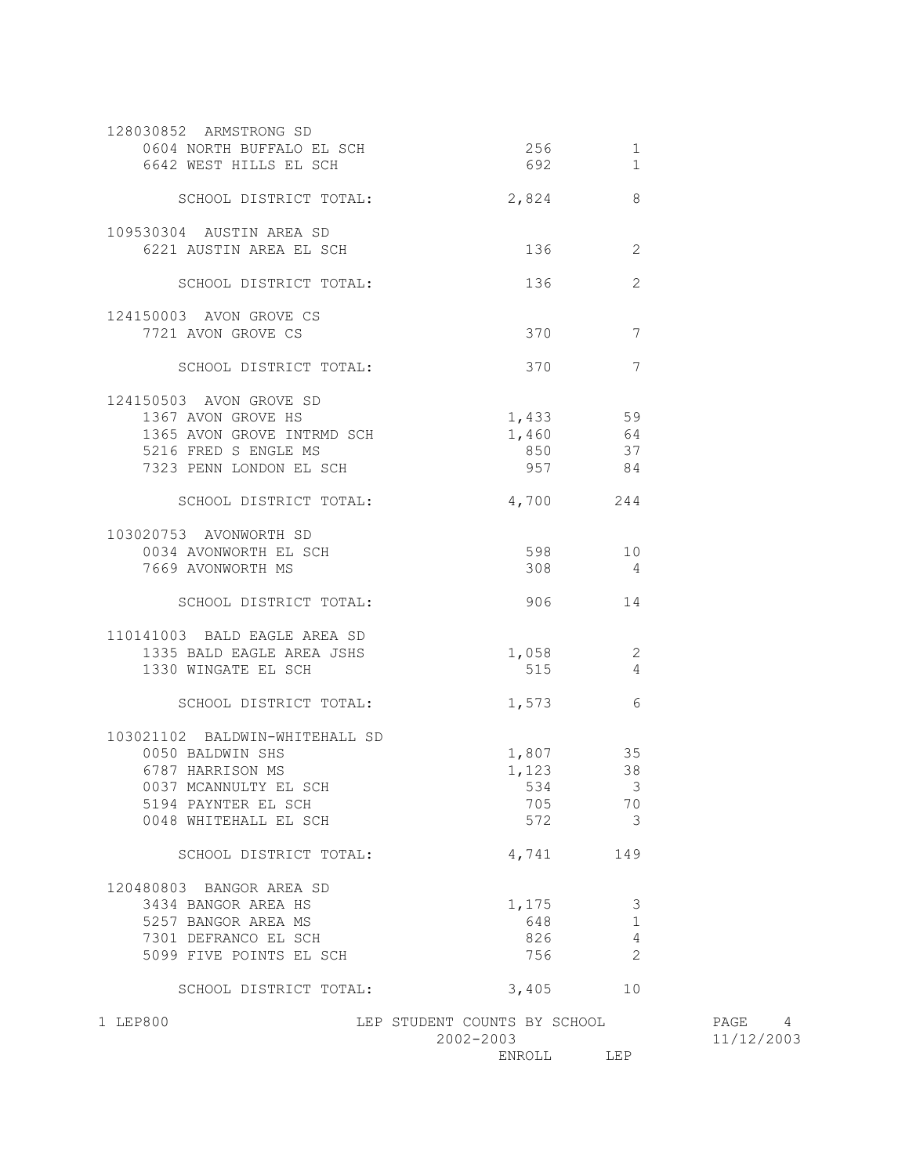| 128030852 ARMSTRONG SD<br>0604 NORTH BUFFALO EL SCH<br>6642 WEST HILLS EL SCH | 256<br>692                   | $\mathbf 1$<br>$\mathbf{1}$ |            |
|-------------------------------------------------------------------------------|------------------------------|-----------------------------|------------|
|                                                                               |                              |                             |            |
| SCHOOL DISTRICT TOTAL:                                                        | 2,824                        | 8                           |            |
| 109530304 AUSTIN AREA SD                                                      |                              |                             |            |
| 6221 AUSTIN AREA EL SCH                                                       | 136                          | 2                           |            |
| SCHOOL DISTRICT TOTAL:                                                        | 136                          | 2                           |            |
| 124150003 AVON GROVE CS                                                       |                              |                             |            |
| 7721 AVON GROVE CS                                                            | 370                          | $\overline{7}$              |            |
| SCHOOL DISTRICT TOTAL:                                                        | 370                          | 7                           |            |
| 124150503 AVON GROVE SD                                                       |                              |                             |            |
| 1367 AVON GROVE HS                                                            | 1,433                        | 59                          |            |
| 1365 AVON GROVE INTRMD SCH                                                    | 1,460                        | 64                          |            |
| 5216 FRED S ENGLE MS                                                          | 850                          | 37                          |            |
| 7323 PENN LONDON EL SCH                                                       | 957                          | 84                          |            |
| SCHOOL DISTRICT TOTAL:                                                        | 4,700 244                    |                             |            |
| 103020753 AVONWORTH SD                                                        |                              |                             |            |
| 0034 AVONWORTH EL SCH                                                         | 598 3                        | 10                          |            |
| 7669 AVONWORTH MS                                                             | 308                          | $\overline{4}$              |            |
| SCHOOL DISTRICT TOTAL:                                                        | 906                          | 14                          |            |
| 110141003 BALD EAGLE AREA SD                                                  |                              |                             |            |
| 1335 BALD EAGLE AREA JSHS                                                     |                              | 1,058 2                     |            |
| 1330 WINGATE EL SCH                                                           | 515                          | $\sim$ 4                    |            |
| SCHOOL DISTRICT TOTAL:                                                        | 1,573                        | 6                           |            |
| 103021102 BALDWIN-WHITEHALL SD                                                |                              |                             |            |
| 0050 BALDWIN SHS                                                              |                              | 1,807 35                    |            |
| 6787 HARRISON MS                                                              | 1,123                        | 38                          |            |
| 0037 MCANNULTY EL SCH                                                         |                              | 534 3                       |            |
| 5194 PAYNTER EL SCH                                                           | 705                          | 70                          |            |
| 0048 WHITEHALL EL SCH                                                         | 572                          | $\overline{\phantom{a}}$    |            |
| SCHOOL DISTRICT TOTAL:                                                        | 4,741                        | 149                         |            |
| 120480803 BANGOR AREA SD                                                      |                              |                             |            |
| 3434 BANGOR AREA HS                                                           | 1,175                        | 3                           |            |
| 5257 BANGOR AREA MS                                                           | 648                          | $\mathbf{1}$                |            |
| 7301 DEFRANCO EL SCH                                                          | 826                          | 4                           |            |
| 5099 FIVE POINTS EL SCH                                                       | 756                          | 2                           |            |
| SCHOOL DISTRICT TOTAL:                                                        | 3,405                        | 10                          |            |
| 1 LEP800                                                                      | LEP STUDENT COUNTS BY SCHOOL |                             | PAGE 4     |
|                                                                               | 2002-2003                    |                             | 11/12/2003 |

ENROLL LEP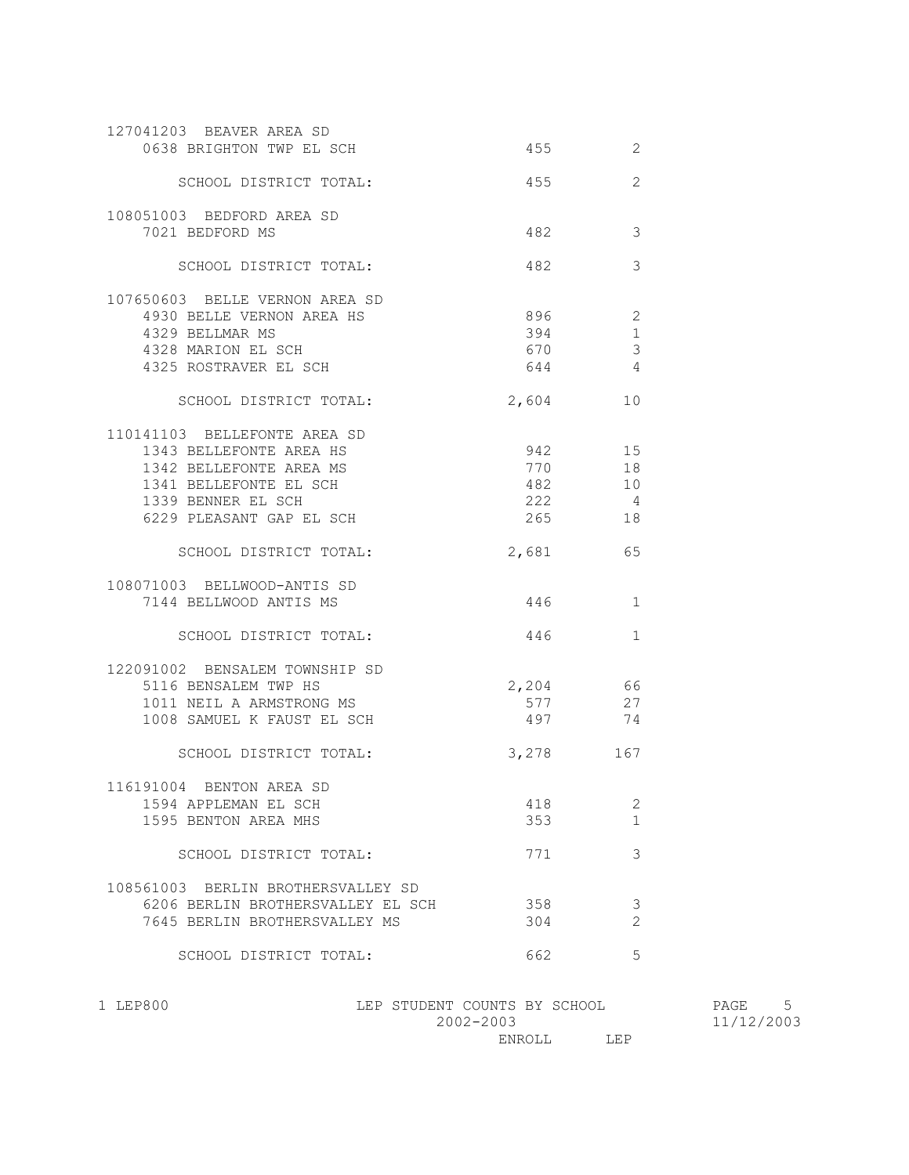| 127041203 BEAVER AREA SD<br>0638 BRIGHTON TWP EL SCH                                                                                                           | 455                             | 2                                        |
|----------------------------------------------------------------------------------------------------------------------------------------------------------------|---------------------------------|------------------------------------------|
| SCHOOL DISTRICT TOTAL:                                                                                                                                         | 455                             | $\overline{2}$                           |
| 108051003 BEDFORD AREA SD<br>7021 BEDFORD MS                                                                                                                   | 482                             | 3                                        |
| SCHOOL DISTRICT TOTAL:                                                                                                                                         | 482                             | 3                                        |
| 107650603 BELLE VERNON AREA SD<br>4930 BELLE VERNON AREA HS<br>4329 BELLMAR MS<br>4328 MARION EL SCH<br>4325 ROSTRAVER EL SCH                                  | 896<br>394<br>670<br>644        | 2<br>$\mathbf{1}$<br>$\mathfrak{Z}$<br>4 |
| SCHOOL DISTRICT TOTAL:                                                                                                                                         | 2,604                           | 10                                       |
| 110141103 BELLEFONTE AREA SD<br>1343 BELLEFONTE AREA HS<br>1342 BELLEFONTE AREA MS<br>1341 BELLEFONTE EL SCH<br>1339 BENNER EL SCH<br>6229 PLEASANT GAP EL SCH | 942<br>770<br>482<br>222<br>265 | 15<br>18<br>10<br>$\overline{4}$<br>18   |
| SCHOOL DISTRICT TOTAL:                                                                                                                                         | 2,681                           | 65                                       |
| 108071003 BELLWOOD-ANTIS SD<br>7144 BELLWOOD ANTIS MS                                                                                                          | 446                             | 1                                        |
| SCHOOL DISTRICT TOTAL:                                                                                                                                         | 446                             | $\mathbf{1}$                             |
| 122091002 BENSALEM TOWNSHIP SD<br>5116 BENSALEM TWP HS<br>1011 NEIL A ARMSTRONG MS<br>1008 SAMUEL K FAUST EL SCH                                               | 2,204<br>577<br>497 — 197       | 66<br>27<br>74                           |
| SCHOOL DISTRICT TOTAL:                                                                                                                                         | 3,278 167                       |                                          |
| 116191004 BENTON AREA SD<br>1594 APPLEMAN EL SCH<br>1595 BENTON AREA MHS                                                                                       | 418<br>353                      | 2<br>1                                   |
| SCHOOL DISTRICT TOTAL:                                                                                                                                         | 771                             | 3                                        |
| 108561003 BERLIN BROTHERSVALLEY SD<br>6206 BERLIN BROTHERSVALLEY EL SCH<br>7645 BERLIN BROTHERSVALLEY MS                                                       | 358<br>304                      | 3<br>$\overline{2}$                      |
| SCHOOL DISTRICT TOTAL:                                                                                                                                         | 662                             | 5                                        |

| 1 LEP800 | LEP STUDENT COUNTS BY SCHOOL | 5<br>PAGE  |
|----------|------------------------------|------------|
|          | 2002-2003                    | 11/12/2003 |
|          | LEP<br>ENROLL                |            |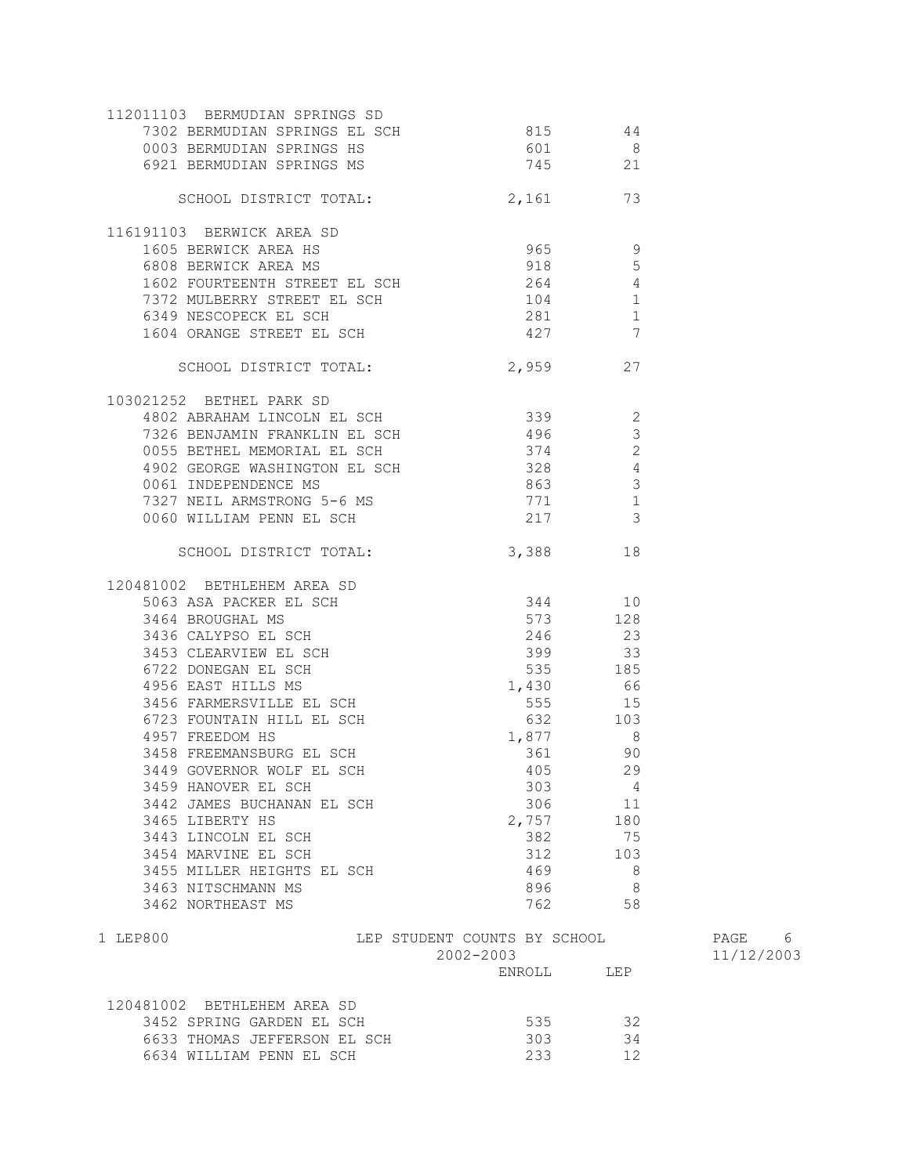| 112011103 BERMUDIAN SPRINGS SD<br>7302 BERMUDIAN SPRINGS EL SCH<br>0003 BERMUDIAN SPRINGS HS<br>6921 BERMUDIAN SPRINGS MS                                                                                                | 815 44<br>601<br>745 21                                         | $\overline{\phantom{0}}$ |            |
|--------------------------------------------------------------------------------------------------------------------------------------------------------------------------------------------------------------------------|-----------------------------------------------------------------|--------------------------|------------|
| SCHOOL DISTRICT TOTAL: 2,161 73                                                                                                                                                                                          |                                                                 |                          |            |
| 116191103 BERWICK AREA SD                                                                                                                                                                                                |                                                                 |                          |            |
|                                                                                                                                                                                                                          | $965$ 9                                                         |                          |            |
| 1605 BERWICK AREA HS<br>6808 BERWICK AREA MS                                                                                                                                                                             | 918                                                             | $5\overline{)}$          |            |
|                                                                                                                                                                                                                          |                                                                 |                          |            |
|                                                                                                                                                                                                                          |                                                                 |                          |            |
|                                                                                                                                                                                                                          |                                                                 |                          |            |
| 1602 FOURTEENTH STREET EL SCH<br>1602 FOURTEENTH STREET EL SCH<br>104 1<br>1604 ORANGE STREET EL SCH<br>1604 ORANGE STREET EL SCH<br>1604 ORANGE STREET EL SCH<br>1604 ORANGE STREET EL SCH<br>1604 ORANGE STREET EL SCH |                                                                 |                          |            |
| SCHOOL DISTRICT TOTAL: 2,959 27                                                                                                                                                                                          |                                                                 |                          |            |
| 103021252 BETHEL PARK SD                                                                                                                                                                                                 |                                                                 |                          |            |
| 4802 ABRAHAM LINCOLN EL SCH 339 339                                                                                                                                                                                      |                                                                 |                          |            |
| 7326 BENJAMIN FRANKLIN EL SCH<br>0055 BETHEL MEMORIAL EL SCH                                                                                                                                                             | 496                                                             | $\overline{\mathbf{3}}$  |            |
|                                                                                                                                                                                                                          | 374                                                             | $\overline{\phantom{a}}$ |            |
| 4902 GEORGE WASHINGTON EL SCH<br>0061 INDEPENDENCE MS 663 328                                                                                                                                                            |                                                                 |                          |            |
|                                                                                                                                                                                                                          |                                                                 |                          |            |
|                                                                                                                                                                                                                          | 771 1                                                           |                          |            |
| 7327 NEIL ARMSTRONG 5-6 MS<br>0060 WILLIAM PENN EL SCH                                                                                                                                                                   | 217 3                                                           |                          |            |
| SCHOOL DISTRICT TOTAL: 3,388 18                                                                                                                                                                                          |                                                                 |                          |            |
|                                                                                                                                                                                                                          |                                                                 |                          |            |
|                                                                                                                                                                                                                          |                                                                 |                          |            |
|                                                                                                                                                                                                                          |                                                                 |                          |            |
|                                                                                                                                                                                                                          |                                                                 |                          |            |
|                                                                                                                                                                                                                          |                                                                 |                          |            |
|                                                                                                                                                                                                                          |                                                                 |                          |            |
|                                                                                                                                                                                                                          |                                                                 |                          |            |
|                                                                                                                                                                                                                          |                                                                 |                          |            |
|                                                                                                                                                                                                                          |                                                                 |                          |            |
|                                                                                                                                                                                                                          | $\frac{1,877}{361}$                                             |                          |            |
| 3458 FREEMANSBURG EL SCH                                                                                                                                                                                                 |                                                                 | 90                       |            |
| 3449 GOVERNOR WOLF EL SCH 405 405                                                                                                                                                                                        |                                                                 |                          |            |
| 3459 HANOVER EL SCH                                                                                                                                                                                                      | 303                                                             | 4                        |            |
| 3442 JAMES BUCHANAN EL SCH                                                                                                                                                                                               |                                                                 | 306 11                   |            |
| 3465 LIBERTY HS                                                                                                                                                                                                          | 2,757                                                           | 180                      |            |
| 3443 LINCOLN EL SCH                                                                                                                                                                                                      | 382                                                             | 75                       |            |
| 3454 MARVINE EL SCH                                                                                                                                                                                                      | 312                                                             | 103                      |            |
| 3455 MILLER HEIGHTS EL SCH                                                                                                                                                                                               | 469                                                             | 8 <sup>8</sup>           |            |
| 3463 NITSCHMANN MS                                                                                                                                                                                                       | 896                                                             | 8                        |            |
| 3462 NORTHEAST MS                                                                                                                                                                                                        | 762                                                             | 58                       |            |
| 1 LEP800                                                                                                                                                                                                                 | LEP STUDENT COUNTS BY SCHOOL                                    |                          | PAGE 6     |
|                                                                                                                                                                                                                          | 2002-2003                                                       |                          | 11/12/2003 |
|                                                                                                                                                                                                                          | $\begin{tabular}{ll} ENROLL & \hspace{2.3cm} LEP \end{tabular}$ |                          |            |
| 120481002 BETHLEHEM AREA SD                                                                                                                                                                                              |                                                                 |                          |            |
| 3452 SPRING GARDEN EL SCH                                                                                                                                                                                                | 535                                                             | 32                       |            |
| 6633 THOMAS JEFFERSON EL SCH                                                                                                                                                                                             | 303                                                             | 34                       |            |
| 6634 WILLIAM PENN EL SCH                                                                                                                                                                                                 | 233                                                             | 12                       |            |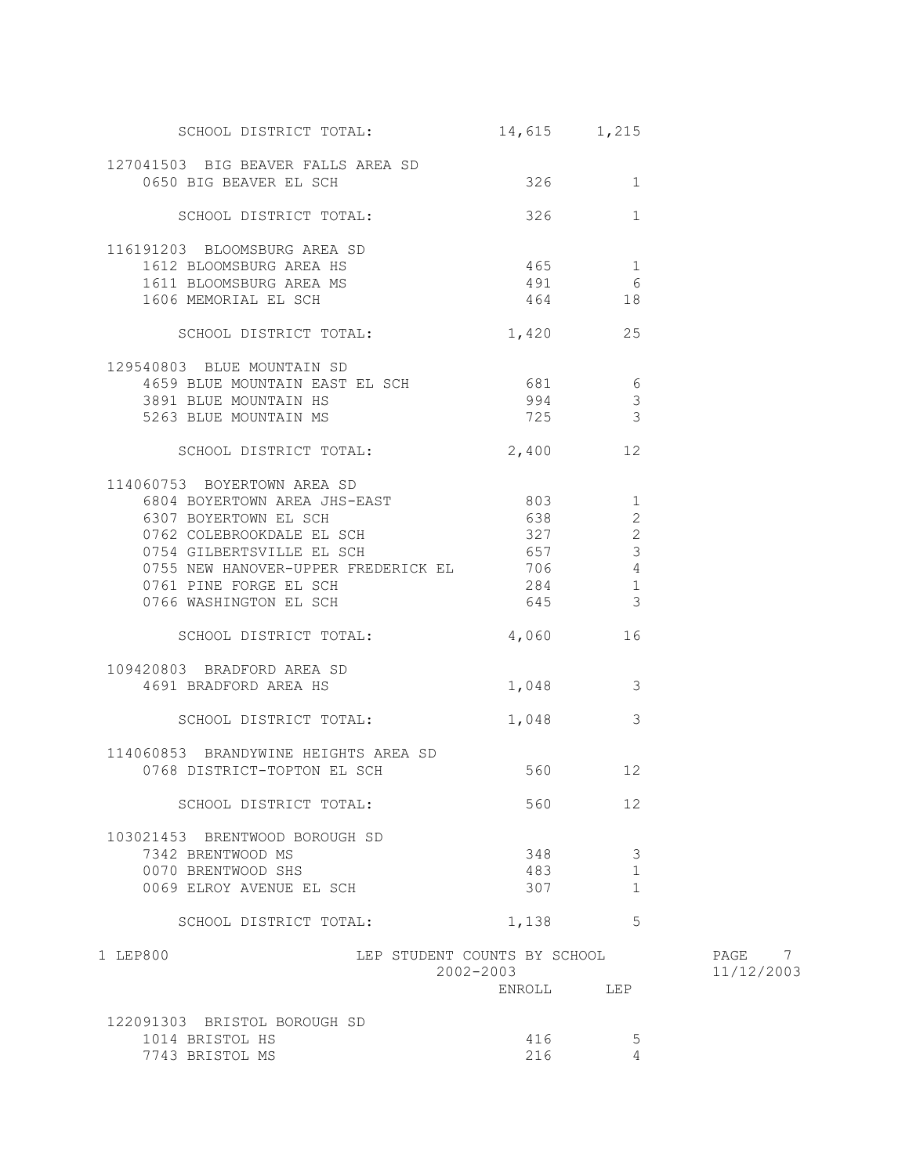| SCHOOL DISTRICT TOTAL:                                       | 14,615 1,215                              |                               |                      |
|--------------------------------------------------------------|-------------------------------------------|-------------------------------|----------------------|
| 127041503 BIG BEAVER FALLS AREA SD<br>0650 BIG BEAVER EL SCH | 326                                       | 1                             |                      |
| SCHOOL DISTRICT TOTAL:                                       | $326$ 1                                   |                               |                      |
| 116191203 BLOOMSBURG AREA SD                                 |                                           |                               |                      |
| 1612 BLOOMSBURG AREA HS                                      | $465$ 1                                   |                               |                      |
| 1611 BLOOMSBURG AREA MS                                      | 491 6                                     |                               |                      |
| 1606 MEMORIAL EL SCH                                         | 464 18                                    |                               |                      |
| SCHOOL DISTRICT TOTAL:                                       | 1,420 25                                  |                               |                      |
| 129540803 BLUE MOUNTAIN SD                                   |                                           |                               |                      |
| 4659 BLUE MOUNTAIN EAST EL SCH 681 681                       |                                           |                               |                      |
| 3891 BLUE MOUNTAIN HS                                        | 994                                       | $\overline{\mathbf{3}}$       |                      |
| 5263 BLUE MOUNTAIN MS                                        | 725 3                                     |                               |                      |
| SCHOOL DISTRICT TOTAL: 2,400 12                              |                                           |                               |                      |
| 114060753 BOYERTOWN AREA SD                                  |                                           |                               |                      |
| 6804 BOYERTOWN AREA JHS-EAST 803 1                           |                                           |                               |                      |
| 6307 BOYERTOWN EL SCH                                        | 638                                       | $\overline{2}$                |                      |
| 0762 COLEBROOKDALE EL SCH                                    | 327                                       | 2                             |                      |
| 0754 GILBERTSVILLE EL SCH                                    | 657                                       | $\mathbf{3}$                  |                      |
| 0755 NEW HANOVER-UPPER FREDERICK EL 706                      |                                           | $\overline{4}$                |                      |
| 0761 PINE FORGE EL SCH                                       | 284                                       | $\mathbf{1}$<br>$\mathcal{S}$ |                      |
| 0766 WASHINGTON EL SCH                                       | 645                                       |                               |                      |
| SCHOOL DISTRICT TOTAL:                                       | 4,060 16                                  |                               |                      |
| 109420803 BRADFORD AREA SD                                   |                                           |                               |                      |
| 4691 BRADFORD AREA HS                                        | $1,048$ 3                                 |                               |                      |
|                                                              |                                           |                               |                      |
| SCHOOL DISTRICT TOTAL:                                       | 1,048 3                                   |                               |                      |
| 114060853 BRANDYWINE HEIGHTS AREA SD                         |                                           |                               |                      |
| 0768 DISTRICT-TOPTON EL SCH                                  | 560 12                                    |                               |                      |
| SCHOOL DISTRICT TOTAL:                                       | 560                                       | 12                            |                      |
| 103021453 BRENTWOOD BOROUGH SD                               |                                           |                               |                      |
| 7342 BRENTWOOD MS                                            | 348                                       | 3                             |                      |
| 0070 BRENTWOOD SHS                                           | 483                                       | 1                             |                      |
| 0069 ELROY AVENUE EL SCH                                     | 307                                       | 1                             |                      |
| SCHOOL DISTRICT TOTAL:                                       | 1,138                                     | 5                             |                      |
| 1 LEP800                                                     | LEP STUDENT COUNTS BY SCHOOL<br>2002-2003 |                               | PAGE 7<br>11/12/2003 |
|                                                              | ENROLL                                    | LEP                           |                      |
| 122091303 BRISTOL BOROUGH SD                                 |                                           |                               |                      |
| 1014 BRISTOL HS                                              | 416                                       | 5                             |                      |
| 7743 BRISTOL MS                                              | 216                                       | 4                             |                      |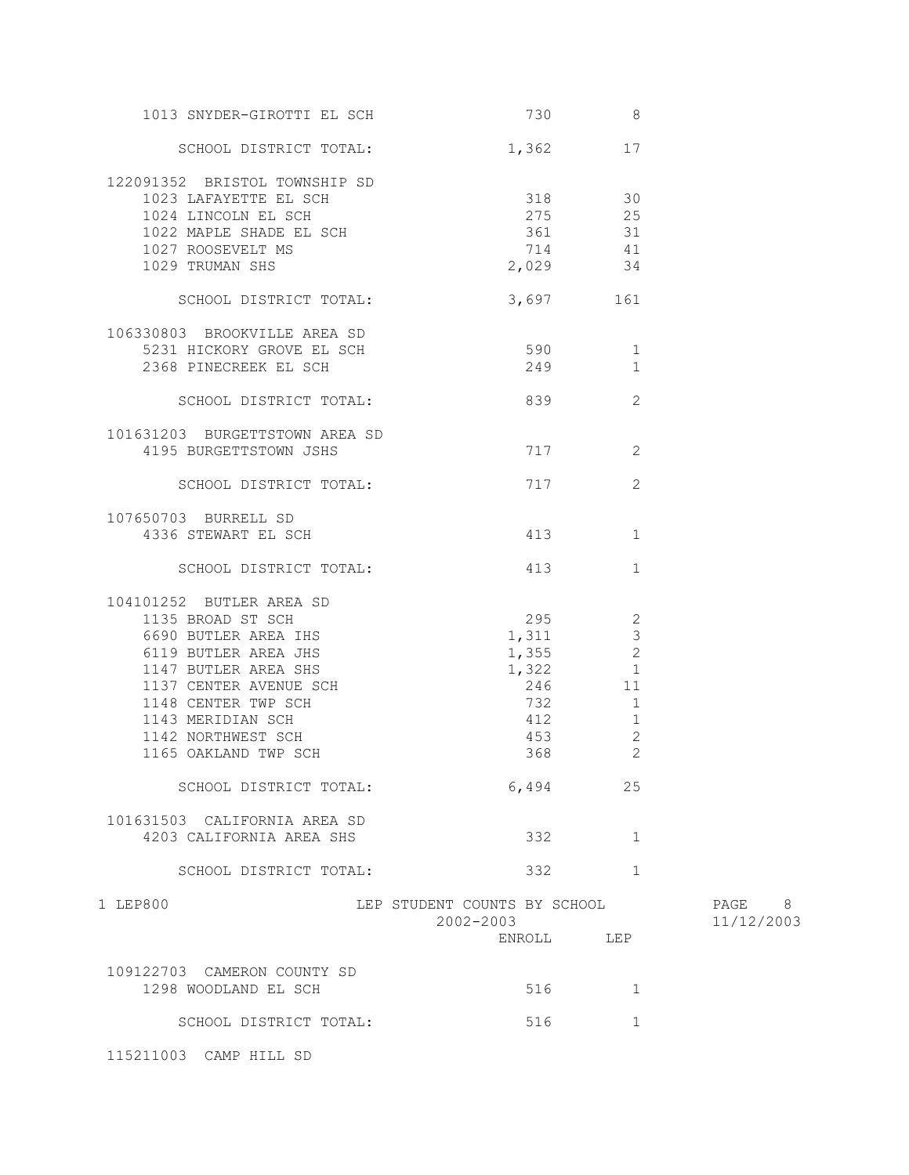| 1013 SNYDER-GIROTTI EL SCH                                                                                                                                                                                                                                       |                                                     | 730<br>8                                                                                           |                      |
|------------------------------------------------------------------------------------------------------------------------------------------------------------------------------------------------------------------------------------------------------------------|-----------------------------------------------------|----------------------------------------------------------------------------------------------------|----------------------|
| SCHOOL DISTRICT TOTAL:                                                                                                                                                                                                                                           | $1,362$ 17                                          |                                                                                                    |                      |
| 122091352 BRISTOL TOWNSHIP SD<br>1023 LAFAYETTE EL SCH<br>1024 LINCOLN EL SCH<br>1024 LINCOLN EL SCH<br>1022 MAPLE SHADE EL SCH<br>1027 ROOSEVELT MS<br>1029 TRUMAN SHS                                                                                          | $\frac{318}{100}$ 30<br>275 25                      | 361 31<br>714 41<br>2,029 34                                                                       |                      |
| SCHOOL DISTRICT TOTAL:                                                                                                                                                                                                                                           |                                                     | 3,697 161                                                                                          |                      |
| 106330803 BROOKVILLE AREA SD<br>5231 HICKORY GROVE EL SCH<br>2368 PINECREEK EL SCH                                                                                                                                                                               | 590 1<br>249                                        | $\mathbf{1}$                                                                                       |                      |
| SCHOOL DISTRICT TOTAL:                                                                                                                                                                                                                                           |                                                     | 2                                                                                                  |                      |
| 101631203 BURGETTSTOWN AREA SD<br>4195 BURGETTSTOWN JSHS                                                                                                                                                                                                         |                                                     | 717<br>2                                                                                           |                      |
| SCHOOL DISTRICT TOTAL:                                                                                                                                                                                                                                           | 717                                                 | 2                                                                                                  |                      |
| 107650703 BURRELL SD<br>4336 STEWART EL SCH                                                                                                                                                                                                                      |                                                     | 413<br>1                                                                                           |                      |
| SCHOOL DISTRICT TOTAL:                                                                                                                                                                                                                                           | 413                                                 | $\mathbf{1}$                                                                                       |                      |
| 104101252 BUTLER AREA SD<br>1135 BROAD ST SCH<br>6690 BUTLER AREA IHS<br>6119 BUTLER AREA JHS<br>1147 BUTLER AREA SHS<br>1137 CENTER AVENUE SCH<br>1148 CENTER TWP SCH<br>1148 VENTER TWP SCH<br>1143 MERIDIAN SCH<br>1142 NORTHWEST SCH<br>1165 OAKLAND TWP SCH | $295$ 2<br>1,311<br>$1,322$ 1<br>412<br>453<br>368  | $\mathcal{S}$<br>$1,355$ 2<br>246 11<br>732<br>1<br>$\mathbf{1}$<br>$\mathbf{2}$<br>$\overline{2}$ |                      |
| SCHOOL DISTRICT TOTAL:                                                                                                                                                                                                                                           |                                                     | 6,494<br>25                                                                                        |                      |
| 101631503 CALIFORNIA AREA SD<br>4203 CALIFORNIA AREA SHS                                                                                                                                                                                                         |                                                     | 332<br>1                                                                                           |                      |
| SCHOOL DISTRICT TOTAL:                                                                                                                                                                                                                                           | 332                                                 | $\mathbf{1}$                                                                                       |                      |
| 1 LEP800                                                                                                                                                                                                                                                         | LEP STUDENT COUNTS BY SCHOOL<br>2002-2003<br>ENROLL | LEP                                                                                                | PAGE 8<br>11/12/2003 |
| 109122703 CAMERON COUNTY SD<br>1298 WOODLAND EL SCH                                                                                                                                                                                                              | 516                                                 | 1                                                                                                  |                      |
| SCHOOL DISTRICT TOTAL:                                                                                                                                                                                                                                           | 516                                                 | 1                                                                                                  |                      |

115211003 CAMP HILL SD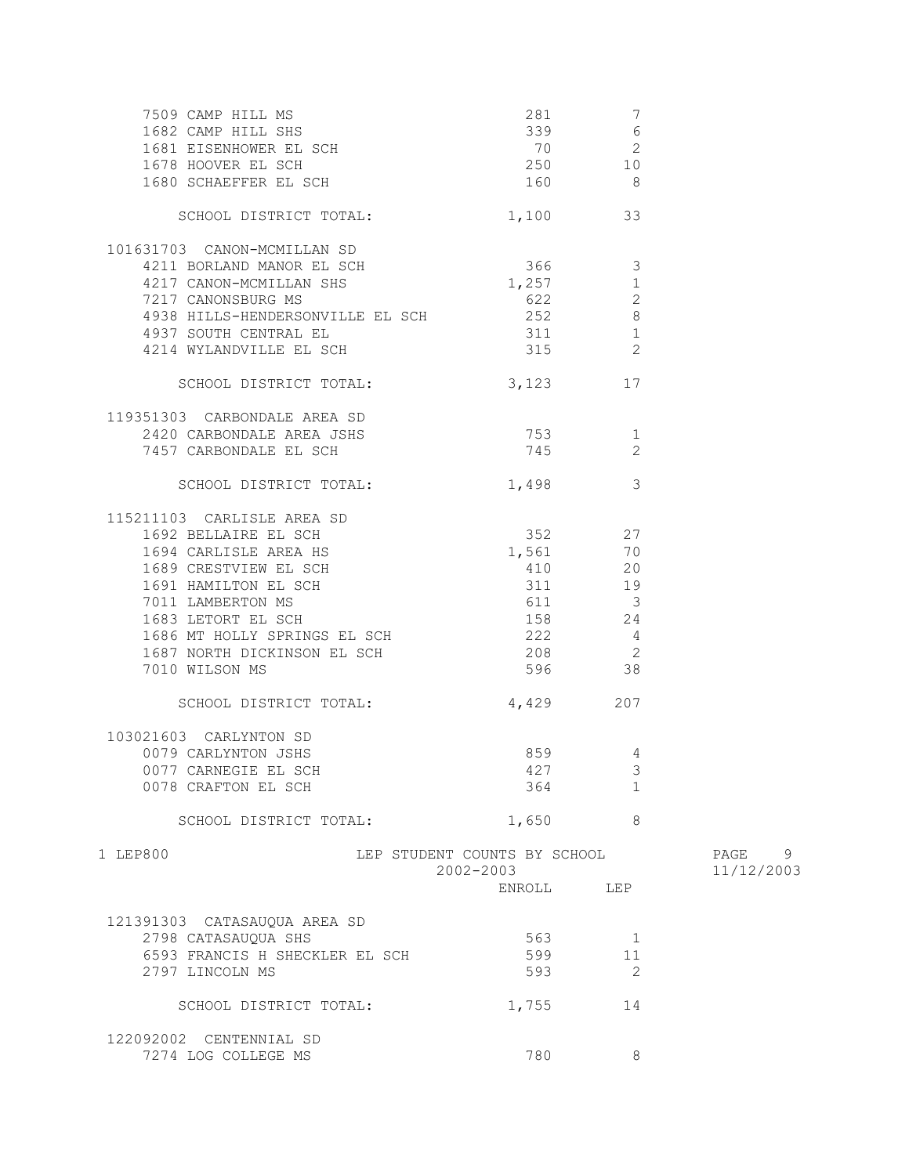| 7509 CAMP HILL MS                                                      | $\begin{array}{cccc} 281 & & 7 \\ \text{SCH} & & 339 & & 6 \\ \text{SCH} & & 70 & & 2 \\ 250 & & 10 & \\ \text{SCH} & & 160 & & 8 \\ \end{array}$ |                         |                      |
|------------------------------------------------------------------------|---------------------------------------------------------------------------------------------------------------------------------------------------|-------------------------|----------------------|
| 1682 CAMP HILL SHS                                                     |                                                                                                                                                   |                         |                      |
| 1681 EISENHOWER EL SCH                                                 |                                                                                                                                                   |                         |                      |
| 1678 HOOVER EL SCH                                                     |                                                                                                                                                   |                         |                      |
| 1680 SCHAEFFER EL SCH                                                  | 160 8                                                                                                                                             |                         |                      |
| SCHOOL DISTRICT TOTAL:                                                 | 1,100 33                                                                                                                                          |                         |                      |
| 101631703 CANON-MCMILLAN SD                                            |                                                                                                                                                   |                         |                      |
| 4211 BORLAND MANOR EL SCH                                              | 366 3                                                                                                                                             |                         |                      |
| 4217 CANON-MCMILLAN SHS                                                | 1,257                                                                                                                                             | $\mathbf{1}$            |                      |
| 7217 CANONSBURG MS                                                     | 622 2                                                                                                                                             |                         |                      |
| 4938 HILLS-HENDERSONVILLE EL SCH 252 8                                 |                                                                                                                                                   |                         |                      |
| 4937 SOUTH CENTRAL EL                                                  | 311                                                                                                                                               | $\mathbf{1}$            |                      |
| 4214 WYLANDVILLE EL SCH                                                | 315                                                                                                                                               | 2                       |                      |
| SCHOOL DISTRICT TOTAL:                                                 | 3,123 17                                                                                                                                          |                         |                      |
| 119351303 CARBONDALE AREA SD                                           |                                                                                                                                                   |                         |                      |
| 2420 CARBONDALE AREA JSHS                                              | 753                                                                                                                                               | 1                       |                      |
| 7457 CARBONDALE EL SCH                                                 | 745                                                                                                                                               | 2                       |                      |
| SCHOOL DISTRICT TOTAL:                                                 | 1,498                                                                                                                                             | $\overline{\mathbf{3}}$ |                      |
| 115211103 CARLISLE AREA SD                                             |                                                                                                                                                   |                         |                      |
| 1692 BELLAIRE EL SCH                                                   | 352 27                                                                                                                                            |                         |                      |
| 1694 CARLISLE AREA HS                                                  | 1,561                                                                                                                                             | 70                      |                      |
|                                                                        | 410                                                                                                                                               | 20                      |                      |
| 1694 CARLISLE AREA AS<br>1689 CRESTVIEW EL SCH<br>1691 HAMILTON EL SCH | 311                                                                                                                                               | 19                      |                      |
| 7011 LAMBERTON MS                                                      | 611 3                                                                                                                                             |                         |                      |
| 1683 LETORT EL SCH                                                     | 158 24                                                                                                                                            |                         |                      |
| 1686 MT HOLLY SPRINGS EL SCH                                           | 222 4                                                                                                                                             |                         |                      |
| 1687 NORTH DICKINSON EL SCH                                            | 208 2                                                                                                                                             |                         |                      |
| 7010 WILSON MS                                                         | 596 38                                                                                                                                            |                         |                      |
| SCHOOL DISTRICT TOTAL:                                                 | 4,429 207                                                                                                                                         |                         |                      |
| 103021603 CARLYNTON SD                                                 |                                                                                                                                                   |                         |                      |
| 0079 CARLYNTON JSHS                                                    | 859 30                                                                                                                                            | 4                       |                      |
| 0077 CARNEGIE EL SCH                                                   | 427                                                                                                                                               | 3                       |                      |
| 0078 CRAFTON EL SCH                                                    | 364                                                                                                                                               | 1                       |                      |
| SCHOOL DISTRICT TOTAL:                                                 | 1,650                                                                                                                                             | 8                       |                      |
| 1 LEP800                                                               | LEP STUDENT COUNTS BY SCHOOL<br>2002-2003                                                                                                         |                         | PAGE 9<br>11/12/2003 |
|                                                                        | ENROLL LEP                                                                                                                                        |                         |                      |
|                                                                        |                                                                                                                                                   |                         |                      |
| 121391303 CATASAUQUA AREA SD                                           |                                                                                                                                                   |                         |                      |
| 2798 CATASAUQUA SHS                                                    | 563                                                                                                                                               | 1                       |                      |
| 6593 FRANCIS H SHECKLER EL SCH                                         | 599                                                                                                                                               | 11                      |                      |
| 2797 LINCOLN MS                                                        | 593                                                                                                                                               | 2                       |                      |
| SCHOOL DISTRICT TOTAL:                                                 | 1,755                                                                                                                                             | 14                      |                      |
| 122092002 CENTENNIAL SD                                                |                                                                                                                                                   |                         |                      |
| 7274 LOG COLLEGE MS                                                    | 780                                                                                                                                               | 8                       |                      |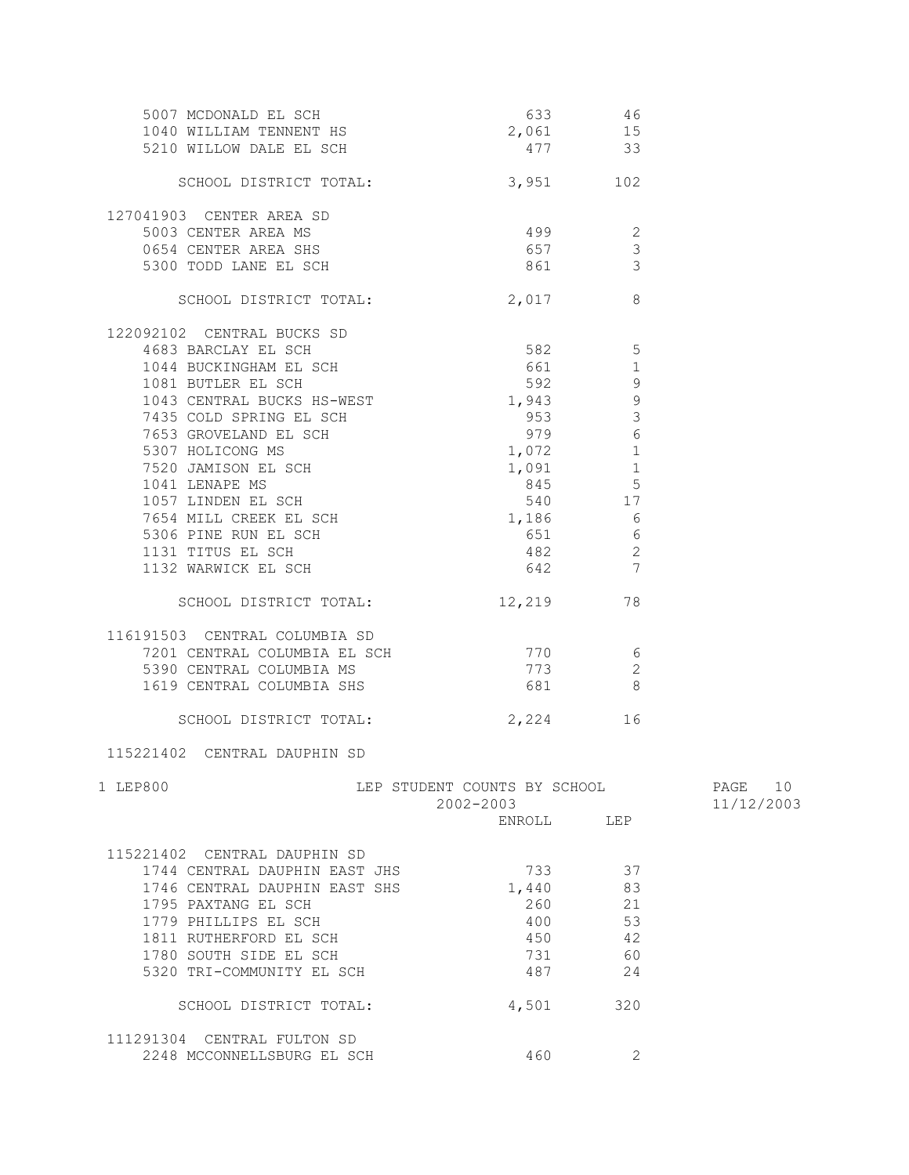| 5007 MCDONALD EL SCH<br>1040 WILLIAM TENNENT HS<br>5210 WILLOW DALE EL SCH                                                                                   | 2,061 15                                  | 633 46<br>477 33                                     |                          |
|--------------------------------------------------------------------------------------------------------------------------------------------------------------|-------------------------------------------|------------------------------------------------------|--------------------------|
| SCHOOL DISTRICT TOTAL: 3,951 102                                                                                                                             |                                           |                                                      |                          |
|                                                                                                                                                              |                                           |                                                      |                          |
| 127041903 CENTER AREA SD                                                                                                                                     |                                           |                                                      |                          |
|                                                                                                                                                              |                                           |                                                      |                          |
| 1993<br>5003 CENTER AREA MS<br>654 CENTER AREA SHS<br>5300 TODD LANE EL SCH<br>3                                                                             |                                           |                                                      |                          |
|                                                                                                                                                              |                                           |                                                      |                          |
| SCHOOL DISTRICT TOTAL:                                                                                                                                       | 2,017                                     | 8                                                    |                          |
| 122092102 CENTRAL BUCKS SD                                                                                                                                   |                                           |                                                      |                          |
| 4683 BARCLAY EL SCH                                                                                                                                          | 582                                       | $\overline{5}$                                       |                          |
| 1044 BUCKINGHAM EL SCH                                                                                                                                       | 661                                       | $\overline{1}$                                       |                          |
| 1081 BUTLER EL SCH                                                                                                                                           | 592                                       | $\overline{9}$                                       |                          |
| 1043 CENTRAL BUCKS HS-WEST 1,943 9                                                                                                                           |                                           |                                                      |                          |
| 7435 COLD SPRING EL SCH                                                                                                                                      |                                           | 3<br>953 200                                         |                          |
|                                                                                                                                                              |                                           | $6\,$<br>979 8                                       |                          |
|                                                                                                                                                              | $1,072$ 1                                 |                                                      |                          |
|                                                                                                                                                              |                                           | $\begin{array}{cc} 1,091 & 1 \\ 845 & 5 \end{array}$ |                          |
| 7653 GROVELAND EL SCH<br>5307 HOLICONG MS<br>7520 JAMISON EL SCH<br>1041 LENAPE MS<br>1057 LINDEN EL SCH<br>7654 MILL CREEK EL SCH<br>7654 MILL CREEK EL SCH | 845                                       |                                                      |                          |
|                                                                                                                                                              | 540                                       | 17                                                   |                          |
|                                                                                                                                                              | 1,186                                     | $\begin{array}{c} 6 \\ 6 \end{array}$                |                          |
| 5306 PINE RUN EL SCH                                                                                                                                         | 651                                       |                                                      |                          |
| 1131 TITUS EL SCH                                                                                                                                            | 482 2                                     |                                                      |                          |
| 1132 WARWICK EL SCH                                                                                                                                          | 642 7                                     |                                                      |                          |
| SCHOOL DISTRICT TOTAL: 12,219                                                                                                                                |                                           | 78                                                   |                          |
| 116191503 CENTRAL COLUMBIA SD                                                                                                                                |                                           |                                                      |                          |
|                                                                                                                                                              |                                           | $\overline{6}$                                       |                          |
| 91503 CENTRAL COLUMBIA SD<br>7201 CENTRAL COLUMBIA EL SCH († 1770)<br>5390 CENTRAL COLUMBIA MS († 1773)                                                      |                                           | $\overline{c}$                                       |                          |
| 1619 CENTRAL COLUMBIA SHS                                                                                                                                    | 681                                       |                                                      |                          |
|                                                                                                                                                              |                                           |                                                      |                          |
| SCHOOL DISTRICT TOTAL:                                                                                                                                       |                                           | 2,224<br>16                                          |                          |
| 115221402 CENTRAL DAUPHIN SD                                                                                                                                 |                                           |                                                      |                          |
| 1 LEP800                                                                                                                                                     | LEP STUDENT COUNTS BY SCHOOL<br>2002-2003 |                                                      | 10<br>PAGE<br>11/12/2003 |
|                                                                                                                                                              | ENROLL                                    | LEP                                                  |                          |
| 115221402 CENTRAL DAUPHIN SD                                                                                                                                 |                                           |                                                      |                          |
| 1744 CENTRAL DAUPHIN EAST JHS                                                                                                                                | 733                                       | 37                                                   |                          |
| 1746 CENTRAL DAUPHIN EAST SHS                                                                                                                                | 1,440                                     | 83                                                   |                          |
| 1795 PAXTANG EL SCH                                                                                                                                          | 260                                       | 21                                                   |                          |
| 1779 PHILLIPS EL SCH                                                                                                                                         | 400                                       | 53                                                   |                          |
| 1811 RUTHERFORD EL SCH                                                                                                                                       | 450                                       | 42                                                   |                          |
| 1780 SOUTH SIDE EL SCH                                                                                                                                       | 731                                       | 60                                                   |                          |
| 5320 TRI-COMMUNITY EL SCH                                                                                                                                    | 487                                       | 24                                                   |                          |
| SCHOOL DISTRICT TOTAL:                                                                                                                                       | 4,501                                     | 320                                                  |                          |

 111291304 CENTRAL FULTON SD 2248 MCCONNELLSBURG EL SCH 460 460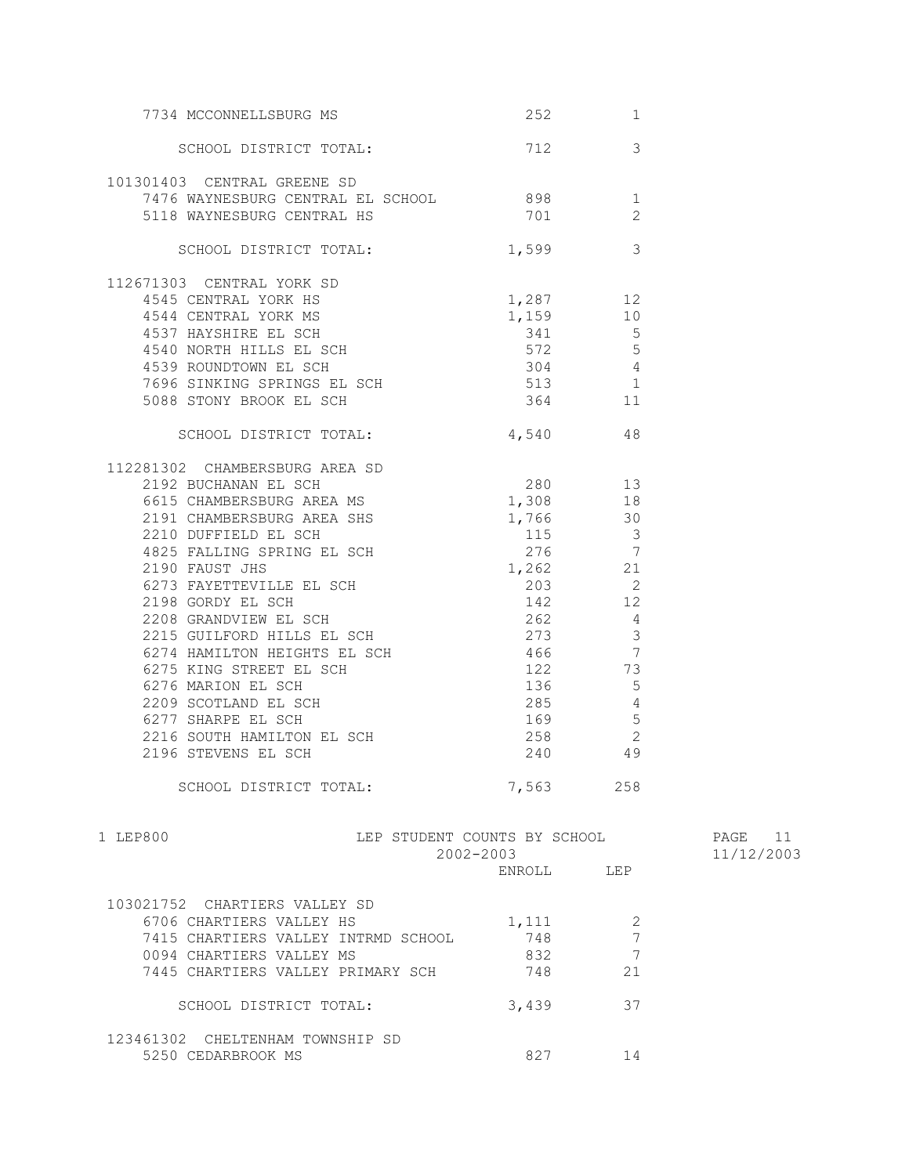| 7734 MCCONNELLSBURG MS                                                                                                                                                                                                                                                        | 252                           | 1                                      |            |
|-------------------------------------------------------------------------------------------------------------------------------------------------------------------------------------------------------------------------------------------------------------------------------|-------------------------------|----------------------------------------|------------|
| SCHOOL DISTRICT TOTAL: 712                                                                                                                                                                                                                                                    |                               | 3                                      |            |
| 101301403 CENTRAL GREENE SD                                                                                                                                                                                                                                                   |                               |                                        |            |
| 7476 WAYNESBURG CENTRAL EL SCHOOL 898                                                                                                                                                                                                                                         |                               | 1                                      |            |
| 5118 WAYNESBURG CENTRAL HS                                                                                                                                                                                                                                                    | 701                           | 2                                      |            |
|                                                                                                                                                                                                                                                                               |                               |                                        |            |
| SCHOOL DISTRICT TOTAL: 1,599                                                                                                                                                                                                                                                  |                               | $\overline{3}$                         |            |
| 112671303 CENTRAL YORK SD<br>671303 CENTRAL YORK SD<br>4545 CENTRAL YORK HS<br>4544 CENTRAL YORK MS<br>4537 HAYSHIRE EL SCH<br>4540 NORTH HILLS EL SCH<br>4540 NORTH HILLS EL SCH<br>4539 ROUNDTOWN EL SCH<br>4539 ROUNDTOWN EL SCH<br>4539 ROUNDTOWN EL SCH<br>4639 ROUNDTOW |                               |                                        |            |
|                                                                                                                                                                                                                                                                               |                               |                                        |            |
|                                                                                                                                                                                                                                                                               |                               |                                        |            |
|                                                                                                                                                                                                                                                                               |                               |                                        |            |
|                                                                                                                                                                                                                                                                               |                               |                                        |            |
|                                                                                                                                                                                                                                                                               |                               |                                        |            |
|                                                                                                                                                                                                                                                                               |                               |                                        |            |
| 7696 SINKING SPRINGS EL SCH 513 1<br>5088 STONY BROOK EL SCH 364 11                                                                                                                                                                                                           |                               |                                        |            |
|                                                                                                                                                                                                                                                                               |                               |                                        |            |
| SCHOOL DISTRICT TOTAL: 4,540 48                                                                                                                                                                                                                                               |                               |                                        |            |
| 112281302 CHAMBERSBURG AREA SD<br>2192 BUCHANAN EL SCH<br>6615 CHAMBERSBURG AREA MS 1,308 18                                                                                                                                                                                  |                               |                                        |            |
|                                                                                                                                                                                                                                                                               |                               |                                        |            |
|                                                                                                                                                                                                                                                                               |                               |                                        |            |
| 2191 CHAMBERSBURG AREA SHS 1,766 30                                                                                                                                                                                                                                           |                               |                                        |            |
| 2210 DUFFIELD EL SCH<br>4825 FALLING SPRING EL SCH<br>2190 FAUST JHS 2190 FAUST JHS 21                                                                                                                                                                                        |                               |                                        |            |
|                                                                                                                                                                                                                                                                               |                               |                                        |            |
|                                                                                                                                                                                                                                                                               |                               |                                        |            |
|                                                                                                                                                                                                                                                                               |                               |                                        |            |
|                                                                                                                                                                                                                                                                               |                               | $\begin{array}{c} 2 \\ 12 \end{array}$ |            |
| 2190 FAUST JHS<br>6273 FAYETTEVILLE EL SCH<br>203<br>2198 GORDY EL SCH<br>2208 GRANDVIEW EL SCH<br>22215 GUILFORD HILLS EL SCH<br>273                                                                                                                                         | $\frac{1}{262}$ $\frac{1}{4}$ |                                        |            |
|                                                                                                                                                                                                                                                                               |                               |                                        |            |
|                                                                                                                                                                                                                                                                               | $273$ 3                       |                                        |            |
|                                                                                                                                                                                                                                                                               |                               |                                        |            |
| 6274 HAMILTON HEIGHTS EL SCH<br>6275 KING STREET EL SCH<br>6276 MARION EL SCH<br>2209 SCOTLAND EL SCH<br>6277 SHARPE EL SCH<br>6277 SHARPE EL SCH<br>6277 SHARPE EL SCH<br>6277 SHARPE EL SCH<br>73                                                                           |                               |                                        |            |
|                                                                                                                                                                                                                                                                               |                               |                                        |            |
|                                                                                                                                                                                                                                                                               |                               |                                        |            |
| 6277 SHARPE EL SCH                                                                                                                                                                                                                                                            | 169                           | 5                                      |            |
|                                                                                                                                                                                                                                                                               | 258                           | 2                                      |            |
| 2216 SOUTH HAMILTON EL SCH<br>2106 STEVENG EL SOU<br>2196 STEVENS EL SCH                                                                                                                                                                                                      |                               | 258 2<br>240 49                        |            |
|                                                                                                                                                                                                                                                                               |                               |                                        |            |
| SCHOOL DISTRICT TOTAL:                                                                                                                                                                                                                                                        | 7,563 258                     |                                        |            |
| LEP STUDENT COUNTS BY SCHOOL<br>1 LEP800                                                                                                                                                                                                                                      |                               |                                        | PAGE 11    |
|                                                                                                                                                                                                                                                                               | 2002-2003                     |                                        | 11/12/2003 |
|                                                                                                                                                                                                                                                                               | ENROLL LEP                    |                                        |            |
| 103021752 CHARTIERS VALLEY SD                                                                                                                                                                                                                                                 |                               |                                        |            |
| 6706 CHARTIERS VALLEY HS                                                                                                                                                                                                                                                      | 1,111                         | 2                                      |            |
| 7415 CHARTIERS VALLEY INTRMD SCHOOL                                                                                                                                                                                                                                           | 748                           | 7                                      |            |
| 0094 CHARTIERS VALLEY MS                                                                                                                                                                                                                                                      | 832                           | 7                                      |            |
| 7445 CHARTIERS VALLEY PRIMARY SCH                                                                                                                                                                                                                                             | 748                           | 21                                     |            |
|                                                                                                                                                                                                                                                                               |                               |                                        |            |
| SCHOOL DISTRICT TOTAL:                                                                                                                                                                                                                                                        | 3,439                         | 37                                     |            |
| 123461302 CHELTENHAM TOWNSHIP SD                                                                                                                                                                                                                                              |                               |                                        |            |
| 5250 CEDARBROOK MS                                                                                                                                                                                                                                                            | 827                           | 14                                     |            |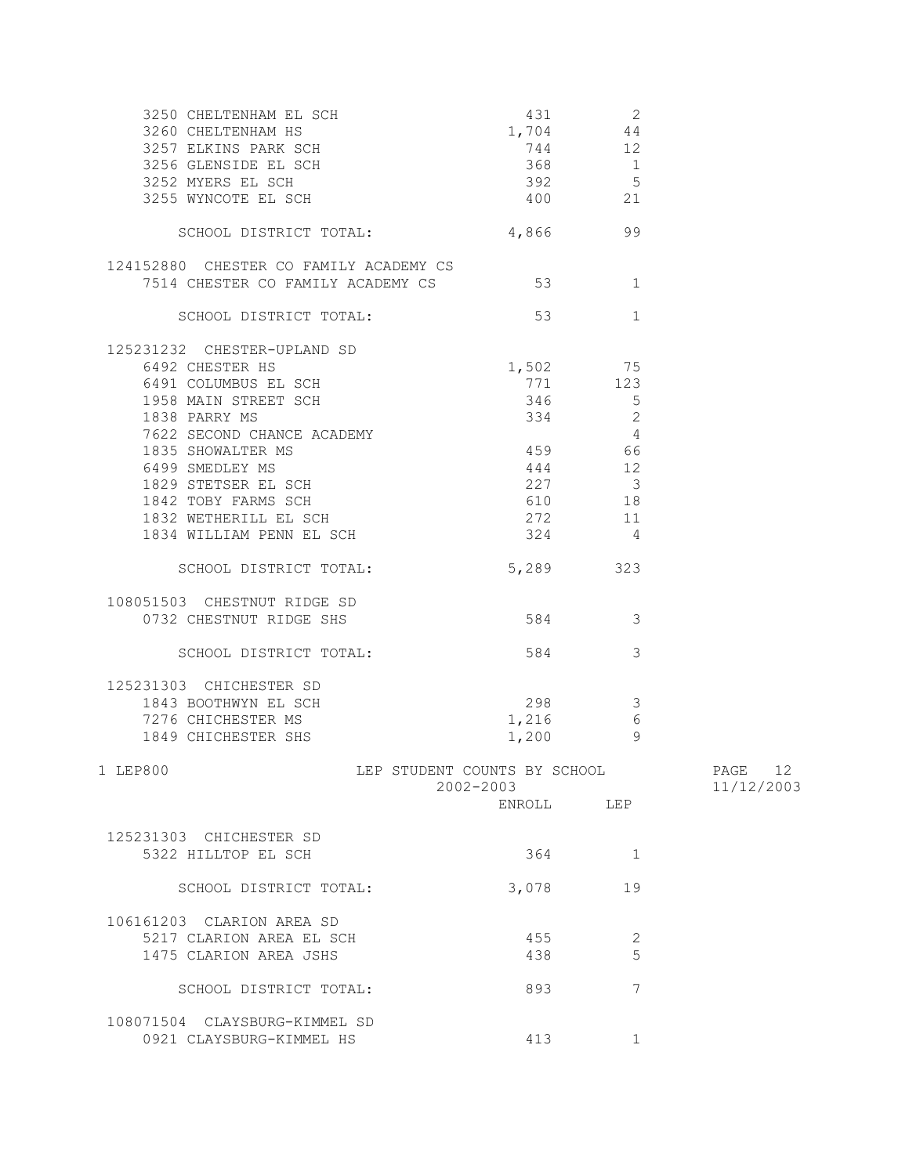| 3250 CHELTENHAM EL SCH                    | 431                                       | 2              |                          |
|-------------------------------------------|-------------------------------------------|----------------|--------------------------|
| 3260 CHELTENHAM HS                        | 1,704 44                                  |                |                          |
| 3257 ELKINS PARK SCH                      | 744 12                                    |                |                          |
| 3256 GLENSIDE EL SCH<br>3252 WYDDG EL SCH | 368 1                                     |                |                          |
| 3252 MYERS EL SCH                         | $392$ 5                                   |                |                          |
| 3255 WYNCOTE EL SCH                       | 400                                       | 21             |                          |
| SCHOOL DISTRICT TOTAL:                    | 4,866                                     | 99             |                          |
| 124152880 CHESTER CO FAMILY ACADEMY CS    |                                           |                |                          |
| 7514 CHESTER CO FAMILY ACADEMY CS         | 53                                        | 1              |                          |
| SCHOOL DISTRICT TOTAL:                    | 53                                        | $\mathbf{1}$   |                          |
| 125231232 CHESTER-UPLAND SD               |                                           |                |                          |
| 6492 CHESTER HS                           | 1,502 75                                  |                |                          |
| 6491 COLUMBUS EL SCH                      | 771                                       | 123            |                          |
| 1958 MAIN STREET SCH                      | 346                                       | $5^{\circ}$    |                          |
| 1838 PARRY MS                             | 334                                       | $\mathbf{2}$   |                          |
| 7622 SECOND CHANCE ACADEMY                |                                           | $\overline{4}$ |                          |
| 1835 SHOWALTER MS                         | 459 66                                    |                |                          |
| 6499 SMEDLEY MS                           | 444 12                                    |                |                          |
|                                           |                                           |                |                          |
| 1829 STETSER EL SCH                       | 227 3                                     |                |                          |
| 1842 TOBY FARMS SCH                       | 610 18                                    |                |                          |
| 1832 WETHERILL EL SCH                     | 272 11                                    |                |                          |
| 1834 WILLIAM PENN EL SCH                  | 324                                       | $\overline{4}$ |                          |
| SCHOOL DISTRICT TOTAL:                    | 5,289                                     | 323            |                          |
| 108051503 CHESTNUT RIDGE SD               |                                           |                |                          |
| 0732 CHESTNUT RIDGE SHS                   | 584 3                                     |                |                          |
|                                           |                                           |                |                          |
| SCHOOL DISTRICT TOTAL:                    | 584 30                                    | 3              |                          |
| 125231303 CHICHESTER SD                   |                                           |                |                          |
| 1843 BOOTHWYN EL SCH                      | 298                                       | $\mathcal{S}$  |                          |
| 7276 CHICHESTER MS                        | 1,216                                     | 6              |                          |
| 1849 CHICHESTER SHS                       | 1,200                                     | - 9            |                          |
|                                           |                                           |                |                          |
| 1 LEP800                                  | LEP STUDENT COUNTS BY SCHOOL<br>2002-2003 |                | PAGE<br>12<br>11/12/2003 |
|                                           | ENROLL                                    | LEP            |                          |
| 125231303 CHICHESTER SD                   |                                           |                |                          |
| 5322 HILLTOP EL SCH                       | 364                                       | 1              |                          |
| SCHOOL DISTRICT TOTAL:                    | 3,078                                     | 19             |                          |
|                                           |                                           |                |                          |
| 106161203 CLARION AREA SD                 |                                           |                |                          |
| 5217 CLARION AREA EL SCH                  | 455                                       | 2              |                          |
| 1475 CLARION AREA JSHS                    | 438                                       | 5              |                          |
| SCHOOL DISTRICT TOTAL:                    | 893                                       | 7              |                          |
| 108071504 CLAYSBURG-KIMMEL SD             |                                           |                |                          |
| 0921 CLAYSBURG-KIMMEL HS                  | 413                                       | 1              |                          |
|                                           |                                           |                |                          |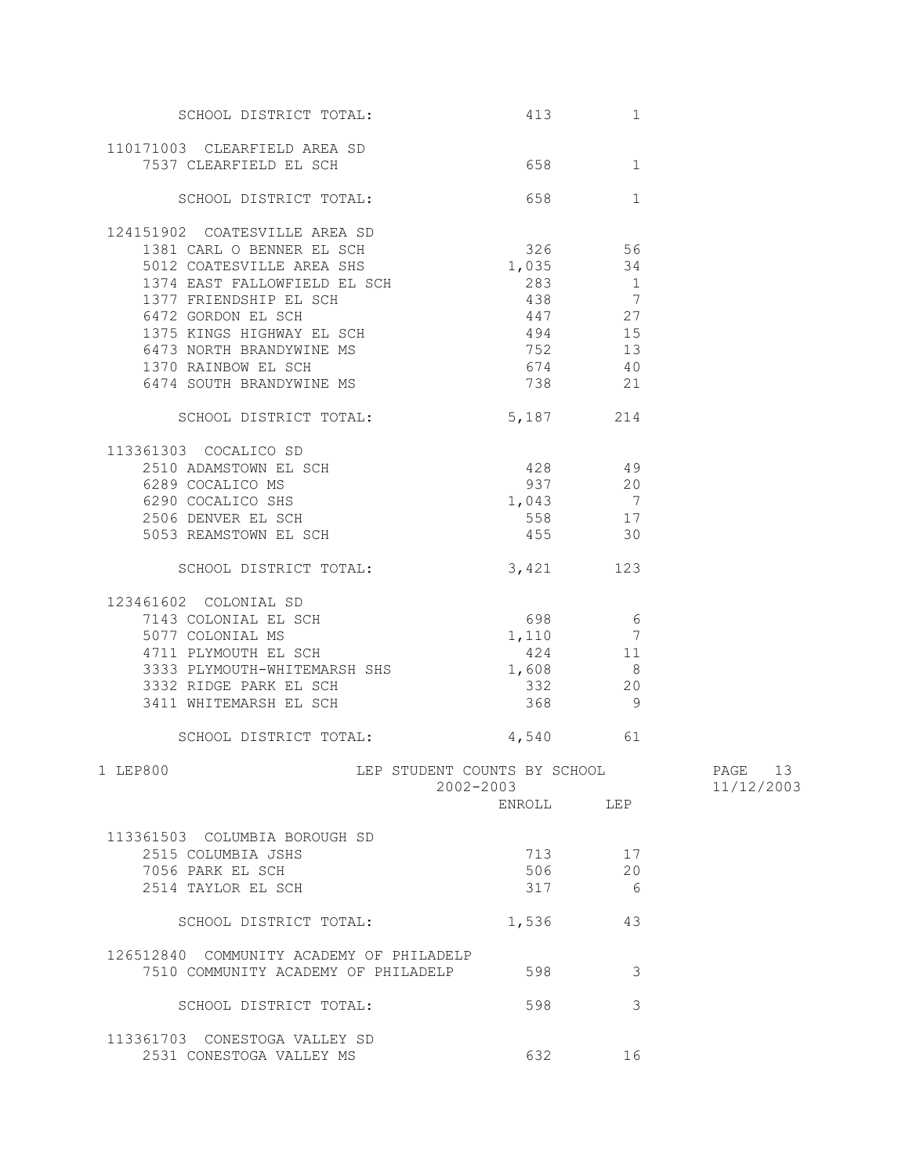| SCHOOL DISTRICT TOTAL:                                                                                                                                                                                                          | 413                      | $\mathbf 1$    |                          |
|---------------------------------------------------------------------------------------------------------------------------------------------------------------------------------------------------------------------------------|--------------------------|----------------|--------------------------|
| 110171003 CLEARFIELD AREA SD                                                                                                                                                                                                    |                          |                |                          |
| 7537 CLEARFIELD EL SCH                                                                                                                                                                                                          | 658 300                  | $\mathbf{1}$   |                          |
| SCHOOL DISTRICT TOTAL:                                                                                                                                                                                                          | 658                      | 1              |                          |
| 124151902 COATESVILLE AREA SD                                                                                                                                                                                                   |                          |                |                          |
| 1381 CARL O BENNER EL SCH                                                                                                                                                                                                       | 326 56                   |                |                          |
| 5012 COATESVILLE AREA SHS                                                                                                                                                                                                       | 1,035                    | 34             |                          |
| 1374 EAST FALLOWFIELD EL SCH                                                                                                                                                                                                    | 283                      | $\overline{1}$ |                          |
| 1377 FRIENDSHIP EL SCH                                                                                                                                                                                                          | 438 7                    |                |                          |
| 6472 GORDON EL SCH                                                                                                                                                                                                              | 447 27                   |                |                          |
| 1375 KINGS HIGHWAY EL SCH                                                                                                                                                                                                       | 494 15                   |                |                          |
| 6473 NORTH BRANDYWINE MS<br>1370 RAINBOW EL SCH                                                                                                                                                                                 | 752 13                   |                |                          |
|                                                                                                                                                                                                                                 |                          |                |                          |
| 6474 SOUTH BRANDYWINE MS                                                                                                                                                                                                        | $674$ $40$<br>$738$ $21$ |                |                          |
| SCHOOL DISTRICT TOTAL:                                                                                                                                                                                                          | 5,187 214                |                |                          |
| 113361303 COCALICO SD                                                                                                                                                                                                           |                          |                |                          |
|                                                                                                                                                                                                                                 |                          |                |                          |
|                                                                                                                                                                                                                                 |                          |                |                          |
|                                                                                                                                                                                                                                 |                          |                |                          |
|                                                                                                                                                                                                                                 |                          |                |                          |
| 2510 ADAMSTOWN EL SCH<br>6289 COCALICO MS<br>6290 COCALICO SHS<br>2506 DENVER EL SCH<br>5053 REAMSTOWN EL SCH<br>5053 REAMSTOWN EL SCH<br>455<br>30<br>5053 REAMSTOWN EL SCH                                                    | 455                      |                |                          |
| SCHOOL DISTRICT TOTAL:                                                                                                                                                                                                          | 3,421                    | 123            |                          |
| 123461602 COLONIAL SD                                                                                                                                                                                                           |                          |                |                          |
| 5077 COLONIAL MS<br>The SCH of the GOS 698 66 698 66 698 66 698 66 698 66 698 66 698 66 698 66 698 66 698 66 698 66 698 66 698 66 698 66 698 66 698 66 698 66 698 66 698 66 698 66 698 66 698 66 67 67 67 68 698 67 68 67 68 67 |                          |                |                          |
|                                                                                                                                                                                                                                 |                          |                |                          |
| 4711 PLYMOUTH EL SCH                                                                                                                                                                                                            | 424 11                   |                |                          |
| 3333 PLYMOUTH-WHITEMARSH SHS                                                                                                                                                                                                    | 1,608 8                  |                |                          |
|                                                                                                                                                                                                                                 | 332 20                   |                |                          |
| 3332 RIDGE PARK EL SCH<br>3411 WHITEMARSH EL SCH                                                                                                                                                                                | 368                      | $\overline{9}$ |                          |
|                                                                                                                                                                                                                                 |                          |                |                          |
| SCHOOL DISTRICT TOTAL: 4,540 61                                                                                                                                                                                                 |                          |                |                          |
| 1 LEP800<br>LEP STUDENT COUNTS BY SCHOOL                                                                                                                                                                                        | 2002-2003                |                | PAGE<br>13<br>11/12/2003 |
|                                                                                                                                                                                                                                 | ENROLL LEP               |                |                          |
|                                                                                                                                                                                                                                 |                          |                |                          |
| 113361503 COLUMBIA BOROUGH SD                                                                                                                                                                                                   |                          |                |                          |
| 2515 COLUMBIA JSHS                                                                                                                                                                                                              | 713                      | 17             |                          |
| 7056 PARK EL SCH                                                                                                                                                                                                                | 506                      | 20             |                          |
| 2514 TAYLOR EL SCH                                                                                                                                                                                                              | 317                      | - 6            |                          |
| SCHOOL DISTRICT TOTAL:                                                                                                                                                                                                          | 1,536                    | 43             |                          |
| 126512840 COMMUNITY ACADEMY OF PHILADELP                                                                                                                                                                                        |                          |                |                          |
| 7510 COMMUNITY ACADEMY OF PHILADELP                                                                                                                                                                                             | 598                      | 3              |                          |
| SCHOOL DISTRICT TOTAL:                                                                                                                                                                                                          | 598                      | 3              |                          |
| 113361703 CONESTOGA VALLEY SD                                                                                                                                                                                                   |                          |                |                          |
| 2531 CONESTOGA VALLEY MS                                                                                                                                                                                                        | 632                      | 16             |                          |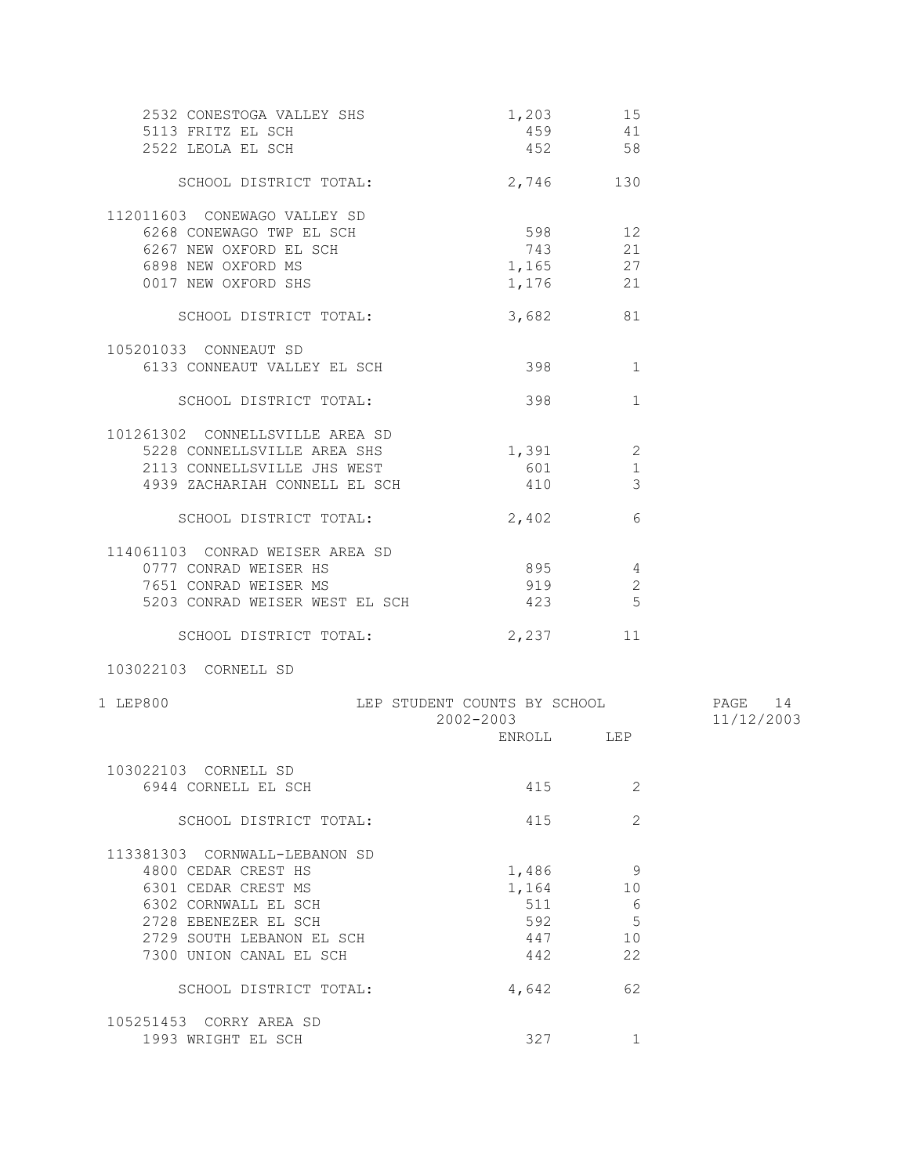| 2532 CONESTOGA VALLEY SHS       | 1,203    | 15             |
|---------------------------------|----------|----------------|
| 5113 FRITZ EL SCH               | 459      | 41             |
| 2522 LEOLA EL SCH               | 452 58   |                |
| SCHOOL DISTRICT TOTAL:          | 2,746    | 130            |
| 112011603 CONEWAGO VALLEY SD    |          |                |
| 6268 CONEWAGO TWP EL SCH        | 598      | 12             |
| 6267 NEW OXFORD EL SCH          | 743      | 21             |
| 6898 NEW OXFORD MS              | 1,165 27 |                |
| 0017 NEW OXFORD SHS             | 1,176 21 |                |
| SCHOOL DISTRICT TOTAL:          | 3,682    | 81             |
| 105201033 CONNEAUT SD           |          |                |
| 6133 CONNEAUT VALLEY EL SCH     | 398      | 1              |
| SCHOOL DISTRICT TOTAL:          | 398      | $\mathbf{1}$   |
| 101261302 CONNELLSVILLE AREA SD |          |                |
| 5228 CONNELLSVILLE AREA SHS     | 1,391    | 2              |
| 2113 CONNELLSVILLE JHS WEST     | 601      | $\mathbf 1$    |
| 4939 ZACHARIAH CONNELL EL SCH   | 410      | $\overline{3}$ |
| SCHOOL DISTRICT TOTAL:          | 2,402    | 6              |
| 114061103 CONRAD WEISER AREA SD |          |                |
| 0777 CONRAD WEISER HS           | 895      | 4              |
| 7651 CONRAD WEISER MS           | 919      | 2              |
| 5203 CONRAD WEISER WEST EL SCH  | 423      | 5              |
| SCHOOL DISTRICT TOTAL:          | 2,237    | 11             |
| 103022103 CORNELL SD            |          |                |

| 1 LEP800                      | LEP STUDENT COUNTS BY SCHOOL<br>2002-2003<br>ENROLL | LEP | 14<br>PAGE<br>11/12/2003 |
|-------------------------------|-----------------------------------------------------|-----|--------------------------|
| 103022103<br>CORNELL SD       |                                                     |     |                          |
| 6944 CORNELL EL SCH           | 415                                                 | 2   |                          |
| SCHOOL DISTRICT TOTAL:        | 415                                                 | 2   |                          |
| 113381303 CORNWALL-LEBANON SD |                                                     |     |                          |
| 4800 CEDAR CREST HS           | 1,486                                               | 9   |                          |
| 6301 CEDAR CREST MS           | 1,164                                               | 10  |                          |
| 6302 CORNWALL EL SCH          | 511                                                 | 6   |                          |
| 2728 EBENEZER EL SCH          | 592                                                 | 5   |                          |
| 2729 SOUTH LEBANON EL SCH     | 447                                                 | 10  |                          |
| 7300 UNION CANAL EL SCH       | 442                                                 | 22  |                          |
| SCHOOL DISTRICT TOTAL:        | 4,642                                               | 62  |                          |
| 105251453<br>CORRY AREA SD    |                                                     |     |                          |
| 1993 WRIGHT EL SCH            | 327                                                 | 1   |                          |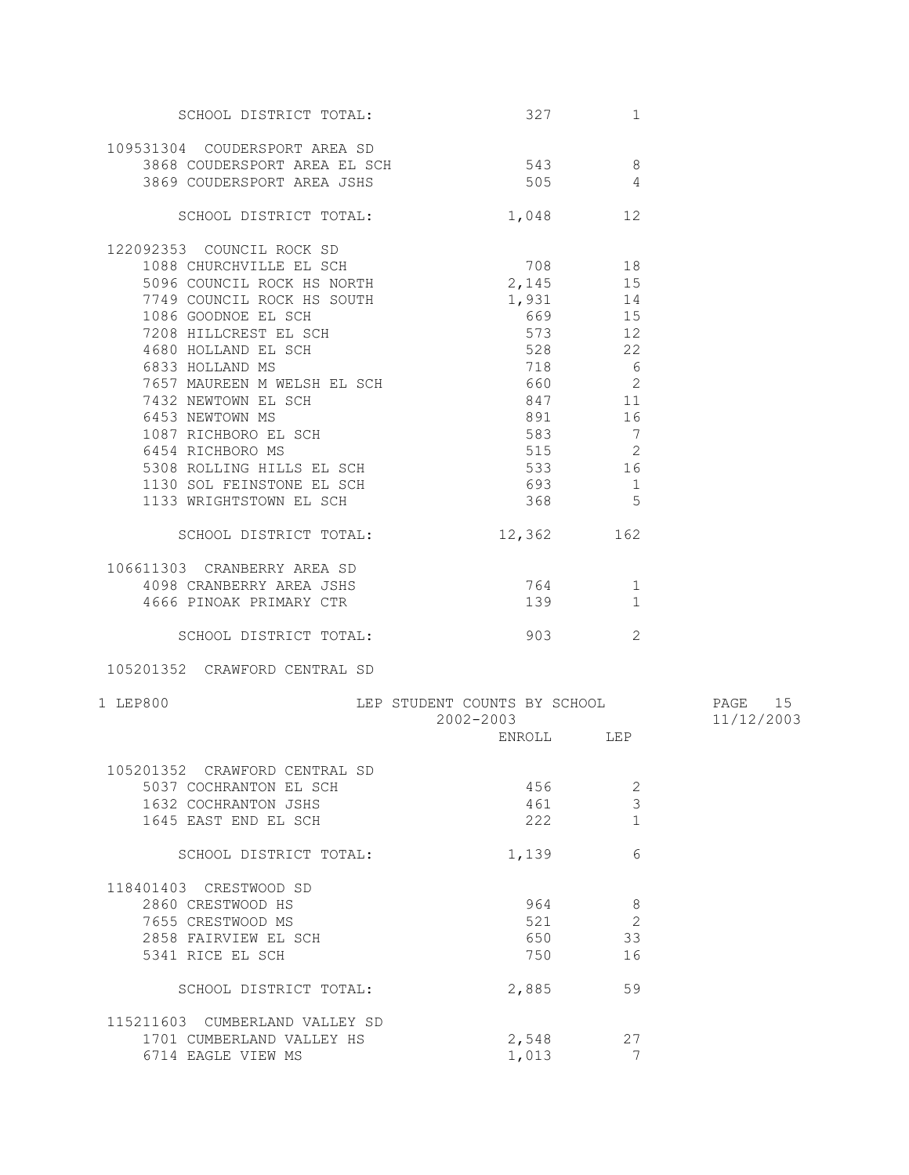| SCHOOL DISTRICT TOTAL:                                                                         | 327                          | 1              |            |
|------------------------------------------------------------------------------------------------|------------------------------|----------------|------------|
| 109531304 COUDERSPORT AREA SD                                                                  |                              |                |            |
|                                                                                                |                              |                |            |
| 3868 COUDERSPORT AREA EL SCH                                                                   | 543 8                        |                |            |
| 3869 COUDERSPORT AREA JSHS                                                                     | 505                          | $\overline{4}$ |            |
| SCHOOL DISTRICT TOTAL:                                                                         | 1,048                        | 12             |            |
| 122092353 COUNCIL ROCK SD                                                                      |                              |                |            |
| 1088 CHURCHVILLE EL SCH                                                                        | $708$<br>2,145               | 708 18         |            |
| 5096 COUNCIL ROCK HS NORTH                                                                     |                              | 15             |            |
|                                                                                                | 1,931                        | 14             |            |
| 7749 COUNCIL ROCK HS SOUTH                                                                     |                              | 669 15         |            |
| 1086 GOODNOE EL SCH                                                                            |                              |                |            |
| 7208 HILLCREST EL SCH                                                                          | 573                          | 12             |            |
| 4680 HOLLAND EL SCH                                                                            | 528 22                       |                |            |
| 6833 HOLLAND MS                                                                                | 718 6                        |                |            |
| 7657 MAUREEN M WELSH EL SCH                                                                    | 660 000                      | 2              |            |
| 7432 NEWTOWN EL SCH                                                                            | 847                          | 11             |            |
| 6453 NEWTOWN MS                                                                                | 891                          | 16             |            |
| 1087 RICHBORO EL SCH<br>6454 RICHBORO MS<br>5308 ROLLING HILLS EL SCH<br>1130 SOL FEINSTONE II | 583                          | $\overline{7}$ |            |
|                                                                                                | 515                          | 2              |            |
|                                                                                                | 533                          | 16             |            |
|                                                                                                |                              |                |            |
| 1130 SOL FEINSTONE EL SCH                                                                      | 693                          | $\overline{1}$ |            |
| 1133 WRIGHTSTOWN EL SCH                                                                        | 368 5                        |                |            |
| SCHOOL DISTRICT TOTAL:                                                                         | 12,362                       | 162            |            |
|                                                                                                |                              |                |            |
| 106611303 CRANBERRY AREA SD                                                                    |                              |                |            |
| 4098 CRANBERRY AREA JSHS                                                                       | 764                          | 1              |            |
| 4666 PINOAK PRIMARY CTR                                                                        | 139                          | $\mathbf{1}$   |            |
| SCHOOL DISTRICT TOTAL:                                                                         | 903                          | 2              |            |
| 105201352 CRAWFORD CENTRAL SD                                                                  |                              |                |            |
| 1 LEP800                                                                                       | LEP STUDENT COUNTS BY SCHOOL |                | PAGE 15    |
|                                                                                                | 2002-2003                    |                | 11/12/2003 |
|                                                                                                |                              | ENROLL LEP     |            |
|                                                                                                |                              |                |            |
| 105201352 CRAWFORD CENTRAL SD                                                                  |                              |                |            |
| 5037 COCHRANTON EL SCH                                                                         | 456                          | 2              |            |
| 1632 COCHRANTON JSHS                                                                           | 461                          | 3              |            |
| 1645 EAST END EL SCH                                                                           | 222                          | $\mathbf{1}$   |            |
|                                                                                                |                              |                |            |
| SCHOOL DISTRICT TOTAL:                                                                         | 1,139                        | 6              |            |
| 118401403 CRESTWOOD SD                                                                         |                              |                |            |
| 2860 CRESTWOOD HS                                                                              | 964                          | 8              |            |
|                                                                                                |                              |                |            |
| 7655 CRESTWOOD MS                                                                              | 521                          | $\overline{c}$ |            |
| 2858 FAIRVIEW EL SCH                                                                           | 650                          | 33             |            |
| 5341 RICE EL SCH                                                                               | 750                          | 16             |            |
| SCHOOL DISTRICT TOTAL:                                                                         | 2,885                        | 59             |            |
| 115211603 CUMBERLAND VALLEY SD                                                                 |                              |                |            |
| 1701 CUMBERLAND VALLEY HS                                                                      | 2,548                        | 27             |            |
| 6714 EAGLE VIEW MS                                                                             | 1,013                        | 7              |            |
|                                                                                                |                              |                |            |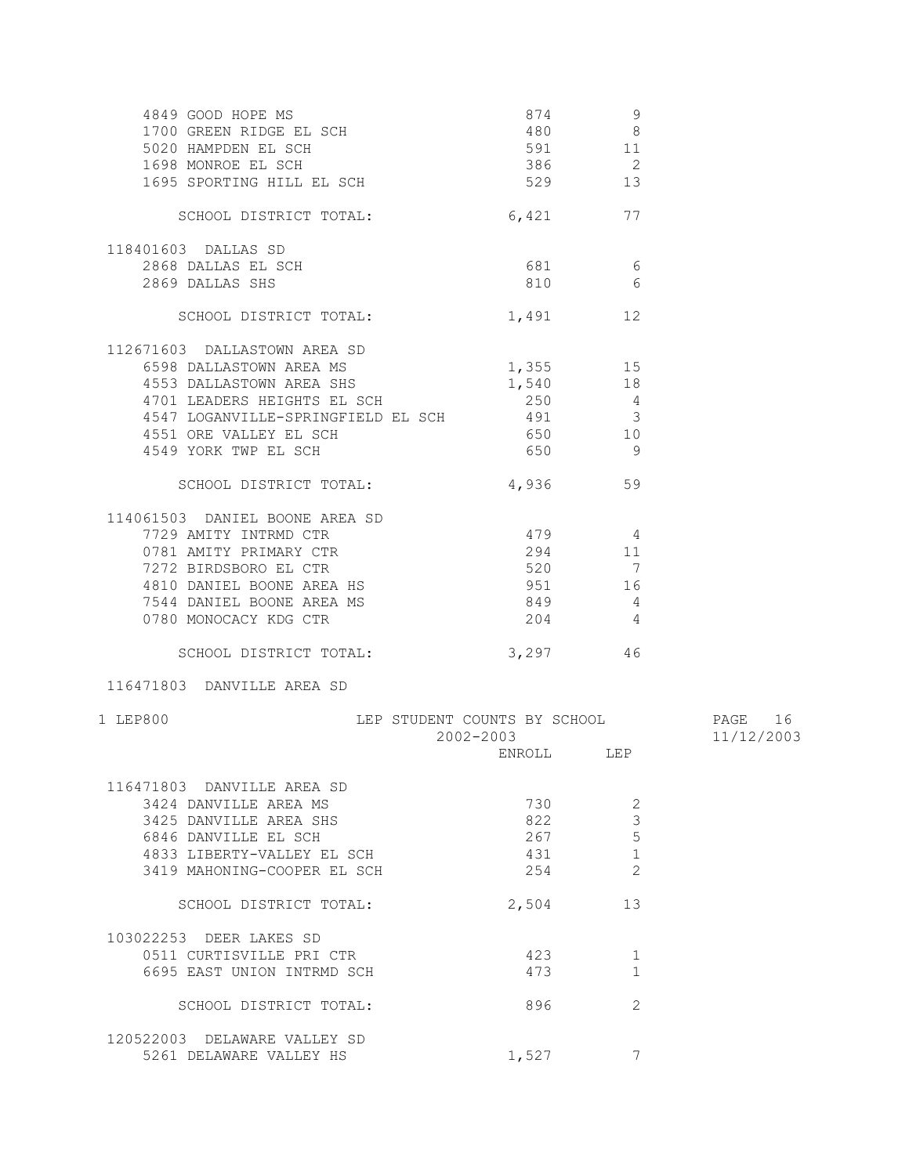| 4849 GOOD HOPE MS<br>1700 GREEN RIDGE EL SCH<br>5020 HAMPDEN EL SCH<br>1698 MONROE EL SCH<br>1695 SPORTING HILL EL SCH | 874<br>386<br>529                                        | 9<br>480 8<br>591 11<br>$\overline{\phantom{a}}$<br>13 |            |
|------------------------------------------------------------------------------------------------------------------------|----------------------------------------------------------|--------------------------------------------------------|------------|
| SCHOOL DISTRICT TOTAL:                                                                                                 | 6,421                                                    | 77                                                     |            |
| 118401603 DALLAS SD                                                                                                    |                                                          |                                                        |            |
| 2868 DALLAS EL SCH                                                                                                     |                                                          | 681 6                                                  |            |
| 2869 DALLAS SHS                                                                                                        |                                                          | 810<br>6                                               |            |
| SCHOOL DISTRICT TOTAL:                                                                                                 |                                                          | 12<br>1,491                                            |            |
| 112671603 DALLASTOWN AREA SD                                                                                           |                                                          |                                                        |            |
| 6598 DALLASTOWN AREA MS                                                                                                | 1,355 15                                                 |                                                        |            |
| 4553 DALLASTOWN AREA SHS                                                                                               |                                                          | 1,540 18                                               |            |
| 4701 LEADERS HEIGHTS EL SCH                                                                                            |                                                          | $250$ 4                                                |            |
| 4547 LOGANVILLE-SPRINGFIELD EL SCH 491<br>4551 ORE VALLEY EL SCH                                                       |                                                          | 3                                                      |            |
| 4549 YORK TWP EL SCH                                                                                                   | 650                                                      | 650 10<br>- 9                                          |            |
|                                                                                                                        |                                                          |                                                        |            |
| SCHOOL DISTRICT TOTAL:                                                                                                 |                                                          | 4,936 59                                               |            |
| 114061503 DANIEL BOONE AREA SD                                                                                         |                                                          |                                                        |            |
| 7729 AMITY INTRMD CTR                                                                                                  | 479 4                                                    |                                                        |            |
| 0781 AMITY PRIMARY CTR                                                                                                 | 294 11                                                   |                                                        |            |
|                                                                                                                        |                                                          | 520 7                                                  |            |
| 7272 BIRDSBORO EL CTR<br>4810 DANIEL BOONE AREA HS<br>7544 DANIEL BOONE AREA MS                                        | 849                                                      | 951 16                                                 |            |
| 0780 MONOCACY KDG CTR                                                                                                  | 204                                                      | $\overline{4}$<br>$\overline{4}$                       |            |
| SCHOOL DISTRICT TOTAL:                                                                                                 |                                                          | 3,297 46                                               |            |
| 116471803 DANVILLE AREA SD                                                                                             |                                                          |                                                        |            |
|                                                                                                                        |                                                          |                                                        |            |
| 1 LEP800                                                                                                               | LEP STUDENT COUNTS BY SCHOOL <b>FAGE</b> 16<br>2002-2003 |                                                        | 11/12/2003 |
|                                                                                                                        |                                                          | ENROLL LEP                                             |            |
| 116471803 DANVILLE AREA SD                                                                                             |                                                          |                                                        |            |
| 3424 DANVILLE AREA MS                                                                                                  | 730                                                      | 2                                                      |            |
| 3425 DANVILLE AREA SHS                                                                                                 | 822                                                      | 3                                                      |            |
| 6846 DANVILLE EL SCH                                                                                                   | 267                                                      | 5                                                      |            |
| 4833 LIBERTY-VALLEY EL SCH<br>3419 MAHONING-COOPER EL SCH                                                              | 431<br>254                                               | $\mathbf{1}$<br>$\overline{2}$                         |            |
|                                                                                                                        |                                                          |                                                        |            |
| SCHOOL DISTRICT TOTAL:                                                                                                 | 2,504                                                    | 13                                                     |            |
| 103022253 DEER LAKES SD                                                                                                |                                                          |                                                        |            |
| 0511 CURTISVILLE PRI CTR                                                                                               | 423                                                      | 1                                                      |            |
| 6695 EAST UNION INTRMD SCH                                                                                             | 473                                                      | 1                                                      |            |
| SCHOOL DISTRICT TOTAL:                                                                                                 | 896                                                      | 2                                                      |            |
| 120522003 DELAWARE VALLEY SD                                                                                           |                                                          |                                                        |            |
| 5261 DELAWARE VALLEY HS                                                                                                | 1,527                                                    | 7                                                      |            |
|                                                                                                                        |                                                          |                                                        |            |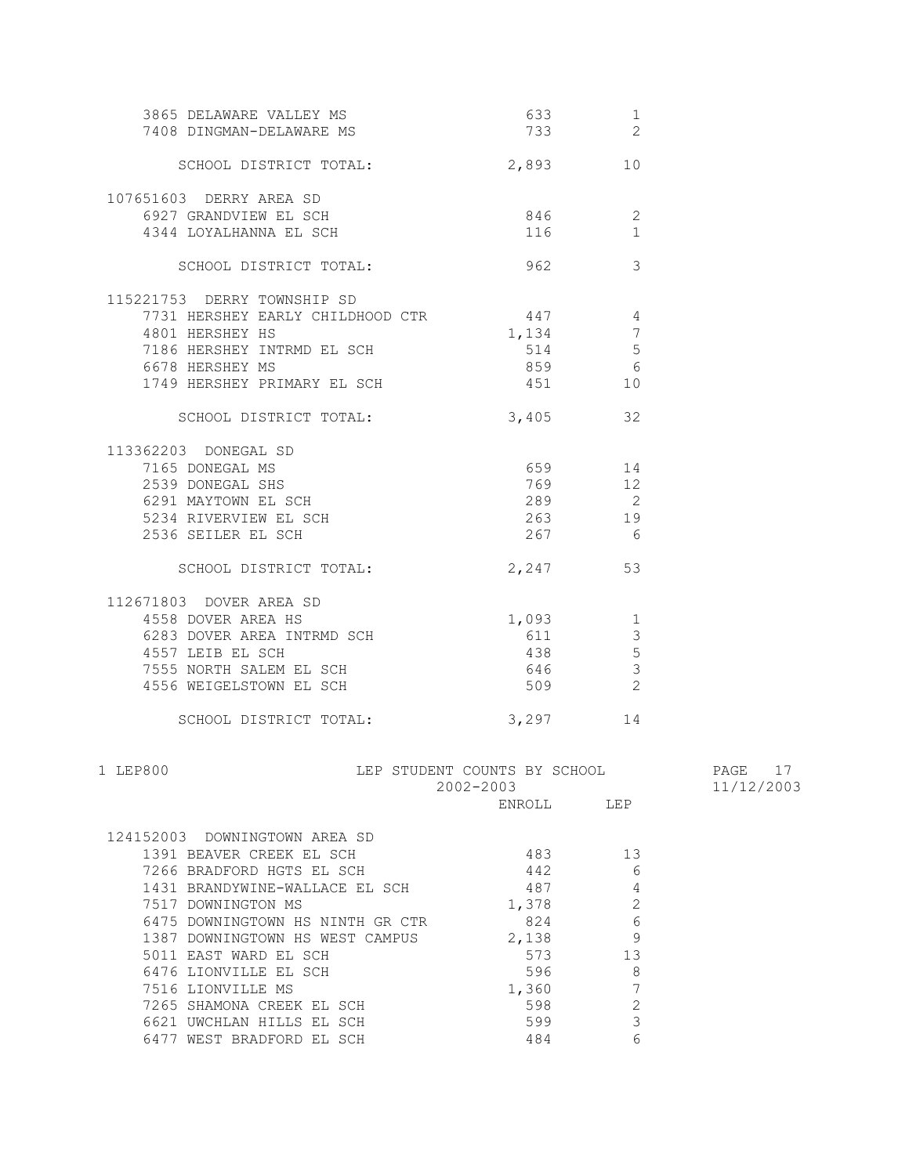| 3865 DELAWARE VALLEY MS<br>7408 DINGMAN-DELAWARE MS                        | 633 1<br>733 2 |                                |            |
|----------------------------------------------------------------------------|----------------|--------------------------------|------------|
| SCHOOL DISTRICT TOTAL: 2,893 10                                            |                |                                |            |
| 107651603 DERRY AREA SD<br>6927 GRANDVIEW EL SCH<br>4344 LOYALHANNA EL SCH | 846<br>116     | $\overline{2}$<br>$\mathbf{1}$ |            |
| SCHOOL DISTRICT TOTAL:                                                     | 962            | 3                              |            |
| 115221753 DERRY TOWNSHIP SD                                                | 447            |                                |            |
| 7731 HERSHEY EARLY CHILDHOOD CTR                                           |                | $\overline{4}$                 |            |
| 4801 HERSHEY HS                                                            | 1,134          | 7                              |            |
| 7186 HERSHEY INTRMD EL SCH                                                 | 514            | 5                              |            |
| 6678 HERSHEY MS                                                            | 859            | 6                              |            |
| 1749 HERSHEY PRIMARY EL SCH                                                | 451            | 10                             |            |
| SCHOOL DISTRICT TOTAL:                                                     | $3,405$ 32     |                                |            |
| 113362203 DONEGAL SD                                                       |                |                                |            |
| 7165 DONEGAL MS                                                            | 659 14         |                                |            |
| 2539 DONEGAL SHS                                                           | 769            | 12                             |            |
| 6291 MAYTOWN EL SCH                                                        | 289            | $\overline{\phantom{0}}$ 2     |            |
| 5234 RIVERVIEW EL SCH                                                      | 263            | 19                             |            |
| 2536 SEILER EL SCH                                                         | 267 6          |                                |            |
| SCHOOL DISTRICT TOTAL:                                                     | 2,247 53       |                                |            |
| 112671803 DOVER AREA SD                                                    |                |                                |            |
| 4558 DOVER AREA HS                                                         | 1,093          | $\overline{\phantom{a}}$       |            |
| 6283 DOVER AREA INTRMD SCH                                                 | 611            | $\mathcal{S}$                  |            |
| 4557 LEIB EL SCH                                                           | 438            | $\overline{5}$                 |            |
| 7555 NORTH SALEM EL SCH                                                    | 646            | $\mathcal{S}$                  |            |
| 4556 WEIGELSTOWN EL SCH                                                    | 509            | $\overline{\phantom{a}}$ 2     |            |
| SCHOOL DISTRICT TOTAL:                                                     | 3,297 14       |                                |            |
| 1 LEP800<br>LEP STUDENT COUNTS BY SCHOOL                                   |                |                                | PAGE 17    |
|                                                                            | 2002-2003      |                                | 11/12/2003 |
|                                                                            | ENROLL LEP     |                                |            |
| 124152003 DOWNINGTOWN AREA SD                                              |                |                                |            |
| 1391 BEAVER CREEK EL SCH                                                   | 483            | 13                             |            |
| 7266 BRADFORD HGTS EL SCH                                                  | 442            | 6                              |            |
| 1431 BRANDYWINE-WALLACE EL SCH                                             | 487            | 4                              |            |
|                                                                            |                |                                |            |
| 7517 DOWNINGTON MS<br>6475 DOWNINGTOWN HS NINTH GR CTR                     | 1,378<br>824   | 2<br>6                         |            |
|                                                                            |                | 9                              |            |
| 1387 DOWNINGTOWN HS WEST CAMPUS                                            | 2,138          |                                |            |
| 5011 EAST WARD EL SCH                                                      | 573            | 13                             |            |
| 6476 LIONVILLE EL SCH                                                      | 596            | 8                              |            |
| 7516 LIONVILLE MS                                                          | 1,360          | 7                              |            |
| 7265 SHAMONA CREEK EL SCH                                                  | 598            | $\mathbf{2}$                   |            |
| 6621 UWCHLAN HILLS EL SCH                                                  | 599            | 3                              |            |

6477 WEST BRADFORD EL SCH 484 6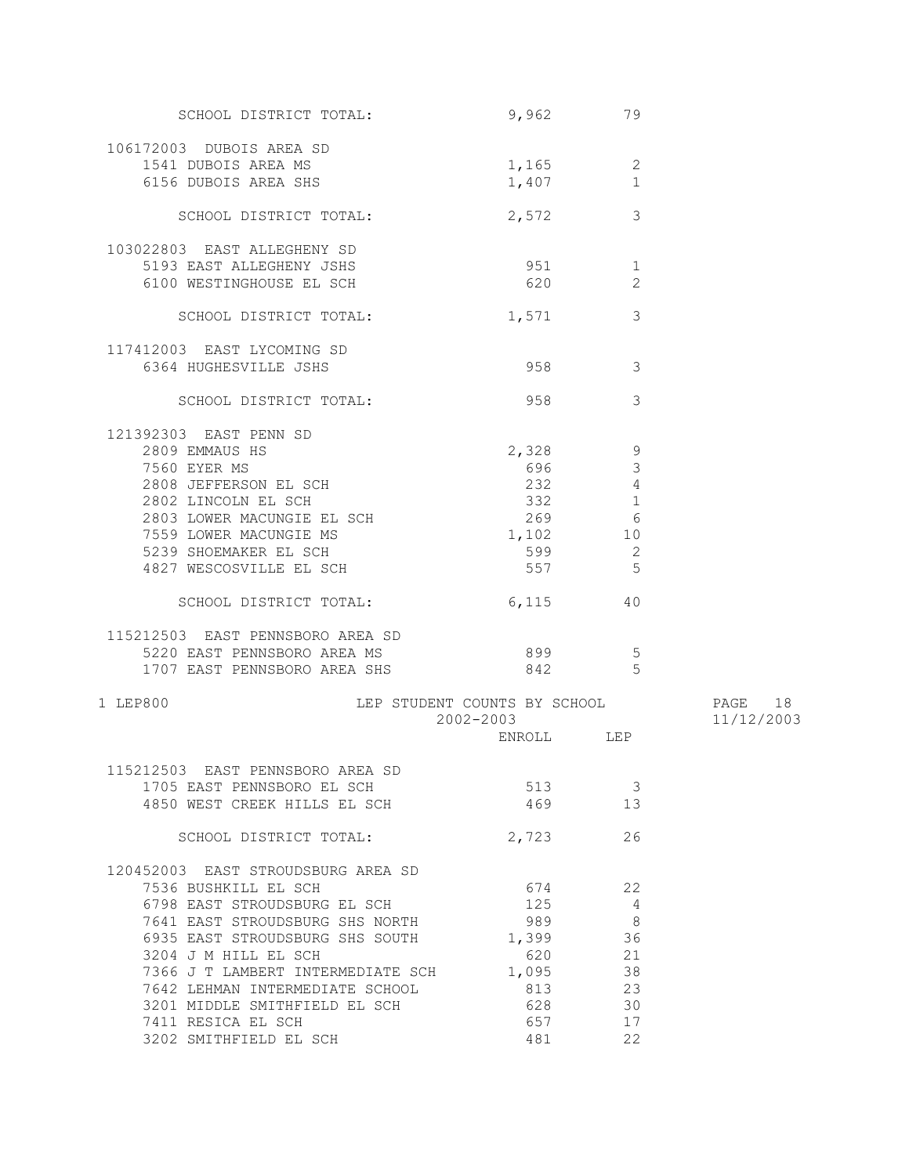| SCHOOL DISTRICT TOTAL:                   | 9,962                        | 79                             |            |
|------------------------------------------|------------------------------|--------------------------------|------------|
| 106172003 DUBOIS AREA SD                 |                              |                                |            |
|                                          |                              |                                |            |
| 1541 DUBOIS AREA MS                      | 1,165                        | 2                              |            |
| 6156 DUBOIS AREA SHS                     | 1,407                        | 1                              |            |
| SCHOOL DISTRICT TOTAL:                   | 2,572                        | 3                              |            |
| 103022803 EAST ALLEGHENY SD              |                              |                                |            |
| 5193 EAST ALLEGHENY JSHS                 | 951                          | 1                              |            |
| 6100 WESTINGHOUSE EL SCH                 | 620                          | 2                              |            |
|                                          |                              |                                |            |
| SCHOOL DISTRICT TOTAL:                   | 1,571                        | 3                              |            |
| 117412003 EAST LYCOMING SD               |                              |                                |            |
| 6364 HUGHESVILLE JSHS                    |                              | 958 — 100<br>3                 |            |
| SCHOOL DISTRICT TOTAL:                   | 958                          | 3                              |            |
|                                          |                              |                                |            |
| 121392303 EAST PENN SD                   |                              |                                |            |
| 2809 EMMAUS HS                           | 2,328                        | 9                              |            |
| 7560 EYER MS                             | 696                          | 3                              |            |
| 2808 JEFFERSON EL SCH                    | 232                          | $\overline{4}$                 |            |
| 2802 LINCOLN EL SCH                      | 332 200                      | $\mathbf{1}$                   |            |
| 2803 LOWER MACUNGIE EL SCH               |                              | 269<br>6                       |            |
| 7559 LOWER MACUNGIE MS                   | 1,102                        | 10                             |            |
| 5239 SHOEMAKER EL SCH                    | 599                          | 2                              |            |
| 4827 WESCOSVILLE EL SCH                  | 557                          | 5                              |            |
| SCHOOL DISTRICT TOTAL:                   | 6,115                        | 40                             |            |
| 115212503 EAST PENNSBORO AREA SD         |                              |                                |            |
|                                          |                              |                                |            |
| 5220 EAST PENNSBORO AREA MS              |                              | - 5                            |            |
| 1707 EAST PENNSBORO AREA SHS             |                              | 842 and $\overline{842}$<br>-5 |            |
| 1 LEP800                                 | LEP STUDENT COUNTS BY SCHOOL |                                | PAGE 18    |
|                                          | 2002-2003                    |                                | 11/12/2003 |
|                                          |                              | ENROLL LEP                     |            |
| 115212503 EAST PENNSBORO AREA SD         |                              |                                |            |
| 1705 EAST PENNSBORO EL SCH               | 513                          | - 3                            |            |
| 4850 WEST CREEK HILLS EL SCH             | 469                          | 13                             |            |
|                                          |                              |                                |            |
| SCHOOL DISTRICT TOTAL:                   | 2,723                        | 26                             |            |
| 120452003 EAST STROUDSBURG AREA SD       |                              |                                |            |
| 7536 BUSHKILL EL SCH                     | 674                          | 22                             |            |
| 6798 EAST STROUDSBURG EL SCH             | 125                          | 4                              |            |
| 7641 EAST STROUDSBURG SHS NORTH          | 989                          | $\overline{\phantom{0}}$ 8     |            |
| 6935 EAST STROUDSBURG SHS SOUTH 1,399 36 |                              |                                |            |
| 3204 J M HILL EL SCH                     | 620                          | 21                             |            |
| 7366 J T LAMBERT INTERMEDIATE SCH 1,095  |                              | 38                             |            |
| 7642 LEHMAN INTERMEDIATE SCHOOL          | 813                          | 23                             |            |
| 3201 MIDDLE SMITHFIELD EL SCH            | 628                          | 30                             |            |
| 7411 RESICA EL SCH                       | 657                          | 17                             |            |
| 3202 SMITHFIELD EL SCH                   | 481                          | 22                             |            |
|                                          |                              |                                |            |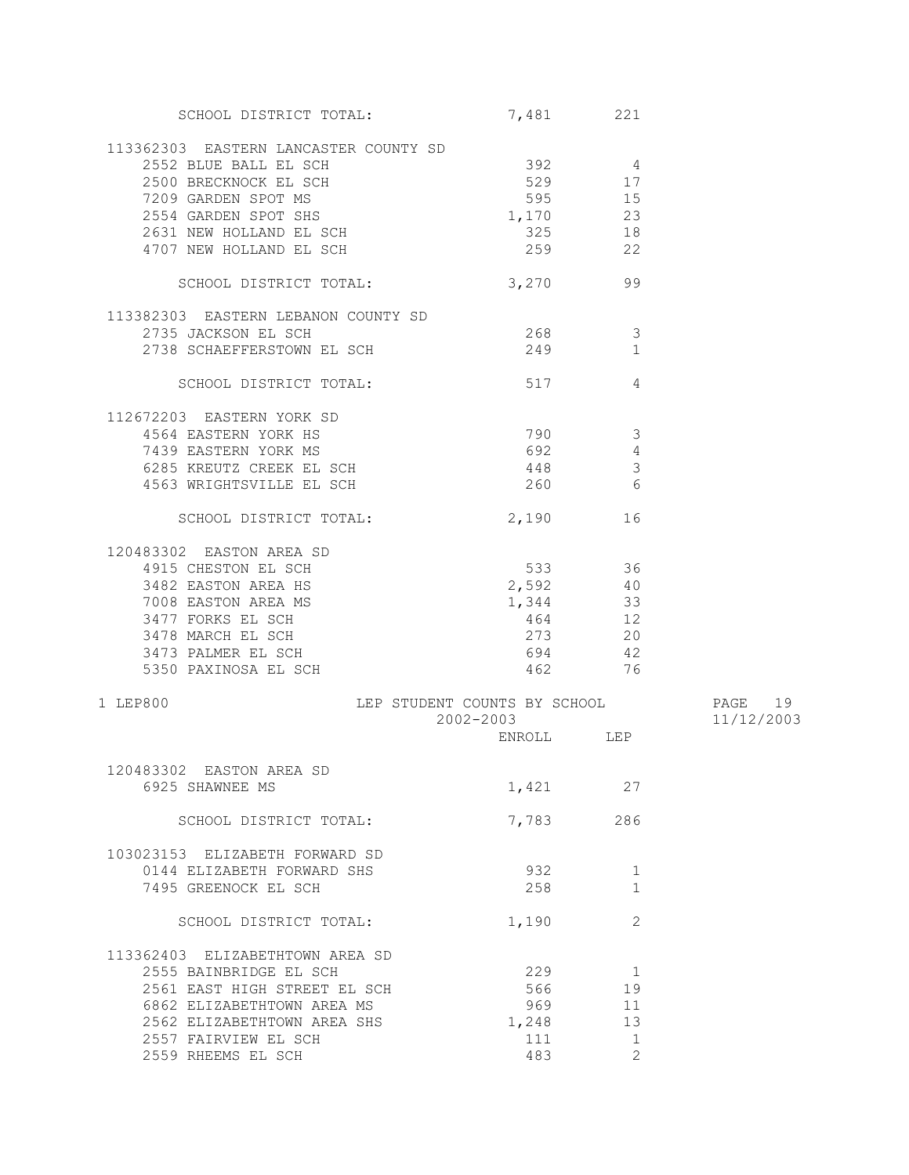| SCHOOL DISTRICT TOTAL:                         | 7,481 221  |                         |            |
|------------------------------------------------|------------|-------------------------|------------|
| 113362303 EASTERN LANCASTER COUNTY SD          |            |                         |            |
| 2552 BLUE BALL EL SCH                          | $392$ 4    |                         |            |
| 2002 BRECKNOCK EL SCH<br>2500 BRECKNOCK EL SCH | 529 17     |                         |            |
|                                                |            |                         |            |
| 7209 GARDEN SPOT MS                            | 595 15     |                         |            |
| 2554 GARDEN SPOT SHS                           | 1,170 23   |                         |            |
| 2631 NEW HOLLAND EL SCH                        | 325 18     |                         |            |
| 4707 NEW HOLLAND EL SCH                        | 259        | 22                      |            |
|                                                |            |                         |            |
| SCHOOL DISTRICT TOTAL:                         | 3,270      | 99                      |            |
| 113382303 EASTERN LEBANON COUNTY SD            |            |                         |            |
| 2735 JACKSON EL SCH                            | 268 30     | - 3                     |            |
| 2738 SCHAEFFERSTOWN EL SCH                     | 249        | $\mathbf{1}$            |            |
|                                                |            |                         |            |
| SCHOOL DISTRICT TOTAL:                         | 517        | 4                       |            |
| 112672203 EASTERN YORK SD                      |            |                         |            |
| 4564 EASTERN YORK HS                           | 790        | $\overline{3}$          |            |
| 7439 EASTERN YORK MS                           | 692        | 4                       |            |
| 6285 KREUTZ CREEK EL SCH                       |            |                         |            |
|                                                | 448        | $\overline{\mathbf{3}}$ |            |
| 4563 WRIGHTSVILLE EL SCH                       | $260$ 6    |                         |            |
| SCHOOL DISTRICT TOTAL:                         | 2,190      | 16                      |            |
|                                                |            |                         |            |
| 120483302 EASTON AREA SD                       |            |                         |            |
| 4915 CHESTON EL SCH                            | 533 36     |                         |            |
| 3482 EASTON AREA HS                            | $2,592$ 40 |                         |            |
| 7008 EASTON AREA MS                            | 1,344 33   |                         |            |
| 3477 FORKS EL SCH                              | 464 12     |                         |            |
| 3478 MARCH EL SCH                              | 273 20     |                         |            |
| 3473 PALMER EL SCH                             | 694 42     |                         |            |
| 5350 PAXINOSA EL SCH                           | 462 76     |                         |            |
|                                                |            |                         |            |
| LEP STUDENT COUNTS BY SCHOOL<br>1 LEP800       |            |                         | PAGE 19    |
|                                                | 2002-2003  |                         | 11/12/2003 |
|                                                | ENROLL LEP |                         |            |
| 120483302 FASTON AREA SD                       |            |                         |            |
| 6925 SHAWNEE MS                                | 1,421      | 27                      |            |
|                                                |            |                         |            |
| SCHOOL DISTRICT TOTAL:                         | 7,783      | 286                     |            |
|                                                |            |                         |            |
| 103023153 ELIZABETH FORWARD SD                 |            |                         |            |
| 0144 ELIZABETH FORWARD SHS                     | 932        | 1                       |            |
| 7495 GREENOCK EL SCH                           | 258        | 1                       |            |
|                                                |            |                         |            |
| SCHOOL DISTRICT TOTAL:                         | 1,190      | 2                       |            |
| 113362403 ELIZABETHTOWN AREA SD                |            |                         |            |
| 2555 BAINBRIDGE EL SCH                         | 229        | 1                       |            |
| 2561 EAST HIGH STREET EL SCH                   | 566        | 19                      |            |
|                                                |            |                         |            |
| 6862 ELIZABETHTOWN AREA MS                     | 969        | 11                      |            |
| 2562 ELIZABETHTOWN AREA SHS                    | 1,248      | 13                      |            |
| 2557 FAIRVIEW EL SCH                           | 111        | 1                       |            |
| 2559 RHEEMS EL SCH                             | 483        | 2                       |            |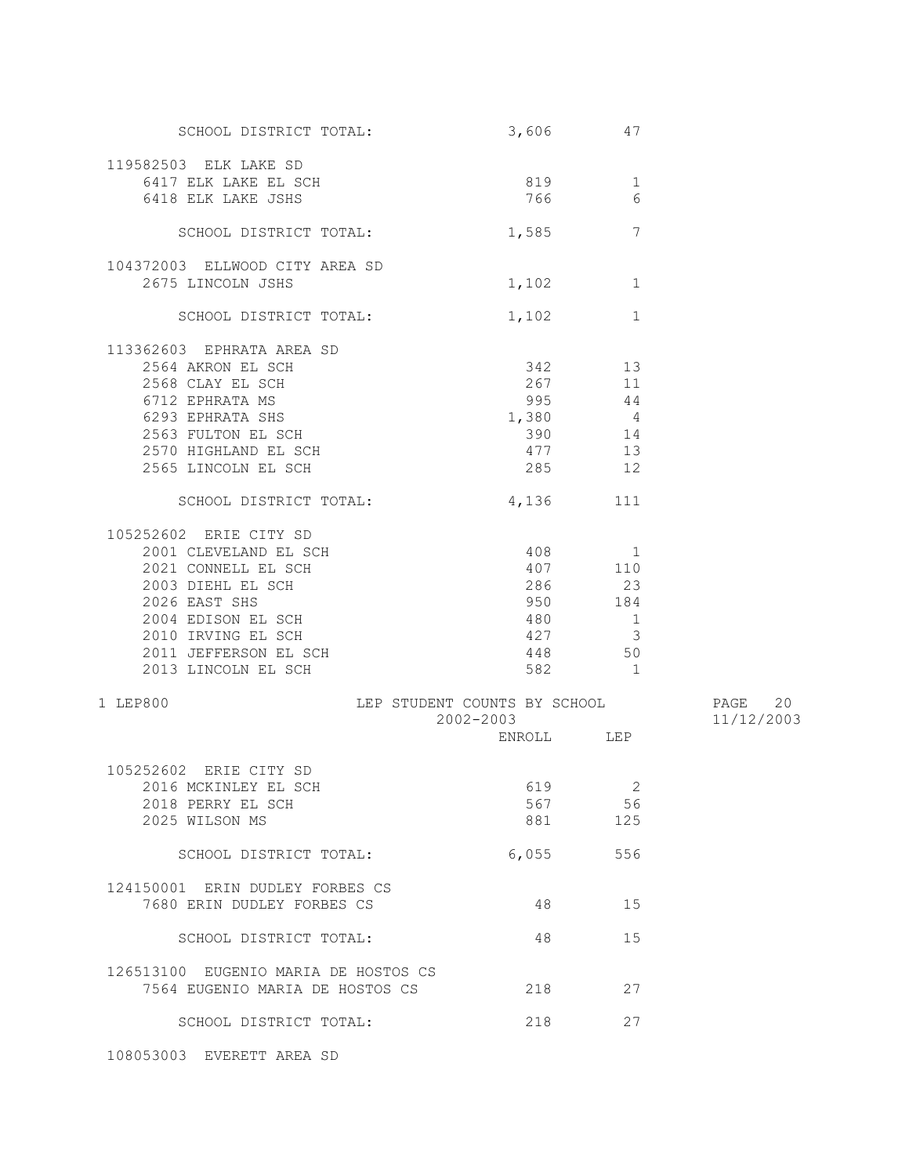| SCHOOL DISTRICT TOTAL:                              | 3,606      | 47                       |            |
|-----------------------------------------------------|------------|--------------------------|------------|
| 119582503 ELK LAKE SD                               |            |                          |            |
| 6417 ELK LAKE EL SCH                                | 819        | 1                        |            |
| 6418 ELK LAKE JSHS                                  | 766        | 6                        |            |
|                                                     |            |                          |            |
| SCHOOL DISTRICT TOTAL:                              | 1,585      | 7                        |            |
|                                                     |            |                          |            |
| 104372003 ELLWOOD CITY AREA SD                      |            |                          |            |
| 2675 LINCOLN JSHS                                   | 1,102      | 1                        |            |
| SCHOOL DISTRICT TOTAL:                              | 1,102      | $\mathbf{1}$             |            |
|                                                     |            |                          |            |
| 113362603 EPHRATA AREA SD<br>2564 AKRON EL SCH      | 342 13     |                          |            |
|                                                     |            |                          |            |
| 2568 CLAY EL SCH                                    | 267 11     |                          |            |
| 6712 EPHRATA MS                                     | 995 44     |                          |            |
| 6293 EPHRATA SHS                                    | $1,380$ 4  |                          |            |
| 2563 FULTON EL SCH                                  | 390 14     |                          |            |
| 2570 HIGHLAND EL SCH                                | 477        | 13                       |            |
| 2565 LINCOLN EL SCH                                 | 285        | 12                       |            |
|                                                     |            |                          |            |
| SCHOOL DISTRICT TOTAL:                              | 4,136 111  |                          |            |
| 105252602 ERIE CITY SD                              |            |                          |            |
| 2001 CLEVELAND EL SCH                               | 408 1      |                          |            |
| 2021 CONNELL EL SCH                                 | 407 110    |                          |            |
| 2003 DIEHL EL SCH                                   | 286        | 23                       |            |
|                                                     |            |                          |            |
| 2026 EAST SHS                                       | 950        | 184                      |            |
| 2004 EDISON EL SCH                                  | 480        | $\overline{1}$           |            |
| 2010 IRVING EL SCH                                  | 427        | $\overline{\phantom{a}}$ |            |
| 2011 JEFFERSON EL SCH                               | 448 50     |                          |            |
| 2013 LINCOLN EL SCH                                 |            | 582 1                    |            |
|                                                     |            |                          |            |
| LEP STUDENT COUNTS BY SCHOOL 60 PAGE 20<br>1 LEP800 | 2002-2003  |                          | 11/12/2003 |
|                                                     | ENROLL LEP |                          |            |
|                                                     |            |                          |            |
| 105252602 ERIE CITY SD                              |            |                          |            |
| 2016 MCKINLEY EL SCH                                | 619 2      |                          |            |
| 2018 PERRY EL SCH                                   | 567        | 56                       |            |
| 2025 WILSON MS                                      | 881 38     | 125                      |            |
|                                                     |            |                          |            |
| SCHOOL DISTRICT TOTAL:                              | 6,055      | 556                      |            |
| 124150001 ERIN DUDLEY FORBES CS                     |            |                          |            |
| 7680 ERIN DUDLEY FORBES CS                          | 48         | 15                       |            |
|                                                     |            |                          |            |
| SCHOOL DISTRICT TOTAL:                              | 48         | 15                       |            |
|                                                     |            |                          |            |
| 126513100 EUGENIO MARIA DE HOSTOS CS                |            |                          |            |
| 7564 EUGENIO MARIA DE HOSTOS CS                     | 218        | 27                       |            |
| SCHOOL DISTRICT TOTAL:                              | 218        | 27                       |            |
| 108053003 EVERETT AREA SD                           |            |                          |            |
|                                                     |            |                          |            |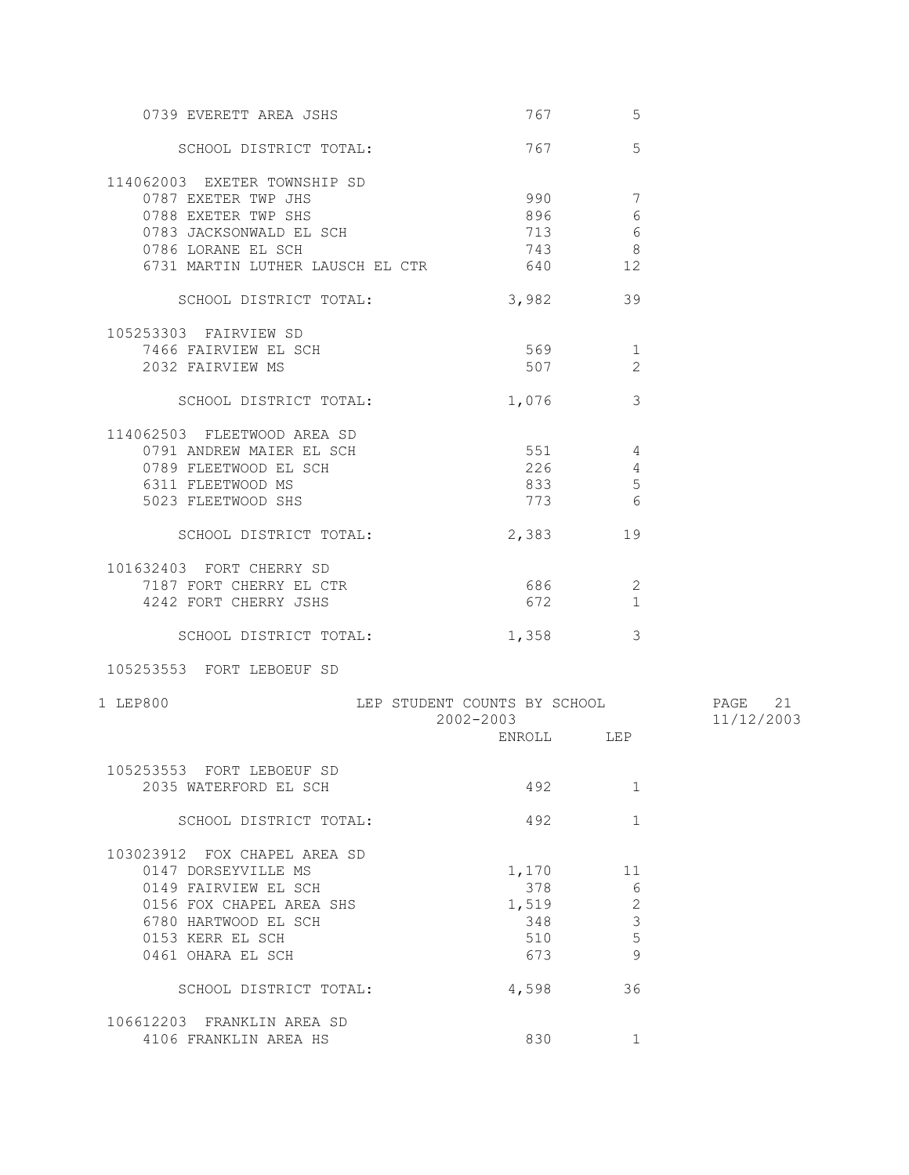| 0739 EVERETT AREA JSHS           | 767                          | 5                                                                                                                      |            |
|----------------------------------|------------------------------|------------------------------------------------------------------------------------------------------------------------|------------|
| SCHOOL DISTRICT TOTAL:           |                              | $\overline{5}$<br>767 — 1767 — 1767 — 1767 — 1767 — 1767 — 1767 — 1767 — 1767 — 1767 — 1767 — 1768 — 1768 — 1768 — 176 |            |
| 114062003 EXETER TOWNSHIP SD     |                              |                                                                                                                        |            |
| 0787 EXETER TWP JHS              | 990                          | 7                                                                                                                      |            |
| 0788 EXETER TWP SHS              | 896                          | 6                                                                                                                      |            |
| 0783 JACKSONWALD EL SCH          | 713                          | 6                                                                                                                      |            |
| 0786 LORANE EL SCH               | 743                          | 8                                                                                                                      |            |
| 6731 MARTIN LUTHER LAUSCH EL CTR | 640 — 10                     | 12                                                                                                                     |            |
|                                  |                              |                                                                                                                        |            |
| SCHOOL DISTRICT TOTAL:           | 3,982                        | 39                                                                                                                     |            |
| 105253303 FAIRVIEW SD            |                              |                                                                                                                        |            |
| 7466 FAIRVIEW EL SCH             | 569 30                       | 1                                                                                                                      |            |
| 2032 FAIRVIEW MS                 |                              | 507 30<br>$\overline{2}$                                                                                               |            |
|                                  |                              |                                                                                                                        |            |
| SCHOOL DISTRICT TOTAL:           | 1,076                        | 3                                                                                                                      |            |
|                                  |                              |                                                                                                                        |            |
| 114062503 FLEETWOOD AREA SD      | 551                          |                                                                                                                        |            |
| 0791 ANDREW MAIER EL SCH         |                              | $\overline{4}$                                                                                                         |            |
| 0789 FLEETWOOD EL SCH            | 226                          | 4                                                                                                                      |            |
| 6311 FLEETWOOD MS                | 833                          | $5\phantom{.0}$                                                                                                        |            |
| 5023 FLEETWOOD SHS               |                              | 773 6                                                                                                                  |            |
| SCHOOL DISTRICT TOTAL:           |                              | 2,383<br>19                                                                                                            |            |
|                                  |                              |                                                                                                                        |            |
| 101632403 FORT CHERRY SD         |                              |                                                                                                                        |            |
| 7187 FORT CHERRY EL CTR          | 686                          | 2                                                                                                                      |            |
| 4242 FORT CHERRY JSHS            | 672                          | 1                                                                                                                      |            |
|                                  |                              |                                                                                                                        |            |
| SCHOOL DISTRICT TOTAL:           | 1,358                        | 3                                                                                                                      |            |
| 105253553 FORT LEBOEUF SD        |                              |                                                                                                                        |            |
| 1 LEP800                         | LEP STUDENT COUNTS BY SCHOOL |                                                                                                                        | PAGE 21    |
|                                  | 2002-2003                    |                                                                                                                        | 11/12/2003 |
|                                  |                              | ENROLL LEP                                                                                                             |            |
|                                  |                              |                                                                                                                        |            |
| 105253553 FORT LEBOEUF SD        |                              |                                                                                                                        |            |
| 2035 WATERFORD EL SCH            | 492                          | 1                                                                                                                      |            |
| SCHOOL DISTRICT TOTAL:           | 492                          | $\mathbf{1}$                                                                                                           |            |
|                                  |                              |                                                                                                                        |            |
| 103023912 FOX CHAPEL AREA SD     |                              |                                                                                                                        |            |
| 0147 DORSEYVILLE MS              | 1,170                        | 11                                                                                                                     |            |
| 0149 FAIRVIEW EL SCH             | 378                          | $6\,$                                                                                                                  |            |
| 0156 FOX CHAPEL AREA SHS         | 1,519                        | $\mathbf{2}$                                                                                                           |            |
| 6780 HARTWOOD EL SCH             | 348                          | $\mathfrak{Z}$                                                                                                         |            |
| 0153 KERR EL SCH                 | 510                          | 5                                                                                                                      |            |
| 0461 OHARA EL SCH                | 673                          | $\overline{9}$                                                                                                         |            |
|                                  |                              |                                                                                                                        |            |
| SCHOOL DISTRICT TOTAL:           | 4,598                        | 36                                                                                                                     |            |
|                                  |                              |                                                                                                                        |            |
| 106612203 FRANKLIN AREA SD       |                              |                                                                                                                        |            |
| 4106 FRANKLIN AREA HS            | 830                          | $\mathbf{1}$                                                                                                           |            |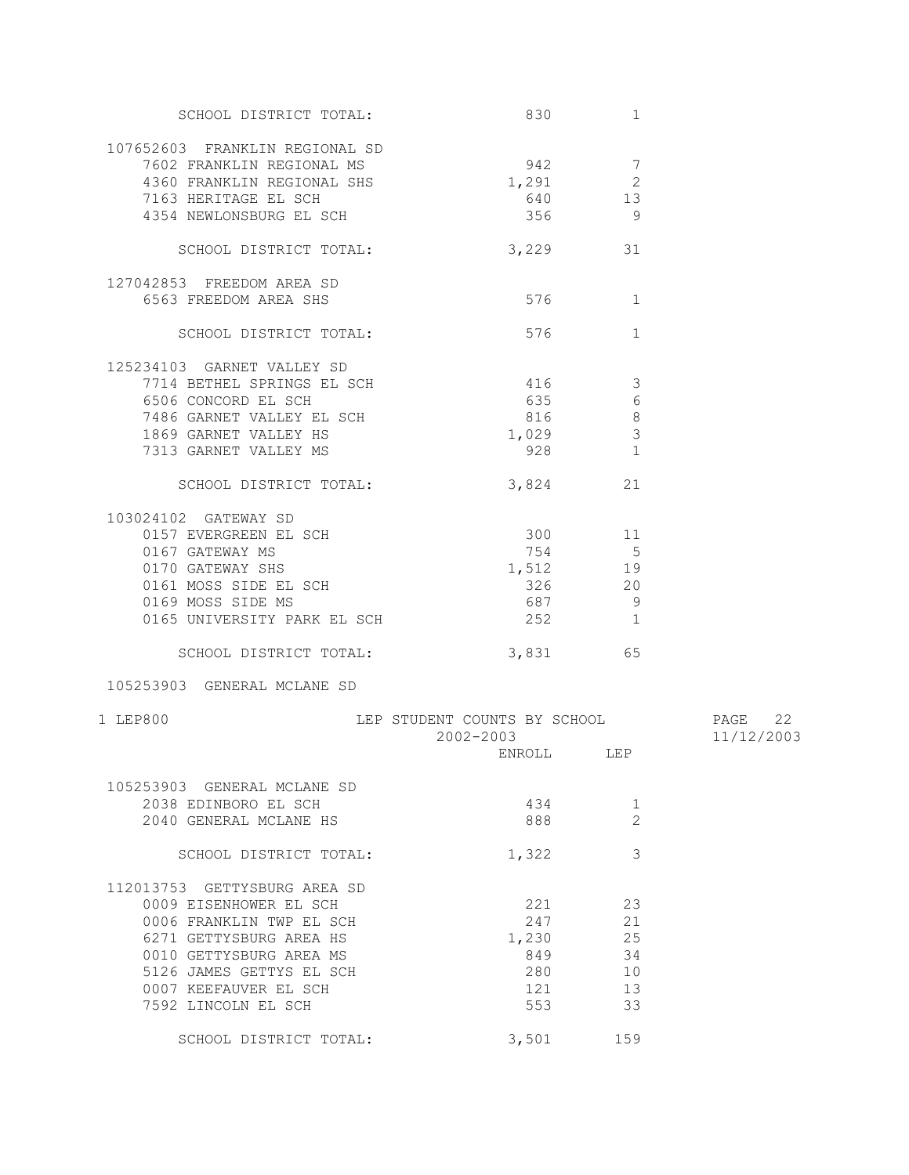| SCHOOL DISTRICT TOTAL:                                      |                                             | 830 and 10<br>1 |            |
|-------------------------------------------------------------|---------------------------------------------|-----------------|------------|
| 107652603 FRANKLIN REGIONAL SD<br>7602 FRANKLIN REGIONAL MS | 942                                         | $7\phantom{.0}$ |            |
| 4360 FRANKLIN REGIONAL SHS                                  | 1,291                                       | $\mathbf{2}$    |            |
| 7163 HERITAGE EL SCH                                        | 640                                         | 13              |            |
| 4354 NEWLONSBURG EL SCH                                     | 356                                         | $\overline{9}$  |            |
| SCHOOL DISTRICT TOTAL:                                      | 3,229                                       | 31              |            |
|                                                             |                                             |                 |            |
| 127042853 FREEDOM AREA SD                                   |                                             |                 |            |
| 6563 FREEDOM AREA SHS                                       | 576                                         | 1               |            |
| SCHOOL DISTRICT TOTAL:                                      | 576                                         | $\mathbf{1}$    |            |
| 125234103 GARNET VALLEY SD                                  |                                             |                 |            |
| 7714 BETHEL SPRINGS EL SCH                                  | 416                                         | -3              |            |
| 6506 CONCORD EL SCH                                         |                                             | 635 000<br>6    |            |
| 7486 GARNET VALLEY EL SCH                                   |                                             | 816<br>8        |            |
| 1869 GARNET VALLEY HS                                       | 1,029                                       | $\mathcal{S}$   |            |
| 7313 GARNET VALLEY MS                                       | 928                                         | $\mathbf{1}$    |            |
| SCHOOL DISTRICT TOTAL:                                      |                                             | 3,824<br>21     |            |
|                                                             |                                             |                 |            |
| 103024102 GATEWAY SD<br>0157 EVERGREEN EL SCH               |                                             |                 |            |
|                                                             | 300 11                                      |                 |            |
| 0167 GATEWAY MS                                             |                                             | 754 5           |            |
| 0170 GATEWAY SHS                                            | 1,512 19                                    |                 |            |
| 0161 MOSS SIDE EL SCH                                       | 326                                         | 20              |            |
| 0169 MOSS SIDE MS                                           | 687                                         | - 9             |            |
| 0165 UNIVERSITY PARK EL SCH                                 | 252                                         | $\mathbf{1}$    |            |
| SCHOOL DISTRICT TOTAL:                                      |                                             | 3,831 65        |            |
| 105253903 GENERAL MCLANE SD                                 |                                             |                 |            |
| 1 LEP800                                                    | LEP STUDENT COUNTS BY SCHOOL <b>FAGE</b> 22 |                 |            |
|                                                             | 2002-2003                                   | ENROLL LEP      | 11/12/2003 |
|                                                             |                                             |                 |            |
| 105253903 GENERAL MCLANE SD                                 |                                             |                 |            |
| 2038 EDINBORO EL SCH                                        | 434                                         | 1               |            |
| 2040 GENERAL MCLANE HS                                      | 888                                         | 2               |            |
| SCHOOL DISTRICT TOTAL:                                      | 1,322                                       | 3               |            |
| 112013753 GETTYSBURG AREA SD                                |                                             |                 |            |
| 0009 EISENHOWER EL SCH                                      | 221                                         | 23              |            |
| 0006 FRANKLIN TWP EL SCH                                    | 247                                         | 21              |            |
| 6271 GETTYSBURG AREA HS                                     | 1,230                                       | 25              |            |
| 0010 GETTYSBURG AREA MS                                     | 849                                         | 34              |            |
| 5126 JAMES GETTYS EL SCH                                    | 280                                         | 10              |            |
| 0007 KEEFAUVER EL SCH                                       | 121                                         | 13              |            |
| 7592 LINCOLN EL SCH                                         | 553                                         | 33              |            |
|                                                             |                                             |                 |            |
| SCHOOL DISTRICT TOTAL:                                      | 3,501                                       | 159             |            |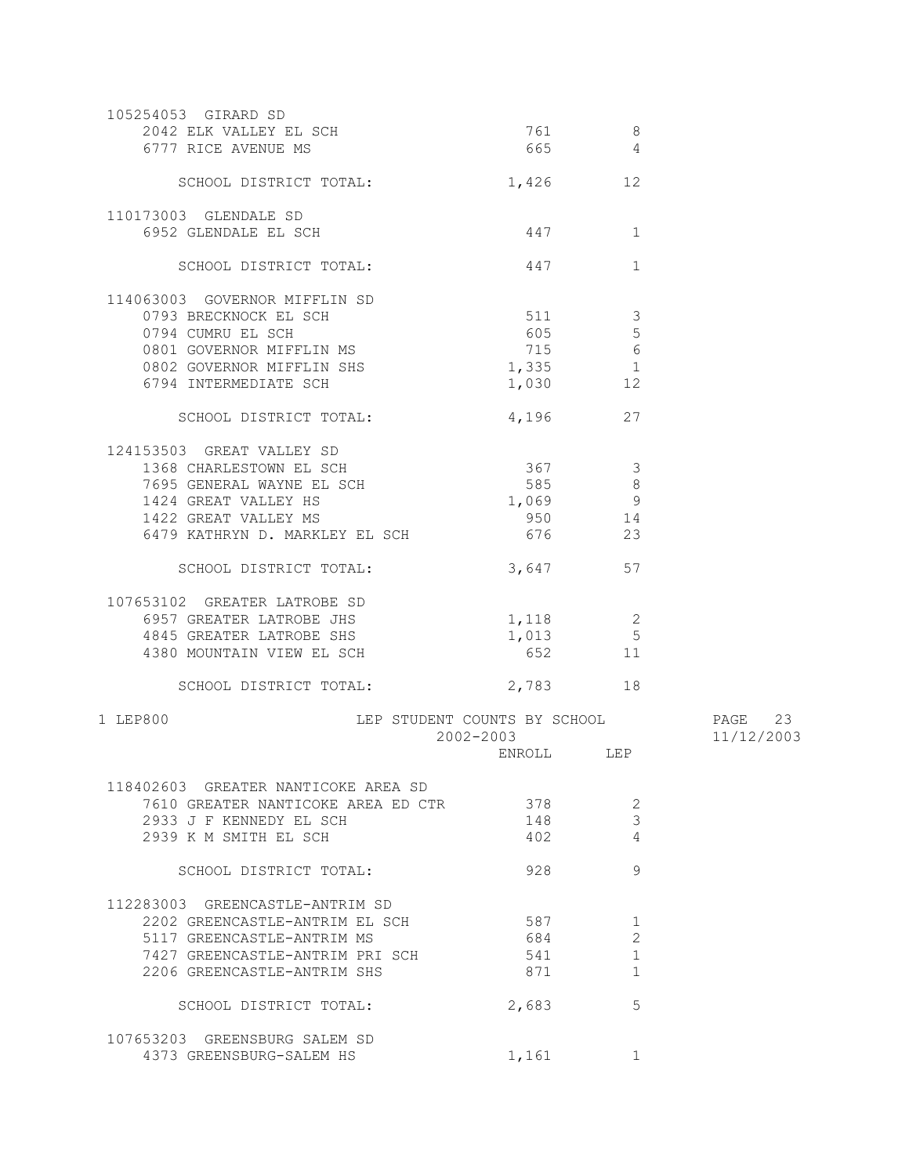| 105254053 GIRARD SD<br>2042 ELK VALLEY EL SCH<br>6777 RICE AVENUE MS                                                                                                | 761<br>665                                | 8<br>4                                        |                       |
|---------------------------------------------------------------------------------------------------------------------------------------------------------------------|-------------------------------------------|-----------------------------------------------|-----------------------|
| SCHOOL DISTRICT TOTAL:                                                                                                                                              |                                           | 1,426 12                                      |                       |
| 110173003 GLENDALE SD<br>6952 GLENDALE EL SCH                                                                                                                       | 447                                       | 1                                             |                       |
| SCHOOL DISTRICT TOTAL:                                                                                                                                              | 447                                       | 1                                             |                       |
| 114063003 GOVERNOR MIFFLIN SD<br>0793 BRECKNOCK EL SCH<br>0794 CUMRU EL SCH<br>0801 GOVERNOR MIFFLIN MS                                                             | 511<br>605                                | $\mathcal{S}$<br>$5\phantom{.0}$<br>715 6     |                       |
| 0802 GOVERNOR MIFFLIN SHS<br>6794 INTERMEDIATE SCH                                                                                                                  | $1,335$ 1                                 | 1,030 12                                      |                       |
| SCHOOL DISTRICT TOTAL:                                                                                                                                              |                                           | 4,196 27                                      |                       |
| 124153503 GREAT VALLEY SD<br>1368 CHARLESTOWN EL SCH<br>7695 GENERAL WAYNE EL SCH<br>1424 GREAT VALLEY HS<br>1422 GREAT VALLEY MS<br>6479 KATHRYN D. MARKLEY EL SCH | 367<br>585<br>676 100                     | $\mathcal{S}$<br>8<br>1,069 9<br>950 14<br>23 |                       |
| SCHOOL DISTRICT TOTAL:                                                                                                                                              |                                           | 3,647 57                                      |                       |
| 107653102 GREATER LATROBE SD<br>6957 GREATER LATROBE JHS<br>4845 GREATER LATROBE SHS<br>4380 MOUNTAIN VIEW EL SCH                                                   | 1,118<br>1,013                            | 2<br>$\overline{5}$<br>652 11                 |                       |
| SCHOOL DISTRICT TOTAL:                                                                                                                                              | 2,783                                     | 18                                            |                       |
| 1 LEP800                                                                                                                                                            | LEP STUDENT COUNTS BY SCHOOL<br>2002-2003 |                                               | PAGE 23<br>11/12/2003 |
|                                                                                                                                                                     | ENROLL LEP                                |                                               |                       |
| 118402603 GREATER NANTICOKE AREA SD<br>7610 GREATER NANTICOKE AREA ED CTR<br>2933 J F KENNEDY EL SCH<br>2939 K M SMITH EL SCH                                       | 378<br>148<br>402                         | 2<br>3<br>4                                   |                       |
| SCHOOL DISTRICT TOTAL:                                                                                                                                              | 928                                       | 9                                             |                       |
| 112283003 GREENCASTLE-ANTRIM SD<br>2202 GREENCASTLE-ANTRIM EL SCH<br>5117 GREENCASTLE-ANTRIM MS<br>7427 GREENCASTLE-ANTRIM PRI SCH<br>2206 GREENCASTLE-ANTRIM SHS   | 587<br>684<br>541<br>871                  | 1<br>2<br>1<br>1                              |                       |
| SCHOOL DISTRICT TOTAL:                                                                                                                                              | 2,683                                     | 5                                             |                       |
| 107653203 GREENSBURG SALEM SD<br>4373 GREENSBURG-SALEM HS                                                                                                           | 1,161                                     | $\mathbf{1}$                                  |                       |
|                                                                                                                                                                     |                                           |                                               |                       |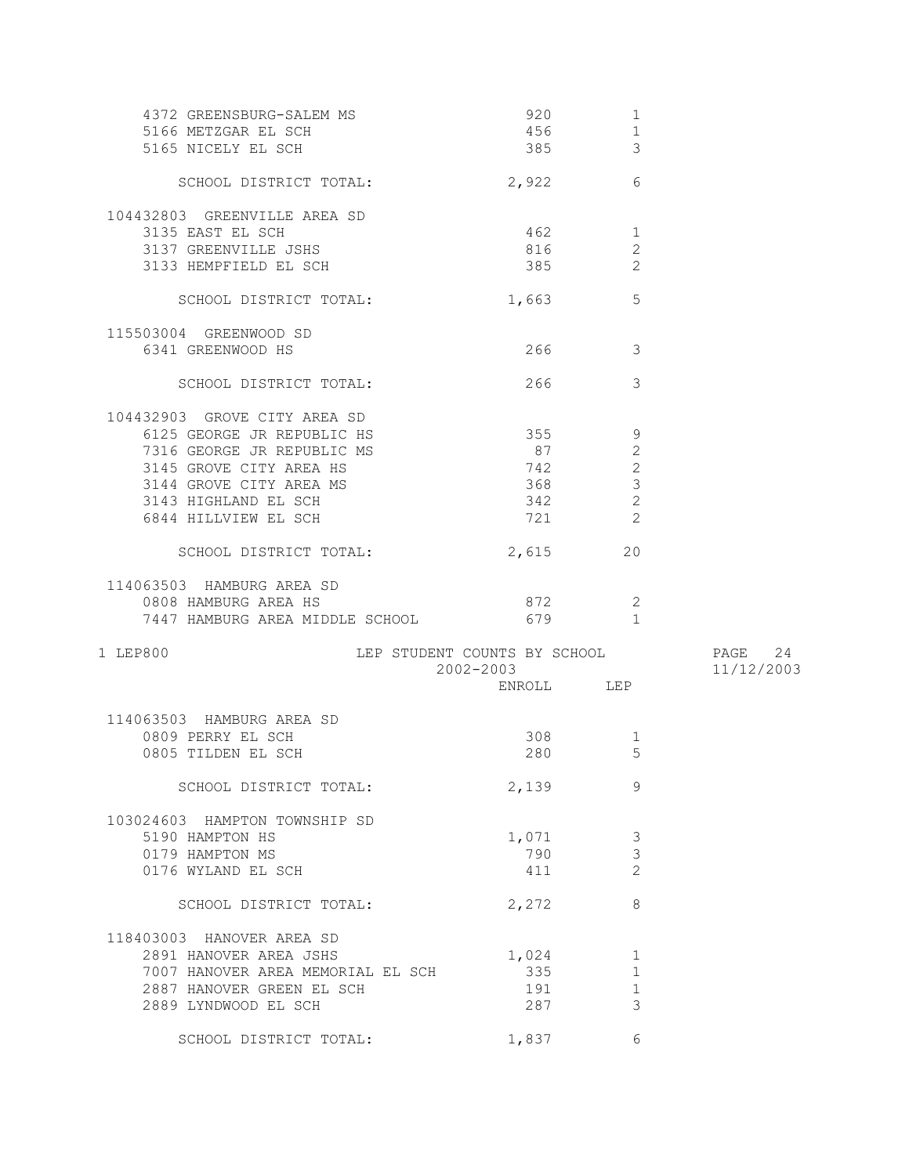| 4372 GREENSBURG-SALEM MS                 | 920        | $\mathbf{1}$            |            |
|------------------------------------------|------------|-------------------------|------------|
| 5166 METZGAR EL SCH                      | 456        | $1\,$                   |            |
| 5165 NICELY EL SCH                       | 385        | $\mathfrak{Z}$          |            |
|                                          |            |                         |            |
| SCHOOL DISTRICT TOTAL:                   | 2,922      | 6                       |            |
| 104432803 GREENVILLE AREA SD             |            |                         |            |
| 3135 EAST EL SCH                         | 462        | $\mathbf 1$             |            |
| 3137 GREENVILLE JSHS                     | 816        | $\mathbf{2}$            |            |
|                                          |            | $\overline{2}$          |            |
| 3133 HEMPFIELD EL SCH                    | 385        |                         |            |
| SCHOOL DISTRICT TOTAL:                   | 1,663      | 5                       |            |
| 115503004 GREENWOOD SD                   |            |                         |            |
| 6341 GREENWOOD HS                        | 266 7      | $\overline{\mathbf{3}}$ |            |
|                                          |            |                         |            |
| SCHOOL DISTRICT TOTAL:                   | 266 70     | 3                       |            |
| 104432903 GROVE CITY AREA SD             |            |                         |            |
| 6125 GEORGE JR REPUBLIC HS               | 355        | 9                       |            |
| 7316 GEORGE JR REPUBLIC MS               | 87         | $\mathbf{2}$            |            |
| 3145 GROVE CITY AREA HS                  | 742        | $\mathbf{2}$            |            |
|                                          |            |                         |            |
| 3144 GROVE CITY AREA MS                  | 368        | 3                       |            |
| 3143 HIGHLAND EL SCH                     | 342        | 2                       |            |
| 6844 HILLVIEW EL SCH                     | 721        | 2                       |            |
| SCHOOL DISTRICT TOTAL:                   | 2,615      | 20                      |            |
| 114063503 HAMBURG AREA SD                |            |                         |            |
| 0808 HAMBURG AREA HS                     | 872        | -2                      |            |
|                                          |            |                         |            |
| 7447 HAMBURG AREA MIDDLE SCHOOL          | 679        | $\overline{1}$          |            |
| 1 LEP800<br>LEP STUDENT COUNTS BY SCHOOL |            |                         | PAGE 24    |
|                                          | 2002-2003  |                         | 11/12/2003 |
|                                          | ENROLL LEP |                         |            |
|                                          |            |                         |            |
| 114063503 HAMBURG AREA SD                |            |                         |            |
| 0809 PERRY EL SCH                        | 308        | $\mathbf 1$             |            |
| 0805 TILDEN EL SCH                       | 280        | 5                       |            |
| SCHOOL DISTRICT TOTAL:                   | 2,139      | 9                       |            |
|                                          |            |                         |            |
| 103024603 HAMPTON TOWNSHIP SD            |            |                         |            |
| 5190 HAMPTON HS                          | 1,071      | 3                       |            |
| 0179 HAMPTON MS                          | 790        | 3                       |            |
| 0176 WYLAND EL SCH                       | 411        | $\overline{c}$          |            |
|                                          |            |                         |            |
| SCHOOL DISTRICT TOTAL:                   | 2,272      | 8                       |            |
| 118403003 HANOVER AREA SD                |            |                         |            |
| 2891 HANOVER AREA JSHS                   | 1,024      | 1                       |            |
| 7007 HANOVER AREA MEMORIAL EL SCH        | 335        | $\mathbf{1}$            |            |
|                                          |            |                         |            |
| 2887 HANOVER GREEN EL SCH                | 191        | 1                       |            |
| 2889 LYNDWOOD EL SCH                     | 287        | 3                       |            |
|                                          |            |                         |            |
| SCHOOL DISTRICT TOTAL:                   | 1,837      | 6                       |            |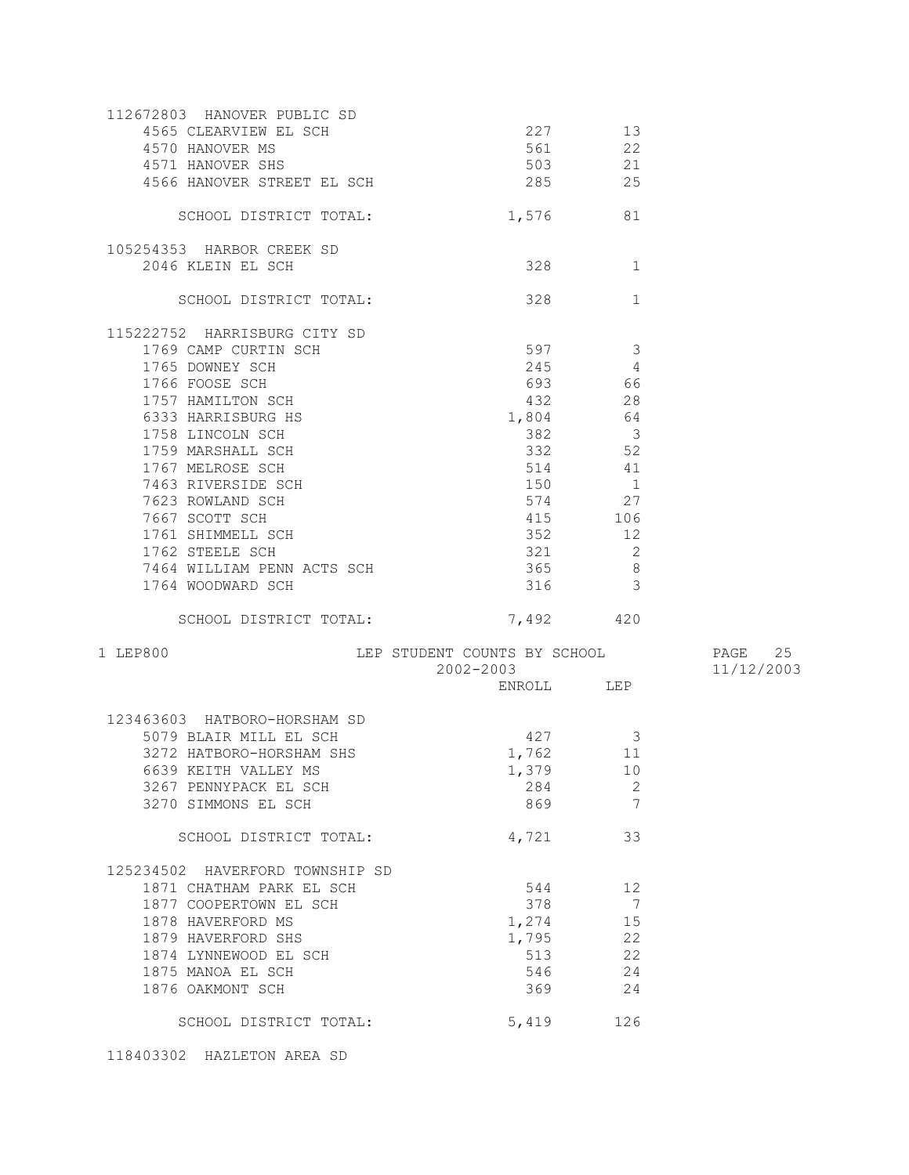| 112672803 HANOVER PUBLIC SD<br>4565 CLEARVIEW EL SCH<br>4570 HANOVER MS<br>4566 HANOVER STREET EL SCH                                                                                                                                                                                                                                                                              | 503 21<br>285 25                                           | 227 13<br>561 22                                                                                                                                                                        |            |
|------------------------------------------------------------------------------------------------------------------------------------------------------------------------------------------------------------------------------------------------------------------------------------------------------------------------------------------------------------------------------------|------------------------------------------------------------|-----------------------------------------------------------------------------------------------------------------------------------------------------------------------------------------|------------|
| SCHOOL DISTRICT TOTAL:                                                                                                                                                                                                                                                                                                                                                             | 1,576 81                                                   |                                                                                                                                                                                         |            |
| 105254353 HARBOR CREEK SD<br>2046 KLEIN EL SCH                                                                                                                                                                                                                                                                                                                                     | 328                                                        | $\sim$ 1                                                                                                                                                                                |            |
| SCHOOL DISTRICT TOTAL:                                                                                                                                                                                                                                                                                                                                                             | 328                                                        | 1                                                                                                                                                                                       |            |
| 115222752 HARRISBURG CITY SD<br>1769 CAMP CURTIN SCH<br>1765 DOWNEY SCH<br>1766 FOOSE SCH<br>1757 HAMILTON SCH<br>6333 HARRISBURG HS<br>1758 LINCOLN SCH<br>1759 MARSHALL SCH<br>1767 MELROSE SCH<br>7463 RIVERSIDE SCH<br>7623 ROWLAND SCH<br>7667 SCOTT SCH<br>1761 SHIMMELL SCH<br>1762 STEELE SCH<br>7464 WILLIAM PENN ACTS SCH<br>1764 WOODWARD SCH<br>SCHOOL DISTRICT TOTAL: | 597 3<br>432<br>1,804<br>382<br>150 1<br>321<br>365<br>316 | $245$ 4<br>693 66<br>28<br>64<br>$\overline{\mathbf{3}}$<br>332 52<br>514 41<br>574 27<br>415 106<br>352 12<br>$\overline{2}$<br>8 <sup>8</sup><br>$\overline{\mathbf{3}}$<br>7,492 420 |            |
| 1 LEP800                                                                                                                                                                                                                                                                                                                                                                           | LEP STUDENT COUNTS BY SCHOOL THAGE 25<br>2002-2003         |                                                                                                                                                                                         | 11/12/2003 |
|                                                                                                                                                                                                                                                                                                                                                                                    |                                                            | ENROLL LEP                                                                                                                                                                              |            |
| 123463603 HATBORO-HORSHAM SD<br>5079 BLAIR MILL EL SCH<br>3272 HATBORO-HORSHAM SHS<br>6639 KEITH VALLEY MS<br>3267 PENNYPACK EL SCH<br>3270 SIMMONS EL SCH                                                                                                                                                                                                                         | $427$ 3<br>1,762 11<br>1,379 10<br>284                     | 2<br>869 7                                                                                                                                                                              |            |
| SCHOOL DISTRICT TOTAL:                                                                                                                                                                                                                                                                                                                                                             | 4,721                                                      | 33                                                                                                                                                                                      |            |
| 125234502 HAVERFORD TOWNSHIP SD<br>1871 CHATHAM PARK EL SCH<br>1877 COOPERTOWN EL SCH<br>1878 HAVERFORD MS<br>1879 HAVERFORD SHS<br>1874 LYNNEWOOD EL SCH<br>1875 MANOA EL SCH<br>1876 OAKMONT SCH                                                                                                                                                                                 | 544<br>378<br>369                                          | 12<br>$\overline{7}$<br>1,274 15<br>1,795 22<br>513<br>22<br>546 24<br>24                                                                                                               |            |
| SCHOOL DISTRICT TOTAL:                                                                                                                                                                                                                                                                                                                                                             | 5,419                                                      | 126                                                                                                                                                                                     |            |

118403302 HAZLETON AREA SD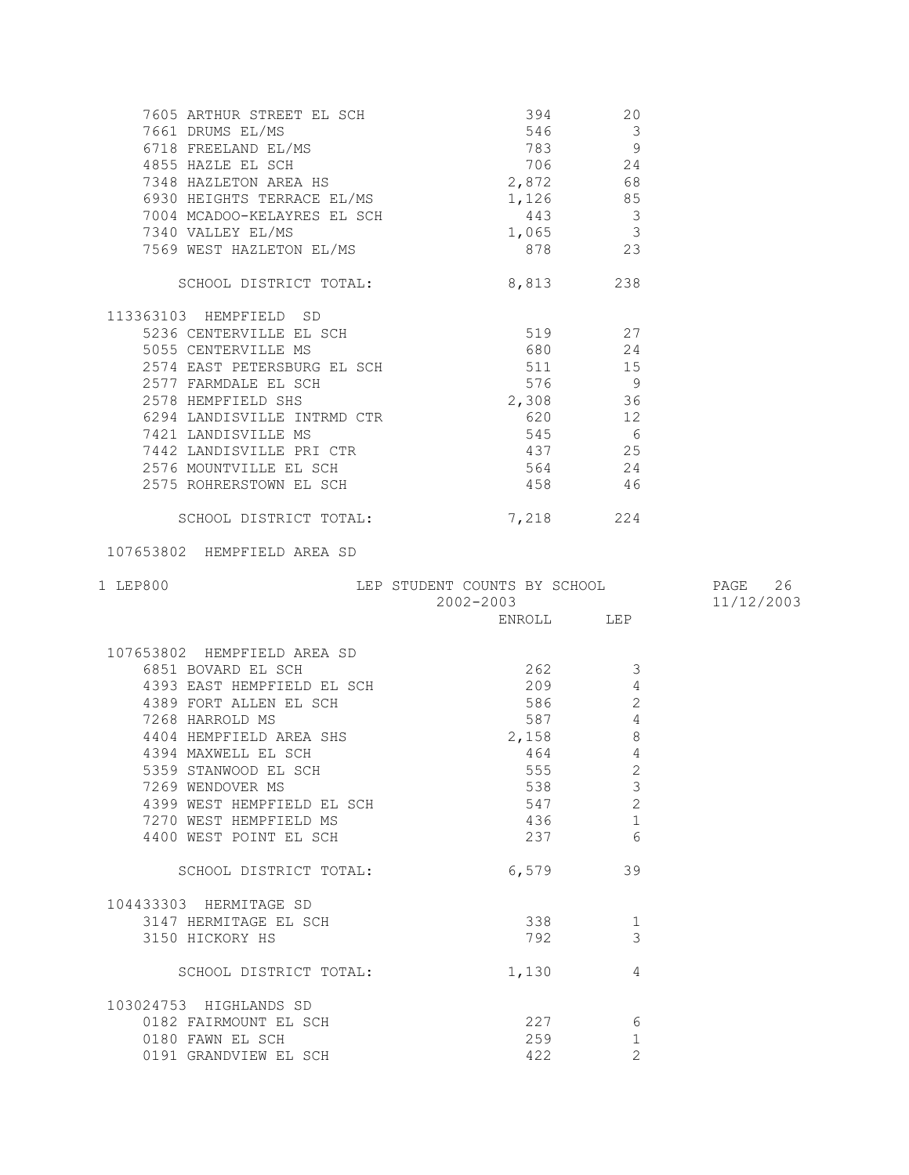| 7605 ARTHUR STREET EL SCH<br>7661 DRUMS EL/MS<br>6718 FREELAND EL/MS<br>4855 HAZLE EL SCH<br>783<br>783<br>796<br>796<br>783<br>796<br>706<br>796<br>706<br>24<br>7348 HAZLETON AREA HS<br>6930 HEIGHTS TERRACE EL/MS<br>797<br>7148<br>7148<br>7148<br>7148<br>7148<br>71 |                                                 |                               |            |
|----------------------------------------------------------------------------------------------------------------------------------------------------------------------------------------------------------------------------------------------------------------------------|-------------------------------------------------|-------------------------------|------------|
|                                                                                                                                                                                                                                                                            |                                                 |                               |            |
|                                                                                                                                                                                                                                                                            |                                                 |                               |            |
| 7004 MCADOO-KELAYRES EL SCH                                                                                                                                                                                                                                                | $443$ 3                                         |                               |            |
| 7340 VALLEY EL/MS                                                                                                                                                                                                                                                          | $1,065$ 3<br>tari da kara ta 1999.<br>Manazarta |                               |            |
| 7569 WEST HAZLETON EL/MS                                                                                                                                                                                                                                                   | 878 23                                          |                               |            |
| SCHOOL DISTRICT TOTAL:                                                                                                                                                                                                                                                     | 8,813 238                                       |                               |            |
| 113363103 HEMPFIELD SD                                                                                                                                                                                                                                                     |                                                 |                               |            |
|                                                                                                                                                                                                                                                                            |                                                 |                               |            |
|                                                                                                                                                                                                                                                                            |                                                 |                               |            |
|                                                                                                                                                                                                                                                                            |                                                 |                               |            |
| 2577 FARMDALE EL SCH                                                                                                                                                                                                                                                       | $2,308$ 36<br>$\frac{3}{2}$ , 308 36            |                               |            |
| 2578 HEMPFIELD SHS                                                                                                                                                                                                                                                         |                                                 |                               |            |
|                                                                                                                                                                                                                                                                            | 620 12                                          |                               |            |
|                                                                                                                                                                                                                                                                            |                                                 | $545$ 6                       |            |
|                                                                                                                                                                                                                                                                            | 437                                             | 25                            |            |
| 6294 LANDISVILLE INTRMD CTR<br>7421 LANDISVILLE MS<br>7442 LANDISVILLE PRI CTR<br>2576 MOUNTVILLE EL SCH<br>2575 ROHRERSTOWN EL SCH                                                                                                                                        | 564                                             | 24                            |            |
|                                                                                                                                                                                                                                                                            | 458                                             | 46                            |            |
| SCHOOL DISTRICT TOTAL:                                                                                                                                                                                                                                                     | 7,218 224                                       |                               |            |
| 107653802 HEMPFIELD AREA SD                                                                                                                                                                                                                                                |                                                 |                               |            |
|                                                                                                                                                                                                                                                                            |                                                 |                               |            |
|                                                                                                                                                                                                                                                                            | LEP STUDENT COUNTS BY SCHOOL                    |                               | PAGE 26    |
| 1 LEP800                                                                                                                                                                                                                                                                   | $2002 - 2003$ ENROLL LEP                        |                               | 11/12/2003 |
|                                                                                                                                                                                                                                                                            |                                                 |                               |            |
|                                                                                                                                                                                                                                                                            |                                                 |                               |            |
|                                                                                                                                                                                                                                                                            | $262$ 3                                         |                               |            |
| 107653802 HEMPFIELD AREA SD<br>6851 BOVARD EL SCH<br>4393 EAST HEMPFIELD EL SCH                                                                                                                                                                                            | 209                                             | 4                             |            |
|                                                                                                                                                                                                                                                                            | 586 580                                         | 2                             |            |
| 4389 FORT ALLEN EL SCH<br>7268 HARROLD MS<br>7268 HARROLD MS                                                                                                                                                                                                               |                                                 | $\overline{4}$<br>587         |            |
| 4404 HEMPFIELD AREA SHS                                                                                                                                                                                                                                                    | 2,158                                           | $\,8\,$                       |            |
| 4394 MAXWELL EL SCH                                                                                                                                                                                                                                                        | 464                                             | $\overline{4}$                |            |
| 5359 STANWOOD EL SCH                                                                                                                                                                                                                                                       |                                                 | 555 2                         |            |
| 7269 WENDOVER MS                                                                                                                                                                                                                                                           | 538                                             | 3                             |            |
| 4399 WEST HEMPFIELD EL SCH                                                                                                                                                                                                                                                 | 547                                             | $\mathbf{2}$                  |            |
| 7270 WEST HEMPFIELD MS<br>4400 WEST POINT EL SCH                                                                                                                                                                                                                           | 436<br>237                                      | 1<br>6                        |            |
| SCHOOL DISTRICT TOTAL:                                                                                                                                                                                                                                                     | 6,579                                           | 39                            |            |
|                                                                                                                                                                                                                                                                            |                                                 |                               |            |
| 104433303 HERMITAGE SD                                                                                                                                                                                                                                                     |                                                 |                               |            |
| 3147 HERMITAGE EL SCH                                                                                                                                                                                                                                                      | 338                                             | $\mathbf 1$                   |            |
| 3150 HICKORY HS                                                                                                                                                                                                                                                            | 792                                             | 3                             |            |
| SCHOOL DISTRICT TOTAL:                                                                                                                                                                                                                                                     | 1,130                                           | 4                             |            |
| 103024753 HIGHLANDS SD                                                                                                                                                                                                                                                     |                                                 |                               |            |
| 0182 FAIRMOUNT EL SCH                                                                                                                                                                                                                                                      | 227                                             | 6                             |            |
| 0180 FAWN EL SCH<br>0191 GRANDVIEW EL SCH                                                                                                                                                                                                                                  | 259<br>422                                      | $\mathbf 1$<br>$\overline{2}$ |            |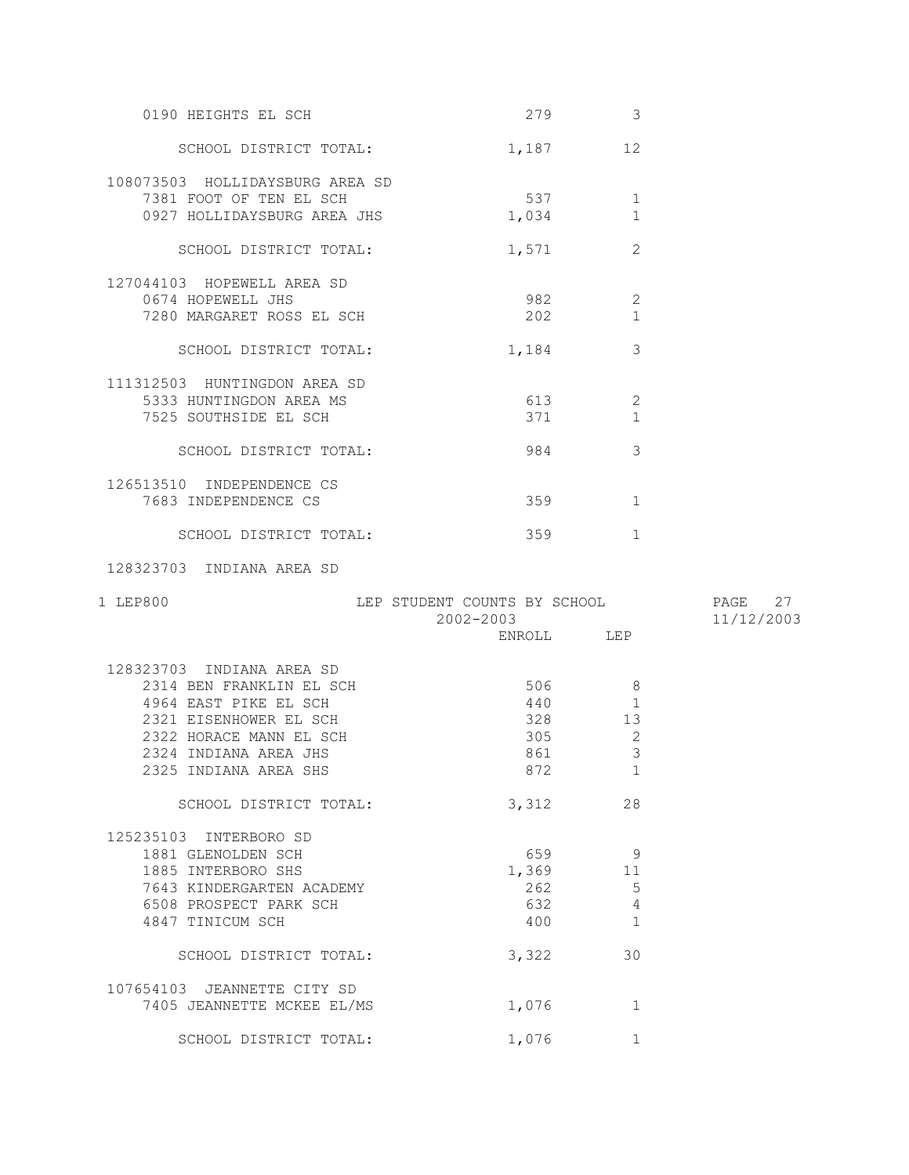| 0190 HEIGHTS EL SCH                                                                       | 279          | 3                              |  |
|-------------------------------------------------------------------------------------------|--------------|--------------------------------|--|
| SCHOOL DISTRICT TOTAL:                                                                    | 1,187        | 12                             |  |
| 108073503 HOLLIDAYSBURG AREA SD<br>7381 FOOT OF TEN EL SCH<br>0927 HOLLIDAYSBURG AREA JHS | 537<br>1,034 | $\mathbf 1$                    |  |
| SCHOOL DISTRICT TOTAL:                                                                    | 1,571        | $\mathcal{L}$                  |  |
| 127044103 HOPEWELL AREA SD<br>0674 HOPEWELL JHS<br>7280 MARGARET ROSS EL SCH              | 982<br>202   | $\sqrt{2}$                     |  |
| SCHOOL DISTRICT TOTAL:                                                                    | 1,184        | 3                              |  |
| 111312503 HUNTINGDON AREA SD<br>5333 HUNTINGDON AREA MS<br>7525 SOUTHSIDE EL SCH          | 613<br>371   | $\overline{c}$<br>$\mathbf{1}$ |  |
| SCHOOL DISTRICT TOTAL:                                                                    | 984          | 3                              |  |
| 126513510 INDEPENDENCE CS<br>7683 INDEPENDENCE CS                                         | 359          | $\mathbf{1}$                   |  |
| SCHOOL DISTRICT TOTAL:                                                                    | 359          | $\mathbf{1}$                   |  |

128323703 INDIANA AREA SD

| 1 LEP800                    | LEP STUDENT COUNTS BY SCHOOL<br>$2002 - 2003$ |                | PAGE 27<br>11/12/2003 |
|-----------------------------|-----------------------------------------------|----------------|-----------------------|
|                             |                                               | ENROLL LEP     |                       |
| 128323703 INDIANA AREA SD   |                                               |                |                       |
| 2314 BEN FRANKLIN EL SCH    | 506                                           | 8              |                       |
| 4964 EAST PIKE EL SCH       | 440                                           | $\mathbf{1}$   |                       |
| 2321 EISENHOWER EL SCH      |                                               | 328 13         |                       |
| 2322 HORACE MANN EL SCH     | 305                                           | 2              |                       |
| 2324 INDIANA AREA JHS       | 861                                           | $\mathcal{S}$  |                       |
| 2325 INDIANA AREA SHS       | 872                                           | $\mathbf{1}$   |                       |
| SCHOOL DISTRICT TOTAL:      | 3,312                                         | 28             |                       |
| 125235103 INTERBORO SD      |                                               |                |                       |
| 1881 GLENOLDEN SCH          |                                               | - 9<br>659 000 |                       |
| 1885 INTERBORO SHS          |                                               | 1,369 11       |                       |
| 7643 KINDERGARTEN ACADEMY   |                                               | 5<br>262       |                       |
| 6508 PROSPECT PARK SCH      | 632                                           | $\sqrt{4}$     |                       |
| 4847 TINICUM SCH            | 400                                           | $\mathbf{1}$   |                       |
| SCHOOL DISTRICT TOTAL:      | 3,322                                         | 30             |                       |
| 107654103 JEANNETTE CITY SD |                                               |                |                       |
| 7405 JEANNETTE MCKEE EL/MS  | 1,076                                         | $\mathbf 1$    |                       |
| SCHOOL DISTRICT TOTAL:      | 1,076                                         | 1              |                       |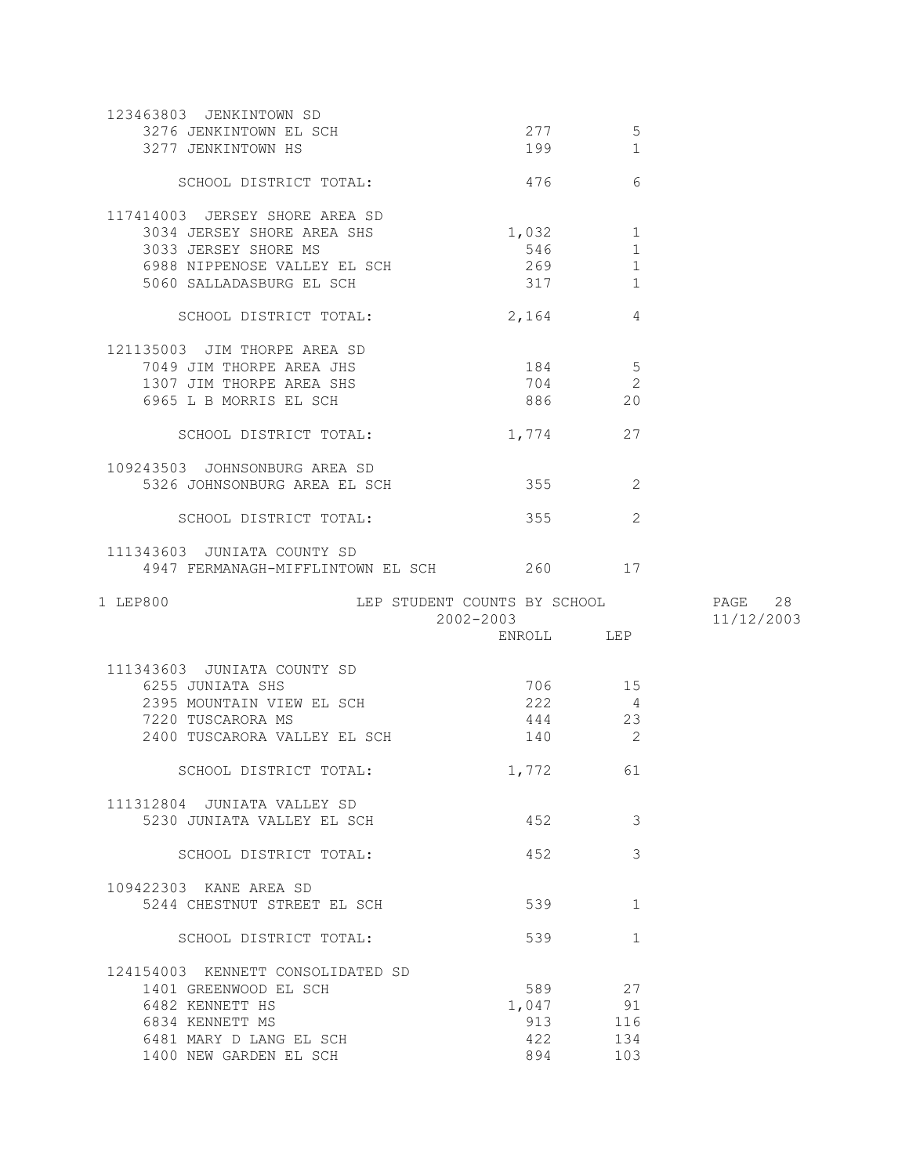| 123463803 JENKINTOWN SD                           |            |                 |            |
|---------------------------------------------------|------------|-----------------|------------|
| 3276 JENKINTOWN EL SCH                            | 277        | 5               |            |
| 3277 JENKINTOWN HS                                | 199        | $\mathbf{1}$    |            |
|                                                   |            |                 |            |
| SCHOOL DISTRICT TOTAL:                            | 476        | 6               |            |
|                                                   |            |                 |            |
| 117414003 JERSEY SHORE AREA SD                    |            |                 |            |
| 3034 JERSEY SHORE AREA SHS                        | 1,032      | $\mathbf{1}$    |            |
| 3033 JERSEY SHORE MS                              | 546        | $\mathbf{1}$    |            |
| 6988 NIPPENOSE VALLEY EL SCH                      | 269        |                 |            |
|                                                   |            | 1               |            |
| 5060 SALLADASBURG EL SCH                          | 317        | 1               |            |
|                                                   |            |                 |            |
| SCHOOL DISTRICT TOTAL:                            | 2,164      | 4               |            |
|                                                   |            |                 |            |
| 121135003 JIM THORPE AREA SD                      |            |                 |            |
| 7049 JIM THORPE AREA JHS                          | 184        | $5\phantom{.0}$ |            |
| 1307 JIM THORPE AREA SHS                          | 704        | $\mathbf{2}$    |            |
| 6965 L B MORRIS EL SCH                            | 886        | 20              |            |
|                                                   |            |                 |            |
| SCHOOL DISTRICT TOTAL:                            | 1,774      | 27              |            |
|                                                   |            |                 |            |
| 109243503 JOHNSONBURG AREA SD                     |            |                 |            |
| 5326 JOHNSONBURG AREA EL SCH                      | 355        | 2               |            |
|                                                   |            |                 |            |
| SCHOOL DISTRICT TOTAL:                            | 355        | 2               |            |
|                                                   |            |                 |            |
| 111343603 JUNIATA COUNTY SD                       |            |                 |            |
| 4947 FERMANAGH-MIFFLINTOWN EL SCH 260 17          |            |                 |            |
|                                                   |            |                 |            |
|                                                   |            |                 |            |
|                                                   |            |                 |            |
| 1 LEP800<br>LEP STUDENT COUNTS BY SCHOOL          |            |                 | PAGE 28    |
|                                                   | 2002-2003  |                 | 11/12/2003 |
|                                                   | ENROLL LEP |                 |            |
|                                                   |            |                 |            |
| 111343603 JUNIATA COUNTY SD                       |            |                 |            |
| 6255 JUNIATA SHS                                  |            | 706 15          |            |
| 2395 MOUNTAIN VIEW EL SCH                         | 222        | 4               |            |
| 7220 TUSCARORA MS                                 | 444 23     |                 |            |
| 2400 TUSCARORA VALLEY EL SCH                      | 140        | $\sim$ 2        |            |
|                                                   |            |                 |            |
|                                                   |            |                 |            |
| SCHOOL DISTRICT TOTAL:                            | 1,772      | 61              |            |
|                                                   |            |                 |            |
| 111312804 JUNIATA VALLEY SD                       |            |                 |            |
| 5230 JUNIATA VALLEY EL SCH                        | 452        | 3               |            |
|                                                   |            |                 |            |
| SCHOOL DISTRICT TOTAL:                            | 452        | 3               |            |
|                                                   |            |                 |            |
| 109422303 KANE AREA SD                            |            |                 |            |
| 5244 CHESTNUT STREET EL SCH                       | 539        | 1               |            |
|                                                   |            |                 |            |
| SCHOOL DISTRICT TOTAL:                            | 539        | $\mathbf{1}$    |            |
|                                                   |            |                 |            |
| 124154003 KENNETT CONSOLIDATED SD                 |            |                 |            |
| 1401 GREENWOOD EL SCH                             | 589        | 27              |            |
| 6482 KENNETT HS                                   | 1,047      | 91              |            |
| 6834 KENNETT MS                                   | 913        | 116             |            |
|                                                   |            |                 |            |
| 6481 MARY D LANG EL SCH<br>1400 NEW GARDEN EL SCH | 422<br>894 | 134<br>103      |            |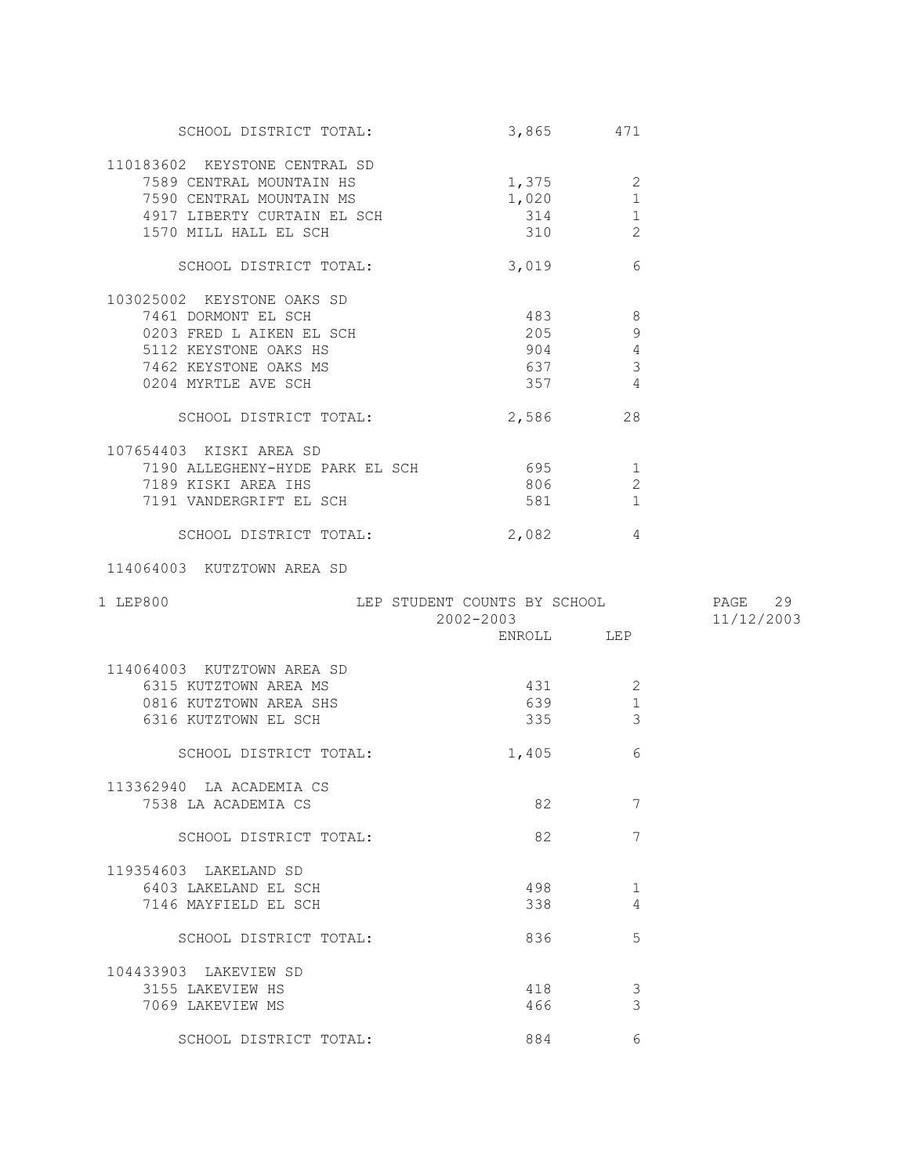| SCHOOL DISTRICT TOTAL:                                                                                                                                 | 3,865 471                        |                                                             |            |
|--------------------------------------------------------------------------------------------------------------------------------------------------------|----------------------------------|-------------------------------------------------------------|------------|
| 110183602 KEYSTONE CENTRAL SD<br>7589 CENTRAL MOUNTAIN HS<br>7590 CENTRAL MOUNTAIN MS<br>4917 LIBERTY CURTAIN EL SCH<br>1570 MILL HALL EL SCH          | $1,375$ 2<br>1,020<br>314<br>310 | $\mathbf{1}$<br>$\mathbf 1$<br>2                            |            |
| SCHOOL DISTRICT TOTAL:                                                                                                                                 | 3,019                            | 6                                                           |            |
| 103025002 KEYSTONE OAKS SD<br>7461 DORMONT EL SCH<br>0203 FRED L AIKEN EL SCH<br>5112 KEYSTONE OAKS HS<br>7462 KEYSTONE OAKS MS<br>0204 MYRTLE AVE SCH | 483<br>205<br>904<br>637<br>357  | 8<br>9<br>$\overline{4}$<br>$\mathcal{E}$<br>$\overline{4}$ |            |
| SCHOOL DISTRICT TOTAL:                                                                                                                                 | 2,586 28                         |                                                             |            |
| 107654403 KISKI AREA SD<br>7190 ALLEGHENY-HYDE PARK EL SCH<br>7189 KISKI AREA IHS<br>7191 VANDERGRIFT EL SCH                                           | 695 1<br>806<br>581              | 2<br>$\mathbf{1}$                                           |            |
| SCHOOL DISTRICT TOTAL:                                                                                                                                 | 2,082                            | 4                                                           |            |
| 114064003 KUTZTOWN AREA SD                                                                                                                             |                                  |                                                             |            |
|                                                                                                                                                        |                                  |                                                             |            |
| 1 LEP800                                                                                                                                               | 2002-2003                        |                                                             | 11/12/2003 |
|                                                                                                                                                        | ENROLL LEP                       |                                                             |            |
| 114064003 KUTZTOWN AREA SD<br>6315 KUTZTOWN AREA MS<br>0816 KUTZTOWN AREA SHS<br>6316 KUTZTOWN EL SCH                                                  | 431<br>639 639<br>335 336        | 2<br>$\mathbf{1}$<br>$\mathcal{E}$                          |            |
| SCHOOL DISTRICT TOTAL:                                                                                                                                 | 1,405                            | 6                                                           |            |
| 113362940 LA ACADEMIA CS<br>7538 LA ACADEMIA CS                                                                                                        | 82                               | 7                                                           |            |
| SCHOOL DISTRICT TOTAL:                                                                                                                                 | 82                               | 7                                                           |            |
| 119354603 LAKELAND SD<br>6403 LAKELAND EL SCH<br>7146 MAYFIELD EL SCH                                                                                  | 498<br>338                       | 1<br>4                                                      |            |
| SCHOOL DISTRICT TOTAL:                                                                                                                                 | 836                              | 5                                                           |            |
| 104433903 LAKEVIEW SD<br>3155 LAKEVIEW HS<br>7069 LAKEVIEW MS                                                                                          | 418<br>466                       | 3<br>3                                                      |            |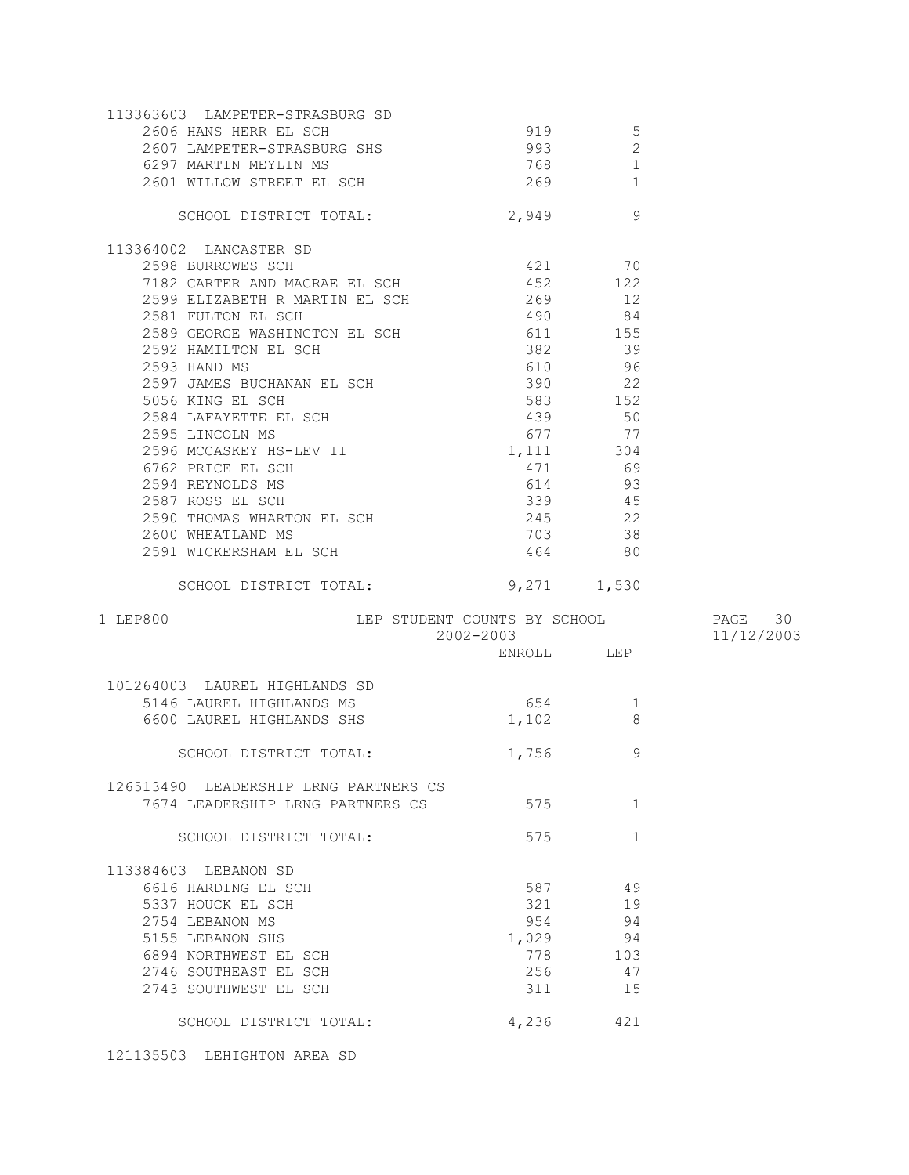| 113363603 LAMPETER-STRASBURG SD                    |             |              |            |
|----------------------------------------------------|-------------|--------------|------------|
| 2606 HANS HERR EL SCH                              | 919         | 5            |            |
| 2607 LAMPETER-STRASBURG SHS                        | 993         | $\mathbf{2}$ |            |
| 6297 MARTIN MEYLIN MS                              | 768         | $\mathbf 1$  |            |
| 2601 WILLOW STREET EL SCH                          | 269         | $\mathbf{1}$ |            |
|                                                    |             |              |            |
| SCHOOL DISTRICT TOTAL:                             | 2,949       | 9            |            |
| 113364002 LANCASTER SD                             |             |              |            |
| 2598 BURROWES SCH                                  | 421 70      |              |            |
| 7182 CARTER AND MACRAE EL SCH 452 122              |             |              |            |
|                                                    |             | 12           |            |
| 2581 FULTON EL SCH                                 | 490 84      |              |            |
| 2589 GEORGE WASHINGTON EL SCH                      | 611 155     |              |            |
| 2592 HAMILTON EL SCH                               | 382         | 39           |            |
| 2593 HAND MS                                       | 610         | 96           |            |
|                                                    |             | 22           |            |
|                                                    |             | 152          |            |
|                                                    |             | 50           |            |
|                                                    | 677         | 77           |            |
|                                                    | 1, 111 304  |              |            |
|                                                    |             | 69           |            |
|                                                    | 614         | 93           |            |
|                                                    |             | 45           |            |
|                                                    |             | 22           |            |
| 2600 WHEATLAND MS                                  | 703         | 38           |            |
| 2591 WICKERSHAM EL SCH                             | 464         | 80           |            |
| SCHOOL DISTRICT TOTAL:                             | 9,271 1,530 |              |            |
|                                                    |             |              |            |
| LEP STUDENT COUNTS BY SCHOOL 6 PAGE 30<br>1 LEP800 | 2002-2003   |              | 11/12/2003 |
|                                                    | ENROLL LEP  |              |            |
|                                                    |             |              |            |
|                                                    |             |              |            |
|                                                    |             |              |            |
| 101264003 LAUREL HIGHLANDS SD                      |             |              |            |
| 5146 LAUREL HIGHLANDS MS                           | 654         | $\perp$<br>8 |            |
| 6600 LAUREL HIGHLANDS SHS                          | 1,102       |              |            |
| SCHOOL DISTRICT TOTAL:                             | 1,756       | 9            |            |
|                                                    |             |              |            |
| 126513490 LEADERSHIP LRNG PARTNERS CS              |             |              |            |
| 7674 LEADERSHIP LRNG PARTNERS CS                   | 575         | $\mathbf{1}$ |            |
| SCHOOL DISTRICT TOTAL:                             | 575         | $\mathbf{1}$ |            |
|                                                    |             |              |            |
| 113384603 LEBANON SD                               |             |              |            |
| 6616 HARDING EL SCH                                | 587         | 49           |            |
| 5337 HOUCK EL SCH                                  | 321         | 19           |            |
| 2754 LEBANON MS                                    | 954         | 94           |            |
| 5155 LEBANON SHS                                   | 1,029       | 94           |            |
| 6894 NORTHWEST EL SCH                              | 778         | 103          |            |
| 2746 SOUTHEAST EL SCH                              | 256         | 47           |            |
| 2743 SOUTHWEST EL SCH                              | 311         | 15           |            |
| SCHOOL DISTRICT TOTAL:                             | 4,236       | 421          |            |

121135503 LEHIGHTON AREA SD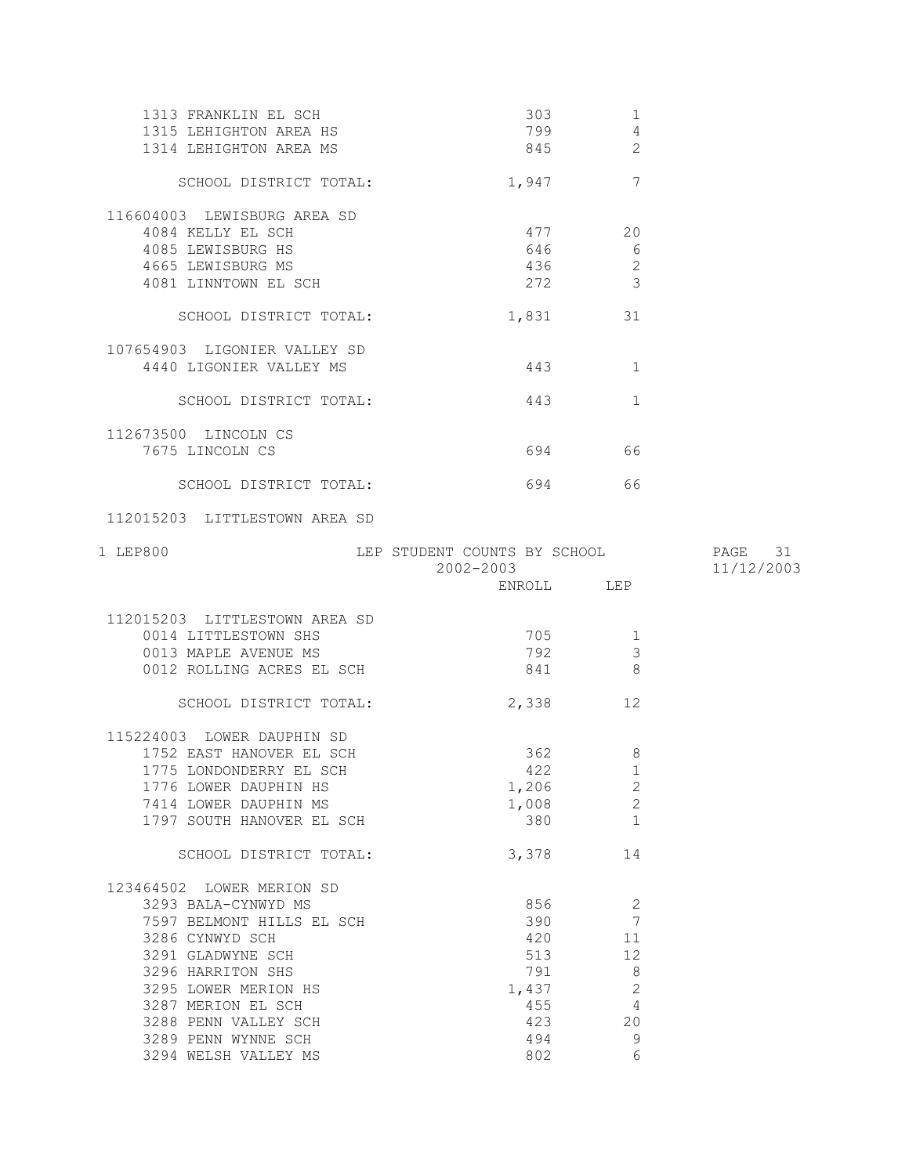| 1313 FRANKLIN EL SCH<br>1315 LEHIGHTON AREA HS<br>1314 LEHIGHTON AREA MS                                                                                                                                                                | 303<br>799                                                    | 1<br>$\overline{4}$<br>845<br>2                                   |                       |
|-----------------------------------------------------------------------------------------------------------------------------------------------------------------------------------------------------------------------------------------|---------------------------------------------------------------|-------------------------------------------------------------------|-----------------------|
| SCHOOL DISTRICT TOTAL:                                                                                                                                                                                                                  | 1,947                                                         | $7\phantom{.0}$                                                   |                       |
| 116604003 LEWISBURG AREA SD<br>4084 KELLY EL SCH<br>4085 LEWISBURG HS<br>4665 LEWISBURG MS<br>4081 LINNTOWN EL SCH                                                                                                                      | 477<br>646<br>436<br>272                                      | 20<br>6<br>$\mathbf{2}$<br>3                                      |                       |
| SCHOOL DISTRICT TOTAL:                                                                                                                                                                                                                  | 1,831                                                         | 31                                                                |                       |
| 107654903 LIGONIER VALLEY SD<br>4440 LIGONIER VALLEY MS                                                                                                                                                                                 | 443                                                           | 1                                                                 |                       |
| SCHOOL DISTRICT TOTAL:                                                                                                                                                                                                                  | 443                                                           | $\mathbf{1}$                                                      |                       |
| 112673500 LINCOLN CS<br>7675 LINCOLN CS                                                                                                                                                                                                 |                                                               | 694 66                                                            |                       |
| SCHOOL DISTRICT TOTAL:                                                                                                                                                                                                                  |                                                               | 694 — 100<br>66                                                   |                       |
| 112015203 LITTLESTOWN AREA SD                                                                                                                                                                                                           |                                                               |                                                                   |                       |
| 1 LEP800                                                                                                                                                                                                                                | LEP STUDENT COUNTS BY SCHOOL<br>2002-2003                     |                                                                   | PAGE 31<br>11/12/2003 |
|                                                                                                                                                                                                                                         |                                                               |                                                                   |                       |
|                                                                                                                                                                                                                                         |                                                               | ENROLL LEP                                                        |                       |
| 112015203 LITTLESTOWN AREA SD<br>0014 LITTLESTOWN SHS<br>0013 MAPLE AVENUE MS<br>0012 ROLLING ACRES EL SCH<br>SCHOOL DISTRICT TOTAL:                                                                                                    | 705<br>792<br>841<br>2,338                                    | 1<br>3<br>8<br>12                                                 |                       |
| 115224003 LOWER DAUPHIN SD<br>1752 EAST HANOVER EL SCH<br>1775 LONDONDERRY EL SCH<br>1776 LOWER DAUPHIN HS<br>7414 LOWER DAUPHIN MS<br>1797 SOUTH HANOVER EL SCH                                                                        | 422<br>1,206<br>1,008<br>380                                  | 362 200<br>8<br>ı<br>$\mathbf{2}$<br>$\mathbf{2}$<br>$\mathbf{1}$ |                       |
| SCHOOL DISTRICT TOTAL:                                                                                                                                                                                                                  | 3,378                                                         | 14                                                                |                       |
| 123464502 LOWER MERION SD<br>3293 BALA-CYNWYD MS<br>7597 BELMONT HILLS EL SCH<br>3286 CYNWYD SCH<br>3291 GLADWYNE SCH<br>3296 HARRITON SHS<br>3295 LOWER MERION HS<br>3287 MERION EL SCH<br>3288 PENN VALLEY SCH<br>3289 PENN WYNNE SCH | 856<br>390<br>420<br>513<br>791<br>1,437<br>455<br>423<br>494 | 2<br>7<br>11<br>12<br>8<br>$\sqrt{2}$<br>4<br>20<br>9             |                       |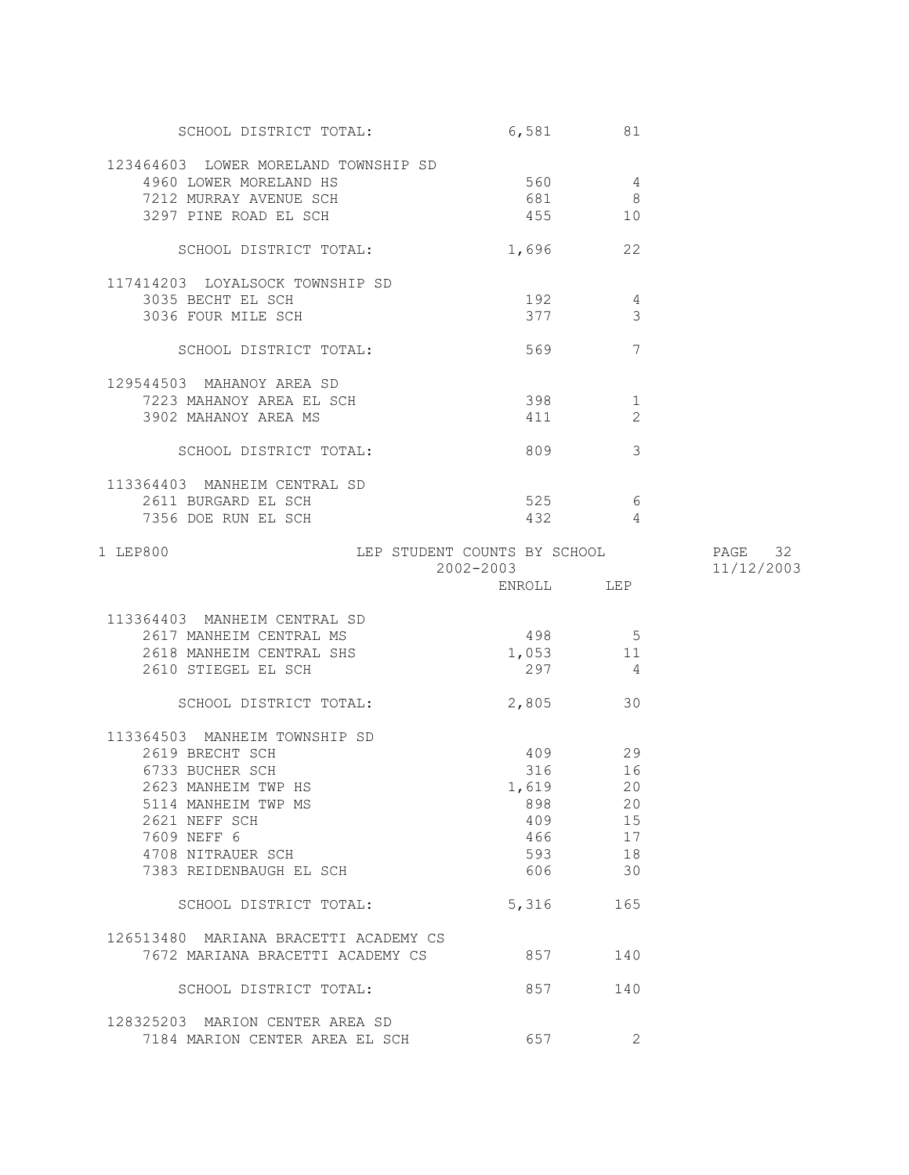| SCHOOL DISTRICT TOTAL:                               | 6,581      | 81              |            |
|------------------------------------------------------|------------|-----------------|------------|
| 123464603 LOWER MORELAND TOWNSHIP SD                 |            |                 |            |
| 4960 LOWER MORELAND HS                               | 560        | $\overline{4}$  |            |
| 7212 MURRAY AVENUE SCH                               | 681        | 8               |            |
| 3297 PINE ROAD EL SCH                                | 455        | 10              |            |
|                                                      |            |                 |            |
| SCHOOL DISTRICT TOTAL:                               | 1,696 22   |                 |            |
|                                                      |            |                 |            |
| 117414203 LOYALSOCK TOWNSHIP SD<br>3035 BECHT EL SCH |            |                 |            |
|                                                      | 192        | 4               |            |
| 3036 FOUR MILE SCH                                   | 377        | 3               |            |
| SCHOOL DISTRICT TOTAL:                               | 569        | $7\phantom{.0}$ |            |
|                                                      |            |                 |            |
| 129544503 MAHANOY AREA SD                            |            |                 |            |
| 7223 MAHANOY AREA EL SCH                             | 398 398    | 1               |            |
| 3902 MAHANOY AREA MS                                 | 411        | 2               |            |
|                                                      |            |                 |            |
| SCHOOL DISTRICT TOTAL:                               | 809 — 100  | 3               |            |
|                                                      |            |                 |            |
| 113364403 MANHEIM CENTRAL SD                         |            |                 |            |
| 2611 BURGARD EL SCH                                  |            | 525 6           |            |
| 7356 DOE RUN EL SCH                                  | 432        | $\overline{4}$  |            |
| LEP STUDENT COUNTS BY SCHOOL 52 PAGE 32<br>1 LEP800  |            |                 |            |
|                                                      | 2002-2003  |                 | 11/12/2003 |
|                                                      | ENROLL LEP |                 |            |
|                                                      |            |                 |            |
| 113364403 MANHEIM CENTRAL SD                         |            |                 |            |
| 2617 MANHEIM CENTRAL MS                              | 498        | $5\overline{)}$ |            |
| 2618 MANHEIM CENTRAL SHS                             | 1,053 11   |                 |            |
| 2610 STIEGEL EL SCH                                  | 297        | $\overline{4}$  |            |
|                                                      |            |                 |            |
| SCHOOL DISTRICT TOTAL:                               | 2,805      | 30              |            |
|                                                      |            |                 |            |
| 113364503 MANHEIM TOWNSHIP SD                        |            |                 |            |
| 2619 BRECHT SCH                                      | 409 29     |                 |            |
| 6733 BUCHER SCH                                      | 316        | 16              |            |
| 2623 MANHEIM TWP HS                                  | 1,619      | 20              |            |
| 5114 MANHEIM TWP MS                                  | 898        | 20              |            |
| 2621 NEFF SCH                                        | 409        | 15              |            |
| 7609 NEFF 6                                          | 466 100    | 17              |            |
| 4708 NITRAUER SCH                                    |            | 18              |            |
| 7383 REIDENBAUGH EL SCH                              | 606 — 100  | 30              |            |
| SCHOOL DISTRICT TOTAL:                               | 5,316      | 165             |            |
|                                                      |            |                 |            |
| 126513480 MARIANA BRACETTI ACADEMY CS                |            |                 |            |
| 7672 MARIANA BRACETTI ACADEMY CS                     | 857        | 140             |            |
|                                                      |            |                 |            |
| SCHOOL DISTRICT TOTAL:                               | 857        | 140             |            |
|                                                      |            |                 |            |
| 128325203 MARION CENTER AREA SD                      |            |                 |            |
| 7184 MARION CENTER AREA EL SCH                       | 657        | 2               |            |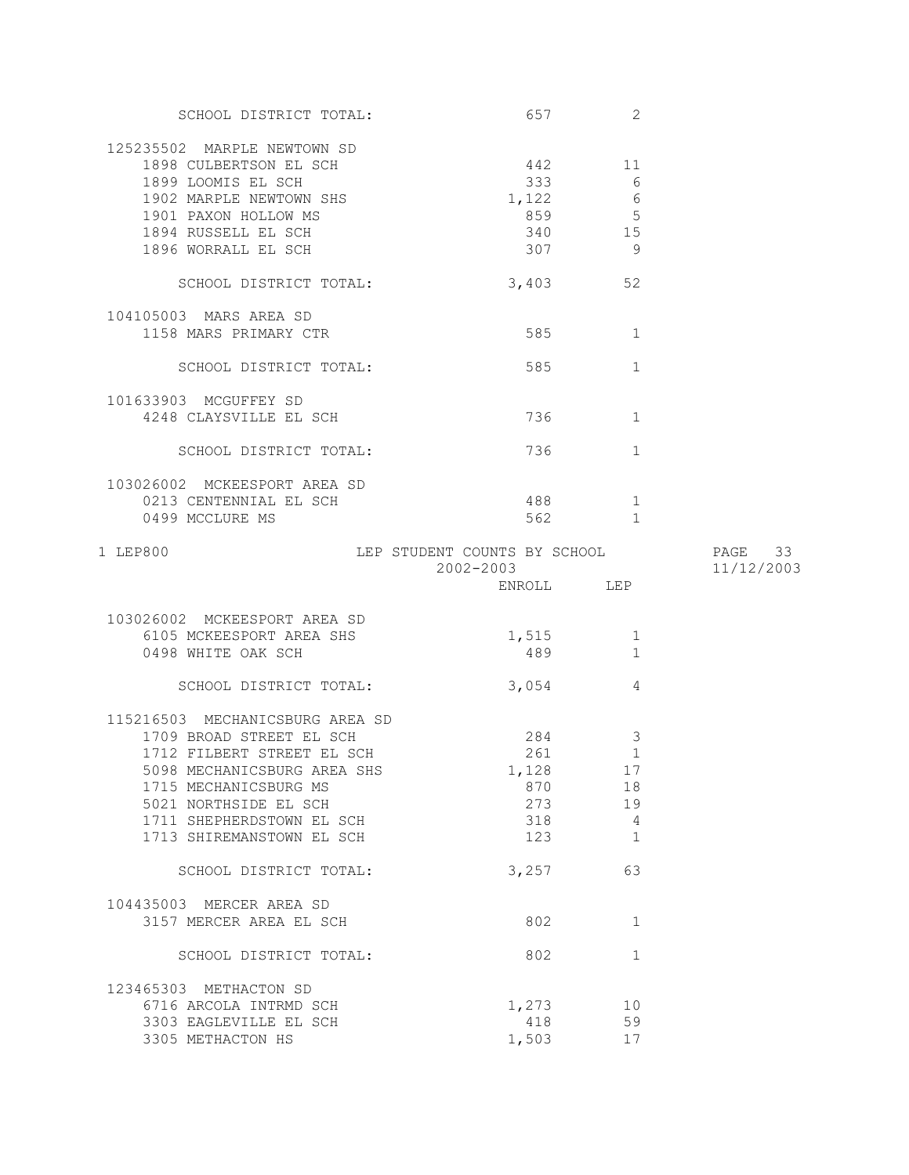| SCHOOL DISTRICT TOTAL:                                                                                                                                                                                                               | 657 — 100                                                          | 2                                             |            |
|--------------------------------------------------------------------------------------------------------------------------------------------------------------------------------------------------------------------------------------|--------------------------------------------------------------------|-----------------------------------------------|------------|
| 125235502 MARPLE NEWTOWN SD<br>1898 CULBERTSON EL SCH<br>1899 LOOMIS EL SCH<br>1902 MARPLE NEWTOWN SHS<br>1901 PAXON HOLLOW MS<br>1894 RUSSELL EL SCH<br>1896 WORRALL EL SCH                                                         | 442<br>333<br>1,122<br>859 5<br>340 15<br>307 9                    | 11<br>6<br>6                                  |            |
| SCHOOL DISTRICT TOTAL:                                                                                                                                                                                                               | 3,403 52                                                           |                                               |            |
| 104105003 MARS AREA SD<br>1158 MARS PRIMARY CTR                                                                                                                                                                                      | 585                                                                | 1                                             |            |
| SCHOOL DISTRICT TOTAL:                                                                                                                                                                                                               | 585                                                                | $\mathbf{1}$                                  |            |
| 101633903 MCGUFFEY SD<br>4248 CLAYSVILLE EL SCH                                                                                                                                                                                      | 736 730                                                            | 1                                             |            |
| SCHOOL DISTRICT TOTAL:                                                                                                                                                                                                               | 736 — 17                                                           | $\mathbf{1}$                                  |            |
| 103026002 MCKEESPORT AREA SD<br>0213 CENTENNIAL EL SCH<br>0499 MCCLURE MS                                                                                                                                                            | 562 2                                                              | 1<br>$\overline{1}$                           |            |
| 1 LEP800                                                                                                                                                                                                                             | LEP STUDENT COUNTS BY SCHOOL 57 PAGE 33<br>2002-2003<br>ENROLL LEP |                                               | 11/12/2003 |
|                                                                                                                                                                                                                                      |                                                                    |                                               |            |
|                                                                                                                                                                                                                                      |                                                                    |                                               |            |
| 103026002 MCKEESPORT AREA SD<br>6105 MCKEESPORT AREA SHS<br>0498 WHITE OAK SCH                                                                                                                                                       | 1,515<br>489                                                       | 1<br>$\mathbf{1}$                             |            |
| SCHOOL DISTRICT TOTAL:                                                                                                                                                                                                               | 3,054                                                              | 4                                             |            |
| 115216503 MECHANICSBURG AREA SD<br>1709 BROAD STREET EL SCH<br>1712 FILBERT STREET EL SCH<br>5098 MECHANICSBURG AREA SHS<br>1715 MECHANICSBURG MS<br>5021 NORTHSIDE EL SCH<br>1711 SHEPHERDSTOWN EL SCH<br>1713 SHIREMANSTOWN EL SCH | 284<br>261<br>1,128<br>870<br>273<br>318<br>123                    | 3<br>$\mathbf{1}$<br>17<br>18<br>19<br>4<br>1 |            |
| SCHOOL DISTRICT TOTAL:                                                                                                                                                                                                               | 3,257                                                              | 63                                            |            |
| 104435003 MERCER AREA SD<br>3157 MERCER AREA EL SCH                                                                                                                                                                                  | 802                                                                | $\mathbf 1$                                   |            |
| SCHOOL DISTRICT TOTAL:                                                                                                                                                                                                               | 802                                                                | $\mathbf{1}$                                  |            |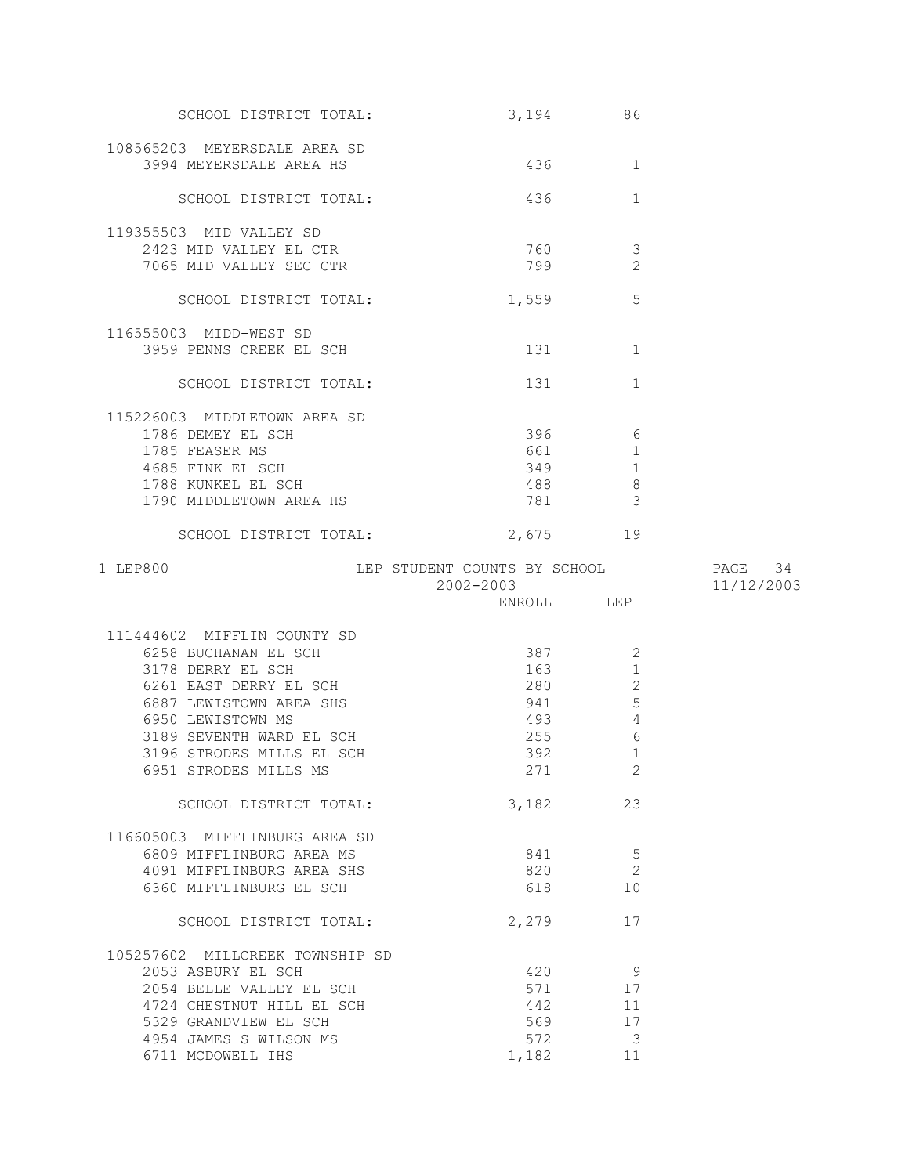| SCHOOL DISTRICT TOTAL:                            | 3,194                                                                                                                                                                                                                           | 86                            |            |
|---------------------------------------------------|---------------------------------------------------------------------------------------------------------------------------------------------------------------------------------------------------------------------------------|-------------------------------|------------|
| 108565203 MEYERSDALE AREA SD                      |                                                                                                                                                                                                                                 |                               |            |
| 3994 MEYERSDALE AREA HS                           | 436                                                                                                                                                                                                                             | 1                             |            |
| SCHOOL DISTRICT TOTAL:                            | 436                                                                                                                                                                                                                             | $\mathbf 1$                   |            |
| 119355503 MID VALLEY SD                           |                                                                                                                                                                                                                                 |                               |            |
| 2423 MID VALLEY EL CTR                            | 760                                                                                                                                                                                                                             | 3                             |            |
| 7065 MID VALLEY SEC CTR                           | 799                                                                                                                                                                                                                             | $\overline{2}$                |            |
|                                                   |                                                                                                                                                                                                                                 |                               |            |
| SCHOOL DISTRICT TOTAL:                            | 1,559                                                                                                                                                                                                                           | 5                             |            |
| 116555003 MIDD-WEST SD                            |                                                                                                                                                                                                                                 |                               |            |
| 3959 PENNS CREEK EL SCH                           | 131 \                                                                                                                                                                                                                           | 1                             |            |
| SCHOOL DISTRICT TOTAL:                            | 131 — 131 — 131 — 131 — 132 — 132 — 132 — 132 — 132 — 132 — 132 — 132 — 132 — 132 — 132 — 132 — 132 — 132 — 132 — 132 — 132 — 132 — 132 — 132 — 132 — 132 — 132 — 132 — 133 — 133 — 133 — 133 — 133 — 133 — 133 — 133 — 133 — 1 | 1                             |            |
|                                                   |                                                                                                                                                                                                                                 |                               |            |
| 115226003 MIDDLETOWN AREA SD<br>1786 DEMEY EL SCH | 396                                                                                                                                                                                                                             | $6\overline{6}$               |            |
| 1785 FEASER MS                                    | 661                                                                                                                                                                                                                             | 1                             |            |
| 4685 FINK EL SCH                                  | 349                                                                                                                                                                                                                             | 1                             |            |
| 1788 KUNKEL EL SCH                                | 488                                                                                                                                                                                                                             | 8                             |            |
| 1790 MIDDLETOWN AREA HS                           | 781                                                                                                                                                                                                                             | $\mathcal{S}$                 |            |
|                                                   |                                                                                                                                                                                                                                 |                               |            |
| SCHOOL DISTRICT TOTAL:                            | 2,675 19                                                                                                                                                                                                                        |                               |            |
| 1 LEP800                                          | LEP STUDENT COUNTS BY SCHOOL                                                                                                                                                                                                    |                               | PAGE 34    |
|                                                   | 2002-2003                                                                                                                                                                                                                       |                               | 11/12/2003 |
|                                                   |                                                                                                                                                                                                                                 |                               |            |
| 111444602 MIFFLIN COUNTY SD                       |                                                                                                                                                                                                                                 |                               |            |
| 6258 BUCHANAN EL SCH                              | 387 38                                                                                                                                                                                                                          | 2                             |            |
| 3178 DERRY EL SCH                                 | 163 —                                                                                                                                                                                                                           | $\mathbf 1$                   |            |
| 6261 EAST DERRY EL SCH                            | 280                                                                                                                                                                                                                             | $\sqrt{2}$                    |            |
| 6887 LEWISTOWN AREA SHS                           | 941                                                                                                                                                                                                                             | 5                             |            |
| 6950 LEWISTOWN MS                                 | 493                                                                                                                                                                                                                             | $\sqrt{4}$                    |            |
| 3189 SEVENTH WARD EL SCH                          | 255                                                                                                                                                                                                                             | $\epsilon$                    |            |
| 3196 STRODES MILLS EL SCH                         | 392                                                                                                                                                                                                                             | $1\,$                         |            |
| 6951 STRODES MILLS MS                             | 271                                                                                                                                                                                                                             | $\overline{2}$                |            |
| SCHOOL DISTRICT TOTAL:                            | 3,182                                                                                                                                                                                                                           | 23                            |            |
|                                                   |                                                                                                                                                                                                                                 |                               |            |
| 116605003 MIFFLINBURG AREA SD                     |                                                                                                                                                                                                                                 |                               |            |
| 6809 MIFFLINBURG AREA MS                          | 841                                                                                                                                                                                                                             | 5                             |            |
| 4091 MIFFLINBURG AREA SHS                         | 820                                                                                                                                                                                                                             | $\overline{2}$                |            |
| 6360 MIFFLINBURG EL SCH                           | 618                                                                                                                                                                                                                             | 10                            |            |
| SCHOOL DISTRICT TOTAL:                            | 2,279                                                                                                                                                                                                                           | 17                            |            |
| 105257602 MILLCREEK TOWNSHIP SD                   |                                                                                                                                                                                                                                 |                               |            |
| 2053 ASBURY EL SCH                                | 420                                                                                                                                                                                                                             | 9                             |            |
| 2054 BELLE VALLEY EL SCH                          | 571                                                                                                                                                                                                                             | 17                            |            |
| 4724 CHESTNUT HILL EL SCH                         |                                                                                                                                                                                                                                 | 11                            |            |
| 5329 GRANDVIEW EL SCH                             | 442                                                                                                                                                                                                                             |                               |            |
|                                                   |                                                                                                                                                                                                                                 | 17                            |            |
|                                                   | 569                                                                                                                                                                                                                             |                               |            |
| 4954 JAMES S WILSON MS<br>6711 MCDOWELL IHS       | 572<br>1,182                                                                                                                                                                                                                    | $\overline{\mathbf{3}}$<br>11 |            |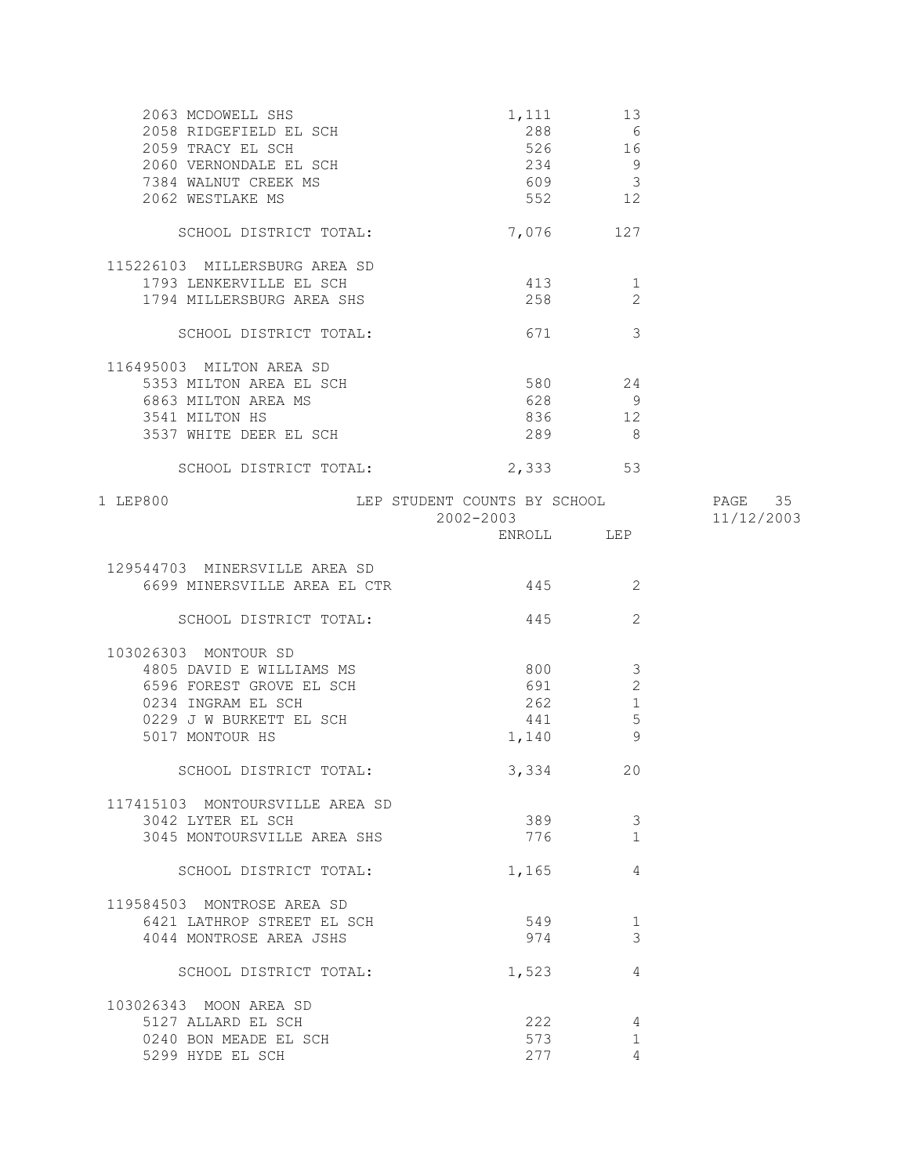| 2063 MCDOWELL SHS                                 | 1,111                                                                                                                                                                                                                          | 13              |            |
|---------------------------------------------------|--------------------------------------------------------------------------------------------------------------------------------------------------------------------------------------------------------------------------------|-----------------|------------|
| 2058 RIDGEFIELD EL SCH                            | 288                                                                                                                                                                                                                            | $6\overline{6}$ |            |
| 2059 TRACY EL SCH                                 | 526                                                                                                                                                                                                                            | 16              |            |
| 2060 VERNONDALE EL SCH                            | 234                                                                                                                                                                                                                            | $\overline{9}$  |            |
| 7384 WALNUT CREEK MS                              | 609 3                                                                                                                                                                                                                          |                 |            |
| 2062 WESTLAKE MS                                  | 552 12                                                                                                                                                                                                                         |                 |            |
| SCHOOL DISTRICT TOTAL:                            | 7,076                                                                                                                                                                                                                          | 127             |            |
| 115226103 MILLERSBURG AREA SD                     |                                                                                                                                                                                                                                |                 |            |
| 1793 LENKERVILLE EL SCH                           | 413                                                                                                                                                                                                                            | $\mathbf{1}$    |            |
| 1794 MILLERSBURG AREA SHS                         | 258                                                                                                                                                                                                                            | 2               |            |
|                                                   |                                                                                                                                                                                                                                |                 |            |
| SCHOOL DISTRICT TOTAL:                            | 671                                                                                                                                                                                                                            | $\mathcal{E}$   |            |
| 116495003 MILTON AREA SD                          |                                                                                                                                                                                                                                |                 |            |
| 5353 MILTON AREA EL SCH                           | 580 24                                                                                                                                                                                                                         |                 |            |
| 6863 MILTON AREA MS                               | 628                                                                                                                                                                                                                            | - 9             |            |
| 3541 MILTON HS                                    | 836                                                                                                                                                                                                                            | 12              |            |
| 3537 WHITE DEER EL SCH                            | 289                                                                                                                                                                                                                            | - 8             |            |
|                                                   |                                                                                                                                                                                                                                |                 |            |
| SCHOOL DISTRICT TOTAL:                            | 2,333 53                                                                                                                                                                                                                       |                 |            |
| 1 LEP800<br>LEP STUDENT COUNTS BY SCHOOL THAGE 35 |                                                                                                                                                                                                                                |                 |            |
|                                                   | $2002 - 2003$                                                                                                                                                                                                                  |                 | 11/12/2003 |
|                                                   | ENROLL LEP                                                                                                                                                                                                                     |                 |            |
| 129544703 MINERSVILLE AREA SD                     |                                                                                                                                                                                                                                |                 |            |
|                                                   |                                                                                                                                                                                                                                | 2               |            |
| 6699 MINERSVILLE AREA EL CTR                      | 445                                                                                                                                                                                                                            |                 |            |
| SCHOOL DISTRICT TOTAL:                            | 445                                                                                                                                                                                                                            | 2               |            |
| 103026303 MONTOUR SD                              |                                                                                                                                                                                                                                |                 |            |
| 4805 DAVID E WILLIAMS MS                          | 800                                                                                                                                                                                                                            | 3               |            |
| 6596 FOREST GROVE EL SCH                          | 691                                                                                                                                                                                                                            | $\overline{c}$  |            |
| 0234 INGRAM EL SCH                                | 262                                                                                                                                                                                                                            | $\mathbf{1}$    |            |
| 0229 J W BURKETT EL SCH                           | 441                                                                                                                                                                                                                            | $\overline{5}$  |            |
|                                                   |                                                                                                                                                                                                                                | 9               |            |
| 5017 MONTOUR HS                                   | 1,140                                                                                                                                                                                                                          |                 |            |
| SCHOOL DISTRICT TOTAL:                            | 3,334                                                                                                                                                                                                                          | 20              |            |
| 117415103 MONTOURSVILLE AREA SD                   |                                                                                                                                                                                                                                |                 |            |
| 3042 LYTER EL SCH                                 | 389                                                                                                                                                                                                                            | 3               |            |
| 3045 MONTOURSVILLE AREA SHS                       | 776 — 1776 — 1780 — 1780 — 1780 — 1780 — 1780 — 1780 — 1780 — 1780 — 1780 — 1780 — 1780 — 1780 — 1780 — 1780 — 1780 — 1780 — 1780 — 1780 — 1780 — 1780 — 1780 — 1780 — 1780 — 1780 — 1780 — 1780 — 1780 — 1780 — 1780 — 1780 — | $\mathbf{1}$    |            |
| SCHOOL DISTRICT TOTAL:                            | 1,165                                                                                                                                                                                                                          | 4               |            |
|                                                   |                                                                                                                                                                                                                                |                 |            |
| 119584503 MONTROSE AREA SD                        |                                                                                                                                                                                                                                |                 |            |
| 6421 LATHROP STREET EL SCH                        | 549                                                                                                                                                                                                                            | 1               |            |
| 4044 MONTROSE AREA JSHS                           | 974                                                                                                                                                                                                                            | 3               |            |
| SCHOOL DISTRICT TOTAL:                            | 1,523                                                                                                                                                                                                                          | 4               |            |
| 103026343 MOON AREA SD                            |                                                                                                                                                                                                                                |                 |            |
| 5127 ALLARD EL SCH                                | 222                                                                                                                                                                                                                            | 4               |            |
|                                                   | 573                                                                                                                                                                                                                            | $\mathbf 1$     |            |
| 0240 BON MEADE EL SCH                             | 277                                                                                                                                                                                                                            | 4               |            |
| 5299 HYDE EL SCH                                  |                                                                                                                                                                                                                                |                 |            |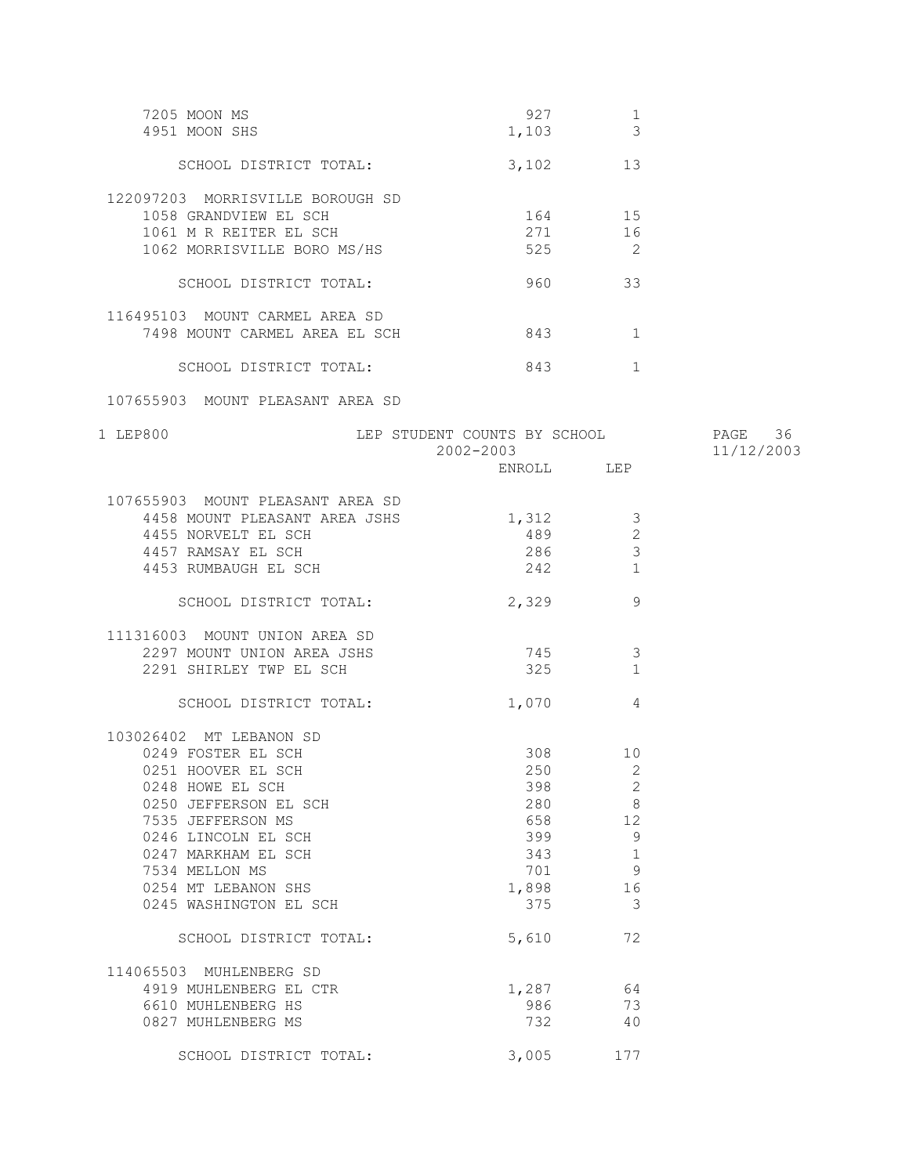| 7205 MOON MS<br>4951 MOON SHS                                                                                                                                                                                                                                                                                                                               | 927<br>1,103                                                                                       | 1<br>$\mathcal{S}$                                                                          |                       |
|-------------------------------------------------------------------------------------------------------------------------------------------------------------------------------------------------------------------------------------------------------------------------------------------------------------------------------------------------------------|----------------------------------------------------------------------------------------------------|---------------------------------------------------------------------------------------------|-----------------------|
| SCHOOL DISTRICT TOTAL:                                                                                                                                                                                                                                                                                                                                      |                                                                                                    | 3,102 13                                                                                    |                       |
| 122097203 MORRISVILLE BOROUGH SD<br>1058 GRANDVIEW EL SCH<br>1061 M R REITER EL SCH                                                                                                                                                                                                                                                                         |                                                                                                    | 164 15<br>271 16                                                                            |                       |
| 1062 MORRISVILLE BORO MS/HS                                                                                                                                                                                                                                                                                                                                 |                                                                                                    | 525 2                                                                                       |                       |
| SCHOOL DISTRICT TOTAL:                                                                                                                                                                                                                                                                                                                                      |                                                                                                    | 960 33                                                                                      |                       |
| 116495103 MOUNT CARMEL AREA SD<br>7498 MOUNT CARMEL AREA EL SCH                                                                                                                                                                                                                                                                                             | 843                                                                                                | 1                                                                                           |                       |
| SCHOOL DISTRICT TOTAL:                                                                                                                                                                                                                                                                                                                                      | 843                                                                                                | 1                                                                                           |                       |
| 107655903 MOUNT PLEASANT AREA SD                                                                                                                                                                                                                                                                                                                            |                                                                                                    |                                                                                             |                       |
| 1 LEP800                                                                                                                                                                                                                                                                                                                                                    | LEP STUDENT COUNTS BY SCHOOL<br>2002-2003                                                          |                                                                                             | PAGE 36<br>11/12/2003 |
|                                                                                                                                                                                                                                                                                                                                                             |                                                                                                    | ENROLL LEP                                                                                  |                       |
| 107655903 MOUNT PLEASANT AREA SD<br>4458 MOUNT PLEASANT AREA JSHS<br>4455 NORVELT EL SCH<br>4457 RAMSAY EL SCH<br>4453 RUMBAUGH EL SCH                                                                                                                                                                                                                      | 1,312<br>286 30<br>242                                                                             | 3<br>2<br>3<br>1                                                                            |                       |
| SCHOOL DISTRICT TOTAL:                                                                                                                                                                                                                                                                                                                                      | 2,329                                                                                              | 9                                                                                           |                       |
| 111316003 MOUNT UNION AREA SD<br>2297 MOUNT UNION AREA JSHS<br>2291 SHIRLEY TWP EL SCH                                                                                                                                                                                                                                                                      | 745<br>325                                                                                         | 3<br>$\mathbf{1}$                                                                           |                       |
| SCHOOL DISTRICT TOTAL:                                                                                                                                                                                                                                                                                                                                      | 1,070                                                                                              | 4                                                                                           |                       |
| 103026402 MT LEBANON SD<br>0249 FOSTER EL SCH<br>0251 HOOVER EL SCH<br>0248 HOWE EL SCH<br>0250 JEFFERSON EL SCH<br>7535 JEFFERSON MS<br>0246 LINCOLN EL SCH<br>0247 MARKHAM EL SCH<br>7534 MELLON MS<br>0254 MT LEBANON SHS<br>0245 WASHINGTON EL SCH<br>SCHOOL DISTRICT TOTAL:<br>114065503 MUHLENBERG SD<br>4919 MUHLENBERG EL CTR<br>6610 MUHLENBERG HS | 308 — 10<br>250<br>398<br>280<br>658<br>399<br>343<br>701<br>1,898<br>375<br>5,610<br>1,287<br>986 | 10<br>$\overline{2}$<br>$\mathbf{2}$<br>8<br>12<br>9<br>1<br>9<br>16<br>3<br>72<br>64<br>73 |                       |
| 0827 MUHLENBERG MS                                                                                                                                                                                                                                                                                                                                          | 732                                                                                                | 40                                                                                          |                       |

SCHOOL DISTRICT TOTAL: 3,005 177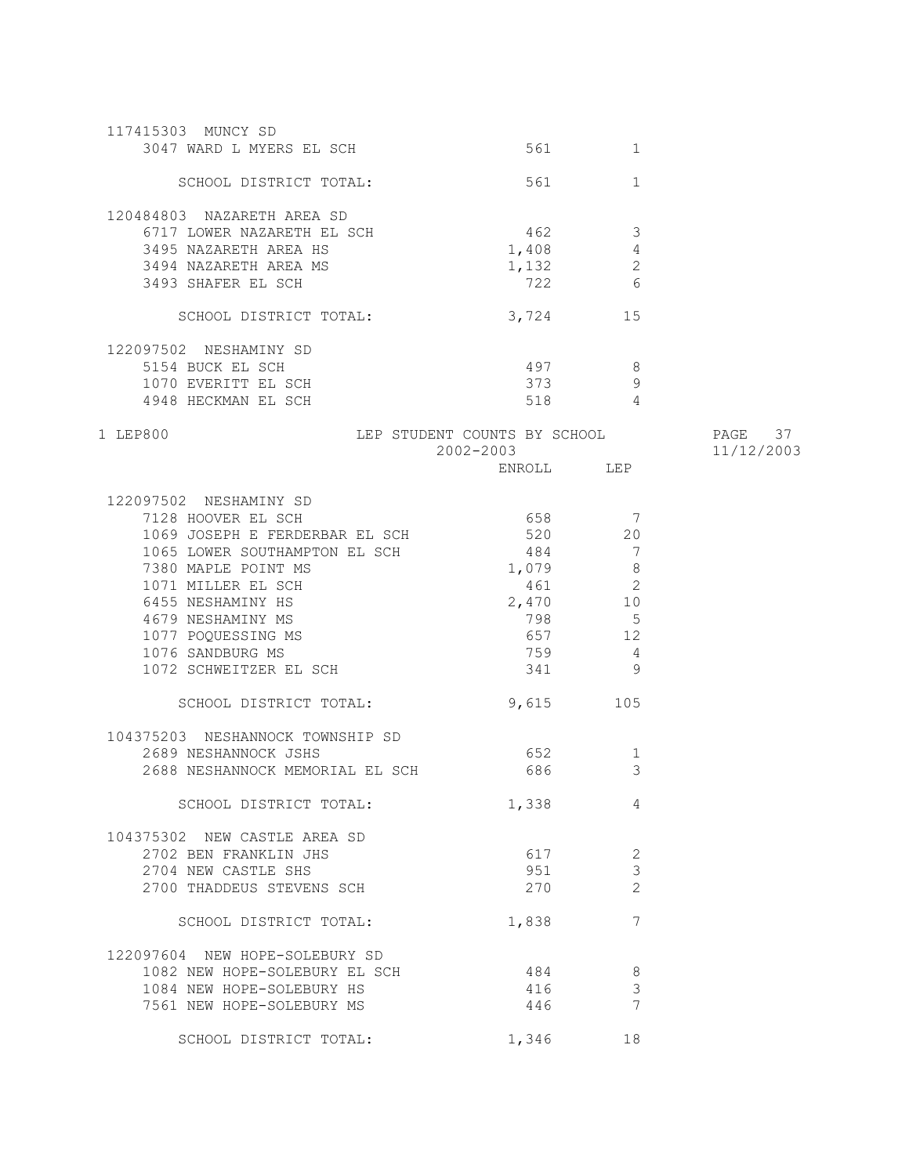| 117415303 MUNCY SD                  |                              |                |            |
|-------------------------------------|------------------------------|----------------|------------|
| 3047 WARD L MYERS EL SCH            | 561 —                        | 1              |            |
|                                     |                              |                |            |
| SCHOOL DISTRICT TOTAL:              | 561                          | $\mathbf{1}$   |            |
|                                     |                              |                |            |
| 120484803 NAZARETH AREA SD          |                              |                |            |
| 6717 LOWER NAZARETH EL SCH          | 462                          | $\overline{3}$ |            |
| 3495 NAZARETH AREA HS               | 1,408                        | $\overline{4}$ |            |
| 3494 NAZARETH AREA MS               | 1,132                        | $\mathbf{2}$   |            |
| 3493 SHAFER EL SCH                  | 722                          | 6              |            |
| SCHOOL DISTRICT TOTAL:              |                              | 15             |            |
|                                     | 3,724                        |                |            |
| 122097502 NESHAMINY SD              |                              |                |            |
| 5154 BUCK EL SCH                    | 497                          | 8 <sup>8</sup> |            |
| 1070 EVERITT EL SCH                 | 373                          | 9              |            |
| 4948 HECKMAN EL SCH                 | 518                          | $\overline{4}$ |            |
|                                     |                              |                |            |
| 1 LEP800                            | LEP STUDENT COUNTS BY SCHOOL |                | PAGE 37    |
|                                     | $2002 - 2003$                |                | 11/12/2003 |
|                                     |                              | ENROLL LEP     |            |
|                                     |                              |                |            |
| 122097502 NESHAMINY SD              |                              |                |            |
| 7128 HOOVER EL SCH                  | 658                          | 7              |            |
| 1069 JOSEPH E FERDERBAR EL SCH      | 520                          | 20             |            |
| 1065 LOWER SOUTHAMPTON EL SCH       | 484                          | $\overline{7}$ |            |
| 7380 MAPLE POINT MS                 | 1,079                        | 8 <sup>8</sup> |            |
| 1071 MILLER EL SCH                  |                              | 461 2          |            |
| 6455 NESHAMINY HS                   | 2,470 10                     |                |            |
| 4679 NESHAMINY MS                   |                              | 798 5          |            |
| 1077 POQUESSING MS                  |                              | 657 12         |            |
| 1076 SANDBURG MS                    | 759                          | -4             |            |
| 1072 SCHWEITZER EL SCH              | 341                          | 9              |            |
|                                     |                              |                |            |
| SCHOOL DISTRICT TOTAL:              | 9,615                        | 105            |            |
| 104375203 NESHANNOCK TOWNSHIP SD    |                              |                |            |
| 2689 NESHANNOCK JSHS                | 652                          | 1              |            |
| 2688 NESHANNOCK MEMORIAL EL SCH 686 |                              | 3              |            |
|                                     |                              |                |            |
| SCHOOL DISTRICT TOTAL:              | 1,338                        | 4              |            |
|                                     |                              |                |            |
| 104375302 NEW CASTLE AREA SD        |                              |                |            |
| 2702 BEN FRANKLIN JHS               | 617                          | $\mathbf{2}$   |            |
| 2704 NEW CASTLE SHS                 | 951                          | $\mathfrak{Z}$ |            |
| 2700 THADDEUS STEVENS SCH           | 270                          | $\overline{2}$ |            |
|                                     |                              |                |            |
| SCHOOL DISTRICT TOTAL:              | 1,838                        | 7              |            |
|                                     |                              |                |            |
| 122097604 NEW HOPE-SOLEBURY SD      |                              |                |            |
| 1082 NEW HOPE-SOLEBURY EL SCH       | 484                          | 8              |            |
| 1084 NEW HOPE-SOLEBURY HS           | 416                          | $\mathfrak{Z}$ |            |
| 7561 NEW HOPE-SOLEBURY MS           | 446                          | $\overline{7}$ |            |
| SCHOOL DISTRICT TOTAL:              | 1,346                        | 18             |            |
|                                     |                              |                |            |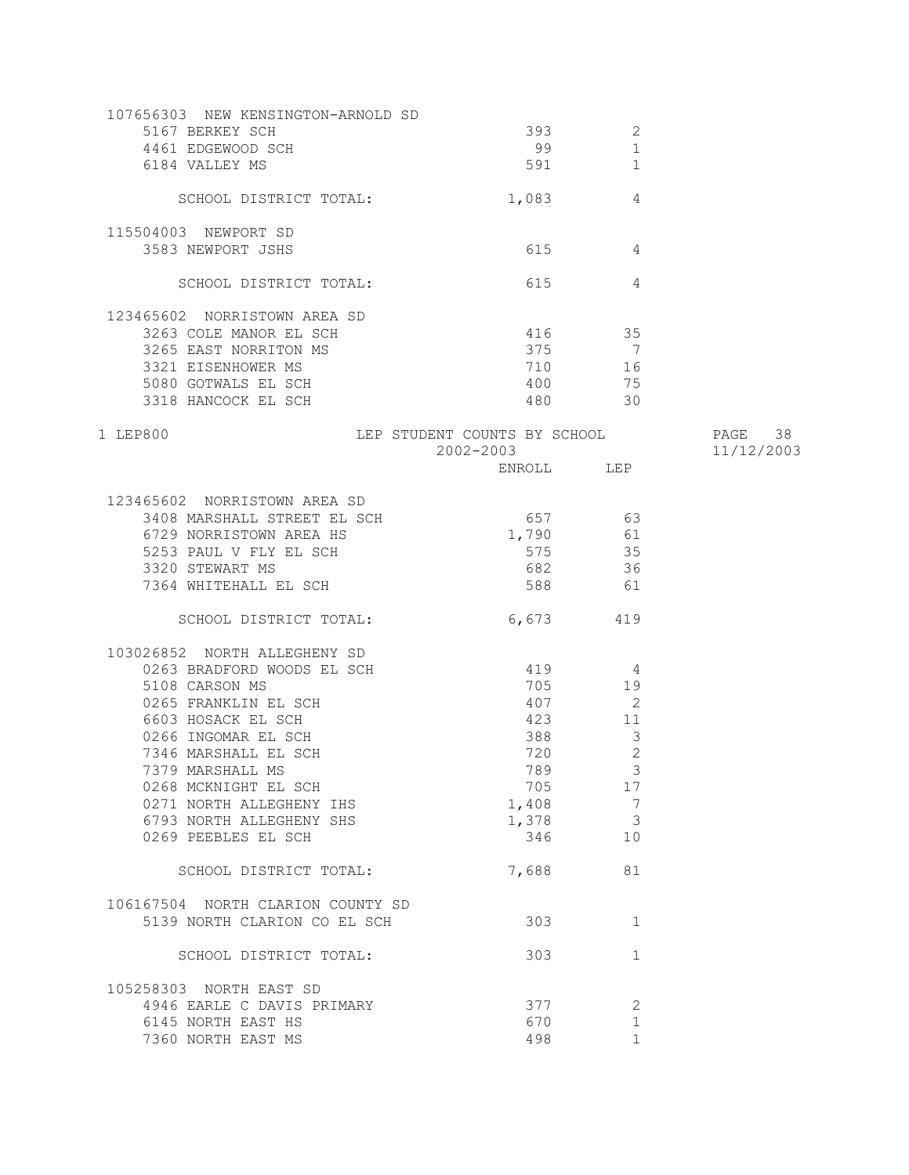| 107656303 NEW KENSINGTON-ARNOLD SD        |                              |                            |            |
|-------------------------------------------|------------------------------|----------------------------|------------|
| 5167 BERKEY SCH                           | 393                          | 2                          |            |
| 4461 EDGEWOOD SCH                         | 99                           | $\mathbf 1$                |            |
| 6184 VALLEY MS                            | 591                          | $\mathbf{1}$               |            |
| SCHOOL DISTRICT TOTAL:                    | 1,083                        | 4                          |            |
|                                           |                              |                            |            |
| 115504003 NEWPORT SD<br>3583 NEWPORT JSHS | 615                          | $\overline{4}$             |            |
|                                           |                              |                            |            |
| SCHOOL DISTRICT TOTAL:                    | 615                          | 4                          |            |
| 123465602 NORRISTOWN AREA SD              |                              |                            |            |
| 3263 COLE MANOR EL SCH                    | 416 35                       |                            |            |
| 3265 EAST NORRITON MS                     | 375                          | $\overline{7}$             |            |
| 3321 EISENHOWER MS                        | 710                          | 16                         |            |
| 5080 GOTWALS EL SCH                       | 400                          | 75                         |            |
| 3318 HANCOCK EL SCH                       | 480 — 180                    | 30                         |            |
|                                           |                              |                            |            |
| 1 LEP800                                  | LEP STUDENT COUNTS BY SCHOOL |                            | PAGE 38    |
|                                           | 2002-2003                    |                            | 11/12/2003 |
|                                           | ENROLL LEP                   |                            |            |
| 123465602 NORRISTOWN AREA SD              |                              |                            |            |
| 3408 MARSHALL STREET EL SCH               | 657                          | 63                         |            |
| 6729 NORRISTOWN AREA HS                   | 1,790                        | 61                         |            |
| 5253 PAUL V FLY EL SCH                    | 575                          | 35                         |            |
| 3320 STEWART MS                           | 682                          | 36                         |            |
| 7364 WHITEHALL EL SCH                     | 588                          | 61                         |            |
|                                           |                              |                            |            |
| SCHOOL DISTRICT TOTAL:                    | 6,673 419                    |                            |            |
| 103026852 NORTH ALLEGHENY SD              |                              |                            |            |
| 0263 BRADFORD WOODS EL SCH                | 419                          | 4                          |            |
| 5108 CARSON MS                            | 705                          | 19                         |            |
| 0265 FRANKLIN EL SCH                      | 407                          | $\overline{\phantom{0}}^2$ |            |
| 6603 HOSACK EL SCH                        | 423                          | 11                         |            |
| 0266 INGOMAR EL SCH                       | 388                          | 3                          |            |
| 7346 MARSHALL EL SCH                      | 720                          | $\mathbf{2}$               |            |
| 7379 MARSHALL MS                          | 789                          | $\overline{3}$             |            |
| 0268 MCKNIGHT EL SCH                      | 705                          | 17                         |            |
| 0271 NORTH ALLEGHENY IHS                  | 1,408                        | 7                          |            |
|                                           |                              |                            |            |
| 6793 NORTH ALLEGHENY SHS                  | 1,378                        | 3                          |            |
| 0269 PEEBLES EL SCH                       | 346                          | 10                         |            |
| SCHOOL DISTRICT TOTAL:                    | 7,688                        | 81                         |            |
| 106167504 NORTH CLARION COUNTY SD         |                              |                            |            |
| 5139 NORTH CLARION CO EL SCH              | 303                          | 1                          |            |
|                                           |                              |                            |            |
| SCHOOL DISTRICT TOTAL:                    | 303                          | 1                          |            |
| 105258303 NORTH EAST SD                   |                              |                            |            |
| 4946 EARLE C DAVIS PRIMARY                | 377                          | 2                          |            |
| 6145 NORTH EAST HS                        | 670                          | 1                          |            |
| 7360 NORTH EAST MS                        | 498                          | $\mathbf{1}$               |            |
|                                           |                              |                            |            |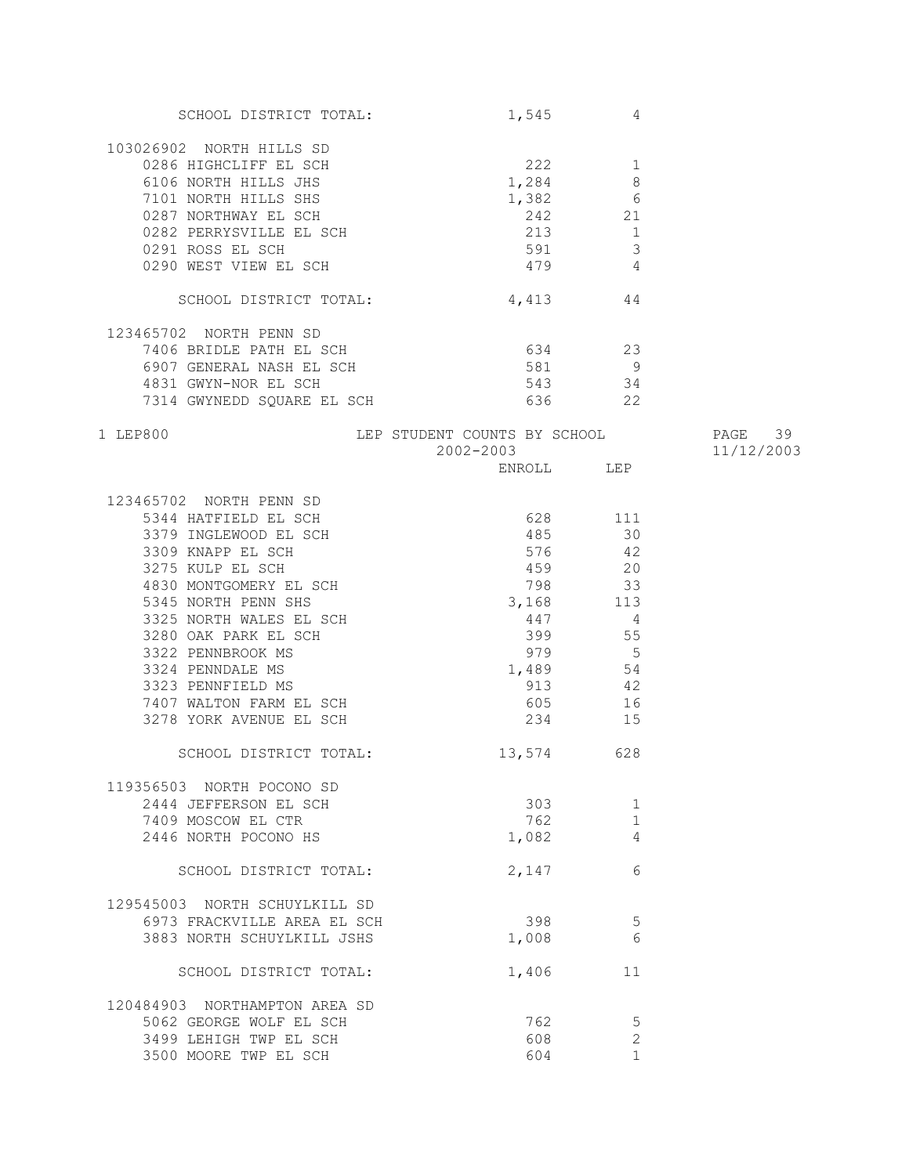| SCHOOL DISTRICT TOTAL:                                                                                                                                                                                  | 1,545                                                        | 4            |            |
|---------------------------------------------------------------------------------------------------------------------------------------------------------------------------------------------------------|--------------------------------------------------------------|--------------|------------|
| 103026902 NORTH HILLS SD                                                                                                                                                                                |                                                              |              |            |
|                                                                                                                                                                                                         |                                                              |              |            |
|                                                                                                                                                                                                         |                                                              |              |            |
|                                                                                                                                                                                                         |                                                              |              |            |
|                                                                                                                                                                                                         |                                                              |              |            |
|                                                                                                                                                                                                         |                                                              |              |            |
|                                                                                                                                                                                                         |                                                              |              |            |
|                                                                                                                                                                                                         |                                                              |              |            |
| 0286 HIGHCLIFF EL SCH<br>6106 NORTH HILLS JHS<br>7101 NORTH HILLS SHS<br>0287 NORTHWAY EL SCH<br>0282 PERRYSVILLE EL SCH<br>0291 ROSS EL SCH<br>0291 ROSS EL SCH<br>0290 WEST VIEW EL SCH<br>479<br>479 |                                                              |              |            |
| SCHOOL DISTRICT TOTAL:                                                                                                                                                                                  | $4,413$ 44                                                   |              |            |
| 123465702 NORTH PENN SD                                                                                                                                                                                 |                                                              |              |            |
| 7406 BRIDLE PATH EL SCH                                                                                                                                                                                 | 634 23                                                       |              |            |
| 6907 GENERAL NASH EL SCH<br>4831 GWYN-NOR EL SCH                                                                                                                                                        | 581 9                                                        |              |            |
|                                                                                                                                                                                                         | 543                                                          | 34           |            |
| 7314 GWYNEDD SQUARE EL SCH                                                                                                                                                                              |                                                              | 636 22       |            |
|                                                                                                                                                                                                         |                                                              |              |            |
| 1 LEP800                                                                                                                                                                                                | LEP STUDENT COUNTS BY SCHOOL PAGE 39<br>2002-2003 11/12/2003 |              | 11/12/2003 |
|                                                                                                                                                                                                         |                                                              | ENROLL LEP   |            |
|                                                                                                                                                                                                         |                                                              |              |            |
| 123465702 NORTH PENN SD                                                                                                                                                                                 |                                                              |              |            |
|                                                                                                                                                                                                         | 628 111                                                      |              |            |
|                                                                                                                                                                                                         | 485                                                          | 30           |            |
| 165702 NOKIH FENN SD<br>5344 HATFIELD EL SCH<br>3379 INGLEWOOD EL SCH<br>3309 KNAPP EL SCH<br>3275 KULP EL SCH<br>4830 MONTGOMERY EL SCH                                                                | 576                                                          | 42           |            |
|                                                                                                                                                                                                         | 459                                                          | 20           |            |
|                                                                                                                                                                                                         | 798 33                                                       |              |            |
|                                                                                                                                                                                                         | 3, 168 113                                                   |              |            |
| 5345 NORTH PENN SHS                                                                                                                                                                                     |                                                              |              |            |
|                                                                                                                                                                                                         | 447                                                          | 4            |            |
|                                                                                                                                                                                                         |                                                              | 399 55       |            |
|                                                                                                                                                                                                         |                                                              | 979 5        |            |
|                                                                                                                                                                                                         | $1,489$ 54                                                   |              |            |
|                                                                                                                                                                                                         | 913                                                          | 42           |            |
|                                                                                                                                                                                                         | 605                                                          | 16           |            |
| 3325 NORTH FENN SHS<br>3325 NORTH WALES EL SCH<br>3280 OAK PARK EL SCH<br>3322 PENNBROOK MS<br>3324 PENNDALE MS<br>3323 PENNFIELD MS<br>7407 WALTON FARM EL SCH<br>3278 YORK AVENUE EL SCH              | 234                                                          | 15           |            |
| SCHOOL DISTRICT TOTAL:                                                                                                                                                                                  | 13,574 628                                                   |              |            |
| 119356503 NORTH POCONO SD                                                                                                                                                                               |                                                              |              |            |
| 2444 JEFFERSON EL SCH                                                                                                                                                                                   | 303                                                          | 1            |            |
|                                                                                                                                                                                                         |                                                              |              |            |
| 7409 MOSCOW EL CTR                                                                                                                                                                                      | 762                                                          | $\mathbf{1}$ |            |
| 2446 NORTH POCONO HS                                                                                                                                                                                    | 1,082                                                        | 4            |            |
| SCHOOL DISTRICT TOTAL:                                                                                                                                                                                  | 2,147                                                        | 6            |            |
| 129545003 NORTH SCHUYLKILL SD                                                                                                                                                                           |                                                              |              |            |
| 6973 FRACKVILLE AREA EL SCH                                                                                                                                                                             | 398                                                          | 5            |            |
| 3883 NORTH SCHUYLKILL JSHS                                                                                                                                                                              | 1,008                                                        | 6            |            |
| SCHOOL DISTRICT TOTAL:                                                                                                                                                                                  | 1,406                                                        | 11           |            |
|                                                                                                                                                                                                         |                                                              |              |            |
| 120484903 NORTHAMPTON AREA SD                                                                                                                                                                           |                                                              |              |            |
| 5062 GEORGE WOLF EL SCH                                                                                                                                                                                 | 762                                                          | 5            |            |
| 3499 LEHIGH TWP EL SCH                                                                                                                                                                                  | 608                                                          | $\mathbf{2}$ |            |
| 3500 MOORE TWP EL SCH                                                                                                                                                                                   | 604                                                          | $\mathbf{1}$ |            |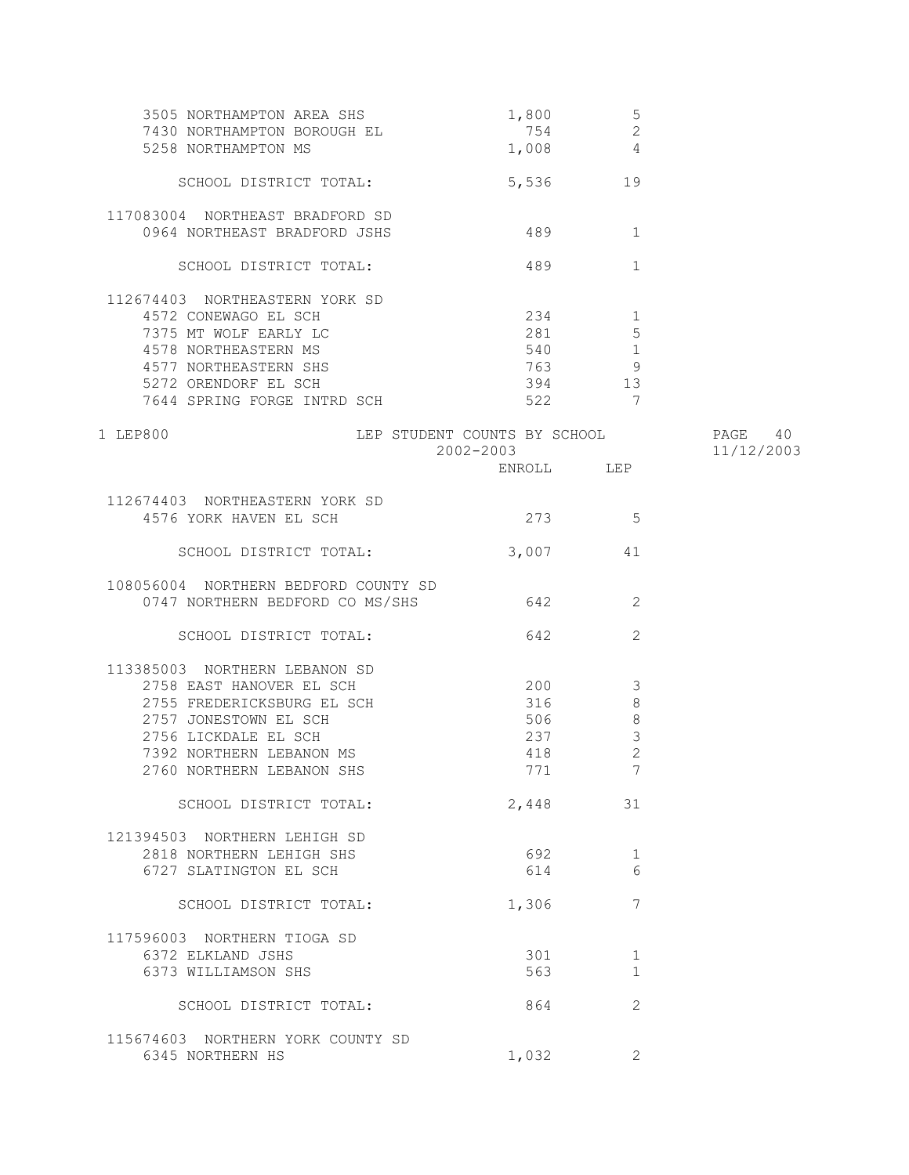| 3505 NORTHAMPTON AREA SHS<br>7430 NORTHAMPTON BOROUGH EL | 1,800<br>754                              | 5<br>$\mathbf{2}$                                                                                                                                                                                                                    |                       |
|----------------------------------------------------------|-------------------------------------------|--------------------------------------------------------------------------------------------------------------------------------------------------------------------------------------------------------------------------------------|-----------------------|
| 5258 NORTHAMPTON MS                                      | 1,008                                     | $\overline{4}$                                                                                                                                                                                                                       |                       |
| SCHOOL DISTRICT TOTAL:                                   |                                           | 5,536<br>19                                                                                                                                                                                                                          |                       |
| 117083004 NORTHEAST BRADFORD SD                          |                                           |                                                                                                                                                                                                                                      |                       |
| 0964 NORTHEAST BRADFORD JSHS                             | 489                                       | 1                                                                                                                                                                                                                                    |                       |
| SCHOOL DISTRICT TOTAL:                                   | 489                                       | $\mathbf{1}$                                                                                                                                                                                                                         |                       |
| 112674403 NORTHEASTERN YORK SD                           |                                           |                                                                                                                                                                                                                                      |                       |
| 4572 CONEWAGO EL SCH                                     | 234                                       | $\sim$ 1                                                                                                                                                                                                                             |                       |
| 7375 MT WOLF EARLY LC                                    |                                           | 281 281<br>5                                                                                                                                                                                                                         |                       |
| 4578 NORTHEASTERN MS                                     |                                           | 540 1                                                                                                                                                                                                                                |                       |
| 4577 NORTHEASTERN SHS                                    |                                           | 763 — 763 — 763 — 763 — 763 — 763 — 763 — 764 — 765 — 765 — 765 — 765 — 765 — 766 — 766 — 766 — 767 — 768 — 769 — 769 — 769 — 769 — 769 — 769 — 769 — 769 — 769 — 760 — 760 — 760 — 760 — 760 — 760 — 760 — 760 — 760 — 760 — 7<br>9 |                       |
| 5272 ORENDORF EL SCH                                     |                                           | 394<br>13                                                                                                                                                                                                                            |                       |
| 7644 SPRING FORGE INTRD SCH                              | 522                                       | 7                                                                                                                                                                                                                                    |                       |
| 1 LEP800                                                 | LEP STUDENT COUNTS BY SCHOOL<br>2002-2003 |                                                                                                                                                                                                                                      | PAGE 40<br>11/12/2003 |
|                                                          |                                           | ENROLL LEP                                                                                                                                                                                                                           |                       |
| 112674403 NORTHEASTERN YORK SD                           |                                           |                                                                                                                                                                                                                                      |                       |
| 4576 YORK HAVEN EL SCH                                   | 273                                       | 5                                                                                                                                                                                                                                    |                       |
| SCHOOL DISTRICT TOTAL:                                   | 3,007                                     | 41                                                                                                                                                                                                                                   |                       |
| 108056004 NORTHERN BEDFORD COUNTY SD                     |                                           |                                                                                                                                                                                                                                      |                       |
| 0747 NORTHERN BEDFORD CO MS/SHS                          | 642                                       | 2                                                                                                                                                                                                                                    |                       |
| SCHOOL DISTRICT TOTAL:                                   | 642                                       | 2                                                                                                                                                                                                                                    |                       |
|                                                          |                                           |                                                                                                                                                                                                                                      |                       |
| 113385003 NORTHERN LEBANON SD                            |                                           |                                                                                                                                                                                                                                      |                       |
| 2758 EAST HANOVER EL SCH                                 | 200                                       | 3                                                                                                                                                                                                                                    |                       |
| 2755 FREDERICKSBURG EL SCH                               | 316                                       | $\,8\,$                                                                                                                                                                                                                              |                       |
| 2757 JONESTOWN EL SCH                                    | 506                                       | $\,8\,$                                                                                                                                                                                                                              |                       |
| 2756 LICKDALE EL SCH                                     | 237                                       | $\mathcal{S}$                                                                                                                                                                                                                        |                       |
| 7392 NORTHERN LEBANON MS                                 | 418                                       | $\overline{c}$                                                                                                                                                                                                                       |                       |
| 2760 NORTHERN LEBANON SHS                                | 771                                       | 7                                                                                                                                                                                                                                    |                       |
| SCHOOL DISTRICT TOTAL:                                   |                                           | 2,448<br>31                                                                                                                                                                                                                          |                       |
| 121394503 NORTHERN LEHIGH SD                             |                                           |                                                                                                                                                                                                                                      |                       |
| 2818 NORTHERN LEHIGH SHS                                 | 692                                       | 1                                                                                                                                                                                                                                    |                       |
| 6727 SLATINGTON EL SCH                                   | 614                                       | 6                                                                                                                                                                                                                                    |                       |
| SCHOOL DISTRICT TOTAL:                                   | 1,306                                     | 7                                                                                                                                                                                                                                    |                       |
| 117596003 NORTHERN TIOGA SD                              |                                           |                                                                                                                                                                                                                                      |                       |
| 6372 ELKLAND JSHS                                        | 301                                       | 1                                                                                                                                                                                                                                    |                       |
| 6373 WILLIAMSON SHS                                      |                                           | 563<br>$\mathbf{1}$                                                                                                                                                                                                                  |                       |
| SCHOOL DISTRICT TOTAL:                                   | 864                                       | 2                                                                                                                                                                                                                                    |                       |
| 115674603 NORTHERN YORK COUNTY SD                        |                                           |                                                                                                                                                                                                                                      |                       |
| 6345 NORTHERN HS                                         | 1,032                                     | 2                                                                                                                                                                                                                                    |                       |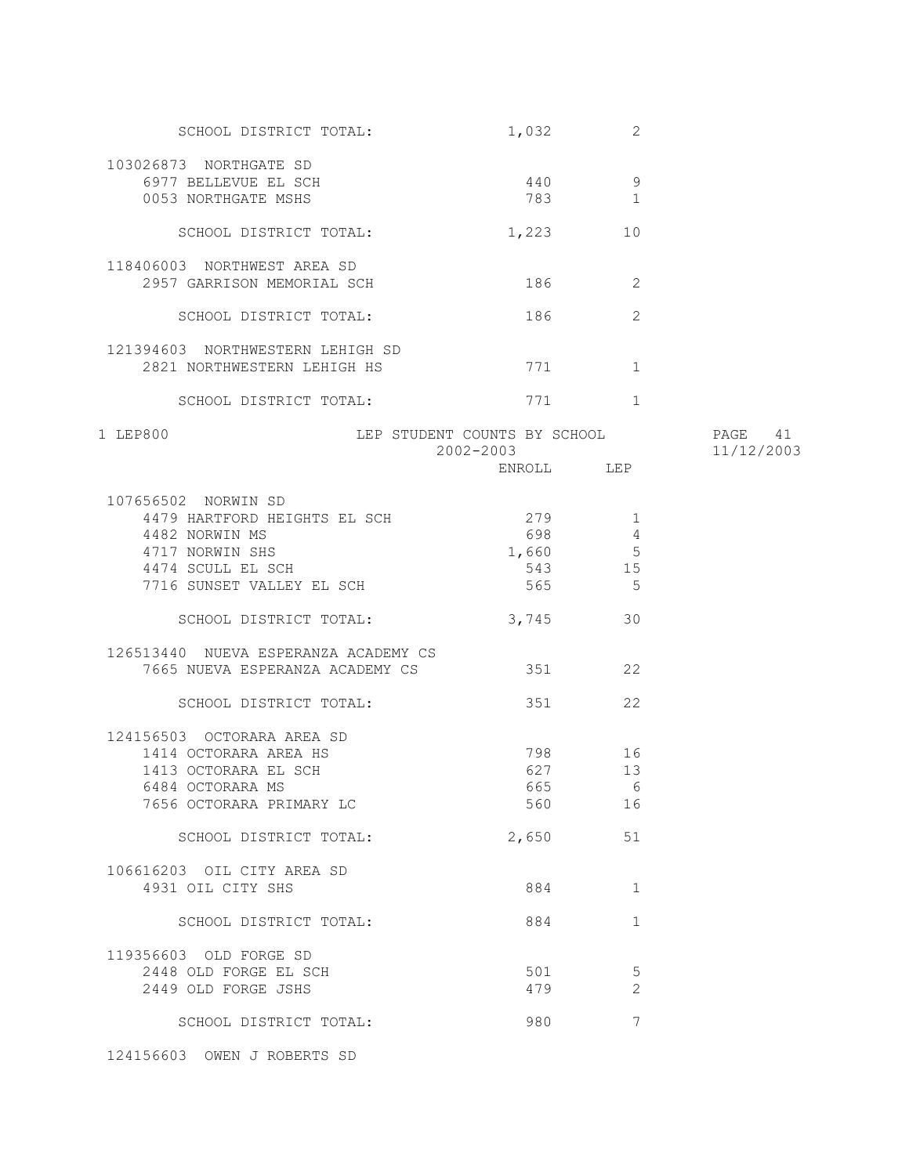| SCHOOL DISTRICT TOTAL:                                          | 1,032                                     | 2               |                       |
|-----------------------------------------------------------------|-------------------------------------------|-----------------|-----------------------|
| 103026873 NORTHGATE SD<br>6977 BELLEVUE EL SCH                  | 440                                       | 9               |                       |
| 0053 NORTHGATE MSHS                                             | 783                                       | 1               |                       |
| SCHOOL DISTRICT TOTAL:                                          | 1,223                                     | 10              |                       |
| 118406003 NORTHWEST AREA SD                                     |                                           |                 |                       |
| 2957 GARRISON MEMORIAL SCH                                      |                                           | 186 — 186<br>2  |                       |
| SCHOOL DISTRICT TOTAL:                                          | 186                                       | 2               |                       |
| 121394603 NORTHWESTERN LEHIGH SD<br>2821 NORTHWESTERN LEHIGH HS |                                           | 771 1           |                       |
| SCHOOL DISTRICT TOTAL:                                          |                                           | 771 1           |                       |
| 1 LEP800                                                        | LEP STUDENT COUNTS BY SCHOOL<br>2002-2003 |                 | PAGE 41<br>11/12/2003 |
|                                                                 |                                           | ENROLL LEP      |                       |
| 107656502 NORWIN SD                                             |                                           |                 |                       |
| 4479 HARTFORD HEIGHTS EL SCH                                    | 279                                       | 1               |                       |
| 4482 NORWIN MS                                                  | 698 8                                     | 4               |                       |
| 4717 NORWIN SHS                                                 | 1,660                                     | $5\phantom{.0}$ |                       |
| 4474 SCULL EL SCH                                               |                                           | 543 15          |                       |
| 7716 SUNSET VALLEY EL SCH                                       | 565                                       | 5               |                       |
| SCHOOL DISTRICT TOTAL:                                          | 3,745                                     | 30              |                       |
| 126513440 NUEVA ESPERANZA ACADEMY CS                            |                                           |                 |                       |
| 7665 NUEVA ESPERANZA ACADEMY CS                                 | 351                                       | 22              |                       |
| SCHOOL DISTRICT TOTAL:                                          |                                           | 22              |                       |
| 124156503 OCTORARA AREA SD                                      |                                           |                 |                       |
| 1414 OCTORARA AREA HS                                           |                                           | 798 16          |                       |
| 1413 OCTORARA EL SCH                                            | 627                                       | 13              |                       |
| 6484 OCTORARA MS                                                |                                           | 665 6           |                       |
| 7656 OCTORARA PRIMARY LC                                        | 560                                       | 16              |                       |
| SCHOOL DISTRICT TOTAL:                                          | 2,650                                     | 51              |                       |
| 106616203 OIL CITY AREA SD                                      |                                           |                 |                       |
| 4931 OIL CITY SHS                                               | 884                                       | $\mathbf 1$     |                       |
|                                                                 |                                           |                 |                       |
| SCHOOL DISTRICT TOTAL:                                          | 884                                       | $\mathbf 1$     |                       |
| 119356603 OLD FORGE SD                                          |                                           |                 |                       |
| 2448 OLD FORGE EL SCH                                           | 501                                       | 5               |                       |
| 2449 OLD FORGE JSHS                                             | 479                                       | 2               |                       |
| SCHOOL DISTRICT TOTAL:                                          | 980                                       | 7               |                       |
|                                                                 |                                           |                 |                       |

124156603 OWEN J ROBERTS SD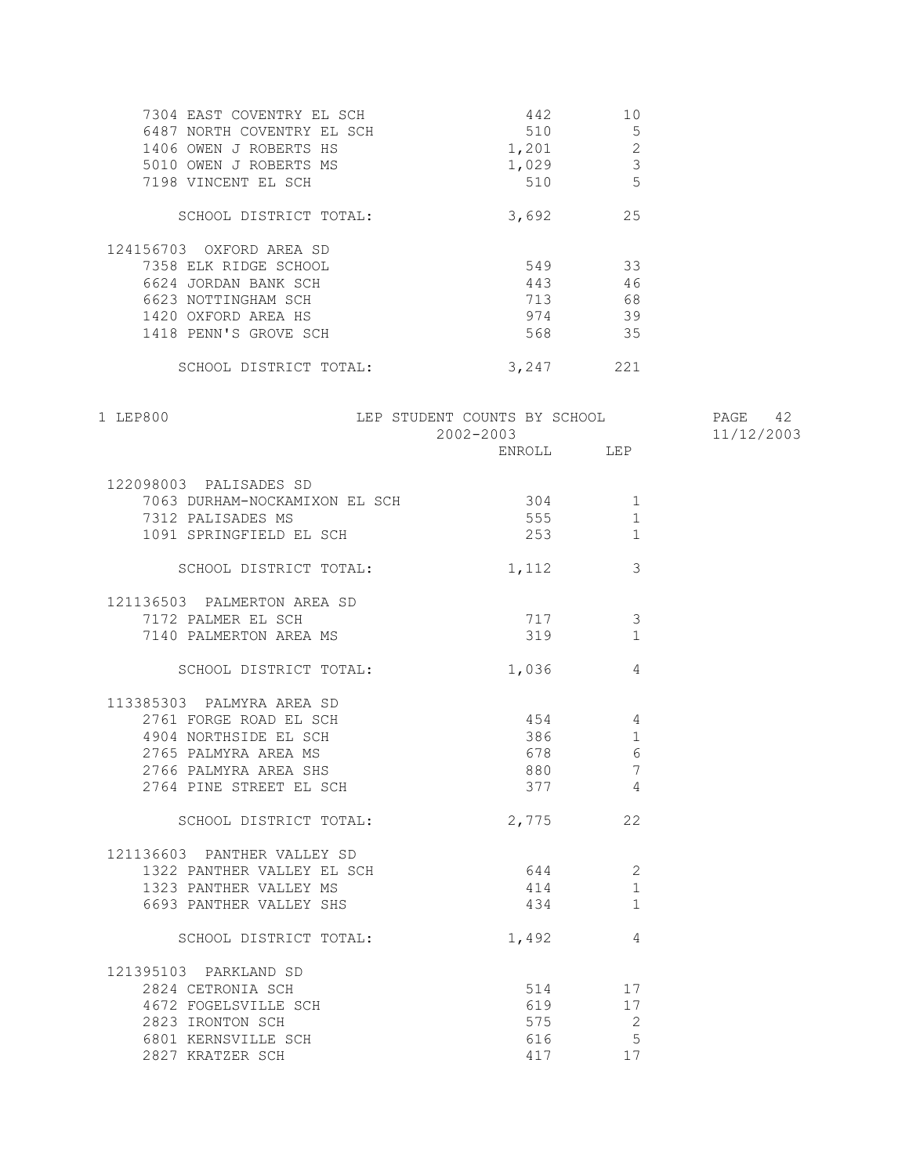| 7304 EAST COVENTRY EL SCH<br>6487 NORTH COVENTRY EL SCH<br>1406 OWEN J ROBERTS HS<br>5010 OWEN J ROBERTS MS<br>7198 VINCENT EL SCH | 442<br>510<br>1,201<br>1,029<br>510 | 10<br>5<br>$\overline{2}$<br>3<br>5 |  |
|------------------------------------------------------------------------------------------------------------------------------------|-------------------------------------|-------------------------------------|--|
| SCHOOL DISTRICT TOTAL:                                                                                                             | 3,692                               | 25                                  |  |
| 124156703 OXFORD AREA SD                                                                                                           |                                     |                                     |  |
| 7358 ELK RIDGE SCHOOL                                                                                                              | 549                                 | 33                                  |  |
| 6624 JORDAN BANK SCH                                                                                                               | 443                                 | 46                                  |  |
| 6623 NOTTINGHAM SCH                                                                                                                | 713                                 | 68                                  |  |
| 1420 OXFORD AREA HS                                                                                                                | 974                                 | 39                                  |  |
| 1418 PENN'S GROVE SCH                                                                                                              | 568                                 | 35                                  |  |
| SCHOOL DISTRICT TOTAL:                                                                                                             | 3,247                               | 221                                 |  |

| 1 LEP800                          | LEP STUDENT COUNTS BY SCHOOL PAGE 42<br>2002-2003 |                 | 11/12/2003 |
|-----------------------------------|---------------------------------------------------|-----------------|------------|
|                                   | ENROLL LEP                                        |                 |            |
| 122098003 PALISADES SD            |                                                   |                 |            |
| 7063 DURHAM-NOCKAMIXON EL SCH 304 |                                                   |                 |            |
| 7312 PALISADES MS                 | 555                                               | $\mathbf{1}$    |            |
| 1091 SPRINGFIELD EL SCH           | 253                                               | 1               |            |
| SCHOOL DISTRICT TOTAL:            | 1,112                                             | 3               |            |
| 121136503 PALMERTON AREA SD       |                                                   |                 |            |
| 7172 PALMER EL SCH                | 717                                               | 3               |            |
| 7140 PALMERTON AREA MS            | 319                                               | 1               |            |
| SCHOOL DISTRICT TOTAL:            | 1,036                                             | $\overline{4}$  |            |
| 113385303 PALMYRA AREA SD         |                                                   |                 |            |
| 2761 FORGE ROAD EL SCH            | 454                                               | $\overline{4}$  |            |
| 4904 NORTHSIDE EL SCH             | 386                                               | $\overline{1}$  |            |
| 2765 PALMYRA AREA MS              | 678                                               | $6\overline{6}$ |            |
| 2766 PALMYRA AREA SHS             | 880                                               | $\overline{7}$  |            |
| 2764 PINE STREET EL SCH           | 377                                               | $\overline{4}$  |            |
| SCHOOL DISTRICT TOTAL:            | 2,775                                             | 22              |            |
| 121136603 PANTHER VALLEY SD       |                                                   |                 |            |
| 1322 PANTHER VALLEY EL SCH        | 644 2                                             |                 |            |
| 1323 PANTHER VALLEY MS            | 414                                               | 1               |            |
| 6693 PANTHER VALLEY SHS           | 434                                               | 1               |            |
| SCHOOL DISTRICT TOTAL:            | 1,492                                             | $\overline{4}$  |            |
| 121395103 PARKLAND SD             |                                                   |                 |            |
| 2824 CETRONIA SCH                 | 514 — 10                                          | 17              |            |
| 4672 FOGELSVILLE SCH              | 619 17                                            |                 |            |
| 2823 IRONTON SCH                  | 575                                               | $\sim$ 2        |            |
| 6801 KERNSVILLE SCH               | 616                                               | 5               |            |
| 2827 KRATZER SCH                  | 417                                               | 17              |            |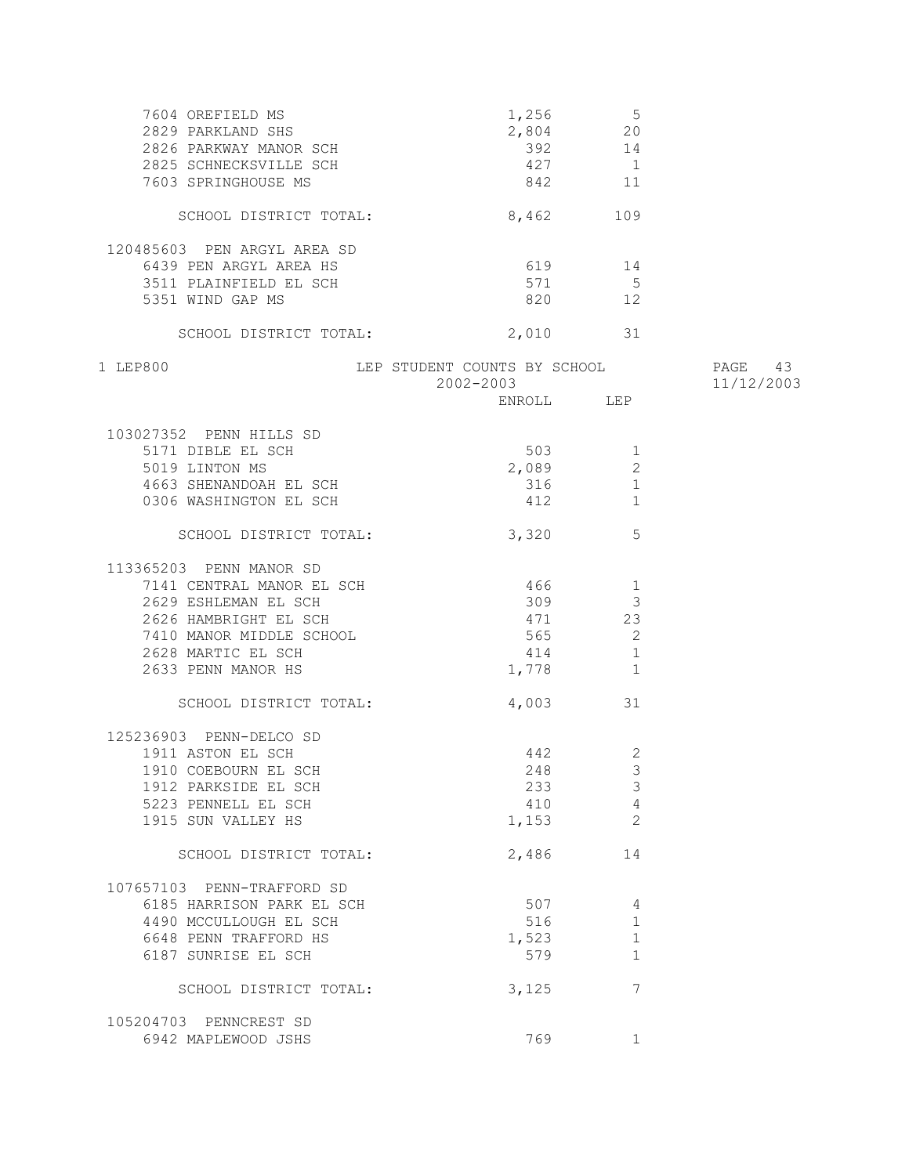| 7604 OREFIELD MS<br>2829 PARKLAND SHS<br>2826 PARKWAY MANOR SCH<br>2825 SCHNECKSVILLE SCH<br>7603 SPRINGHOUSE MS | 392<br>427 1                                      | $1,256$ 5<br>2,804 20<br>14<br>842 11 |            |
|------------------------------------------------------------------------------------------------------------------|---------------------------------------------------|---------------------------------------|------------|
| SCHOOL DISTRICT TOTAL:                                                                                           | 8,462                                             | 109                                   |            |
| 120485603 PEN ARGYL AREA SD                                                                                      |                                                   |                                       |            |
| 6439 PEN ARGYL AREA HS                                                                                           |                                                   | 619 14                                |            |
| 3511 PLAINFIELD EL SCH                                                                                           | 571                                               | $5\overline{)}$                       |            |
| 5351 WIND GAP MS                                                                                                 |                                                   | 820 12                                |            |
| SCHOOL DISTRICT TOTAL: 2,010 31                                                                                  |                                                   |                                       |            |
| 1 LEP800                                                                                                         | LEP STUDENT COUNTS BY SCHOOL TAGE 43<br>2002-2003 |                                       | 11/12/2003 |
|                                                                                                                  |                                                   | ENROLL LEP                            |            |
| 103027352 PENN HILLS SD                                                                                          |                                                   |                                       |            |
| 5171 DIBLE EL SCH                                                                                                |                                                   | 503<br>$\mathbf{1}$                   |            |
| 5019 LINTON MS                                                                                                   | 2,089                                             | 2                                     |            |
| 4663 SHENANDOAH EL SCH                                                                                           | 316                                               | $\mathbf{1}$                          |            |
| 0306 WASHINGTON EL SCH                                                                                           |                                                   | 412<br>1                              |            |
| SCHOOL DISTRICT TOTAL:                                                                                           | 3,320                                             | 5                                     |            |
| 113365203 PENN MANOR SD                                                                                          |                                                   |                                       |            |
| 7141 CENTRAL MANOR EL SCH                                                                                        | 466                                               | $\mathbf{1}$                          |            |
| 2629 ESHLEMAN EL SCH                                                                                             | 309                                               | 3                                     |            |
| 2626 HAMBRIGHT EL SCH                                                                                            | 471 23                                            |                                       |            |
| 7410 MANOR MIDDLE SCHOOL                                                                                         | $565$ 2                                           |                                       |            |
| 2628 MARTIC EL SCH                                                                                               |                                                   | 414<br>$\overline{1}$                 |            |
| 2633 PENN MANOR HS                                                                                               | 1,778 1                                           |                                       |            |
| SCHOOL DISTRICT TOTAL:                                                                                           |                                                   | 4,003 31                              |            |
| 125236903 PENN-DELCO SD                                                                                          |                                                   |                                       |            |
| 1911 ASTON EL SCH                                                                                                |                                                   | 442<br>2                              |            |
| 1910 COEBOURN EL SCH                                                                                             |                                                   | 3<br>248                              |            |
| 1912 PARKSIDE EL SCH                                                                                             | 233                                               | 3                                     |            |
| 5223 PENNELL EL SCH                                                                                              | 410                                               | 4                                     |            |
| 1915 SUN VALLEY HS                                                                                               | 1,153                                             | 2                                     |            |
| SCHOOL DISTRICT TOTAL:                                                                                           | 2,486                                             | 14                                    |            |
| 107657103 PENN-TRAFFORD SD                                                                                       |                                                   |                                       |            |
| 6185 HARRISON PARK EL SCH                                                                                        | 507                                               | 4                                     |            |
| 4490 MCCULLOUGH EL SCH                                                                                           | 516                                               | 1                                     |            |
| 6648 PENN TRAFFORD HS                                                                                            | 1,523                                             | 1                                     |            |
| 6187 SUNRISE EL SCH                                                                                              | 579                                               | 1                                     |            |
| SCHOOL DISTRICT TOTAL:                                                                                           | 3,125                                             | 7                                     |            |
| 105204703 PENNCREST SD                                                                                           |                                                   |                                       |            |
| 6942 MAPLEWOOD JSHS                                                                                              | 769                                               | 1                                     |            |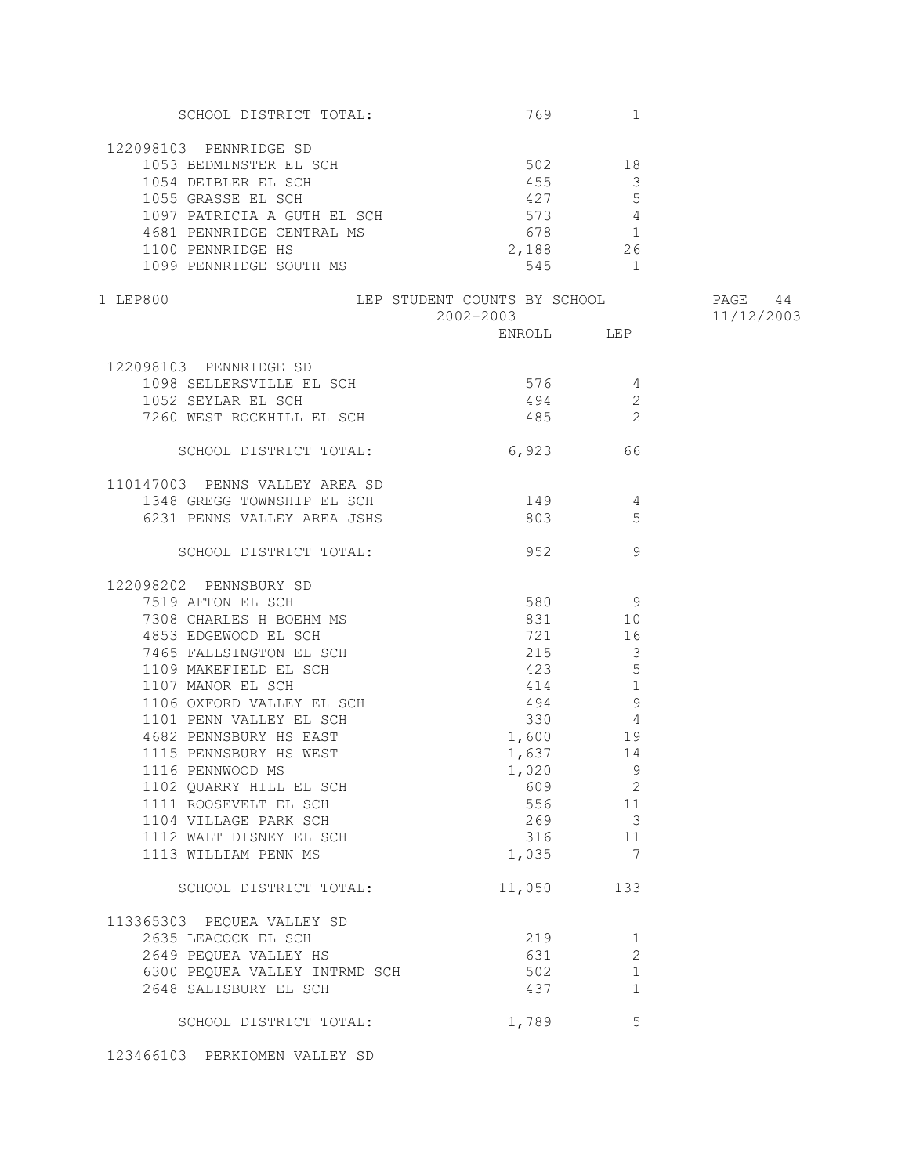| SCHOOL DISTRICT TOTAL:                                                           |                              | 769 — 1769 — 1760 — 1760 — 1760 — 1760 — 1760 — 1760 — 1760 — 1760 — 1760 — 1760 — 1760 — 1760 — 1760 — 1760 — 1760 — 1760 — 1760 — 1760 — 1760 — 1760 — 1760 — 1760 — 1760 — 1760 — 1760 — 1760 — 1760 — 1760 — 1760 — 1770 —<br>1 |            |
|----------------------------------------------------------------------------------|------------------------------|-------------------------------------------------------------------------------------------------------------------------------------------------------------------------------------------------------------------------------------|------------|
| 122098103 PENNRIDGE SD                                                           |                              |                                                                                                                                                                                                                                     |            |
|                                                                                  |                              |                                                                                                                                                                                                                                     |            |
| 1053 BEDMINSTER EL SCH 502 502                                                   |                              |                                                                                                                                                                                                                                     |            |
| 1054 DEIBLER EL SCH                                                              | 455                          | $\overline{\phantom{a}}$                                                                                                                                                                                                            |            |
| 1055 GRASSE EL SCH<br>1097 PATRICIA A GUTH EL SCH<br>4681 PENNDIDON COURT EL SCH | 427 5                        |                                                                                                                                                                                                                                     |            |
|                                                                                  | 573 4                        |                                                                                                                                                                                                                                     |            |
| 4681 PENNRIDGE CENTRAL MS                                                        |                              | 678 1                                                                                                                                                                                                                               |            |
| 1100 PENNRIDGE HS                                                                |                              | 2,188 26                                                                                                                                                                                                                            |            |
| 1099 PENNRIDGE SOUTH MS                                                          |                              | 545 1                                                                                                                                                                                                                               |            |
|                                                                                  |                              |                                                                                                                                                                                                                                     |            |
| 1 LEP800                                                                         | LEP STUDENT COUNTS BY SCHOOL |                                                                                                                                                                                                                                     | PAGE 44    |
|                                                                                  | 2002-2003                    |                                                                                                                                                                                                                                     | 11/12/2003 |
|                                                                                  |                              | ENROLL LEP                                                                                                                                                                                                                          |            |
| 122098103 PENNRIDGE SD                                                           |                              |                                                                                                                                                                                                                                     |            |
| 1098 SELLERSVILLE EL SCH                                                         | 576                          |                                                                                                                                                                                                                                     |            |
|                                                                                  |                              | -4                                                                                                                                                                                                                                  |            |
| 1052 SEYLAR EL SCH                                                               | 494                          | $\mathbf{2}$                                                                                                                                                                                                                        |            |
| 7260 WEST ROCKHILL EL SCH                                                        |                              | $\overline{2}$<br>485 200                                                                                                                                                                                                           |            |
| SCHOOL DISTRICT TOTAL:                                                           | 6,923 66                     |                                                                                                                                                                                                                                     |            |
|                                                                                  |                              |                                                                                                                                                                                                                                     |            |
| 110147003 PENNS VALLEY AREA SD                                                   |                              |                                                                                                                                                                                                                                     |            |
| 1348 GREGG TOWNSHIP EL SCH                                                       | $149$ 4                      |                                                                                                                                                                                                                                     |            |
| 6231 PENNS VALLEY AREA JSHS                                                      |                              | 5                                                                                                                                                                                                                                   |            |
| SCHOOL DISTRICT TOTAL:                                                           | 952                          | 9                                                                                                                                                                                                                                   |            |
|                                                                                  |                              |                                                                                                                                                                                                                                     |            |
| 122098202 PENNSBURY SD                                                           |                              |                                                                                                                                                                                                                                     |            |
| 7519 AFTON EL SCH                                                                |                              | 580 9                                                                                                                                                                                                                               |            |
| 7308 CHARLES H BOEHM MS                                                          | 831                          | 10                                                                                                                                                                                                                                  |            |
|                                                                                  |                              | 721 16                                                                                                                                                                                                                              |            |
| 4853 EDGEWOOD EL SCH<br>7465 FALLSINGTON EL SCH                                  | 215                          | $\overline{\phantom{a}}$                                                                                                                                                                                                            |            |
| 1109 MAKEFIELD EL SCH                                                            | 423                          | 5                                                                                                                                                                                                                                   |            |
| 1107 MANOR EL SCH                                                                | 414                          | $\mathbf{1}$                                                                                                                                                                                                                        |            |
| 1106 OXFORD VALLEY EL SCH                                                        |                              | 9                                                                                                                                                                                                                                   |            |
|                                                                                  |                              | 494                                                                                                                                                                                                                                 |            |
| 1101 PENN VALLEY EL SCH                                                          | 330                          | $\overline{4}$                                                                                                                                                                                                                      |            |
| 4682 PENNSBURY HS EAST                                                           | 1,600                        | 19                                                                                                                                                                                                                                  |            |
| 1115 PENNSBURY HS WEST                                                           | 1,637                        | 14                                                                                                                                                                                                                                  |            |
| 1116 PENNWOOD MS                                                                 | $1,020$ 9                    |                                                                                                                                                                                                                                     |            |
| 1102 QUARRY HILL EL SCH                                                          | 609                          | $\overline{\phantom{a}}$                                                                                                                                                                                                            |            |
| 1111 ROOSEVELT EL SCH                                                            |                              | 556 11                                                                                                                                                                                                                              |            |
| 1104 VILLAGE PARK SCH                                                            |                              | 269 3                                                                                                                                                                                                                               |            |
| 1112 WALT DISNEY EL SCH                                                          |                              | 316 11                                                                                                                                                                                                                              |            |
| 1113 WILLIAM PENN MS                                                             | 1,035                        | 7                                                                                                                                                                                                                                   |            |
|                                                                                  |                              |                                                                                                                                                                                                                                     |            |
| SCHOOL DISTRICT TOTAL:                                                           | 11,050                       | 133                                                                                                                                                                                                                                 |            |
| 113365303 PEQUEA VALLEY SD                                                       |                              |                                                                                                                                                                                                                                     |            |
| 2635 LEACOCK EL SCH                                                              | 219                          | 1                                                                                                                                                                                                                                   |            |
| 2649 PEQUEA VALLEY HS                                                            | 631                          | 2                                                                                                                                                                                                                                   |            |
| 6300 PEQUEA VALLEY INTRMD SCH                                                    | 502                          | 1                                                                                                                                                                                                                                   |            |
| 2648 SALISBURY EL SCH                                                            | 437                          | $\mathbf 1$                                                                                                                                                                                                                         |            |
|                                                                                  |                              |                                                                                                                                                                                                                                     |            |
| SCHOOL DISTRICT TOTAL:                                                           | 1,789                        | 5                                                                                                                                                                                                                                   |            |
|                                                                                  |                              |                                                                                                                                                                                                                                     |            |

123466103 PERKIOMEN VALLEY SD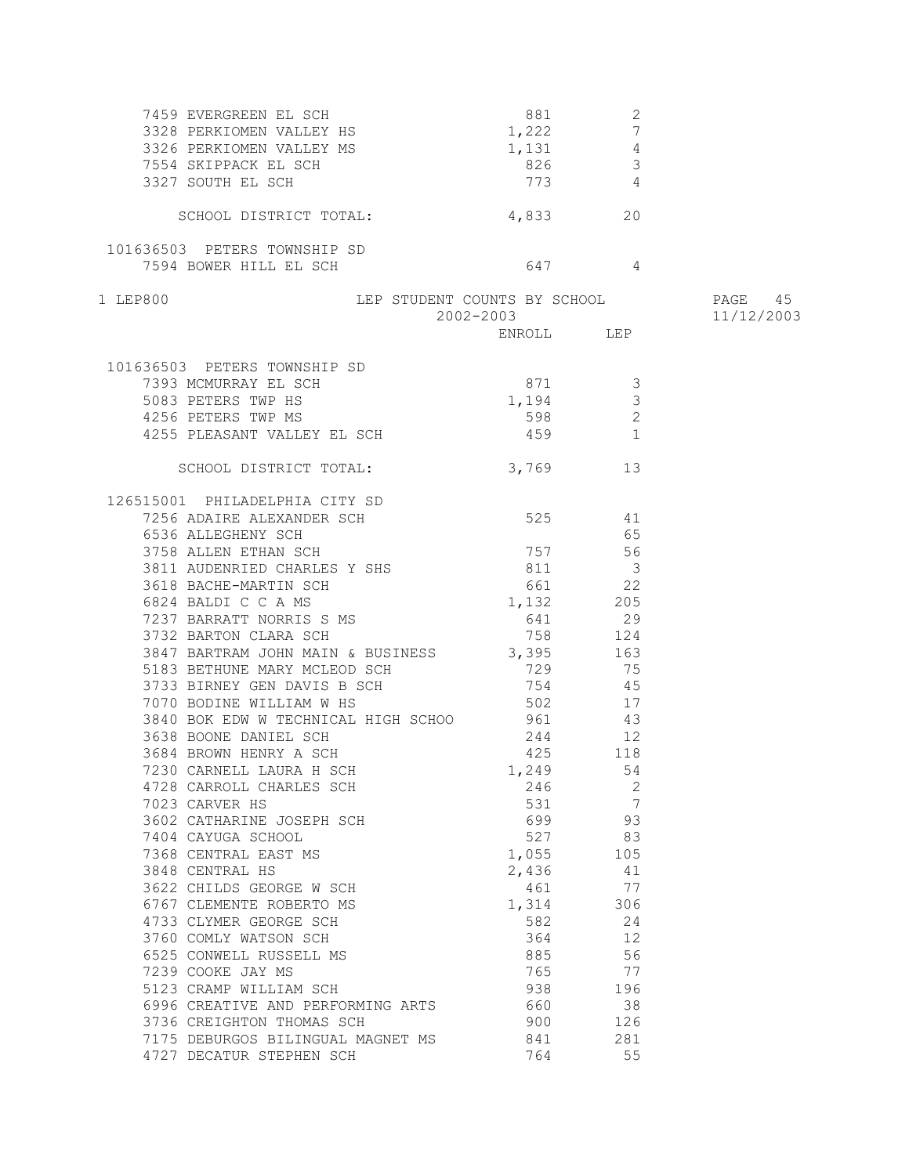| 7459 EVERGREEN EL SCH<br>3328 PERKIOMEN VALLEY HS<br>3326 PERKIOMEN VALLEY HS<br>7554 SKIPPACK EL SCH<br>3327 SOUTH EL SCH<br>3327 SOUTH EL SCH<br>4<br>4<br>773<br>4 |               |                          |            |
|-----------------------------------------------------------------------------------------------------------------------------------------------------------------------|---------------|--------------------------|------------|
|                                                                                                                                                                       |               |                          |            |
|                                                                                                                                                                       |               |                          |            |
|                                                                                                                                                                       |               |                          |            |
| 3327 SOUTH EL SCH                                                                                                                                                     | 773 4         |                          |            |
| SCHOOL DISTRICT TOTAL:                                                                                                                                                | 4,833         | 20                       |            |
|                                                                                                                                                                       |               |                          |            |
| 101636503 PETERS TOWNSHIP SD                                                                                                                                          |               |                          |            |
| 7594 BOWER HILL EL SCH                                                                                                                                                | 647 4         |                          |            |
|                                                                                                                                                                       |               |                          |            |
| LEP STUDENT COUNTS BY SCHOOL 60 PAGE 45<br>1 LEP800                                                                                                                   | 2002-2003     |                          | 11/12/2003 |
|                                                                                                                                                                       | ENROLL LEP    |                          |            |
|                                                                                                                                                                       |               |                          |            |
| 101636503 PETERS TOWNSHIP SD                                                                                                                                          |               |                          |            |
| 7393 MCMURRAY EL SCH                                                                                                                                                  | 871           | $\overline{\phantom{a}}$ |            |
| 5083 PETERS TWP HS                                                                                                                                                    | 1,194         | $\mathcal{S}$            |            |
| 4256 PETERS TWP MS                                                                                                                                                    | 598           | 2                        |            |
| 4255 PLEASANT VALLEY EL SCH                                                                                                                                           | 459           | $\overline{1}$           |            |
|                                                                                                                                                                       |               |                          |            |
| SCHOOL DISTRICT TOTAL:                                                                                                                                                | 3,769 13      |                          |            |
| 126515001 PHILADELPHIA CITY SD                                                                                                                                        |               |                          |            |
| 7256 ADAIRE ALEXANDER SCH                                                                                                                                             | 525 41        |                          |            |
| 6536 ALLEGHENY SCH                                                                                                                                                    |               | 65                       |            |
| 3758 ALLEN ETHAN SCH                                                                                                                                                  | 757           | 56                       |            |
|                                                                                                                                                                       |               | $\overline{\mathbf{3}}$  |            |
| 3811 AUDENRIED CHARLES Y SHS<br>3618 BACHE-MARTIN SCH 661                                                                                                             | 661 22        |                          |            |
| 6824 BALDI C C A MS                                                                                                                                                   | 1,132 205     |                          |            |
| 7237 BARRATT NORRIS S MS                                                                                                                                              |               |                          |            |
|                                                                                                                                                                       | 641 29<br>758 |                          |            |
| 3732 BARTON CLARA SCH                                                                                                                                                 |               | 124                      |            |
| 3847 BARTRAM JOHN MAIN & BUSINESS 3,395 163<br>5183 BETHUNE MARY MCLEOD SCH                                                                                           |               |                          |            |
|                                                                                                                                                                       | 729<br>754    | 75<br>45                 |            |
| 3733 BIRNEY GEN DAVIS B SCH                                                                                                                                           |               | 17                       |            |
| 7070 BODINE WILLIAM W HS                                                                                                                                              | 502           | 43                       |            |
| 3840 BOK EDW W TECHNICAL HIGH SCHOO 961<br>3638 BOONE DANIEL SCH                                                                                                      | 244 12        |                          |            |
| 3684 BROWN HENRY A SCH                                                                                                                                                | 425 118       |                          |            |
|                                                                                                                                                                       |               | 54                       |            |
| 7230 CARNELL LAURA H SCH 1,249                                                                                                                                        |               |                          |            |
| 4728 CARROLL CHARLES SCH<br>7023 CARVER HS                                                                                                                            | 246<br>531    | 2<br>$\overline{7}$      |            |
| 3602 CATHARINE JOSEPH SCH                                                                                                                                             | 699           |                          |            |
| 7404 CAYUGA SCHOOL                                                                                                                                                    | 527           | 93<br>83                 |            |
| 7368 CENTRAL EAST MS                                                                                                                                                  | 1,055         | 105                      |            |
|                                                                                                                                                                       | 2,436         | 41                       |            |
| 3848 CENTRAL HS<br>3622 CHILDS GEORGE W SCH                                                                                                                           | 461           | 77                       |            |
|                                                                                                                                                                       | 1,314 306     |                          |            |
| 6767 CLEMENTE ROBERTO MS                                                                                                                                              |               |                          |            |
| 4733 CLYMER GEORGE SCH                                                                                                                                                |               | 582 24                   |            |
| 3760 COMLY WATSON SCH                                                                                                                                                 | 364           | 12                       |            |
| 6525 CONWELL RUSSELL MS                                                                                                                                               | 885           | 56                       |            |
| 7239 COOKE JAY MS                                                                                                                                                     | 765           | 77                       |            |
| 5123 CRAMP WILLIAM SCH                                                                                                                                                | 938           | 196                      |            |
| 6996 CREATIVE AND PERFORMING ARTS                                                                                                                                     | 660           | 38                       |            |
| 3736 CREIGHTON THOMAS SCH                                                                                                                                             | 900           | 126                      |            |
| 7175 DEBURGOS BILINGUAL MAGNET MS                                                                                                                                     | 841           | 281                      |            |
| 4727 DECATUR STEPHEN SCH                                                                                                                                              | 764           | 55                       |            |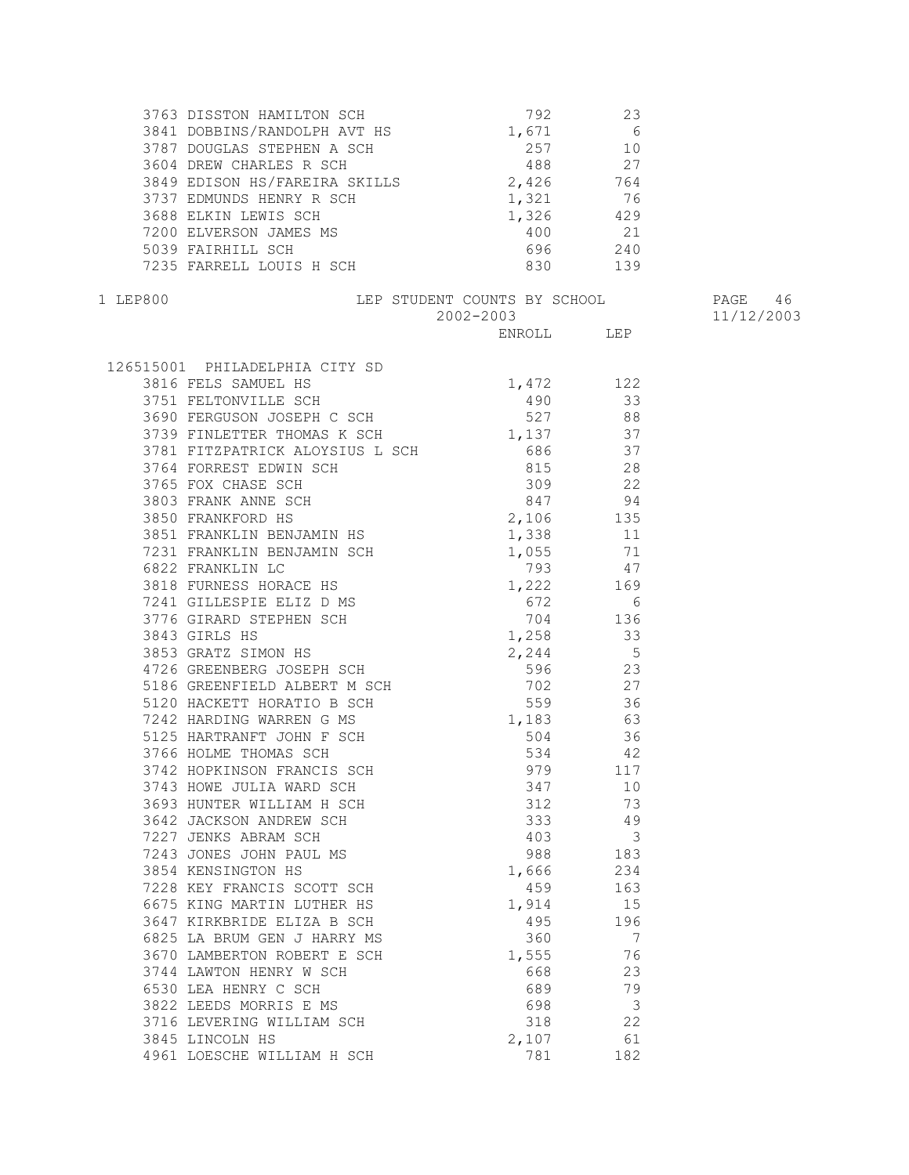| 3849 EDISON HS/FAREIRA SKILLS 2,426 764                                                                                                |                                       |                |            |
|----------------------------------------------------------------------------------------------------------------------------------------|---------------------------------------|----------------|------------|
|                                                                                                                                        |                                       |                |            |
|                                                                                                                                        |                                       |                |            |
|                                                                                                                                        |                                       |                |            |
|                                                                                                                                        |                                       |                |            |
| 3737 EDMUNDS HENRY R SCH<br>3688 ELKIN LEWIS SCH<br>7200 ELVERSON JAMES MS<br>5039 FAIRHILL SCH<br>7235 FARRELL LOUIS H SCH<br>830 139 |                                       |                |            |
| 1 LEP800                                                                                                                               | LEP STUDENT COUNTS BY SCHOOL THAGE 46 |                |            |
|                                                                                                                                        | 2002-2003                             |                | 11/12/2003 |
|                                                                                                                                        |                                       | ENROLL LEP     |            |
|                                                                                                                                        |                                       |                |            |
| 126515001 PHILADELPHIA CITY SD                                                                                                         |                                       |                |            |
|                                                                                                                                        |                                       |                |            |
| 3816 FELS SAMUEL HS<br>3751 FELTONVILLE SCH<br>3690 FERGUSON JOSEPH C SCH<br>3690 FERGUSON JOSEPH C SCH<br>377 88                      |                                       |                |            |
|                                                                                                                                        |                                       |                |            |
| 3739 FINLETTER THOMAS K SCH 1,137 37                                                                                                   |                                       |                |            |
|                                                                                                                                        |                                       |                |            |
|                                                                                                                                        |                                       |                |            |
|                                                                                                                                        |                                       |                |            |
|                                                                                                                                        |                                       |                |            |
|                                                                                                                                        |                                       |                |            |
|                                                                                                                                        |                                       |                |            |
|                                                                                                                                        |                                       |                |            |
|                                                                                                                                        |                                       |                |            |
|                                                                                                                                        |                                       |                |            |
|                                                                                                                                        |                                       |                |            |
|                                                                                                                                        |                                       |                |            |
|                                                                                                                                        |                                       |                |            |
|                                                                                                                                        |                                       |                |            |
|                                                                                                                                        |                                       |                |            |
|                                                                                                                                        |                                       |                |            |
|                                                                                                                                        |                                       |                |            |
|                                                                                                                                        |                                       |                |            |
|                                                                                                                                        |                                       |                |            |
|                                                                                                                                        |                                       |                |            |
|                                                                                                                                        |                                       |                |            |
| 3743 HOWE JULIA WARD SCH                                                                                                               | 347                                   | 10             |            |
| 3693 HUNTER WILLIAM H SCH                                                                                                              | 312                                   | 73             |            |
| 3642 JACKSON ANDREW SCH                                                                                                                | 333                                   | 49             |            |
| 7227 JENKS ABRAM SCH                                                                                                                   | 403                                   | $\overline{3}$ |            |
| 7243 JONES JOHN PAUL MS                                                                                                                | 988                                   | 183            |            |
| 3854 KENSINGTON HS                                                                                                                     | 1,666                                 | 234            |            |
| 7228 KEY FRANCIS SCOTT SCH                                                                                                             | 459                                   | 163            |            |
| 6675 KING MARTIN LUTHER HS                                                                                                             | 1,914                                 | 15             |            |
| 3647 KIRKBRIDE ELIZA B SCH                                                                                                             | 495                                   | 196            |            |
| 6825 LA BRUM GEN J HARRY MS                                                                                                            | 360                                   | 7              |            |
| 3670 LAMBERTON ROBERT E SCH                                                                                                            | 1,555                                 | 76             |            |
| 3744 LAWTON HENRY W SCH                                                                                                                | 668                                   | 23             |            |
| 6530 LEA HENRY C SCH                                                                                                                   | 689                                   | 79             |            |
| 3822 LEEDS MORRIS E MS                                                                                                                 | 698                                   | 3              |            |
| 3716 LEVERING WILLIAM SCH                                                                                                              | 318                                   | 22             |            |
| 3845 LINCOLN HS                                                                                                                        | 2,107                                 | 61             |            |
| 4961 LOESCHE WILLIAM H SCH                                                                                                             | 781                                   | 182            |            |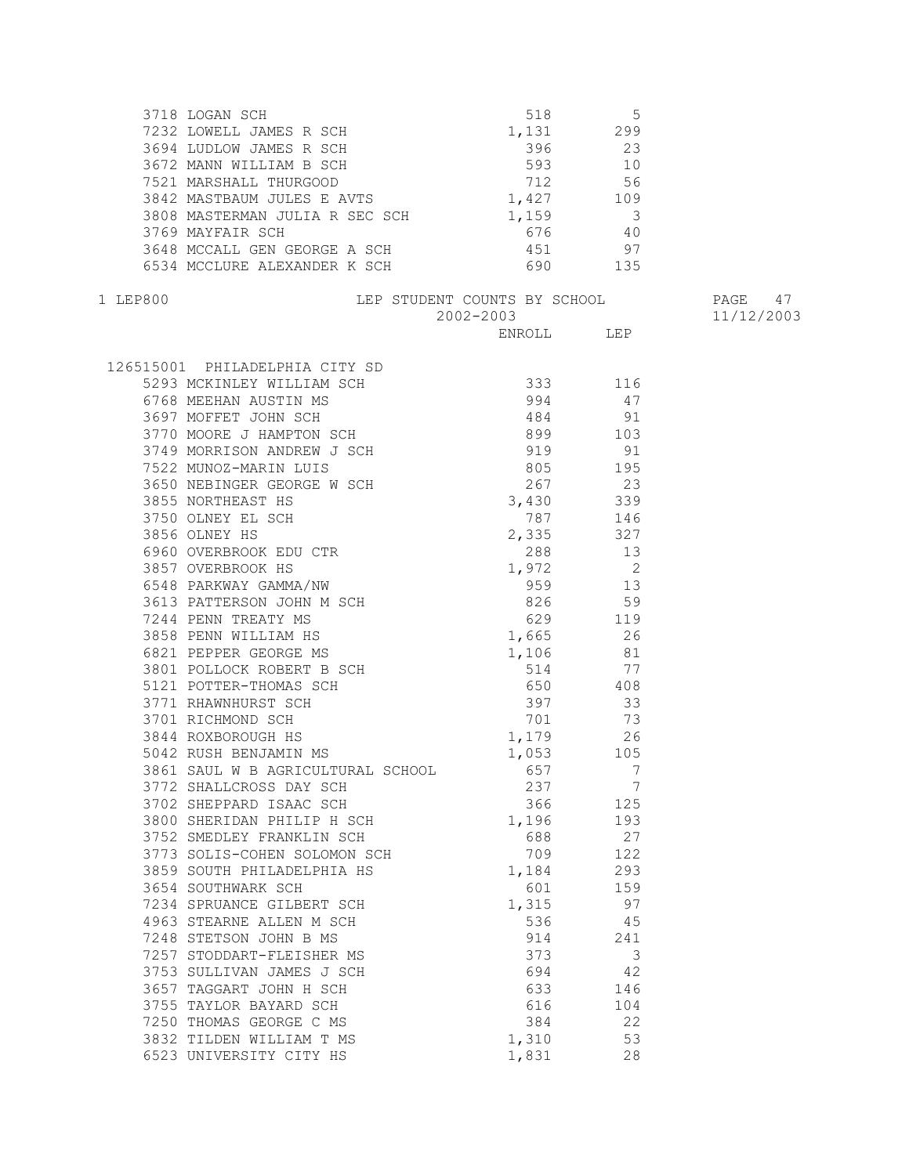|          | 3718 LOGAN SCH<br>7232 LOWELL JAMES R SCH<br>3694 LUDLOW JAMES R SCH<br>3672 MANN WILLIAM B SCH<br>7521 MARSHALL THURGOOD<br>7521 MARSHALL THURGOOD<br>3842 MASTBAUM JULES E AVTS<br>3842 MASTBAUM JULES E AVTS<br>3842 MASTBAUM JULES E AVTS<br>                                                                                                                                                                      |            |                                        |            |
|----------|------------------------------------------------------------------------------------------------------------------------------------------------------------------------------------------------------------------------------------------------------------------------------------------------------------------------------------------------------------------------------------------------------------------------|------------|----------------------------------------|------------|
|          |                                                                                                                                                                                                                                                                                                                                                                                                                        |            |                                        |            |
|          |                                                                                                                                                                                                                                                                                                                                                                                                                        |            |                                        |            |
|          |                                                                                                                                                                                                                                                                                                                                                                                                                        |            |                                        |            |
|          |                                                                                                                                                                                                                                                                                                                                                                                                                        |            |                                        |            |
|          |                                                                                                                                                                                                                                                                                                                                                                                                                        |            |                                        |            |
|          | 3808 MASTERMAN JULIA R SEC SCH 1,159<br>3769 MAYFAIR SCH 676                                                                                                                                                                                                                                                                                                                                                           |            | $\begin{array}{c} 3 \\ 40 \end{array}$ |            |
|          |                                                                                                                                                                                                                                                                                                                                                                                                                        |            |                                        |            |
|          | 3648 MCCALL GEN GEORGE A SCH                                                                                                                                                                                                                                                                                                                                                                                           | 451 97     |                                        |            |
|          | 6534 MCCLURE ALEXANDER K SCH                                                                                                                                                                                                                                                                                                                                                                                           | 690 135    |                                        |            |
| 1 LEP800 | LEP STUDENT COUNTS BY SCHOOL THAGE 47                                                                                                                                                                                                                                                                                                                                                                                  |            |                                        |            |
|          |                                                                                                                                                                                                                                                                                                                                                                                                                        | 2002-2003  |                                        | 11/12/2003 |
|          |                                                                                                                                                                                                                                                                                                                                                                                                                        | ENROLL LEP |                                        |            |
|          | $126515001 \quad \texttt{PHILADELPHIA CITY SD} \\\\ \texttt{5293 MCKINLEX NILLIAN SCI} \\\ \texttt{6768 MEEHAN AUSTIN MS} \\\ \texttt{5397 MOFEF J OHN SCH} \\\ \texttt{3770 MORB J HMPTON SCI} \\\ \texttt{3770 MORB J HMPTON SCI} \\\ \texttt{5774 MORR ISON MDREW J SCI} \\\ \texttt{5785 MORTIEXAST MS} \\\ \texttt{550 NEEIINGER GEDRES W SCI} \\\ \texttt{5515 MORTIEXAST MS} \\\ \texttt{3785 NORTIEXAST MS} \$ |            |                                        |            |
|          |                                                                                                                                                                                                                                                                                                                                                                                                                        |            |                                        |            |
|          |                                                                                                                                                                                                                                                                                                                                                                                                                        |            |                                        |            |
|          |                                                                                                                                                                                                                                                                                                                                                                                                                        |            |                                        |            |
|          |                                                                                                                                                                                                                                                                                                                                                                                                                        |            |                                        |            |
|          |                                                                                                                                                                                                                                                                                                                                                                                                                        |            |                                        |            |
|          |                                                                                                                                                                                                                                                                                                                                                                                                                        |            |                                        |            |
|          |                                                                                                                                                                                                                                                                                                                                                                                                                        |            |                                        |            |
|          |                                                                                                                                                                                                                                                                                                                                                                                                                        |            |                                        |            |
|          |                                                                                                                                                                                                                                                                                                                                                                                                                        |            |                                        |            |
|          |                                                                                                                                                                                                                                                                                                                                                                                                                        |            |                                        |            |
|          |                                                                                                                                                                                                                                                                                                                                                                                                                        |            |                                        |            |
|          |                                                                                                                                                                                                                                                                                                                                                                                                                        |            |                                        |            |
|          |                                                                                                                                                                                                                                                                                                                                                                                                                        |            |                                        |            |
|          |                                                                                                                                                                                                                                                                                                                                                                                                                        |            |                                        |            |
|          |                                                                                                                                                                                                                                                                                                                                                                                                                        |            |                                        |            |
|          |                                                                                                                                                                                                                                                                                                                                                                                                                        |            |                                        |            |
|          |                                                                                                                                                                                                                                                                                                                                                                                                                        |            |                                        |            |
|          |                                                                                                                                                                                                                                                                                                                                                                                                                        |            |                                        |            |
|          |                                                                                                                                                                                                                                                                                                                                                                                                                        |            |                                        |            |
|          |                                                                                                                                                                                                                                                                                                                                                                                                                        |            |                                        |            |
|          |                                                                                                                                                                                                                                                                                                                                                                                                                        |            |                                        |            |
|          |                                                                                                                                                                                                                                                                                                                                                                                                                        |            |                                        |            |
|          | 3844 ROXBOROUGH HS<br>3844 ROXBOROUGH HS<br>5042 RUSH BENJAMIN MS<br>3861 SAUL W B AGRICULTURAL SCHOOL<br>657 7                                                                                                                                                                                                                                                                                                        |            |                                        |            |
|          |                                                                                                                                                                                                                                                                                                                                                                                                                        |            |                                        |            |
|          | 3772 SHALLCROSS DAY SCH                                                                                                                                                                                                                                                                                                                                                                                                | 237        | 7                                      |            |
|          | 3702 SHEPPARD ISAAC SCH                                                                                                                                                                                                                                                                                                                                                                                                | 366        | 125                                    |            |
|          | 3800 SHERIDAN PHILIP H SCH                                                                                                                                                                                                                                                                                                                                                                                             | 1,196      | 193                                    |            |
|          | 3752 SMEDLEY FRANKLIN SCH                                                                                                                                                                                                                                                                                                                                                                                              | 688        | 27                                     |            |
|          | 3773 SOLIS-COHEN SOLOMON SCH                                                                                                                                                                                                                                                                                                                                                                                           | 709        | 122                                    |            |
|          | 3859 SOUTH PHILADELPHIA HS                                                                                                                                                                                                                                                                                                                                                                                             | 1,184      | 293                                    |            |
|          | 3654 SOUTHWARK SCH                                                                                                                                                                                                                                                                                                                                                                                                     | 601        | 159                                    |            |
|          | 7234 SPRUANCE GILBERT SCH                                                                                                                                                                                                                                                                                                                                                                                              | 1,315      | 97                                     |            |
|          | 4963 STEARNE ALLEN M SCH                                                                                                                                                                                                                                                                                                                                                                                               | 536        | 45                                     |            |
|          | 7248 STETSON JOHN B MS                                                                                                                                                                                                                                                                                                                                                                                                 | 914        | 241                                    |            |
|          | 7257 STODDART-FLEISHER MS                                                                                                                                                                                                                                                                                                                                                                                              | 373        | 3                                      |            |
|          | 3753 SULLIVAN JAMES J SCH                                                                                                                                                                                                                                                                                                                                                                                              | 694        | 42                                     |            |
|          | 3657 TAGGART JOHN H SCH                                                                                                                                                                                                                                                                                                                                                                                                | 633        | 146                                    |            |
|          | 3755 TAYLOR BAYARD SCH                                                                                                                                                                                                                                                                                                                                                                                                 | 616        | 104                                    |            |
|          | 7250 THOMAS GEORGE C MS                                                                                                                                                                                                                                                                                                                                                                                                | 384        | 22                                     |            |
|          | 3832 TILDEN WILLIAM T MS                                                                                                                                                                                                                                                                                                                                                                                               | 1,310      | 53                                     |            |
|          | 6523 UNIVERSITY CITY HS                                                                                                                                                                                                                                                                                                                                                                                                | 1,831      | 28                                     |            |
|          |                                                                                                                                                                                                                                                                                                                                                                                                                        |            |                                        |            |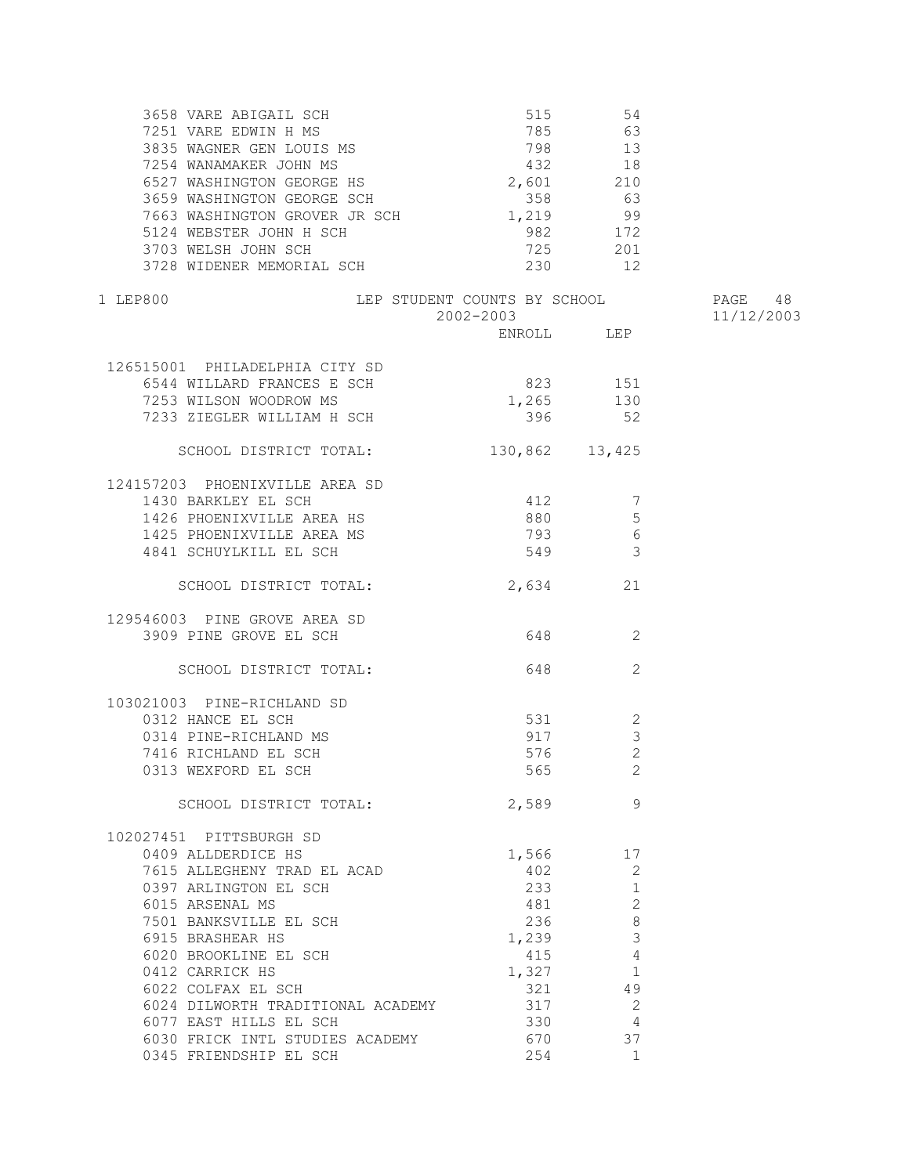| 3658 VARE ABIGAIL SCH<br>7251 VARE EDWIN H MS<br>3835 WAGNER GEN LOUIS MS<br>7254 WANAMAKER JOHN MS<br>6527 WASHINGTON GEORGE HS<br>3659 WASHINGTON GEORGE SCH<br>7663 WASHINGTON GROVER JR SCH<br>5124 WEBSTER JOHN H SCH<br>3703 WELSH JOHN SCH                                                                                          | 515<br>798 13<br>432 18<br>2,601 210<br>358<br>1,219<br>982<br>725              | 54<br>785 63<br>63<br>99<br>172<br>201                                                                                          |            |
|--------------------------------------------------------------------------------------------------------------------------------------------------------------------------------------------------------------------------------------------------------------------------------------------------------------------------------------------|---------------------------------------------------------------------------------|---------------------------------------------------------------------------------------------------------------------------------|------------|
| 3728 WIDENER MEMORIAL SCH                                                                                                                                                                                                                                                                                                                  | 230                                                                             | 12                                                                                                                              |            |
| LEP STUDENT COUNTS BY SCHOOL<br>1 LEP800                                                                                                                                                                                                                                                                                                   |                                                                                 |                                                                                                                                 | PAGE 48    |
|                                                                                                                                                                                                                                                                                                                                            | 2002-2003                                                                       | ENROLL LEP                                                                                                                      | 11/12/2003 |
| 126515001 PHILADELPHIA CITY SD<br>6544 WILLARD FRANCES E SCH<br>7253 WILSON WOODROW MS<br>7233 ZIEGLER WILLIAM H SCH                                                                                                                                                                                                                       | 1,265<br>396                                                                    | 823 151<br>130<br>52                                                                                                            |            |
| SCHOOL DISTRICT TOTAL:                                                                                                                                                                                                                                                                                                                     | 130,862 13,425                                                                  |                                                                                                                                 |            |
| 124157203 PHOENIXVILLE AREA SD<br>1430 BARKLEY EL SCH<br>1426 PHOENIXVILLE AREA HS<br>1425 PHOENIXVILLE AREA MS<br>4841 SCHUYLKILL EL SCH                                                                                                                                                                                                  | 412<br>880<br>793<br>549                                                        | - 7<br>5<br>6<br>$\mathcal{E}$                                                                                                  |            |
| SCHOOL DISTRICT TOTAL:                                                                                                                                                                                                                                                                                                                     | 2,634                                                                           | 21                                                                                                                              |            |
| 129546003 PINE GROVE AREA SD<br>3909 PINE GROVE EL SCH                                                                                                                                                                                                                                                                                     |                                                                                 | 648 2                                                                                                                           |            |
| SCHOOL DISTRICT TOTAL:                                                                                                                                                                                                                                                                                                                     | 648                                                                             | 2                                                                                                                               |            |
| 103021003 PINE-RICHLAND SD<br>0312 HANCE EL SCH<br>0314 PINE-RICHLAND MS<br>7416 RICHLAND EL SCH<br>0313 WEXFORD EL SCH                                                                                                                                                                                                                    | 531<br>917                                                                      | 2<br>$\mathcal{S}$<br>2<br>576 70<br>2                                                                                          |            |
| SCHOOL DISTRICT TOTAL:                                                                                                                                                                                                                                                                                                                     | 2,589                                                                           | 9                                                                                                                               |            |
| 102027451 PITTSBURGH SD<br>0409 ALLDERDICE HS<br>7615 ALLEGHENY TRAD EL ACAD<br>0397 ARLINGTON EL SCH<br>6015 ARSENAL MS<br>7501 BANKSVILLE EL SCH<br>6915 BRASHEAR HS<br>6020 BROOKLINE EL SCH<br>0412 CARRICK HS<br>6022 COLFAX EL SCH<br>6024 DILWORTH TRADITIONAL ACADEMY<br>6077 EAST HILLS EL SCH<br>6030 FRICK INTL STUDIES ACADEMY | 1,566<br>402<br>233<br>481<br>236<br>1,239<br>415<br>1,327<br>321<br>317<br>330 | 17<br>2<br>1<br>2<br>8<br>3<br>$\overline{4}$<br>$\overline{1}$<br>49<br>$\overline{\phantom{0}}^2$<br>$\overline{4}$<br>670 37 |            |
| 0345 FRIENDSHIP EL SCH                                                                                                                                                                                                                                                                                                                     | 254                                                                             | $\overline{1}$                                                                                                                  |            |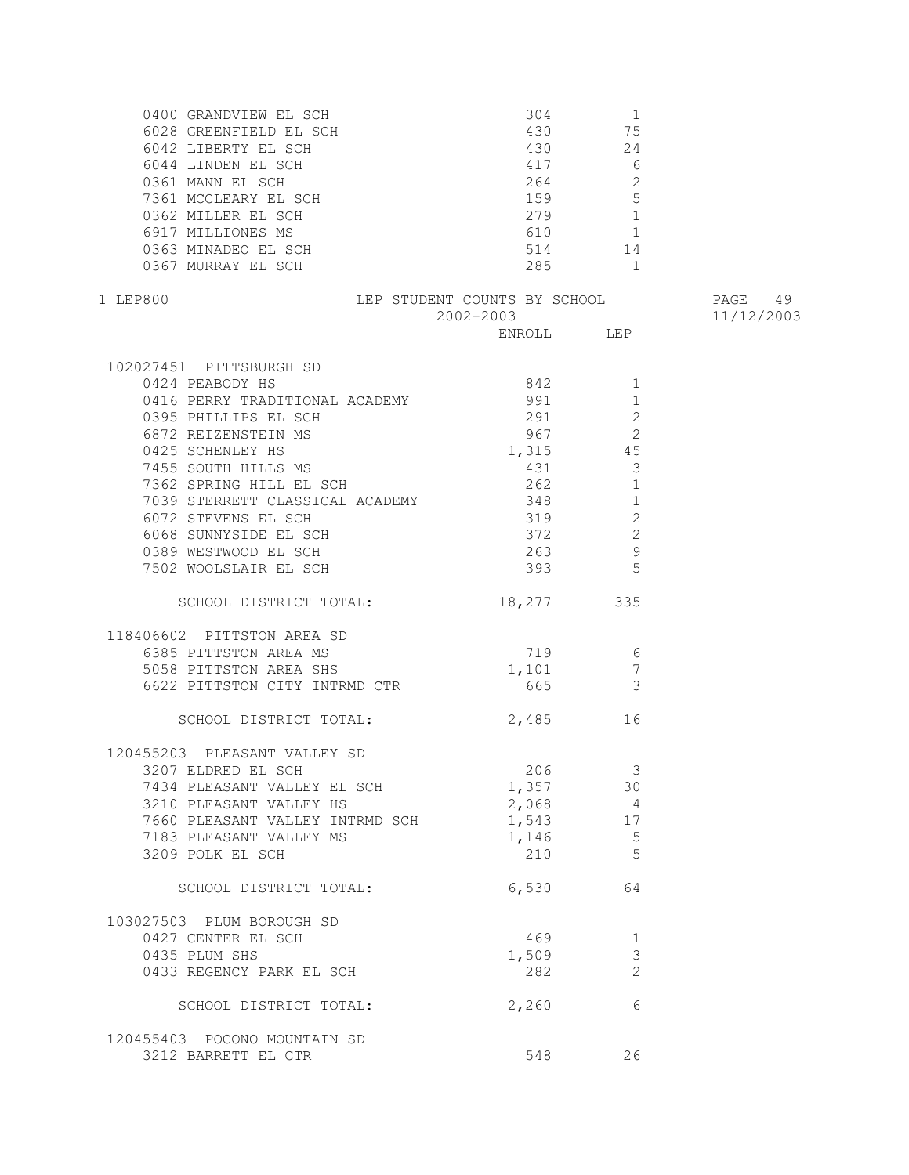| 0400 GRANDVIEW EL SCH<br>6028 GREENFIELD EL SCH<br>6042 LIBERTY EL SCH<br>6044 LINDEN EL SCH<br>0361 MANN EL SCH<br>7361 MCCLEARY EL SCH<br>0362 MILLER EL SCH<br>6917 MILLIONES MS<br>0363 MINADEO EL SCH<br>0363 MINADEO EL SCH<br>0367 MURRAY EL SCH                                                                              | $304 \qquad \qquad 1$<br>430 75<br>430<br>417<br>264<br>159 5<br>279 1<br>610 1<br>514 14<br>285 1 | $\begin{array}{c} 24 \\ 6 \end{array}$<br>2                                               |                       |
|--------------------------------------------------------------------------------------------------------------------------------------------------------------------------------------------------------------------------------------------------------------------------------------------------------------------------------------|----------------------------------------------------------------------------------------------------|-------------------------------------------------------------------------------------------|-----------------------|
| LEP STUDENT COUNTS BY SCHOOL<br>1 LEP800                                                                                                                                                                                                                                                                                             | 2002-2003                                                                                          |                                                                                           | PAGE 49<br>11/12/2003 |
|                                                                                                                                                                                                                                                                                                                                      |                                                                                                    |                                                                                           |                       |
| 102027451 PITTSBURGH SD<br>0424 PEABODY HS<br>0416 PERRY TRADITIONAL ACADEMY 991<br>0395 PHILLIPS EL SCH<br>6872 REIZENSTEIN MS<br>- ALLENDERT MS<br>0425 SCHENLEY HS<br>7455 SOUTH HILLS MS<br>7362 SPRING HILL EL SCH<br>7039 STERDETT SILL<br>7039 STERRETT CLASSICAL ACADEMY 348<br>6072 STEVENS EL SCH<br>6068 SUNNYSIDE EL SCH | 842 1<br>291<br>967<br>1,315<br>431<br>262<br>319<br>372                                           | 1<br>2<br>$\overline{\phantom{a}}$<br>45<br>$\overline{3}$<br>$\mathbf{1}$<br>1<br>2<br>2 |                       |
| 0389 WESTWOOD EL SCH<br>7502 WOOLSLAIR EL SCH                                                                                                                                                                                                                                                                                        | 263<br>393                                                                                         | 9<br>5                                                                                    |                       |
| SCHOOL DISTRICT TOTAL:                                                                                                                                                                                                                                                                                                               | 18,277 335                                                                                         |                                                                                           |                       |
| 118406602 PITTSTON AREA SD<br>6385 PITTSTON AREA MS<br>5058 PITTSTON AREA SHS<br>6622 PITTSTON CITY INTRMD CTR                                                                                                                                                                                                                       | 719 6<br>$1,101$ 7<br>665 3                                                                        |                                                                                           |                       |
| SCHOOL DISTRICT TOTAL:                                                                                                                                                                                                                                                                                                               | 2,485 16                                                                                           |                                                                                           |                       |
| 120455203 PLEASANT VALLEY SD<br>3207 ELDRED EL SCH<br>7434 PLEASANT VALLEY EL SCH<br>3210 PLEASANT VALLEY HS<br>7660 PLEASANT VALLEY INTRMD SCH<br>7183 PLEASANT VALLEY MS<br>3209 POLK EL SCH                                                                                                                                       | 206<br>1,357<br>2,068<br>1,543 17<br>1,146<br>210                                                  | $\overline{\mathbf{3}}$<br>30<br>$\overline{4}$<br>$-5$<br>5                              |                       |
| SCHOOL DISTRICT TOTAL:                                                                                                                                                                                                                                                                                                               | 6,530                                                                                              | 64                                                                                        |                       |
| 103027503 PLUM BOROUGH SD<br>0427 CENTER EL SCH<br>0435 PLUM SHS<br>0433 REGENCY PARK EL SCH                                                                                                                                                                                                                                         | 469<br>1,509<br>282                                                                                | 1<br>3<br>2                                                                               |                       |
| SCHOOL DISTRICT TOTAL:                                                                                                                                                                                                                                                                                                               | 2,260                                                                                              | 6                                                                                         |                       |
| 120455403 POCONO MOUNTAIN SD<br>3212 BARRETT EL CTR                                                                                                                                                                                                                                                                                  | 548                                                                                                | 26                                                                                        |                       |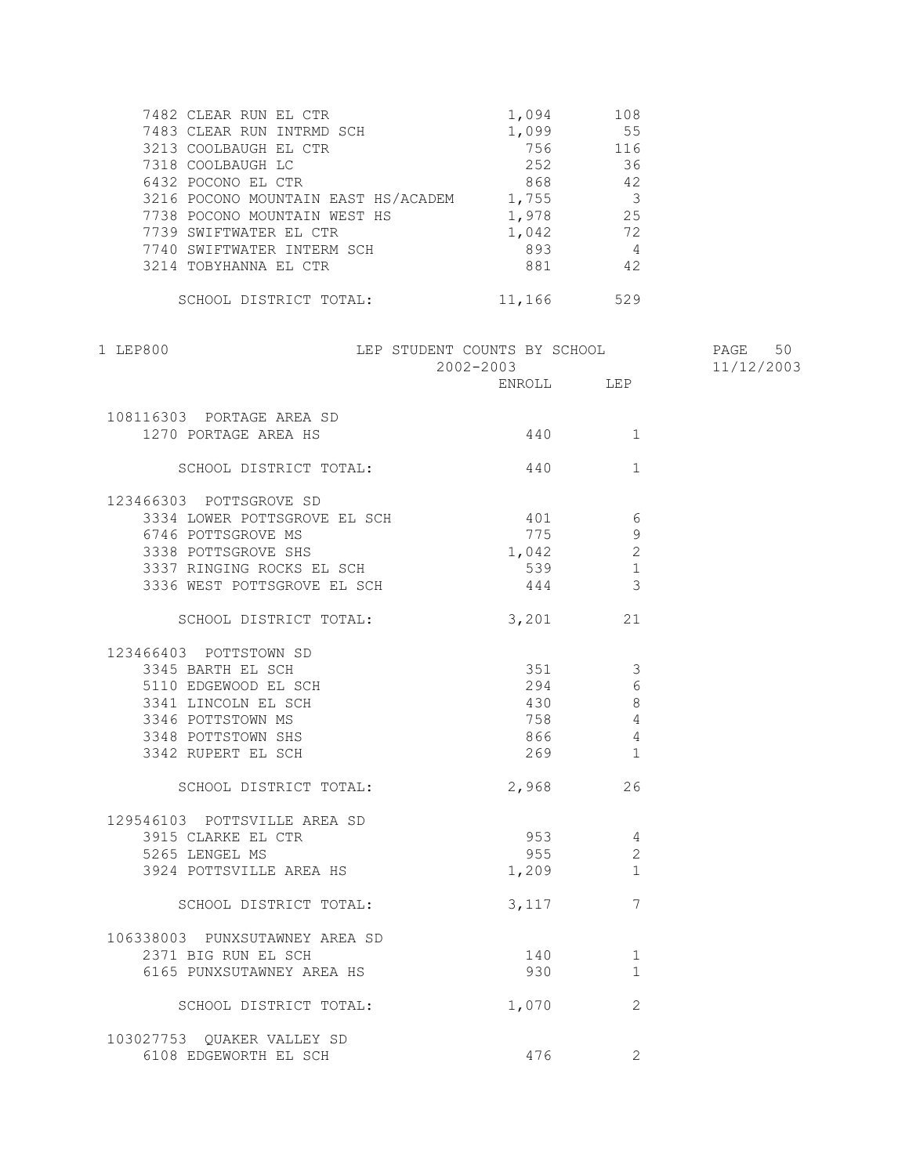| 7482 CLEAR RUN EL CTR               | 1,094  | 108            |
|-------------------------------------|--------|----------------|
| 7483 CLEAR RUN INTRMD SCH           | 1,099  | 55             |
| 3213 COOLBAUGH EL CTR               | 756    | 116            |
| 7318 COOLBAUGH LC                   | 252    | 36             |
| 6432 POCONO EL CTR                  | 868    | 42             |
| 3216 POCONO MOUNTAIN EAST HS/ACADEM | 1,755  | - 3            |
| 7738 POCONO MOUNTAIN WEST HS        | 1,978  | 25             |
| 7739 SWIFTWATER EL CTR              | 1,042  | 72             |
| 7740 SWIFTWATER INTERM SCH          | 893    | $\overline{4}$ |
| 3214 TOBYHANNA EL CTR               | 881    | 42             |
|                                     |        |                |
| SCHOOL DISTRICT TOTAL:              | 11,166 | 529            |

| 1 LEP800                         | LEP STUDENT COUNTS BY SCHOOL                     |                |                | PAGE 50    |
|----------------------------------|--------------------------------------------------|----------------|----------------|------------|
|                                  | $2002 - 2003$                                    | ENROLL LEP     |                | 11/12/2003 |
| 108116303 PORTAGE AREA SD        |                                                  |                |                |            |
| 1270 PORTAGE AREA HS             |                                                  |                | 1              |            |
| SCHOOL DISTRICT TOTAL:           |                                                  | 440            | $\mathbf{1}$   |            |
| 123466303 POTTSGROVE SD          |                                                  |                |                |            |
| 3334 LOWER POTTSGROVE EL SCH 401 |                                                  |                | 6              |            |
| 6746 POTTSGROVE MS               |                                                  | 775            | 9              |            |
| 3338 POTTSGROVE SHS              |                                                  | 1,042          | $\overline{2}$ |            |
| 3337 RINGING ROCKS EL SCH        |                                                  |                | $\mathbf{1}$   |            |
| 3336 WEST POTTSGROVE EL SCH      |                                                  | $539$<br>$444$ | 3              |            |
| SCHOOL DISTRICT TOTAL: 3,201     |                                                  |                | 21             |            |
| 123466403 POTTSTOWN SD           |                                                  |                |                |            |
| 3345 BARTH EL SCH                |                                                  |                | 3              |            |
| 5110 EDGEWOOD EL SCH             | $351$<br>$294$<br>$430$<br>$758$<br>$866$<br>260 |                | 6              |            |
| 3341 LINCOLN EL SCH              |                                                  |                | 8              |            |
| 3346 POTTSTOWN MS                |                                                  | 758            | 4              |            |
| 3348 POTTSTOWN SHS               |                                                  |                | $\overline{4}$ |            |
| 3342 RUPERT EL SCH               |                                                  | 269            | $\mathbf{1}$   |            |
| SCHOOL DISTRICT TOTAL:           |                                                  | 2,968          | 26             |            |
| 129546103 POTTSVILLE AREA SD     |                                                  |                |                |            |
| 3915 CLARKE EL CTR               |                                                  | 953            | 4              |            |
| 5265 LENGEL MS                   |                                                  | 955 000        | $\overline{2}$ |            |
| 3924 POTTSVILLE AREA HS          |                                                  | 1,209          | 1              |            |
| SCHOOL DISTRICT TOTAL:           |                                                  | 3,117          | 7              |            |
| 106338003 PUNXSUTAWNEY AREA SD   |                                                  |                |                |            |
| 2371 BIG RUN EL SCH              |                                                  | 140            | $\mathbf 1$    |            |
| 6165 PUNXSUTAWNEY AREA HS        |                                                  | 930            | $\mathbf{1}$   |            |
| SCHOOL DISTRICT TOTAL:           |                                                  | 1,070          | $\overline{2}$ |            |
| 103027753 OUAKER VALLEY SD       |                                                  |                |                |            |
| 6108 EDGEWORTH EL SCH            |                                                  | 476            | $\overline{2}$ |            |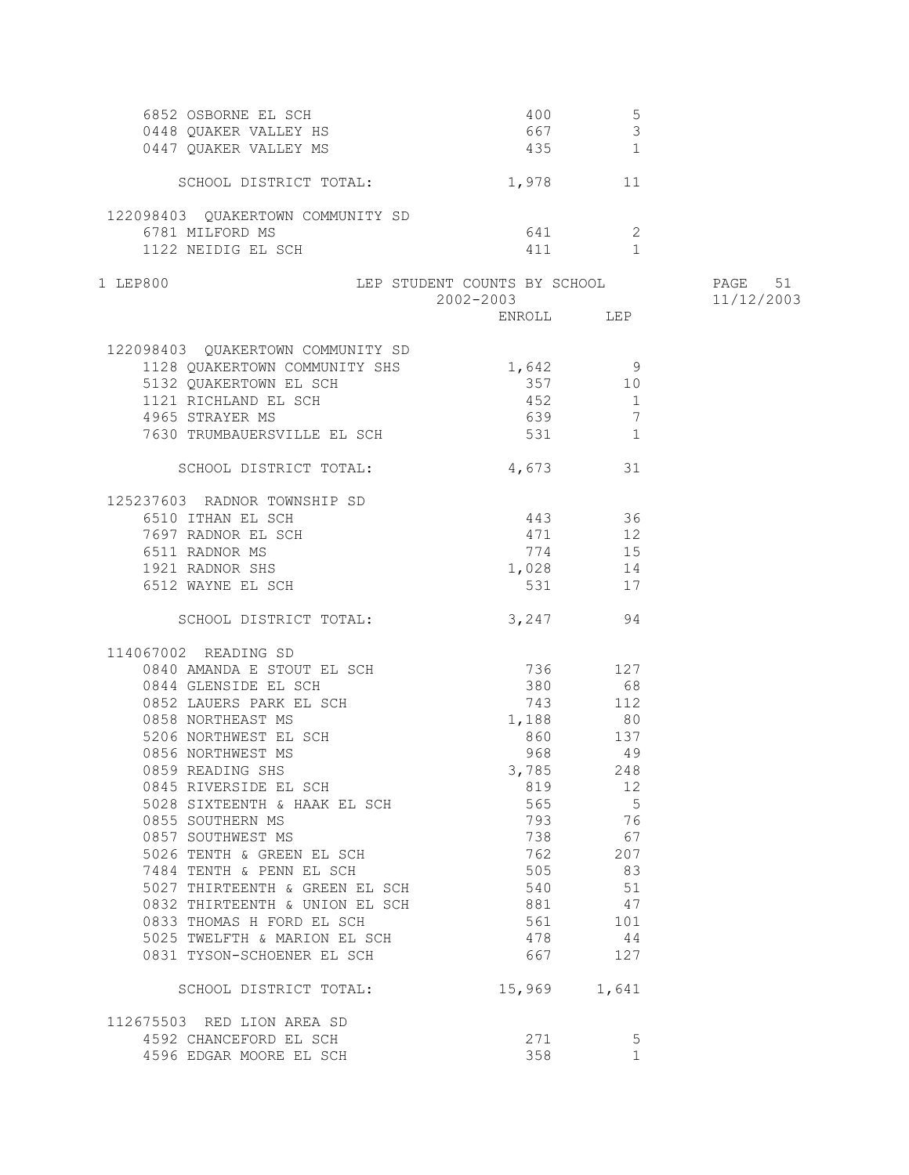| 6852 OSBORNE EL SCH<br>0448 QUAKER VALLEY HS<br>0447 QUAKER VALLEY MS | 400<br>667                   | 5<br>$\mathcal{S}$<br>435 1 |                       |
|-----------------------------------------------------------------------|------------------------------|-----------------------------|-----------------------|
| SCHOOL DISTRICT TOTAL:                                                | 1,978 11                     |                             |                       |
|                                                                       |                              |                             |                       |
| 122098403 QUAKERTOWN COMMUNITY SD<br>6781 MILFORD MS                  |                              | 641 2                       |                       |
| 1122 NEIDIG EL SCH                                                    |                              | 4 1 1 1                     |                       |
| 1 LEP800                                                              | LEP STUDENT COUNTS BY SCHOOL |                             | PAGE 51<br>11/12/2003 |
|                                                                       | $2002 - 2003$ ENROLL LEP     |                             |                       |
| 122098403 QUAKERTOWN COMMUNITY SD                                     |                              |                             |                       |
| 1128 QUAKERTOWN COMMUNITY SHS 1,642 9                                 |                              |                             |                       |
| 5132 QUAKERTOWN EL SCH                                                |                              | 357 10                      |                       |
| 1121 RICHLAND EL SCH                                                  |                              | 452 1                       |                       |
| 4965 STRAYER MS                                                       | 639                          | $7\phantom{.0}$             |                       |
| 7630 TRUMBAUERSVILLE EL SCH                                           |                              | 531 1                       |                       |
| SCHOOL DISTRICT TOTAL:                                                | 4,673 31                     |                             |                       |
| 125237603 RADNOR TOWNSHIP SD                                          |                              |                             |                       |
| 6510 ITHAN EL SCH                                                     | 443 36                       |                             |                       |
| 7697 RADNOR EL SCH                                                    | 471 12                       |                             |                       |
| 6511 RADNOR MS                                                        |                              | 774 15                      |                       |
| 1921 RADNOR SHS                                                       | 1,028 14                     |                             |                       |
| 6512 WAYNE EL SCH                                                     |                              | 531 17                      |                       |
| SCHOOL DISTRICT TOTAL:                                                |                              | 3,247 94                    |                       |
| 114067002 READING SD                                                  |                              |                             |                       |
| 0840 AMANDA E STOUT EL SCH                                            | 736 127                      |                             |                       |
| 0844 GLENSIDE EL SCH                                                  | 380 68                       |                             |                       |
| 0852 LAUERS PARK EL SCH                                               |                              | 743 112                     |                       |
| 0858 NORTHEAST MS                                                     | 1,188 80                     |                             |                       |
| 5206 NORTHWEST EL SCH                                                 | 860                          | 137                         |                       |
| 0856 NORTHWEST MS                                                     | 968                          | 49                          |                       |
| 0859 READING SHS                                                      | 3,785                        | 248                         |                       |
| 0845 RIVERSIDE EL SCH                                                 | 819                          | 12                          |                       |
| 5028 SIXTEENTH & HAAK EL SCH                                          | 565                          | $-5$                        |                       |
| 0855 SOUTHERN MS                                                      | 793                          | 76                          |                       |
| 0857 SOUTHWEST MS                                                     | 738                          | 67                          |                       |
| 5026 TENTH & GREEN EL SCH                                             | 762                          | 207                         |                       |
| 7484 TENTH & PENN EL SCH                                              | 505                          | 83                          |                       |
| 5027 THIRTEENTH & GREEN EL SCH                                        | 540                          | 51                          |                       |
| 0832 THIRTEENTH & UNION EL SCH                                        | 881                          | 47                          |                       |
| 0833 THOMAS H FORD EL SCH                                             | 561                          | 101                         |                       |
| 5025 TWELFTH & MARION EL SCH                                          | 478                          | 44                          |                       |
| 0831 TYSON-SCHOENER EL SCH                                            | 667                          | 127                         |                       |
| SCHOOL DISTRICT TOTAL:                                                |                              | 15,969 1,641                |                       |
| 112675503 RED LION AREA SD                                            |                              |                             |                       |
| 4592 CHANCEFORD EL SCH                                                | 271                          | 5                           |                       |
| 4596 EDGAR MOORE EL SCH                                               | 358                          | $\mathbf{1}$                |                       |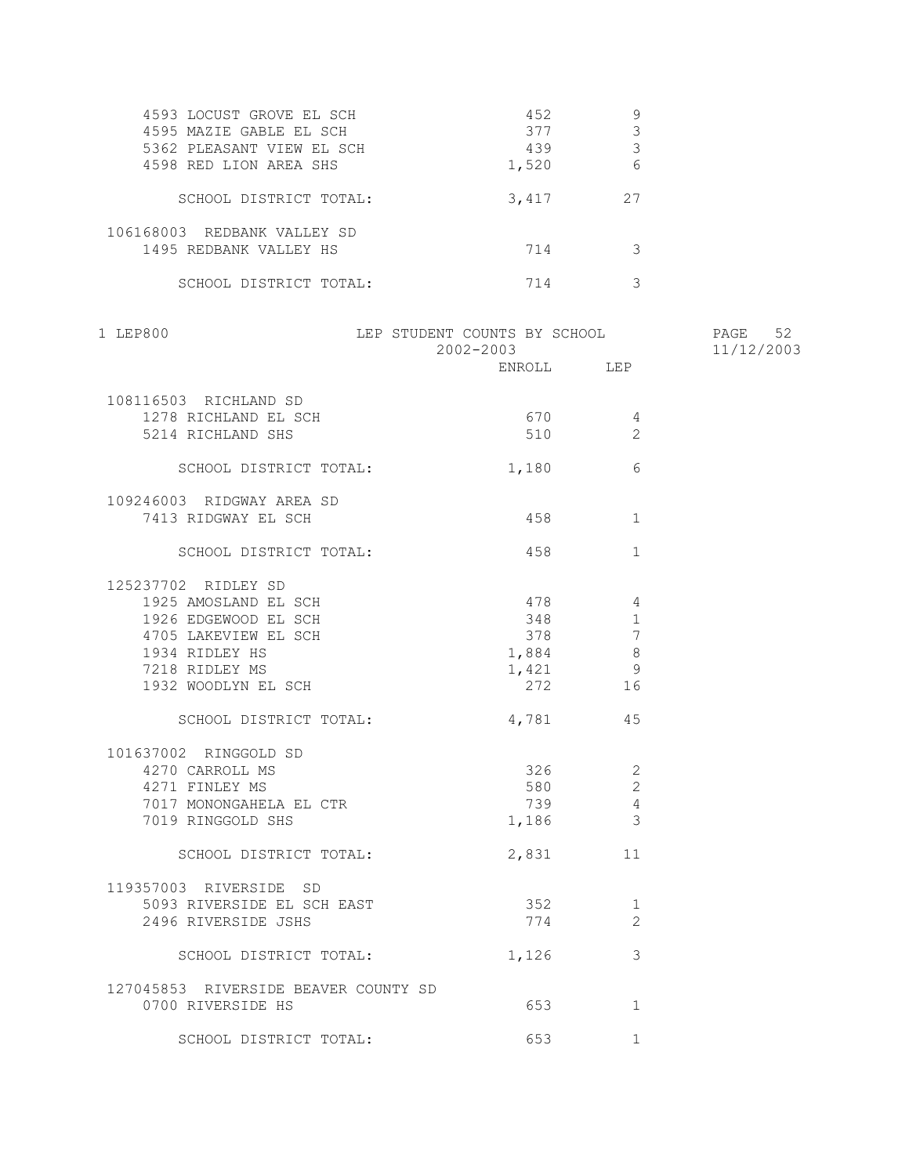| 4593 LOCUST GROVE EL SCH    | 452   |    |
|-----------------------------|-------|----|
| 4595 MAZIE GABLE EL SCH     | 377   |    |
| 5362 PLEASANT VIEW EL SCH   | 439   |    |
| 4598 RED LION AREA SHS      | 1,520 |    |
| SCHOOL DISTRICT TOTAL:      | 3,417 | 27 |
| 106168003 REDBANK VALLEY SD |       |    |
| 1495 REDBANK VALLEY HS      | 714   |    |
| SCHOOL DISTRICT TOTAL:      | 714   |    |

| 1 LEP800                             | LEP STUDENT COUNTS BY SCHOOL<br>2002-2003 |                                                                           | PAGE 52<br>11/12/2003 |
|--------------------------------------|-------------------------------------------|---------------------------------------------------------------------------|-----------------------|
|                                      |                                           | ENROLL LEP                                                                |                       |
| 108116503 RICHLAND SD                |                                           |                                                                           |                       |
| 1278 RICHLAND EL SCH                 | 670                                       | 4                                                                         |                       |
| 5214 RICHLAND SHS                    |                                           | 510<br>2                                                                  |                       |
| SCHOOL DISTRICT TOTAL:               | 1,180                                     | 6                                                                         |                       |
| 109246003 RIDGWAY AREA SD            |                                           |                                                                           |                       |
| 7413 RIDGWAY EL SCH                  |                                           | 458 3<br>1                                                                |                       |
| SCHOOL DISTRICT TOTAL:               | 458                                       | $\mathbf{1}$                                                              |                       |
| 125237702 RIDLEY SD                  |                                           |                                                                           |                       |
| 1925 AMOSLAND EL SCH                 | 478                                       | $\overline{4}$                                                            |                       |
| 1926 EDGEWOOD EL SCH                 | 348                                       | 1                                                                         |                       |
| 4705 LAKEVIEW EL SCH                 | 378 378                                   | 7                                                                         |                       |
| 1934 RIDLEY HS                       |                                           |                                                                           |                       |
| 7218 RIDLEY MS                       |                                           |                                                                           |                       |
| 1932 WOODLYN EL SCH                  |                                           | $\begin{array}{ccc} 1,884 & & 8 \\ 1,421 & & 9 \\ 272 & & 16 \end{array}$ |                       |
| SCHOOL DISTRICT TOTAL:               |                                           | 4,781 45                                                                  |                       |
| 101637002 RINGGOLD SD                |                                           |                                                                           |                       |
| 4270 CARROLL MS                      |                                           | $326$ 2                                                                   |                       |
| 4271 FINLEY MS                       | 580                                       | 2                                                                         |                       |
| 7017 MONONGAHELA EL CTR              | 739                                       | $\overline{4}$                                                            |                       |
| 7019 RINGGOLD SHS                    |                                           | $1,186$ 3                                                                 |                       |
| SCHOOL DISTRICT TOTAL:               |                                           | 2,831 11                                                                  |                       |
| 119357003 RIVERSIDE SD               |                                           |                                                                           |                       |
| 5093 RIVERSIDE EL SCH EAST           | 352                                       | 1                                                                         |                       |
| 2496 RIVERSIDE JSHS                  | 774                                       | 2                                                                         |                       |
| SCHOOL DISTRICT TOTAL:               | 1,126                                     | 3                                                                         |                       |
| 127045853 RIVERSIDE BEAVER COUNTY SD |                                           |                                                                           |                       |
| 0700 RIVERSIDE HS                    |                                           | 1                                                                         |                       |
| SCHOOL DISTRICT TOTAL:               | 653                                       | $\mathbf{1}$                                                              |                       |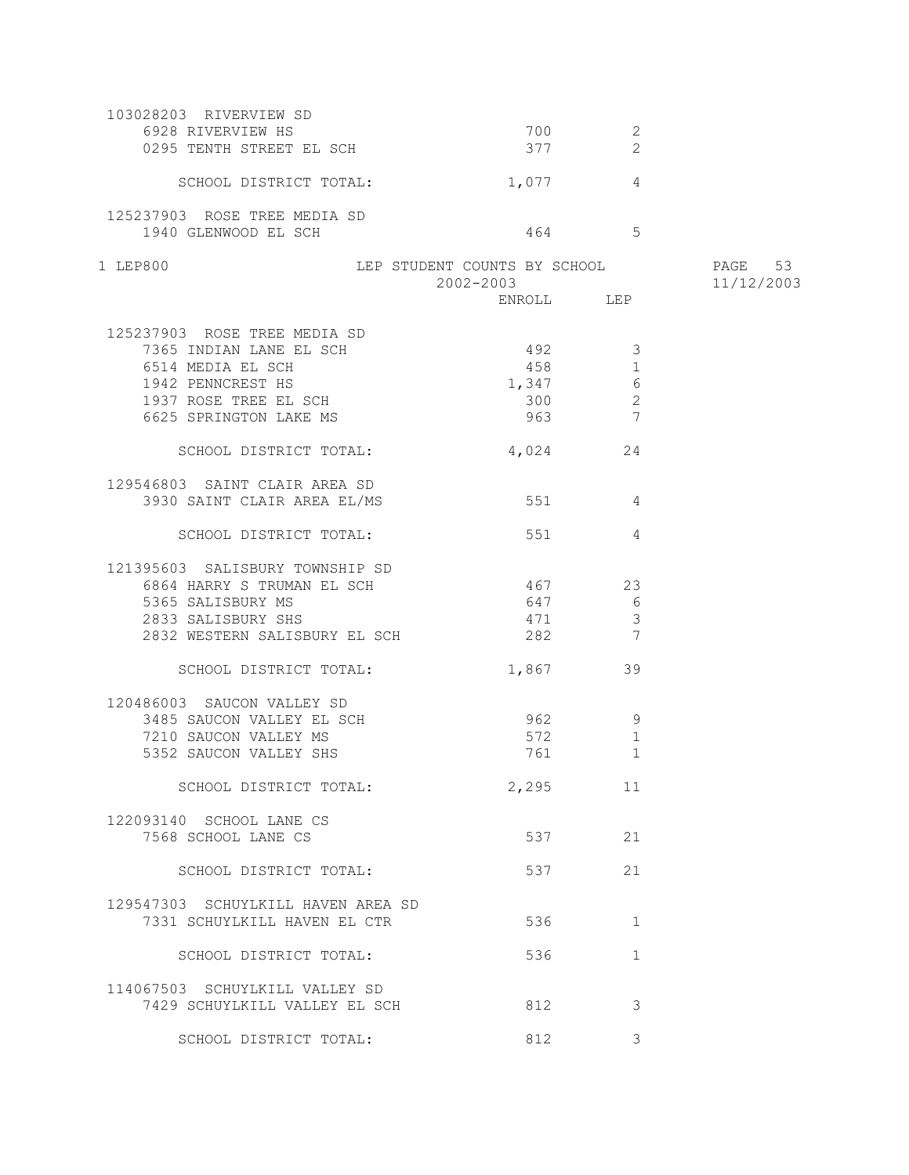| 103028203 RIVERVIEW SD                          |                                           |                     |                       |
|-------------------------------------------------|-------------------------------------------|---------------------|-----------------------|
| 6928 RIVERVIEW HS<br>0295 TENTH STREET EL SCH   | 700<br>377                                | 2<br>$\overline{2}$ |                       |
|                                                 |                                           |                     |                       |
| SCHOOL DISTRICT TOTAL:                          | 1,077                                     | $\overline{4}$      |                       |
| 125237903 ROSE TREE MEDIA SD                    |                                           |                     |                       |
| 1940 GLENWOOD EL SCH                            |                                           | 464 5               |                       |
|                                                 |                                           |                     |                       |
| 1 LEP800                                        | LEP STUDENT COUNTS BY SCHOOL<br>2002-2003 |                     | PAGE 53<br>11/12/2003 |
|                                                 |                                           |                     |                       |
|                                                 |                                           |                     |                       |
| 125237903 ROSE TREE MEDIA SD                    |                                           |                     |                       |
| 7365 INDIAN LANE EL SCH                         | $492$ 3                                   |                     |                       |
| 6514 MEDIA EL SCH                               |                                           | 458 3<br>1          |                       |
| 1942 PENNCREST HS                               | 1,347                                     | 6                   |                       |
| 1937 ROSE TREE EL SCH                           | 300                                       | 2                   |                       |
| 6625 SPRINGTON LAKE MS                          | 963                                       | $\overline{7}$      |                       |
|                                                 |                                           |                     |                       |
| SCHOOL DISTRICT TOTAL:                          |                                           | 4,024 24            |                       |
| 129546803 SAINT CLAIR AREA SD                   |                                           |                     |                       |
| 3930 SAINT CLAIR AREA EL/MS                     | 551                                       | $\sim$ 4            |                       |
|                                                 |                                           |                     |                       |
| SCHOOL DISTRICT TOTAL:                          | 551                                       | 4                   |                       |
|                                                 |                                           |                     |                       |
| 121395603 SALISBURY TOWNSHIP SD                 |                                           |                     |                       |
| 6864 HARRY S TRUMAN EL SCH                      | 467                                       | 23                  |                       |
| 5365 SALISBURY MS                               | 647                                       | 6                   |                       |
| 2833 SALISBURY SHS                              | 471                                       | $\mathbf{3}$        |                       |
| 2832 WESTERN SALISBURY EL SCH                   | 282                                       | $7\phantom{.0}$     |                       |
| SCHOOL DISTRICT TOTAL:                          |                                           | 39                  |                       |
|                                                 | 1,867                                     |                     |                       |
| 120486003 SAUCON VALLEY SD                      |                                           |                     |                       |
| 3485 SAUCON VALLEY EL SCH                       | 962                                       | - 9                 |                       |
| 7210 SAUCON VALLEY MS                           | 572                                       | $\mathbf 1$         |                       |
| 5352 SAUCON VALLEY SHS                          | 761                                       | $\mathbf{1}$        |                       |
|                                                 |                                           |                     |                       |
| SCHOOL DISTRICT TOTAL:                          | 2,295                                     | 11                  |                       |
|                                                 |                                           |                     |                       |
| 122093140 SCHOOL LANE CS<br>7568 SCHOOL LANE CS |                                           | 537 — 100<br>21     |                       |
|                                                 |                                           |                     |                       |
| SCHOOL DISTRICT TOTAL:                          | 537                                       | 21                  |                       |
|                                                 |                                           |                     |                       |
| 129547303 SCHUYLKILL HAVEN AREA SD              |                                           |                     |                       |
| 7331 SCHUYLKILL HAVEN EL CTR                    | 536                                       | 1                   |                       |
|                                                 |                                           |                     |                       |
| SCHOOL DISTRICT TOTAL:                          | 536                                       | $\mathbf{1}$        |                       |
|                                                 |                                           |                     |                       |
| 114067503 SCHUYLKILL VALLEY SD                  |                                           |                     |                       |
| 7429 SCHUYLKILL VALLEY EL SCH                   | 812                                       | 3                   |                       |
| SCHOOL DISTRICT TOTAL:                          | 812                                       | 3                   |                       |
|                                                 |                                           |                     |                       |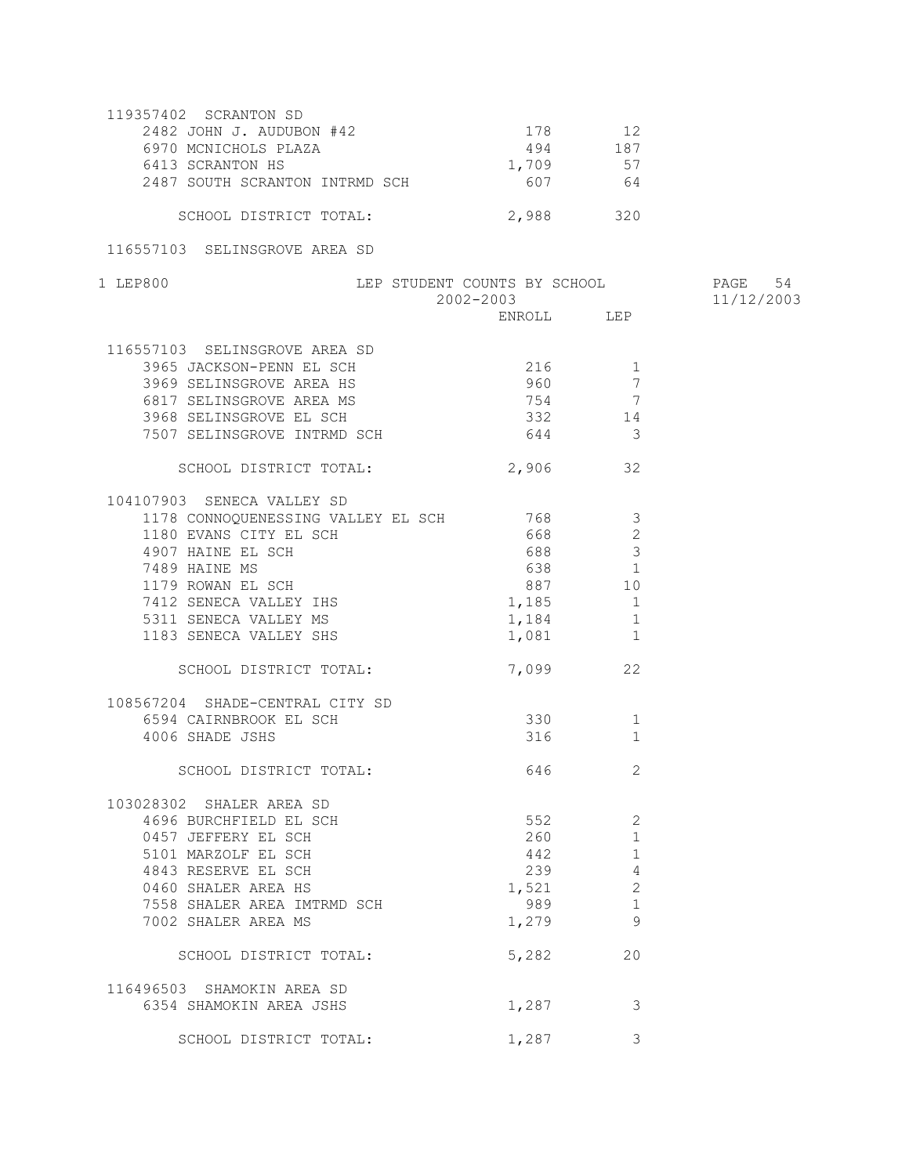| 119357402 SCRANTON SD          |       |      |
|--------------------------------|-------|------|
| 2482 JOHN J. AUDUBON #42       | 178   | 12   |
| 6970 MCNICHOLS PLAZA           | 494   | 187  |
| 6413 SCRANTON HS               | 1,709 | 57   |
| 2487 SOUTH SCRANTON INTRMD SCH | 607   | 64   |
| SCHOOL DISTRICT TOTAL:         | 2,988 | 32 N |

116557103 SELINSGROVE AREA SD

| 1 LEP800                                                                                                                                                                                                                               | LEP STUDENT COUNTS BY SCHOOL PAGE 54<br>2002-2003 11/12/2003 |                         | 11/12/2003 |
|----------------------------------------------------------------------------------------------------------------------------------------------------------------------------------------------------------------------------------------|--------------------------------------------------------------|-------------------------|------------|
|                                                                                                                                                                                                                                        |                                                              | ENROLL LEP              |            |
| 116557103 SELINSGROVE AREA SD                                                                                                                                                                                                          |                                                              |                         |            |
|                                                                                                                                                                                                                                        |                                                              |                         |            |
|                                                                                                                                                                                                                                        |                                                              |                         |            |
|                                                                                                                                                                                                                                        |                                                              |                         |            |
|                                                                                                                                                                                                                                        |                                                              | 332 14                  |            |
| 3968 SELINSGROVE EL SCH<br>7507 SELINSGROVE INTRMD SCH                                                                                                                                                                                 |                                                              | $644$ 3                 |            |
|                                                                                                                                                                                                                                        |                                                              |                         |            |
|                                                                                                                                                                                                                                        | SCHOOL DISTRICT TOTAL: 2,906 32                              |                         |            |
| 104107903 SENECA VALLEY SD                                                                                                                                                                                                             |                                                              |                         |            |
| 1178 CONNOQUENESSING VALLEY EL SCH 768                                                                                                                                                                                                 |                                                              | $\overline{\mathbf{3}}$ |            |
|                                                                                                                                                                                                                                        |                                                              |                         |            |
|                                                                                                                                                                                                                                        |                                                              |                         |            |
|                                                                                                                                                                                                                                        |                                                              |                         |            |
|                                                                                                                                                                                                                                        |                                                              |                         |            |
| 1170 CONNOYOBRISSING VIELET 2016<br>1180 EVANS CITY EL SCH<br>4907 HAINE EL SCH<br>7489 HAINE MS<br>1179 ROWAN EL SCH<br>7412 SENECA VALLEY IHS<br>5311 SENECA VALLEY MS<br>1183 SENECA VALLEY SHS<br>1183 SENECA VALLEY SHS<br>1183 1 |                                                              |                         |            |
|                                                                                                                                                                                                                                        |                                                              |                         |            |
|                                                                                                                                                                                                                                        |                                                              |                         |            |
|                                                                                                                                                                                                                                        |                                                              |                         |            |
| SCHOOL DISTRICT TOTAL:                                                                                                                                                                                                                 |                                                              | 7,099 22                |            |
| 108567204 SHADE-CENTRAL CITY SD                                                                                                                                                                                                        |                                                              |                         |            |
| 6594 CAIRNBROOK EL SCH 330                                                                                                                                                                                                             |                                                              | 1                       |            |
| 4006 SHADE JSHS                                                                                                                                                                                                                        |                                                              | 316<br>1                |            |
|                                                                                                                                                                                                                                        |                                                              |                         |            |
| SCHOOL DISTRICT TOTAL:                                                                                                                                                                                                                 |                                                              | 646<br>2                |            |
| 103028302 SHALER AREA SD<br>1696 BURCHFIELD EL SCH<br>0457 JEFFERY EL SCH<br>5101 MARZOLF EL SCH<br>4843 RESERVE EL SCH<br>0460 SHALER AREA HS<br>7558 SHALER AREA HS                                                                  |                                                              |                         |            |
|                                                                                                                                                                                                                                        |                                                              | 552<br>2                |            |
|                                                                                                                                                                                                                                        |                                                              | 260<br>1                |            |
|                                                                                                                                                                                                                                        |                                                              | 442<br>1                |            |
|                                                                                                                                                                                                                                        |                                                              | $239$ 4                 |            |
|                                                                                                                                                                                                                                        |                                                              | $1,521$ 2               |            |
| 7558 SHALER AREA IMTRMD SCH                                                                                                                                                                                                            |                                                              | 989 1999<br>1           |            |
| 7002 SHALER AREA MS                                                                                                                                                                                                                    |                                                              | 9<br>1,279              |            |
|                                                                                                                                                                                                                                        |                                                              |                         |            |
| SCHOOL DISTRICT TOTAL:                                                                                                                                                                                                                 |                                                              | 5,282<br>20             |            |
| 116496503 SHAMOKIN AREA SD                                                                                                                                                                                                             |                                                              |                         |            |
| 6354 SHAMOKIN AREA JSHS                                                                                                                                                                                                                | 1,287                                                        | 3                       |            |
| SCHOOL DISTRICT TOTAL:                                                                                                                                                                                                                 | 1,287                                                        | 3                       |            |
|                                                                                                                                                                                                                                        |                                                              |                         |            |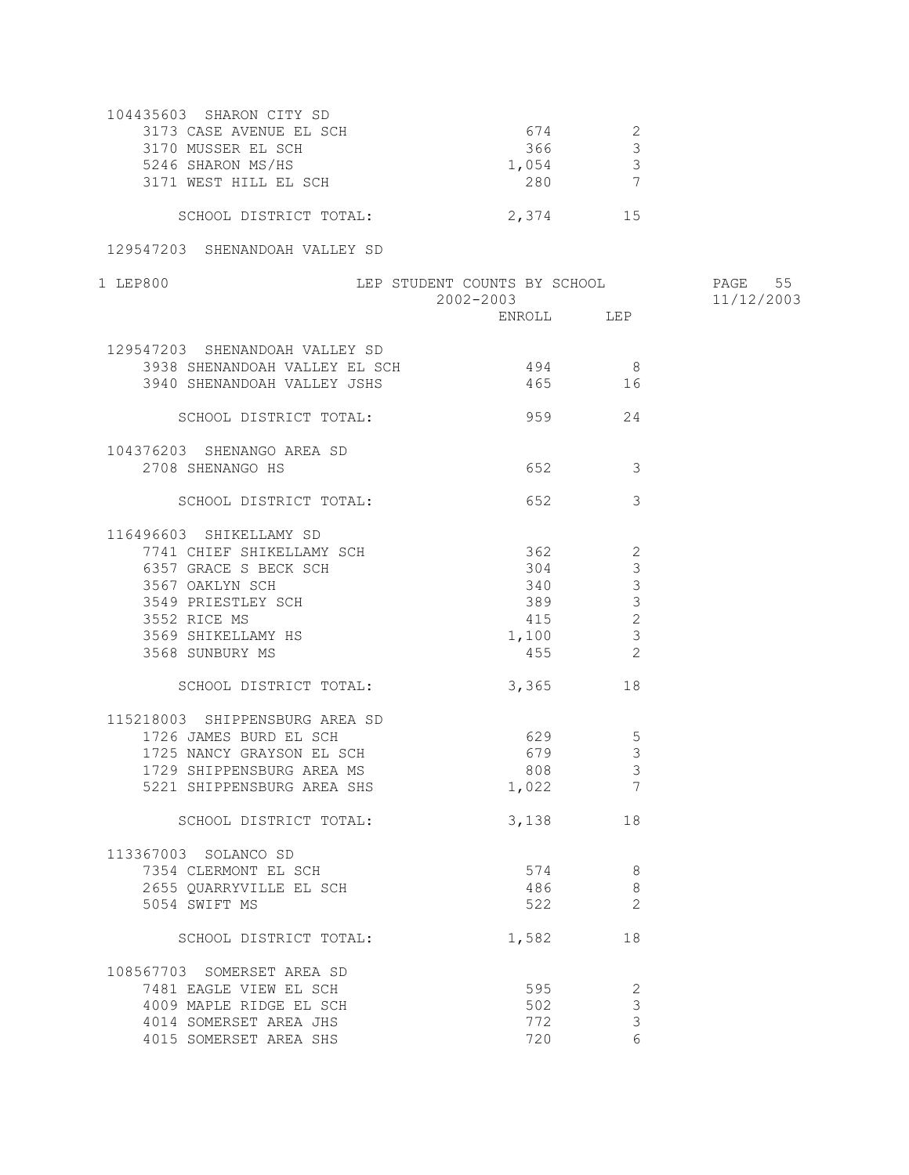| 104435603 SHARON CITY SD |       |     |
|--------------------------|-------|-----|
| 3173 CASE AVENUE EL SCH  | 674   |     |
| 3170 MUSSER EL SCH       | 366   |     |
| 5246 SHARON MS/HS        | 1,054 |     |
| 3171 WEST HILL EL SCH    | 280   |     |
| SCHOOL DISTRICT TOTAL:   | 2,374 | ገ ሓ |

## 129547203 SHENANDOAH VALLEY SD

| 1 LEP800                                                                                                                                       | LEP STUDENT COUNTS BY SCHOOL<br>2002-2003 |                                    | PAGE 55<br>11/12/2003 |
|------------------------------------------------------------------------------------------------------------------------------------------------|-------------------------------------------|------------------------------------|-----------------------|
|                                                                                                                                                |                                           |                                    |                       |
| 129547203 SHENANDOAH VALLEY SD                                                                                                                 |                                           |                                    |                       |
| 3938 SHENANDOAH VALLEY EL SCH                                                                                                                  |                                           |                                    |                       |
| 3940 SHENANDOAH VALLEY JSHS                                                                                                                    |                                           | $494$ 8<br>$465$ 16                |                       |
|                                                                                                                                                |                                           |                                    |                       |
| SCHOOL DISTRICT TOTAL:                                                                                                                         |                                           | 959 24                             |                       |
| 104376203 SHENANGO AREA SD                                                                                                                     |                                           |                                    |                       |
| 2708 SHENANGO HS                                                                                                                               |                                           | 652<br>$\overline{\mathbf{3}}$     |                       |
|                                                                                                                                                |                                           |                                    |                       |
| SCHOOL DISTRICT TOTAL:                                                                                                                         | 652 652                                   | -3                                 |                       |
| 116496603 SHIKELLAMY SD                                                                                                                        |                                           |                                    |                       |
|                                                                                                                                                |                                           | $\overline{\phantom{0}}^2$         |                       |
|                                                                                                                                                |                                           | $\mathcal{S}$                      |                       |
|                                                                                                                                                |                                           | $\mathcal{S}$<br>340               |                       |
| 7741 CHIEF SHIKELLAMY SCH<br>6357 GRACE S BECK SCH<br>3567 OAKLYN SCH<br>3549 PRIESTLEY SCH<br>3549 PRIESTLEY SCH<br>3549 PRIESTLEY SCH<br>369 |                                           | $\mathbf{3}$                       |                       |
|                                                                                                                                                |                                           | 415<br>$\overline{c}$              |                       |
|                                                                                                                                                | 1,100                                     | $\mathbf{3}$                       |                       |
| צוי <sub>שלא ש</sub> טאר.<br>3569 SHIKELLAMY HS<br>3568 SUNBURY MS                                                                             | 455                                       | $\overline{2}$                     |                       |
| SCHOOL DISTRICT TOTAL:                                                                                                                         |                                           | 3,365 18                           |                       |
|                                                                                                                                                |                                           |                                    |                       |
| 115218003 SHIPPENSBURG AREA SD<br>1726 JAMES BURD EL SCH<br>1725 NANCY GRAYSON EL SCH                                                          |                                           |                                    |                       |
|                                                                                                                                                | 629                                       | $5\overline{)}$                    |                       |
|                                                                                                                                                |                                           | 679 3                              |                       |
| 1729 SHIPPENSBURG AREA MS                                                                                                                      |                                           | $\mathbf{3}$                       |                       |
| 5221 SHIPPENSBURG AREA SHS                                                                                                                     | $808$<br>1,022                            | $\begin{array}{c} \n7 \end{array}$ |                       |
| SCHOOL DISTRICT TOTAL:                                                                                                                         |                                           | 3,138 18                           |                       |
| 113367003 SOLANCO SD                                                                                                                           |                                           |                                    |                       |
|                                                                                                                                                | 574                                       | 8                                  |                       |
| 7354 CLERMONT EL SCH<br>2655 QUARRYVILLE EL SCH                                                                                                |                                           | 486<br>- 8                         |                       |
| 5054 SWIFT MS                                                                                                                                  |                                           | 522 2                              |                       |
|                                                                                                                                                |                                           |                                    |                       |
| SCHOOL DISTRICT TOTAL: 1,582 18                                                                                                                |                                           |                                    |                       |
| 108567703 SOMERSET AREA SD                                                                                                                     |                                           |                                    |                       |
| 7481 EAGLE VIEW EL SCH                                                                                                                         |                                           | 595<br>$\overline{\phantom{a}}$    |                       |
| 4009 MAPLE RIDGE EL SCH                                                                                                                        | 502                                       | $\mathcal{S}$                      |                       |
| 4014 SOMERSET AREA JHS                                                                                                                         |                                           | $\mathcal{S}$<br>772               |                       |
| 4015 SOMERSET AREA SHS                                                                                                                         | 720                                       | 6                                  |                       |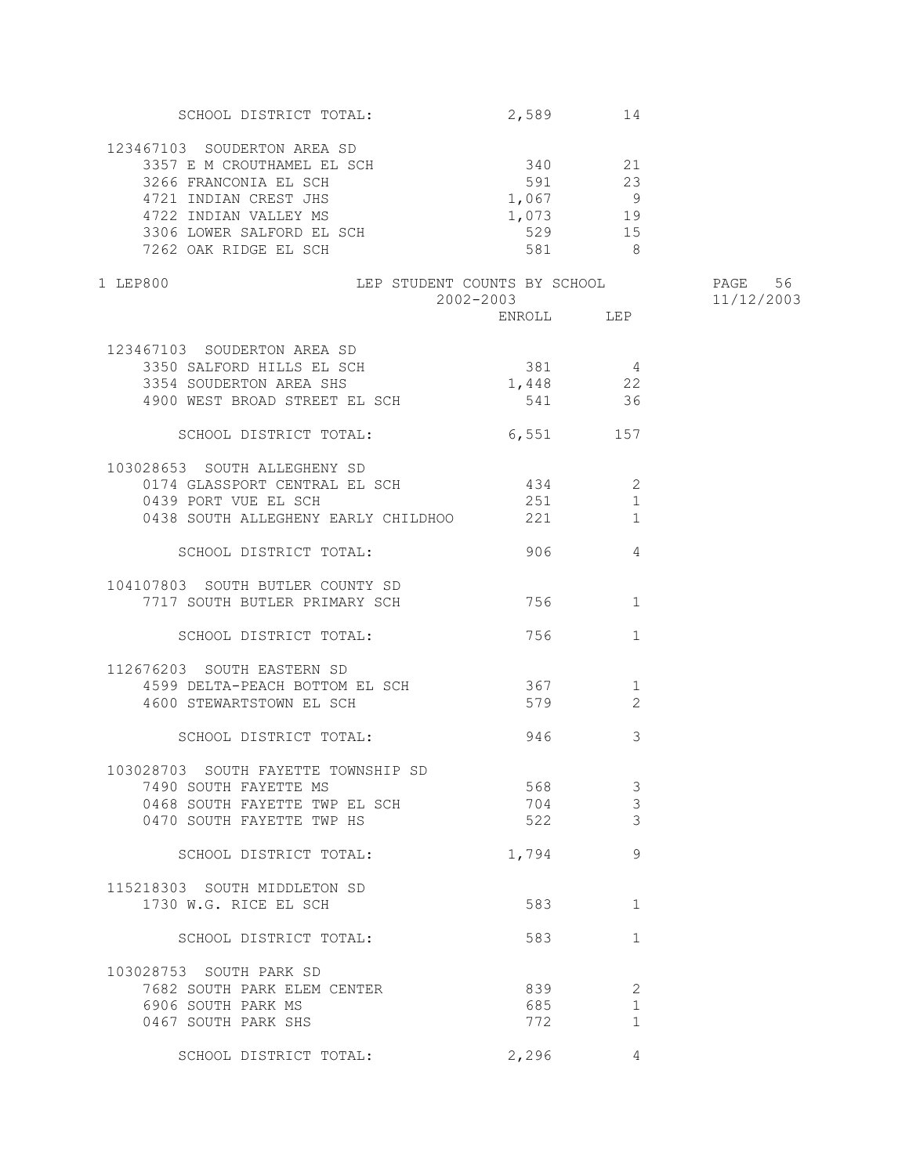| SCHOOL DISTRICT TOTAL:                   | 2,589      | 14           |            |
|------------------------------------------|------------|--------------|------------|
| 123467103 SOUDERTON AREA SD              |            |              |            |
|                                          | 340 21     |              |            |
| 3357 E M CROUTHAMEL EL SCH               |            |              |            |
| 3266 FRANCONIA EL SCH                    | 591 23     |              |            |
| 4721 INDIAN CREST JHS                    | $1,067$ 9  |              |            |
| 4722 INDIAN VALLEY MS                    | $1,073$ 19 |              |            |
|                                          | 529        | 15           |            |
| 3306 LOWER SALFORD EL SCH                |            | 8            |            |
| 7262 OAK RIDGE EL SCH                    | 581 38     |              |            |
| LEP STUDENT COUNTS BY SCHOOL<br>1 LEP800 |            |              | PAGE 56    |
|                                          | 2002-2003  |              | 11/12/2003 |
|                                          | ENROLL LEP |              |            |
|                                          |            |              |            |
| 123467103 SOUDERTON AREA SD              |            |              |            |
| 3350 SALFORD HILLS EL SCH                | $381$ 4    |              |            |
| 3354 SOUDERTON AREA SHS                  | $1,448$ 22 |              |            |
| 4900 WEST BROAD STREET EL SCH            | 541        | 36           |            |
|                                          |            |              |            |
| SCHOOL DISTRICT TOTAL:                   | 6,551 157  |              |            |
|                                          |            |              |            |
| 103028653 SOUTH ALLEGHENY SD             |            |              |            |
| 0174 GLASSPORT CENTRAL EL SCH            | 434        | 2            |            |
| 0439 PORT VUE EL SCH                     | 251        | $\mathbf{1}$ |            |
| 0438 SOUTH ALLEGHENY EARLY CHILDHOO 221  |            | 1            |            |
|                                          |            |              |            |
| SCHOOL DISTRICT TOTAL:                   | 906        | 4            |            |
|                                          |            |              |            |
| 104107803 SOUTH BUTLER COUNTY SD         |            |              |            |
| 7717 SOUTH BUTLER PRIMARY SCH            | 756        | 1            |            |
|                                          |            |              |            |
| SCHOOL DISTRICT TOTAL:                   | 756 750    | $\mathbf{1}$ |            |
|                                          |            |              |            |
| 112676203 SOUTH EASTERN SD               |            |              |            |
|                                          | 367        | $\mathbf{1}$ |            |
| 4599 DELTA-PEACH BOTTOM EL SCH           |            |              |            |
| 4600 STEWARTSTOWN EL SCH                 | 579        | 2            |            |
|                                          |            |              |            |
| SCHOOL DISTRICT TOTAL:                   | 946        | 3            |            |
|                                          |            |              |            |
| 103028703 SOUTH FAYETTE TOWNSHIP SD      |            |              |            |
| 7490 SOUTH FAYETTE MS                    | 568        | 3            |            |
| 0468 SOUTH FAYETTE TWP EL SCH            | 704        | 3            |            |
| 0470 SOUTH FAYETTE TWP HS                | 522        | 3            |            |
|                                          |            |              |            |
| SCHOOL DISTRICT TOTAL:                   | 1,794      | 9            |            |
|                                          |            |              |            |
| 115218303 SOUTH MIDDLETON SD             |            |              |            |
| 1730 W.G. RICE EL SCH                    | 583        | 1            |            |
|                                          |            |              |            |
| SCHOOL DISTRICT TOTAL:                   | 583        | 1            |            |
|                                          |            |              |            |
| 103028753 SOUTH PARK SD                  |            |              |            |
| 7682 SOUTH PARK ELEM CENTER              | 839        | 2            |            |
| 6906 SOUTH PARK MS                       | 685        | $\mathbf{1}$ |            |
|                                          |            |              |            |
| 0467 SOUTH PARK SHS                      | 772        | 1            |            |
|                                          |            |              |            |
| SCHOOL DISTRICT TOTAL:                   | 2,296      | 4            |            |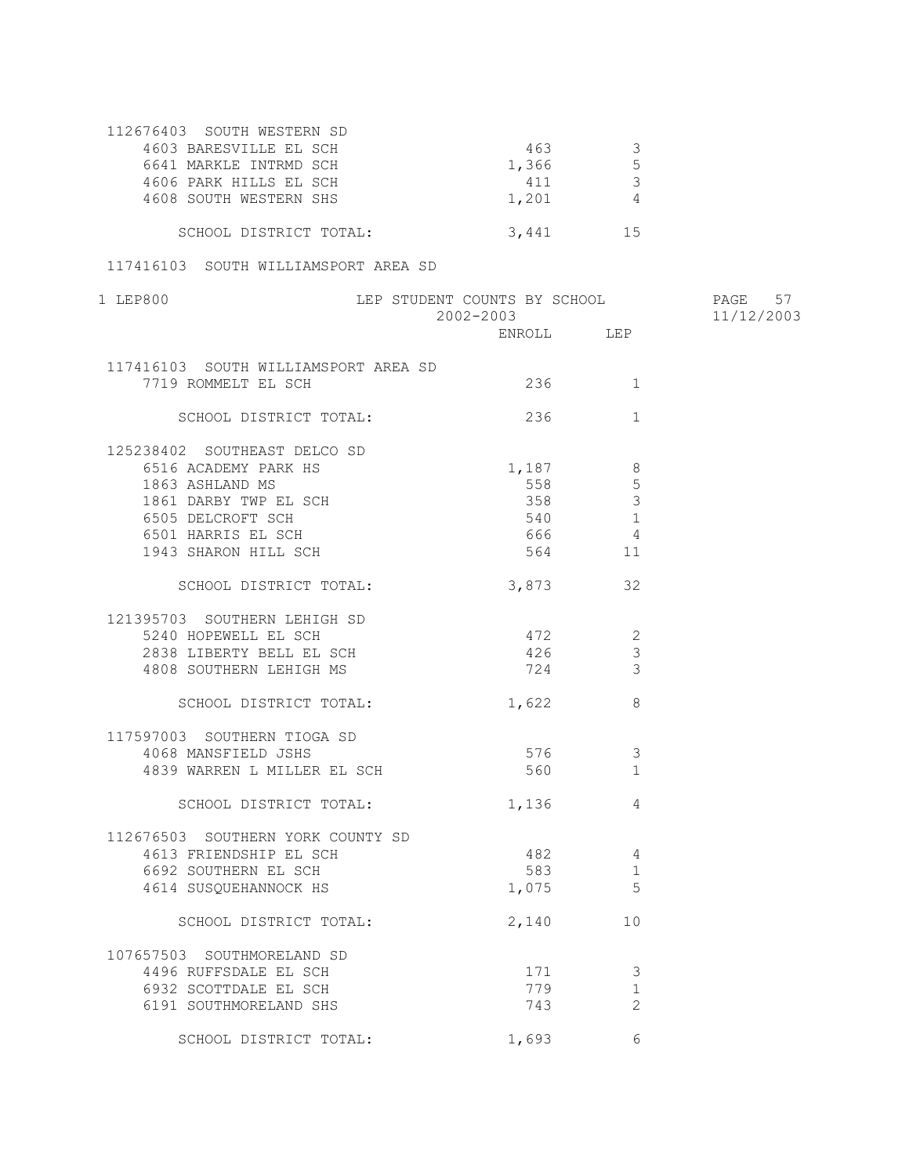| 112676403 SOUTH WESTERN SD |       |    |
|----------------------------|-------|----|
| 4603 BARESVILLE EL SCH     | 463   |    |
| 6641 MARKLE INTRMD SCH     | 1,366 |    |
| 4606 PARK HILLS EL SCH     | 411   |    |
| 4608 SOUTH WESTERN SHS     | 1,201 |    |
|                            |       |    |
| SCHOOL DISTRICT TOTAL:     | 3.441 | 15 |

## 117416103 SOUTH WILLIAMSPORT AREA SD

| 1 LEP800                             | LEP STUDENT COUNTS BY SCHOOL<br>2002-2003 |                                | PAGE<br>57<br>11/12/2003 |
|--------------------------------------|-------------------------------------------|--------------------------------|--------------------------|
|                                      |                                           |                                |                          |
| 117416103 SOUTH WILLIAMSPORT AREA SD |                                           |                                |                          |
| 7719 ROMMELT EL SCH                  |                                           | 236<br>1                       |                          |
| SCHOOL DISTRICT TOTAL:               |                                           | 236<br>$\mathbf{1}$            |                          |
| 125238402 SOUTHEAST DELCO SD         |                                           |                                |                          |
| 6516 ACADEMY PARK HS                 |                                           | $1,187$ 8                      |                          |
| 1863 ASHLAND MS                      | 558                                       | 5                              |                          |
| 1861 DARBY TWP EL SCH                |                                           | 358<br>$\overline{\mathbf{3}}$ |                          |
| 6505 DELCROFT SCH                    |                                           | 540 1                          |                          |
| 6501 HARRIS EL SCH                   | 666                                       | $\overline{4}$                 |                          |
| 1943 SHARON HILL SCH                 |                                           | $564$ 11                       |                          |
| SCHOOL DISTRICT TOTAL:               |                                           | 3,873 32                       |                          |
| 121395703 SOUTHERN LEHIGH SD         |                                           |                                |                          |
| 5240 HOPEWELL EL SCH                 | 472                                       | $\overline{2}$                 |                          |
| 2838 LIBERTY BELL EL SCH             |                                           | 426<br>$\mathcal{S}$           |                          |
| 4808 SOUTHERN LEHIGH MS              |                                           | 724 3                          |                          |
| SCHOOL DISTRICT TOTAL:               |                                           | 1,622 8                        |                          |
| 117597003 SOUTHERN TIOGA SD          |                                           |                                |                          |
| 4068 MANSFIELD JSHS                  | 576                                       | $\overline{\mathbf{3}}$        |                          |
| 4839 WARREN L MILLER EL SCH          | 560                                       | 1                              |                          |
| SCHOOL DISTRICT TOTAL:               |                                           | 1,136 4                        |                          |
| 112676503 SOUTHERN YORK COUNTY SD    |                                           |                                |                          |
| 4613 FRIENDSHIP EL SCH               |                                           | 482 4                          |                          |
| 6692 SOUTHERN EL SCH                 |                                           | 583 3<br>1                     |                          |
| 4614 SUSQUEHANNOCK HS                | 1,075                                     | 5                              |                          |
| SCHOOL DISTRICT TOTAL:               |                                           | 2,140<br>10                    |                          |
| 107657503 SOUTHMORELAND SD           |                                           |                                |                          |
| 4496 RUFFSDALE EL SCH                |                                           | 171 3                          |                          |
| 6932 SCOTTDALE EL SCH                | 779                                       | 1                              |                          |
| 6191 SOUTHMORELAND SHS               | 743                                       | 2                              |                          |
| SCHOOL DISTRICT TOTAL:               | 1,693                                     | 6                              |                          |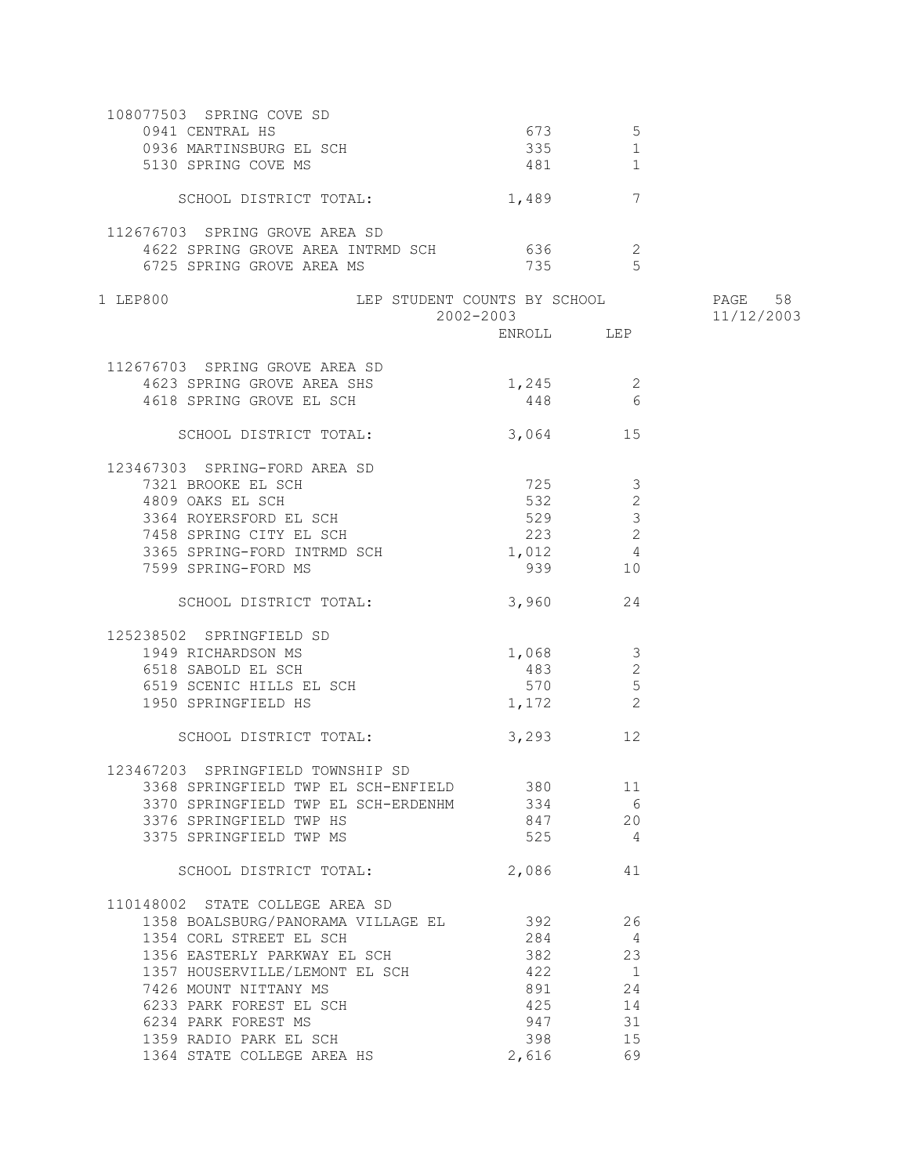| 108077503 SPRING COVE SD                                |               |                      |            |
|---------------------------------------------------------|---------------|----------------------|------------|
|                                                         | 673 — 100     | 5                    |            |
| CHAND HS<br>0936 MARTINSBURG EL SCH<br>5130 SPPING COLL | 335           | 1                    |            |
| 5130 SPRING COVE MS                                     | 481 and $481$ | 1                    |            |
|                                                         |               |                      |            |
| SCHOOL DISTRICT TOTAL:                                  | 1,489 7       |                      |            |
|                                                         |               |                      |            |
| 112676703 SPRING GROVE AREA SD                          |               |                      |            |
| 4622 SPRING GROVE AREA INTRMD SCH 636                   |               | $\overline{2}$       |            |
| 6725 SPRING GROVE AREA MS                               | 735           | $5^{\circ}$          |            |
|                                                         |               |                      |            |
| LEP STUDENT COUNTS BY SCHOOL 60 PAGE 58<br>1 LEP800     |               |                      |            |
|                                                         | 2002-2003     |                      | 11/12/2003 |
|                                                         | ENROLL LEP    |                      |            |
| 112676703 SPRING GROVE AREA SD                          |               |                      |            |
| 4623 SPRING GROVE AREA SHS                              |               |                      |            |
|                                                         | $1,245$ 2     |                      |            |
| 4618 SPRING GROVE EL SCH                                | 448           | 6                    |            |
| SCHOOL DISTRICT TOTAL:                                  | 3,064 15      |                      |            |
|                                                         |               |                      |            |
| 123467303 SPRING-FORD AREA SD                           |               |                      |            |
| 7321 BROOKE EL SCH                                      | 725           | $\mathcal{S}$        |            |
| 4809 OAKS EL SCH                                        | 532           | $\mathbf{2}$         |            |
| 3364 ROYERSFORD EL SCH                                  | 529           | $\mathcal{S}$        |            |
| 7458 SPRING CITY EL SCH                                 | 223           | 2                    |            |
|                                                         |               |                      |            |
| 3365 SPRING-FORD INTRMD SCH                             | 1,012         | $\overline{4}$<br>10 |            |
| 7599 SPRING-FORD MS                                     | 939           |                      |            |
| SCHOOL DISTRICT TOTAL:                                  | 3,960 24      |                      |            |
|                                                         |               |                      |            |
| 125238502 SPRINGFIELD SD                                |               |                      |            |
| 1949 RICHARDSON MS                                      | 1,068         | $\overline{3}$       |            |
| 6518 SABOLD EL SCH                                      | 483           | 2                    |            |
| 6519 SCENIC HILLS EL SCH                                | 570           | $\overline{5}$       |            |
| 1950 SPRINGFIELD HS                                     | 1,172         | 2                    |            |
|                                                         |               |                      |            |
| SCHOOL DISTRICT TOTAL:                                  | 3,293 12      |                      |            |
|                                                         |               |                      |            |
| 123467203 SPRINGFIELD TOWNSHIP SD                       |               |                      |            |
| 3368 SPRINGFIELD TWP EL SCH-ENFIELD 380                 |               | 11                   |            |
| 3370 SPRINGFIELD TWP EL SCH-ERDENHM 334                 |               | 6                    |            |
| 3376 SPRINGFIELD TWP HS                                 | 847           | 20                   |            |
| 3375 SPRINGFIELD TWP MS                                 | 525           | $\overline{4}$       |            |
|                                                         |               |                      |            |
| SCHOOL DISTRICT TOTAL:                                  | 2,086         | 41                   |            |
|                                                         |               |                      |            |
| 110148002 STATE COLLEGE AREA SD                         |               |                      |            |
| 1358 BOALSBURG/PANORAMA VILLAGE EL                      | 392           | 26                   |            |
| 1354 CORL STREET EL SCH                                 | 284           | 4                    |            |
| 1356 EASTERLY PARKWAY EL SCH                            | 382           | 23                   |            |
| 1357 HOUSERVILLE/LEMONT EL SCH                          | 422           | $\overline{1}$       |            |
| 7426 MOUNT NITTANY MS                                   | 891           | 24                   |            |
| 6233 PARK FOREST EL SCH                                 | 425           | 14                   |            |
| 6234 PARK FOREST MS                                     | 947           | 31                   |            |
| 1359 RADIO PARK EL SCH                                  | 398           | 15                   |            |
| 1364 STATE COLLEGE AREA HS                              | 2,616         | 69                   |            |
|                                                         |               |                      |            |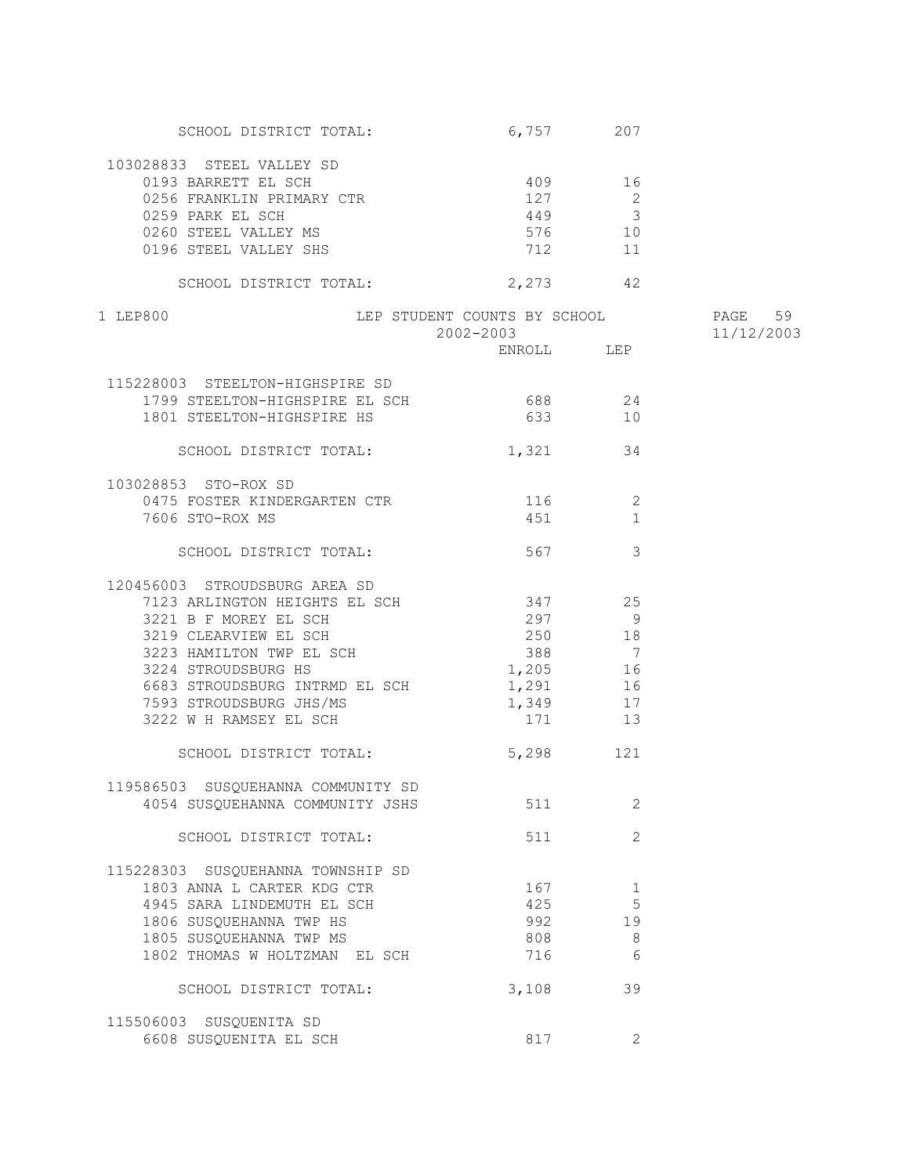| SCHOOL DISTRICT TOTAL:                                            | 6,757 207                    |                |            |
|-------------------------------------------------------------------|------------------------------|----------------|------------|
| 103028833 STEEL VALLEY SD                                         |                              |                |            |
|                                                                   | 409                          | 16             |            |
| 0193 BARRETT EL SCH<br>0256 FRANKLIN PRIMARY CTR<br>0050 FIEIL II | 127                          | 2              |            |
|                                                                   | 449 3                        |                |            |
|                                                                   | 576 10                       |                |            |
| UZJS FAKK EL SCH<br>0260 STEEL VALLEY MS<br>0196 STEEL VALLEY MS  |                              |                |            |
| 0196 STEEL VALLEY SHS                                             | 712                          | 11             |            |
| SCHOOL DISTRICT TOTAL:                                            | 2,273 42                     |                |            |
| 1 LEP800                                                          | LEP STUDENT COUNTS BY SCHOOL |                | PAGE 59    |
|                                                                   | 2002-2003                    |                | 11/12/2003 |
|                                                                   |                              |                |            |
|                                                                   |                              |                |            |
| 115228003 STEELTON-HIGHSPIRE SD                                   |                              |                |            |
| 1799 STEELTON-HIGHSPIRE EL SCH 688 24                             |                              |                |            |
| 1801 STEELTON-HIGHSPIRE HS                                        | 633 10                       |                |            |
| SCHOOL DISTRICT TOTAL:                                            | 1,321 34                     |                |            |
|                                                                   |                              |                |            |
| 103028853 STO-ROX SD                                              |                              |                |            |
| 0475 FOSTER KINDERGARTEN CTR 116 2                                |                              |                |            |
| 7606 STO-ROX MS                                                   | 451 3                        | 1              |            |
| SCHOOL DISTRICT TOTAL:                                            | 567                          | 3              |            |
|                                                                   |                              |                |            |
| 120456003 STROUDSBURG AREA SD                                     |                              |                |            |
| 7123 ARLINGTON HEIGHTS EL SCH                                     | 347 25                       |                |            |
| 3221 B F MOREY EL SCH                                             | 297                          | $\overline{9}$ |            |
| 3219 CLEARVIEW EL SCH                                             | 250 18                       |                |            |
| 3223 HAMILTON TWP EL SCH<br>3224 STROUDSBURG HS                   | 388 7                        |                |            |
|                                                                   | 1,205 16                     |                |            |
| 6683 STROUDSBURG INTRMD EL SCH 1,291 16                           |                              |                |            |
| 7593 STROUDSBURG JHS/MS                                           | 1,349 17                     |                |            |
| 3222 W H RAMSEY EL SCH                                            | 171 13                       |                |            |
| SCHOOL DISTRICT TOTAL:                                            | 5,298 121                    |                |            |
|                                                                   |                              |                |            |
| 119586503 SUSQUEHANNA COMMUNITY SD                                |                              |                |            |
| 4054 SUSQUEHANNA COMMUNITY JSHS                                   | 511                          | 2              |            |
|                                                                   |                              |                |            |
| SCHOOL DISTRICT TOTAL:                                            | 511                          | 2              |            |
| 115228303 SUSQUEHANNA TOWNSHIP SD                                 |                              |                |            |
| 1803 ANNA L CARTER KDG CTR                                        | 167                          | 1              |            |
| 4945 SARA LINDEMUTH EL SCH                                        | 425                          | 5              |            |
|                                                                   |                              |                |            |
| 1806 SUSQUEHANNA TWP HS                                           | 992                          | 19             |            |
| 1805 SUSQUEHANNA TWP MS                                           | 808                          | $\,8\,$        |            |
| 1802 THOMAS W HOLTZMAN EL SCH                                     | 716                          | 6              |            |
| SCHOOL DISTRICT TOTAL:                                            | 3,108                        | 39             |            |
|                                                                   |                              |                |            |
| 115506003 SUSQUENITA SD                                           |                              |                |            |
| 6608 SUSQUENITA EL SCH                                            | 817                          | 2              |            |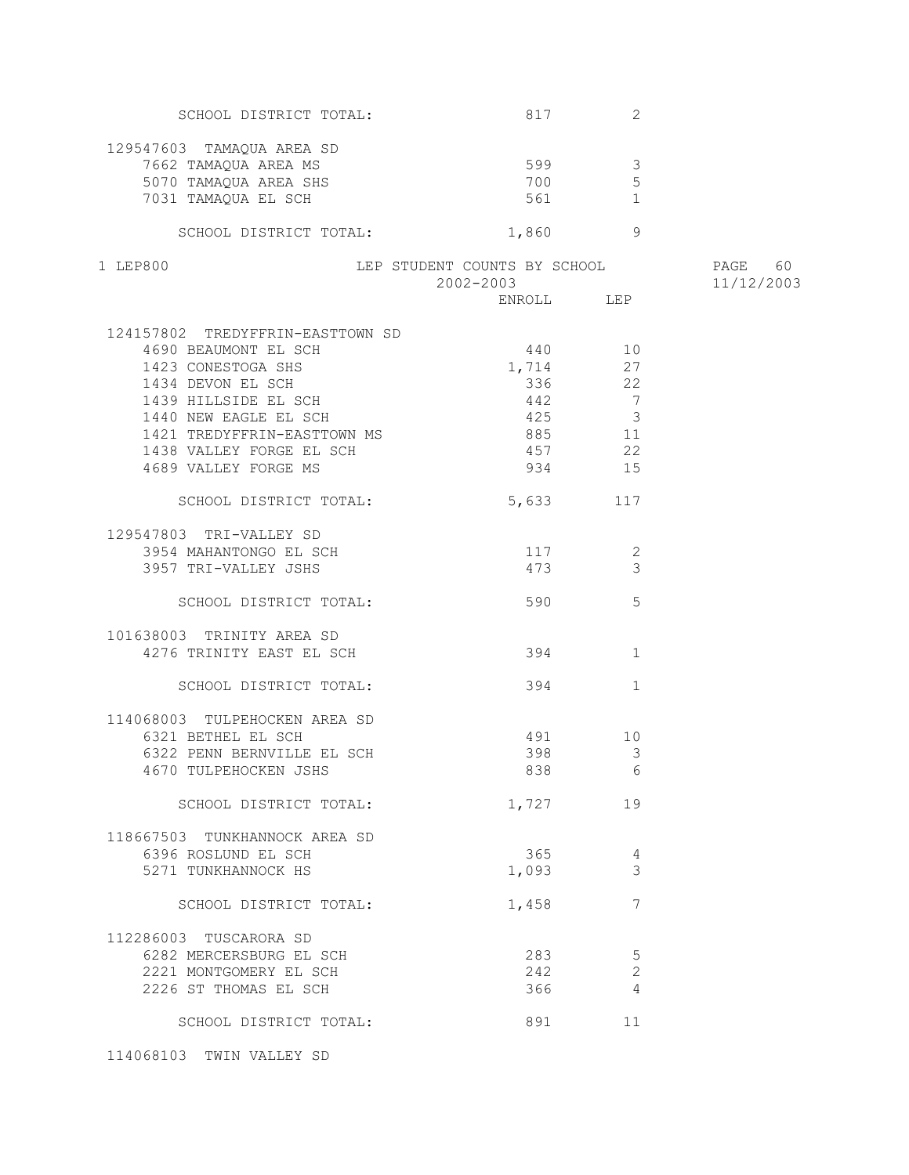| SCHOOL DISTRICT TOTAL:                        | 817                          | 2                       |            |
|-----------------------------------------------|------------------------------|-------------------------|------------|
|                                               |                              |                         |            |
| 129547603 TAMAQUA AREA SD                     |                              |                         |            |
| 7662 TAMAQUA AREA MS<br>5070 TAMAQUA AREA SHS | 599                          | $\overline{\mathbf{3}}$ |            |
|                                               | 700                          | 5                       |            |
| 7031 TAMAQUA EL SCH                           | 561 30                       | 1                       |            |
| SCHOOL DISTRICT TOTAL:                        | 1,860                        | - 9                     |            |
|                                               |                              |                         |            |
| 1 LEP800                                      | LEP STUDENT COUNTS BY SCHOOL |                         | PAGE 60    |
|                                               | 2002-2003                    |                         | 11/12/2003 |
|                                               |                              |                         |            |
| 124157802 TREDYFFRIN-EASTTOWN SD              |                              |                         |            |
| 4690 BEAUMONT EL SCH                          | 440 10                       |                         |            |
| 1423 CONESTOGA SHS                            | 1,714 27                     |                         |            |
| 1434 DEVON EL SCH                             |                              |                         |            |
|                                               |                              | 336 22                  |            |
| 1439 HILLSIDE EL SCH                          | 442                          | $\overline{7}$          |            |
| 1440 NEW EAGLE EL SCH                         | 425                          | $\overline{3}$          |            |
| 1421 TREDYFFRIN-EASTTOWN MS                   | 885                          | 11                      |            |
| 1438 VALLEY FORGE EL SCH                      | 457                          | 22                      |            |
| 4689 VALLEY FORGE MS                          | 934                          | 15                      |            |
| SCHOOL DISTRICT TOTAL:                        | 5,633                        | 117                     |            |
|                                               |                              |                         |            |
| 129547803 TRI-VALLEY SD                       |                              |                         |            |
| 3954 MAHANTONGO EL SCH                        | 117                          | 2                       |            |
| 3957 TRI-VALLEY JSHS                          | 473                          | $\mathcal{S}$           |            |
| SCHOOL DISTRICT TOTAL:                        | 590                          | 5                       |            |
| 101638003 TRINITY AREA SD                     |                              |                         |            |
| 4276 TRINITY EAST EL SCH                      | 394                          | 1                       |            |
|                                               |                              |                         |            |
| SCHOOL DISTRICT TOTAL:                        |                              | 394 7<br>1              |            |
| 114068003 TULPEHOCKEN AREA SD                 |                              |                         |            |
| 6321 BETHEL EL SCH                            |                              | 491 10                  |            |
| 6322 PENN BERNVILLE EL SCH                    | 398                          | $\mathcal{S}$           |            |
| 4670 TULPEHOCKEN JSHS                         |                              | 838 6                   |            |
|                                               |                              |                         |            |
| SCHOOL DISTRICT TOTAL:                        | 1,727                        | 19                      |            |
| 118667503 TUNKHANNOCK AREA SD                 |                              |                         |            |
| 6396 ROSLUND EL SCH                           | 365                          | 4                       |            |
| 5271 TUNKHANNOCK HS                           | 1,093                        | 3                       |            |
|                                               |                              |                         |            |
| SCHOOL DISTRICT TOTAL:                        | 1,458                        | 7                       |            |
| 112286003 TUSCARORA SD                        |                              |                         |            |
| 6282 MERCERSBURG EL SCH                       | 283                          | 5                       |            |
| 2221 MONTGOMERY EL SCH                        | 242                          | $\mathbf{2}$            |            |
|                                               |                              | 4                       |            |
| 2226 ST THOMAS EL SCH                         | 366                          |                         |            |
| SCHOOL DISTRICT TOTAL:                        | 891                          | 11                      |            |
|                                               |                              |                         |            |

114068103 TWIN VALLEY SD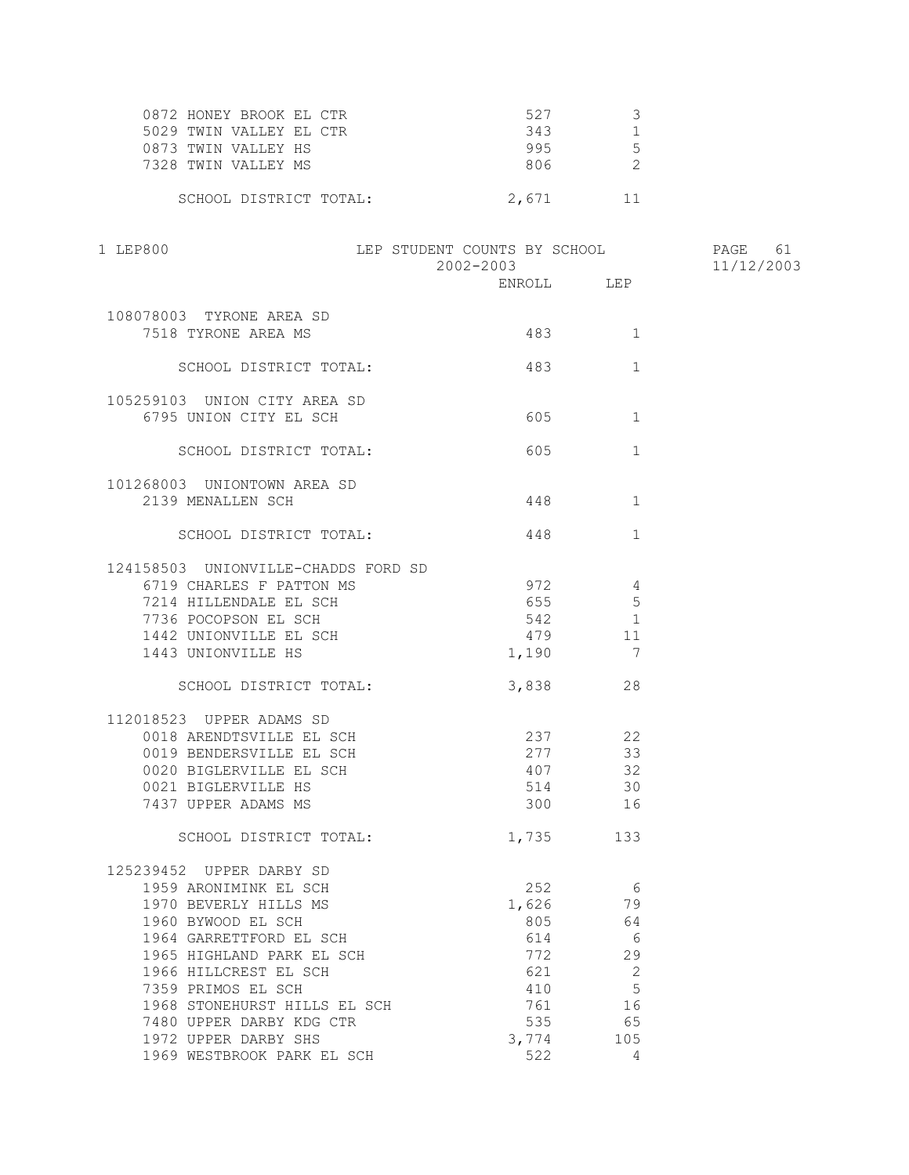| 527   |  |
|-------|--|
| 343   |  |
| 995   |  |
| 806   |  |
|       |  |
| 2,671 |  |
|       |  |

| 1 LEP800                            | LEP STUDENT COUNTS BY SCHOOL<br>2002-2003 |        |                | PAGE<br>61<br>11/12/2003 |
|-------------------------------------|-------------------------------------------|--------|----------------|--------------------------|
|                                     |                                           |        |                |                          |
|                                     |                                           |        |                |                          |
| 108078003 TYRONE AREA SD            |                                           |        |                |                          |
| 7518 TYRONE AREA MS                 |                                           | 483    | 1              |                          |
| SCHOOL DISTRICT TOTAL:              |                                           | 483    | $\mathbf{1}$   |                          |
|                                     |                                           |        |                |                          |
| 105259103 UNION CITY AREA SD        |                                           |        |                |                          |
| 6795 UNION CITY EL SCH              |                                           | 605    | 1              |                          |
| SCHOOL DISTRICT TOTAL:              |                                           | 605    | $\mathbf{1}$   |                          |
|                                     |                                           |        |                |                          |
| 101268003 UNIONTOWN AREA SD         |                                           |        |                |                          |
| 2139 MENALLEN SCH                   |                                           | 448    | $\mathbf 1$    |                          |
| SCHOOL DISTRICT TOTAL:              | 448                                       |        | $\mathbf{1}$   |                          |
|                                     |                                           |        |                |                          |
| 124158503 UNIONVILLE-CHADDS FORD SD |                                           |        |                |                          |
| 6719 CHARLES F PATTON MS            |                                           | 972    | 4              |                          |
| 7214 HILLENDALE EL SCH              |                                           | 655 11 | 5              |                          |
| 7736 POCOPSON EL SCH                |                                           | 542    | $\overline{1}$ |                          |
| 1442 UNIONVILLE EL SCH              |                                           | 479    | 11             |                          |
| 1443 UNIONVILLE HS                  |                                           | 1,190  | 7              |                          |
|                                     |                                           |        |                |                          |
| SCHOOL DISTRICT TOTAL:              |                                           | 3,838  | 28             |                          |
|                                     |                                           |        |                |                          |
| 112018523 UPPER ADAMS SD            |                                           |        |                |                          |
| 0018 ARENDTSVILLE EL SCH            |                                           |        | 237 22         |                          |
| 0019 BENDERSVILLE EL SCH            |                                           | 277    | 33             |                          |
| 0020 BIGLERVILLE EL SCH             |                                           | 407    | 32             |                          |
| 0021 BIGLERVILLE HS                 |                                           | 514    | 30             |                          |
| 7437 UPPER ADAMS MS                 |                                           | 300    | 16             |                          |
| SCHOOL DISTRICT TOTAL:              |                                           | 1,735  | 133            |                          |
|                                     |                                           |        |                |                          |
| 125239452 UPPER DARBY SD            |                                           |        |                |                          |
| 1959 ARONIMINK EL SCH               |                                           | 252    | 6              |                          |
| 1970 BEVERLY HILLS MS               |                                           | 1,626  | 79             |                          |
| 1960 BYWOOD EL SCH                  |                                           | 805    | 64             |                          |
| 1964 GARRETTFORD EL SCH             |                                           | 614    | 6              |                          |
| 1965 HIGHLAND PARK EL SCH           |                                           | 772    | 29             |                          |
| 1966 HILLCREST EL SCH               |                                           | 621    | $\sqrt{2}$     |                          |
| 7359 PRIMOS EL SCH                  |                                           | 410    | 5              |                          |
| 1968 STONEHURST HILLS EL SCH        |                                           | 761    | 16             |                          |
| 7480 UPPER DARBY KDG CTR            |                                           | 535    | 65             |                          |
| 1972 UPPER DARBY SHS                |                                           | 3,774  | 105            |                          |
| 1969 WESTBROOK PARK EL SCH          |                                           | 522    | 4              |                          |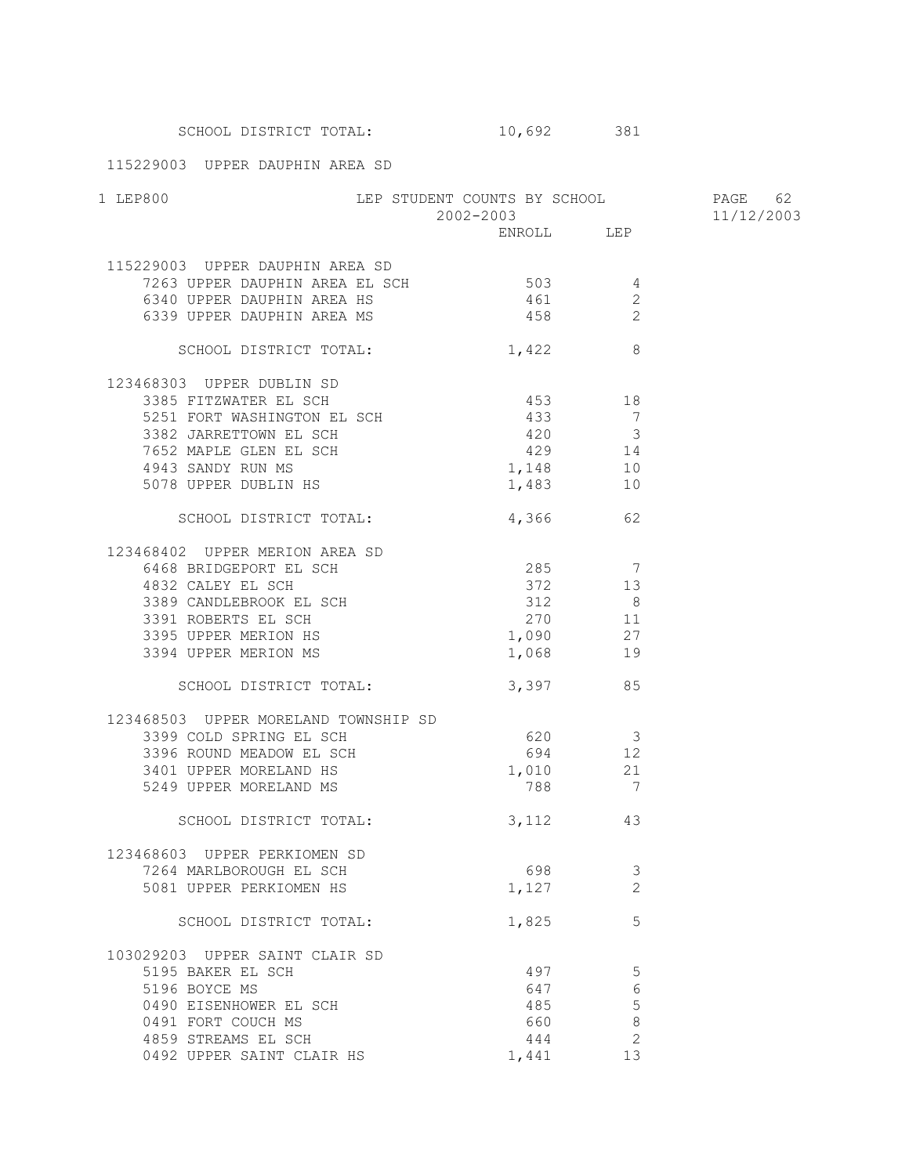SCHOOL DISTRICT TOTAL: 10,692 381

115229003 UPPER DAUPHIN AREA SD

| 1 LEP800                                                                      | LEP STUDENT COUNTS BY SCHOOL PAGE 62<br>2002-2003 11/12/2003 |                                            | 11/12/2003     |  |
|-------------------------------------------------------------------------------|--------------------------------------------------------------|--------------------------------------------|----------------|--|
|                                                                               |                                                              | ENROLL LEP                                 |                |  |
| 115229003 UPPER DAUPHIN AREA SD                                               |                                                              |                                            |                |  |
| 7263 UPPER DAUPHIN AREA EL SCH                                                |                                                              | $503$ 4                                    |                |  |
|                                                                               |                                                              | 461                                        | 2              |  |
| 6340 UPPER DAUPHIN AREA HS<br>6339 UPPER DAUPHIN AREA MS                      |                                                              | 458                                        | $\overline{c}$ |  |
| SCHOOL DISTRICT TOTAL:                                                        |                                                              | $1,422$ 8                                  |                |  |
| 123468303 UPPER DUBLIN SD                                                     |                                                              |                                            |                |  |
| 3385 FITZWATER EL SCH                                                         |                                                              | 453 18                                     |                |  |
| 1251 FORT WASHINGTON EL SCH<br>3382 JAPOEEESCHINGTON EL SCH                   |                                                              | 433                                        | $\overline{7}$ |  |
| 3382 JARRETTOWN EL SCH                                                        |                                                              |                                            |                |  |
|                                                                               |                                                              | $420$ $3$<br>$429$ $14$                    |                |  |
| 7652 MAPLE GLEN EL SCH<br>4943 SANDY RUN MS                                   |                                                              | 1,148                                      | 10             |  |
| 5078 UPPER DUBLIN HS                                                          |                                                              | 1,483 10                                   |                |  |
| SCHOOL DISTRICT TOTAL: 4,366 62                                               |                                                              |                                            |                |  |
| 123468402 UPPER MERION AREA SD                                                |                                                              |                                            |                |  |
| 6468 BRIDGEPORT EL SCH                                                        |                                                              | $285$ 7<br>372 13                          |                |  |
| 4832 CALEY EL SCH                                                             |                                                              | 372                                        | 13             |  |
| 3389 CANDLEBROOK EL SCH<br>3391 ROBERTS EL SCH<br>3395 UPPER MERION HS        |                                                              | $\frac{312}{2}$                            | 8              |  |
|                                                                               |                                                              | 270 11                                     |                |  |
|                                                                               |                                                              | $1,090$ 27                                 |                |  |
| 3394 UPPER MERION MS                                                          |                                                              | 1,068 19                                   |                |  |
| SCHOOL DISTRICT TOTAL:                                                        |                                                              | 3,397 85                                   |                |  |
| 123468503 UPPER MORELAND TOWNSHIP SD                                          |                                                              |                                            |                |  |
| 3399 COLD SPRING EL SCH<br>3396 ROUND MEADOW EL SCH<br>3401 UPPER MORELAND HS |                                                              | 620 3                                      |                |  |
|                                                                               |                                                              | $\begin{array}{c} 1 \\ 694 \end{array}$ 12 |                |  |
|                                                                               |                                                              | 1,010 21                                   |                |  |
| 5249 UPPER MORELAND MS                                                        |                                                              | 788 7                                      |                |  |
| SCHOOL DISTRICT TOTAL:                                                        |                                                              | 3, 112 43                                  |                |  |
| 123468603 UPPER PERKIOMEN SD                                                  |                                                              |                                            |                |  |
| 7264 MARLBOROUGH EL SCH                                                       |                                                              | 698                                        | 3              |  |
| 5081 UPPER PERKIOMEN HS                                                       |                                                              | 1,127                                      | $\overline{2}$ |  |
| SCHOOL DISTRICT TOTAL:                                                        |                                                              | 1,825                                      | 5              |  |
| 103029203 UPPER SAINT CLAIR SD                                                |                                                              |                                            |                |  |
| 5195 BAKER EL SCH                                                             |                                                              | 497                                        | 5              |  |
| 5196 BOYCE MS                                                                 |                                                              | 647                                        | 6              |  |
| 0490 EISENHOWER EL SCH                                                        |                                                              | 485                                        | 5              |  |
| 0491 FORT COUCH MS                                                            |                                                              | 660                                        | $\,8\,$        |  |
| 4859 STREAMS EL SCH                                                           |                                                              | 444                                        | $\mathbf 2$    |  |
| 0492 UPPER SAINT CLAIR HS                                                     |                                                              | 1,441                                      | 13             |  |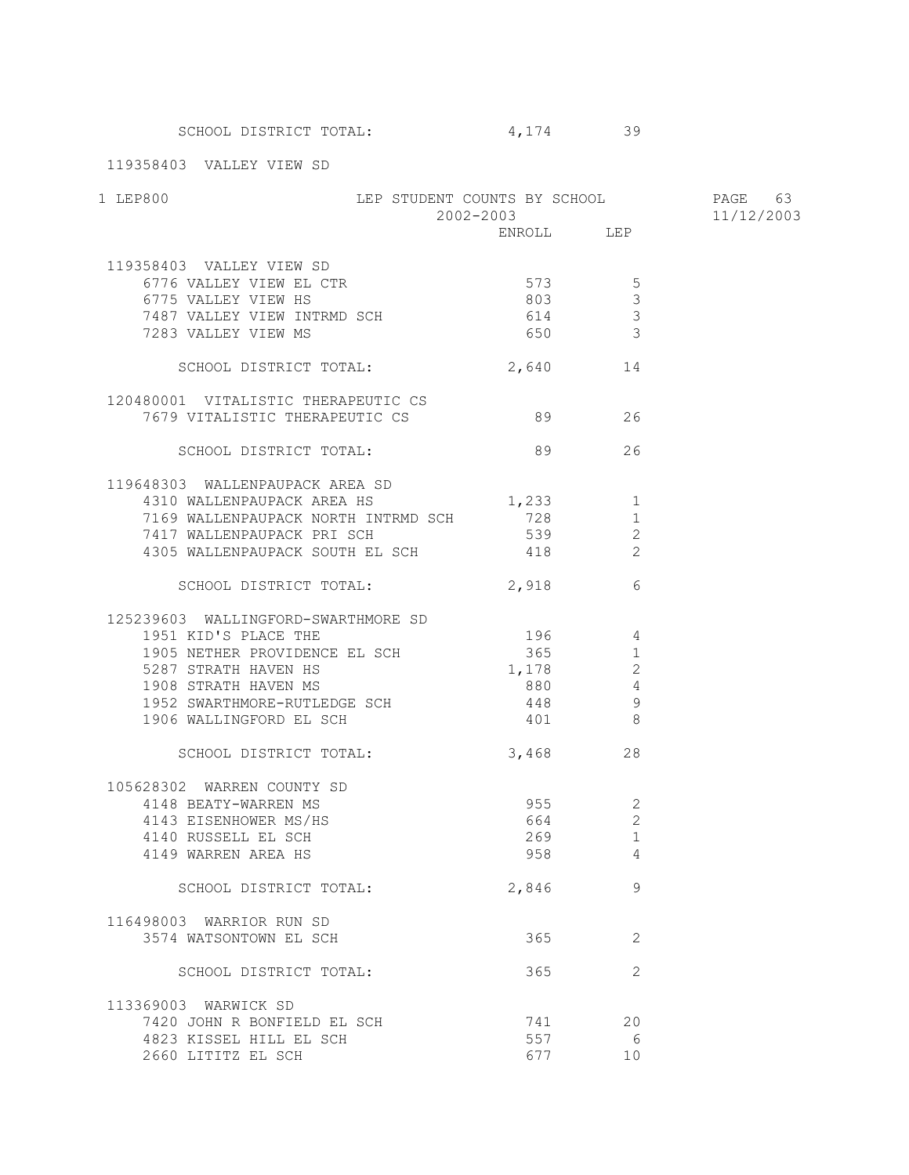119358403 VALLEY VIEW SD

| LEP STUDENT COUNTS BY SCHOOL PAGE 63<br>1 LEP800        |                         |                |            |
|---------------------------------------------------------|-------------------------|----------------|------------|
|                                                         | 2002-2003<br>ENROLL LEP |                | 11/12/2003 |
| 119358403 VALLEY VIEW SD                                |                         |                |            |
| 6776 VALLEY VIEW EL CTR                                 | $573$ 5                 |                |            |
| 6775 VALLEY VIEW HS                                     | 803 000                 | $\mathbf{3}$   |            |
| 7487 VALLEY VIEW INTRMD SCH                             | 614 3                   |                |            |
| 7283 VALLEY VIEW MS                                     | 650 3                   |                |            |
| SCHOOL DISTRICT TOTAL:                                  | 2,640 14                |                |            |
| 120480001 VITALISTIC THERAPEUTIC CS                     |                         |                |            |
| 7679 VITALISTIC THERAPEUTIC CS                          | 89 26                   |                |            |
| SCHOOL DISTRICT TOTAL:                                  | 89                      | 26             |            |
| 119648303 WALLENPAUPACK AREA SD                         |                         |                |            |
| 4310 WALLENPAUPACK AREA HS                              | 1,233 1                 |                |            |
| 7169 WALLENPAUPACK NORTH INTRMD SCH                     | 728                     | 1              |            |
| 7417 WALLENPAUPACK PRI SCH                              | 539                     | 2              |            |
| 4305 WALLENPAUPACK SOUTH EL SCH                         | 418                     | 2              |            |
| SCHOOL DISTRICT TOTAL:                                  | 2,918                   | 6              |            |
| 125239603 WALLINGFORD-SWARTHMORE SD                     |                         |                |            |
| 1951 KID'S PLACE THE                                    | 196 4                   |                |            |
| 1905 NETHER PROVIDENCE EL SCH                           | 365                     | $\mathbf{1}$   |            |
| 5287 STRATH HAVEN HS                                    | 1,178                   | 2              |            |
| 1908 STRATH HAVEN MS                                    | 880                     | $\overline{4}$ |            |
| 1952 SWARTHMORE-RUTLEDGE SCH<br>1906 WALLINGFORD EL SCH | 448                     | 9              |            |
|                                                         | 401                     | 8 <sup>8</sup> |            |
| SCHOOL DISTRICT TOTAL:                                  | 3,468                   | 28             |            |
| 105628302 WARREN COUNTY SD                              |                         |                |            |
| 4148 BEATY-WARREN MS                                    | 955 000                 | -2             |            |
| 4143 EISENHOWER MS/HS                                   | 664                     | $\mathbf{2}$   |            |
| 4140 RUSSELL EL SCH                                     | 269                     | $\mathbf{1}$   |            |
| 4149 WARREN AREA HS                                     | 958                     | $\overline{4}$ |            |
| SCHOOL DISTRICT TOTAL:                                  | 2,846                   | 9              |            |
| 116498003 WARRIOR RUN SD                                |                         |                |            |
| 3574 WATSONTOWN EL SCH                                  | 365                     | 2              |            |
| SCHOOL DISTRICT TOTAL:                                  | 365                     | 2              |            |
| 113369003 WARWICK SD                                    |                         |                |            |
| 7420 JOHN R BONFIELD EL SCH                             | 741                     | 20             |            |
| 4823 KISSEL HILL EL SCH                                 | 557                     | - 6            |            |
| 2660 LITITZ EL SCH                                      | 677                     | 10             |            |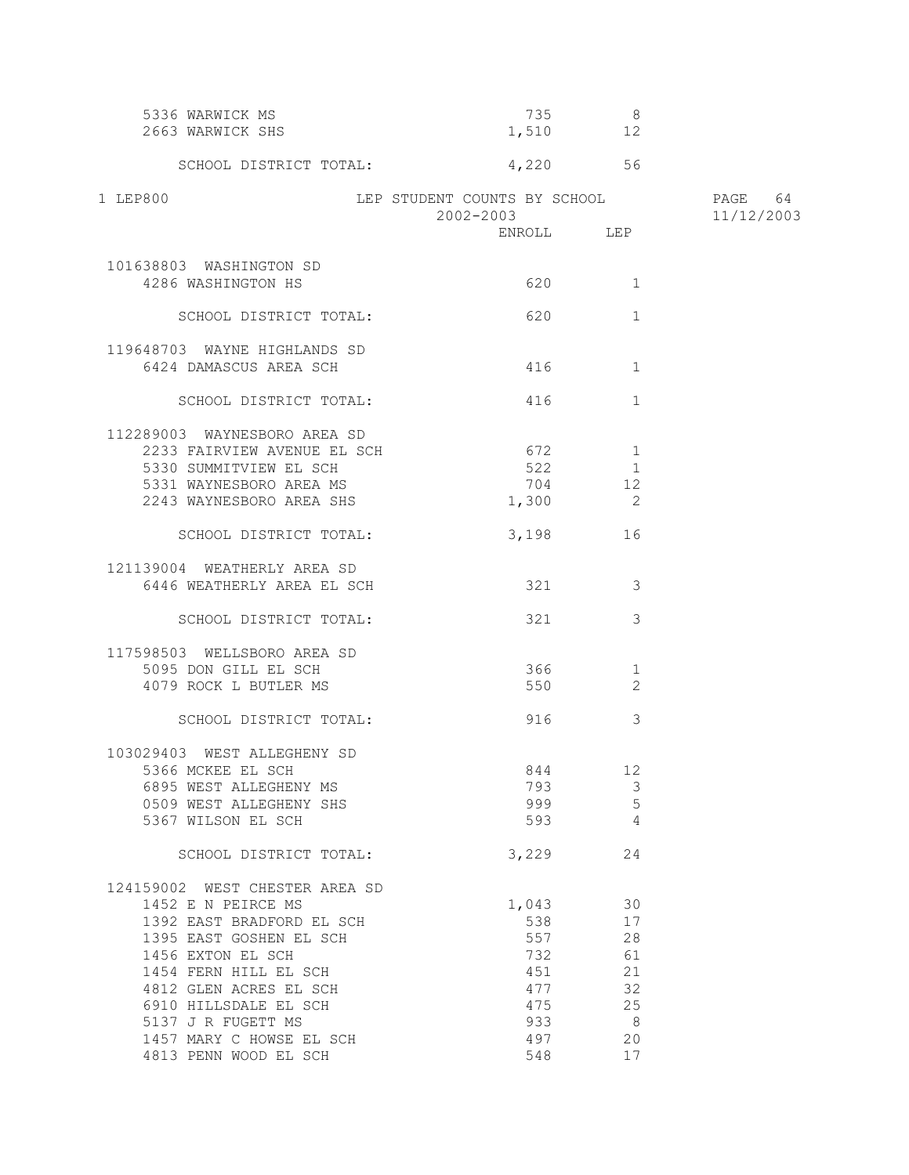| 5336 WARWICK MS<br>2663 WARWICK SHS                                                                                                                                                                           |                                                        | 735<br>- 8<br>1,510 12                            |                       |
|---------------------------------------------------------------------------------------------------------------------------------------------------------------------------------------------------------------|--------------------------------------------------------|---------------------------------------------------|-----------------------|
| SCHOOL DISTRICT TOTAL:                                                                                                                                                                                        |                                                        | 4,220 56                                          |                       |
| 1 LEP800                                                                                                                                                                                                      | LEP STUDENT COUNTS BY SCHOOL<br>2002-2003              |                                                   | PAGE 64<br>11/12/2003 |
|                                                                                                                                                                                                               |                                                        | ENROLL LEP                                        |                       |
| 101638803 WASHINGTON SD<br>4286 WASHINGTON HS                                                                                                                                                                 | 620                                                    | 1                                                 |                       |
| SCHOOL DISTRICT TOTAL:                                                                                                                                                                                        | 620                                                    | $\mathbf{1}$                                      |                       |
| 119648703 WAYNE HIGHLANDS SD<br>6424 DAMASCUS AREA SCH                                                                                                                                                        |                                                        | 416 — 10<br>1                                     |                       |
| SCHOOL DISTRICT TOTAL:                                                                                                                                                                                        |                                                        | $\mathbf{1}$<br>416 — 10                          |                       |
| 112289003 WAYNESBORO AREA SD<br>2233 FAIRVIEW AVENUE EL SCH<br>5330 SUMMITVIEW EL SCH<br>5331 WAYNESBORO AREA MS<br>2243 WAYNESBORO AREA SHS                                                                  | 672<br>522<br>704<br>1,300                             | $\mathbf{1}$<br>$\mathbf{1}$<br>12<br>$\sim$ 2    |                       |
| SCHOOL DISTRICT TOTAL:                                                                                                                                                                                        |                                                        | 3,198<br>16                                       |                       |
| 121139004 WEATHERLY AREA SD<br>6446 WEATHERLY AREA EL SCH                                                                                                                                                     | 321                                                    | -3                                                |                       |
| SCHOOL DISTRICT TOTAL:                                                                                                                                                                                        | 321                                                    | 3                                                 |                       |
| 117598503 WELLSBORO AREA SD<br>5095 DON GILL EL SCH<br>4079 ROCK L BUTLER MS                                                                                                                                  |                                                        | 366 700<br>1<br>550 350<br>2                      |                       |
| SCHOOL DISTRICT TOTAL:                                                                                                                                                                                        | 916                                                    | 3                                                 |                       |
| 103029403 WEST ALLEGHENY SD<br>5366 MCKEE EL SCH<br>6895 WEST ALLEGHENY MS<br>0509 WEST ALLEGHENY SHS<br>5367 WILSON EL SCH                                                                                   | 793<br>999<br>593                                      | 844<br>12<br>$\mathcal{E}$<br>5<br>$\overline{4}$ |                       |
| SCHOOL DISTRICT TOTAL:                                                                                                                                                                                        | 3,229                                                  | 24                                                |                       |
| 124159002 WEST CHESTER AREA SD<br>1452 E N PEIRCE MS<br>1392 EAST BRADFORD EL SCH<br>1395 EAST GOSHEN EL SCH<br>1456 EXTON EL SCH<br>1454 FERN HILL EL SCH<br>4812 GLEN ACRES EL SCH<br>6910 HILLSDALE EL SCH | 1,043<br>538<br>557<br>732<br>451<br>477<br>475<br>933 | 30<br>17<br>28<br>61<br>21<br>32<br>25<br>8       |                       |
| 5137 J R FUGETT MS<br>1457 MARY C HOWSE EL SCH<br>4813 PENN WOOD EL SCH                                                                                                                                       | 497<br>548                                             | 20<br>17                                          |                       |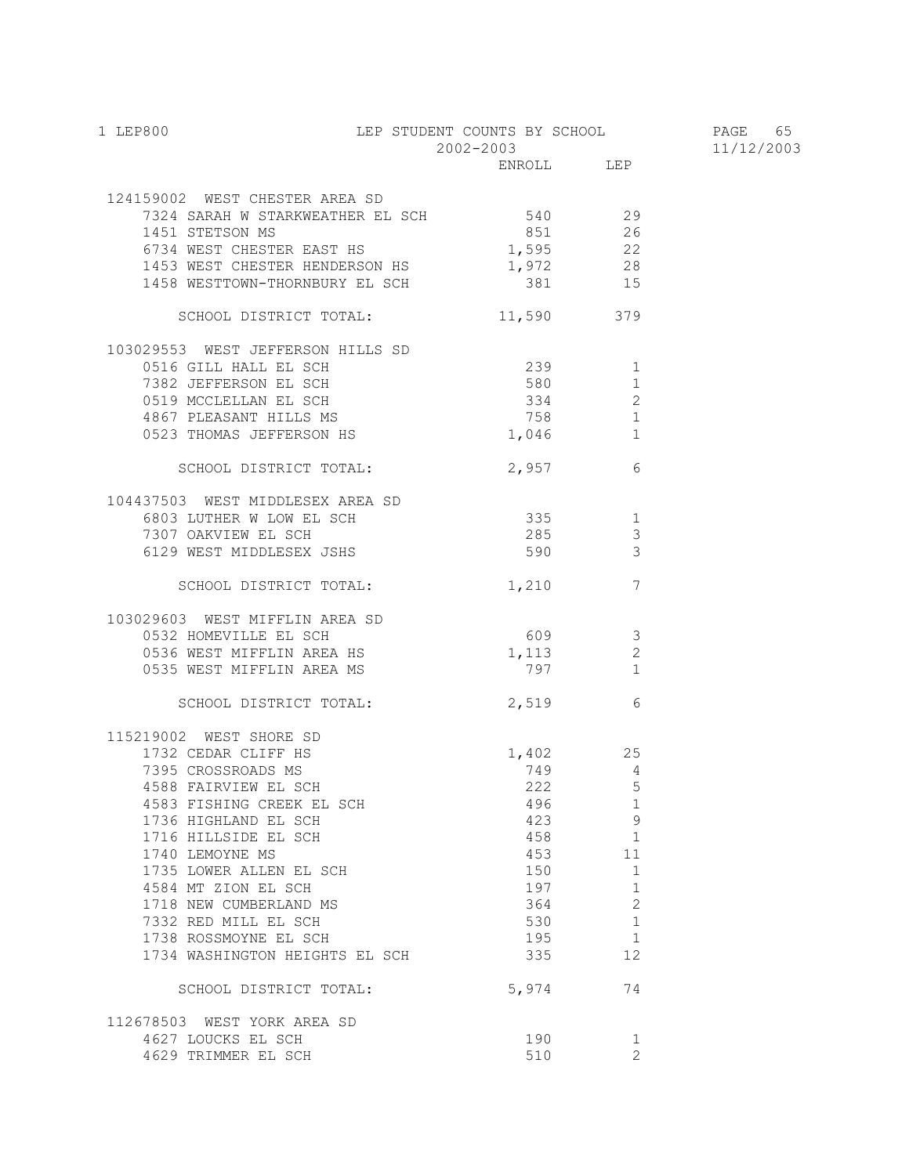| LEP STUDENT COUNTS BY SCHOOL PAGE 65<br>1 LEP800                            | 2002-2003 |            |                | 11/12/2003 |
|-----------------------------------------------------------------------------|-----------|------------|----------------|------------|
|                                                                             |           | ENROLL LEP |                |            |
|                                                                             |           |            |                |            |
| 124159002 WEST CHESTER AREA SD                                              |           |            |                |            |
| 7324 SARAH W STARKWEATHER EL SCH 540 540 29<br>1451 STETSON MS              |           | 851 26     |                |            |
| 6734 WEST CHESTER EAST HS                                                   |           | 1,595 22   |                |            |
| 1453 WEST CHESTER HENDERSON HS 1,972 28                                     |           |            |                |            |
| 1458 WESTTOWN-THORNBURY EL SCH                                              |           | 381 15     |                |            |
| SCHOOL DISTRICT TOTAL:                                                      |           | 11,590 379 |                |            |
| 103029553 WEST JEFFERSON HILLS SD                                           |           |            |                |            |
| 0516 GILL HALL EL SCH                                                       |           | 239 1      |                |            |
|                                                                             |           |            |                |            |
| 0519 MCCLELLAN EL SCH<br>4867 PLEASANT HILLS MS<br>0523 THOMAS JEFFERSON HS |           | 334        | 2              |            |
|                                                                             |           | 758 3      | 1              |            |
|                                                                             |           | 1,046      | 1              |            |
| SCHOOL DISTRICT TOTAL:                                                      |           | 2,957      | 6              |            |
| 104437503 WEST MIDDLESEX AREA SD                                            |           |            |                |            |
| 6803 LUTHER W LOW EL SCH 335 1                                              |           |            |                |            |
| 7307 OAKVIEW EL SCH                                                         |           | 285        | 3              |            |
| 6129 WEST MIDDLESEX JSHS                                                    |           | 590        | $\mathcal{S}$  |            |
| SCHOOL DISTRICT TOTAL:                                                      |           | $1,210$ 7  |                |            |
| 103029603 WEST MIFFLIN AREA SD                                              |           |            |                |            |
| 0532 HOMEVILLE EL SCH<br>0536 WEST MIFFLIN AREA HS                          |           | $609$ 3    |                |            |
|                                                                             |           | 1,113      | 2              |            |
| 0535 WEST MIFFLIN AREA MS                                                   |           | 797 1      |                |            |
| SCHOOL DISTRICT TOTAL: 2,519 6                                              |           |            |                |            |
| 115219002 WEST SHORE SD                                                     |           |            |                |            |
| 1732 CEDAR CLIFF HS                                                         |           | $1,402$ 25 |                |            |
| 7395 CROSSROADS MS                                                          |           | 749        | $\overline{4}$ |            |
| 4588 FAIRVIEW EL SCH                                                        |           | 222 5      |                |            |
| 4583 FISHING CREEK EL SCH                                                   |           | 496        | 1              |            |
| 1736 HIGHLAND EL SCH<br>1716 HILLSIDE EL SCH                                |           | 423        | 9              |            |
| 1740 LEMOYNE MS                                                             |           | 458<br>453 | 1<br>11        |            |
| 1735 LOWER ALLEN EL SCH                                                     |           | 150        | $\mathbf 1$    |            |
| 4584 MT ZION EL SCH                                                         |           | 197        | $\mathbf{1}$   |            |
| 1718 NEW CUMBERLAND MS                                                      |           | 364        | 2              |            |
| 7332 RED MILL EL SCH                                                        |           | 530        | $\mathbf{1}$   |            |
| 1738 ROSSMOYNE EL SCH                                                       |           | 195        | 1              |            |
| 1734 WASHINGTON HEIGHTS EL SCH                                              |           | 335        | 12             |            |
| SCHOOL DISTRICT TOTAL:                                                      |           | 5,974      | 74             |            |
| 112678503 WEST YORK AREA SD                                                 |           |            |                |            |
| 4627 LOUCKS EL SCH                                                          |           | 190        | 1              |            |
| 4629 TRIMMER EL SCH                                                         |           | 510        | 2              |            |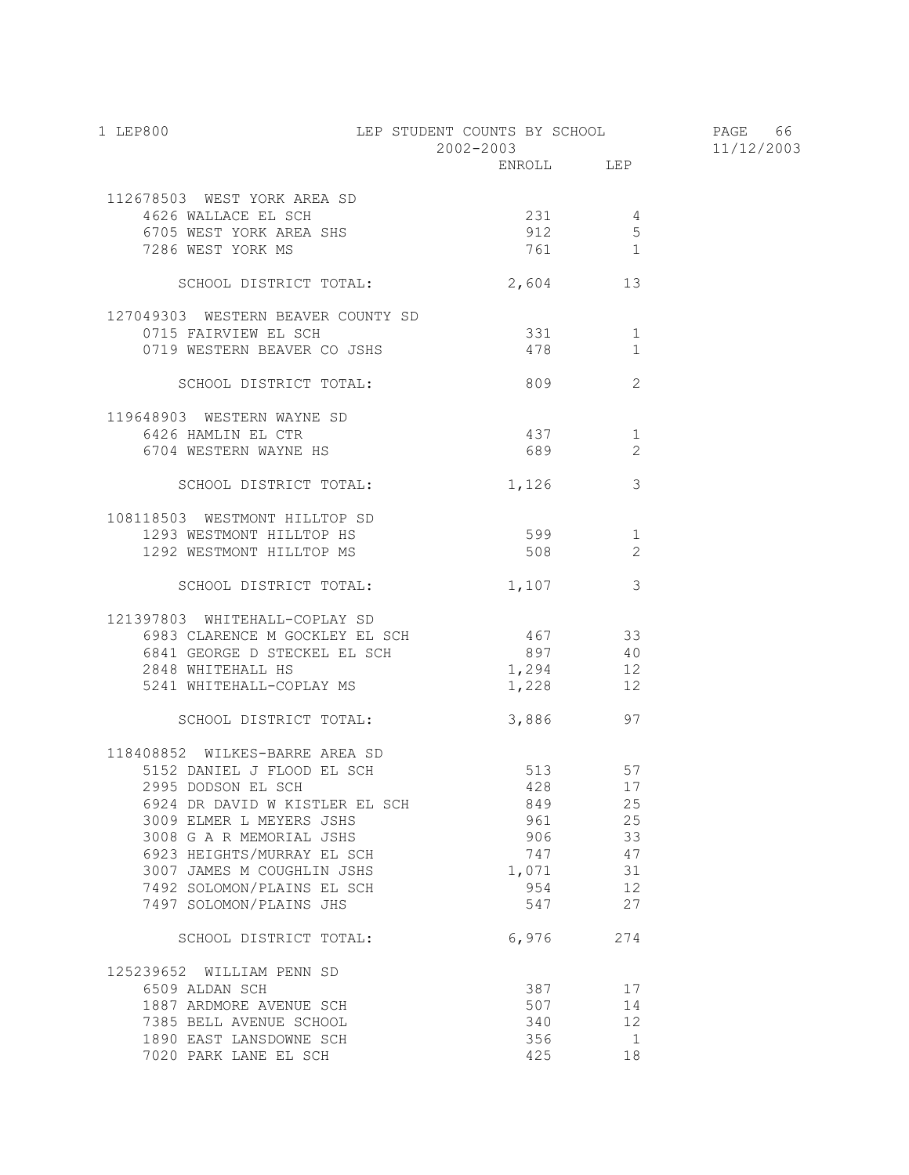| 1 LEP800                                                   | LEP STUDENT COUNTS BY SCHOOL |               | PAGE 66    |
|------------------------------------------------------------|------------------------------|---------------|------------|
|                                                            | 2002-2003<br>ENROLL LEP      |               | 11/12/2003 |
|                                                            |                              |               |            |
| 112678503 WEST YORK AREA SD                                |                              |               |            |
| 4626 WALLACE EL SCH                                        | 231 4                        |               |            |
| 6705 WEST YORK AREA SHS                                    | 912                          | 5             |            |
| 7286 WEST YORK MS                                          | 761 1                        |               |            |
| SCHOOL DISTRICT TOTAL:                                     | 2,604 13                     |               |            |
|                                                            |                              |               |            |
| 127049303 WESTERN BEAVER COUNTY SD<br>0715 FAIRVIEW EL SCH | 331 331                      |               |            |
|                                                            |                              | 1<br>1        |            |
| 0719 WESTERN BEAVER CO JSHS                                | 478                          |               |            |
| SCHOOL DISTRICT TOTAL:                                     | 809                          | 2             |            |
| 119648903 WESTERN WAYNE SD                                 |                              |               |            |
| 6426 HAMLIN EL CTR                                         | 437                          | 1             |            |
| 6704 WESTERN WAYNE HS                                      |                              | 2             |            |
| SCHOOL DISTRICT TOTAL:                                     | 1,126                        | 3             |            |
|                                                            |                              |               |            |
| 108118503 WESTMONT HILLTOP SD                              |                              |               |            |
| 1293 WESTMONT HILLTOP HS                                   | 599                          | 1             |            |
| 1292 WESTMONT HILLTOP MS                                   | 508 30                       | $\mathcal{L}$ |            |
| SCHOOL DISTRICT TOTAL:                                     | 1,107                        | 3             |            |
| 121397803 WHITEHALL-COPLAY SD                              |                              |               |            |
| 6983 CLARENCE M GOCKLEY EL SCH 467 33                      |                              |               |            |
| 6841 GEORGE D STECKEL EL SCH                               | 897 40                       |               |            |
| 2848 WHITEHALL HS                                          | 1,294 12                     |               |            |
| 5241 WHITEHALL-COPLAY MS                                   | 1,228 12                     |               |            |
| SCHOOL DISTRICT TOTAL:                                     | 3,886 97                     |               |            |
|                                                            |                              |               |            |
| 118408852 WILKES-BARRE AREA SD                             |                              |               |            |
| 5152 DANIEL J FLOOD EL SCH                                 | 513                          | 57            |            |
| 2995 DODSON EL SCH                                         | 428 17                       |               |            |
| 6924 DR DAVID W KISTLER EL SCH                             | 849                          | 25            |            |
| 3009 ELMER L MEYERS JSHS                                   | 961 000                      | 25            |            |
| 3008 G A R MEMORIAL JSHS                                   | 906 700                      | 33            |            |
| 6923 HEIGHTS/MURRAY EL SCH                                 | 747                          | 47            |            |
| 3007 JAMES M COUGHLIN JSHS                                 | 1,071                        | 31            |            |
| 7492 SOLOMON/PLAINS EL SCH                                 | 954                          | 12            |            |
| 7497 SOLOMON/PLAINS JHS                                    | 547                          | 27            |            |
| SCHOOL DISTRICT TOTAL:                                     | 6,976                        | 274           |            |
| 125239652 WILLIAM PENN SD                                  |                              |               |            |
| 6509 ALDAN SCH                                             | 387                          | 17            |            |
| 1887 ARDMORE AVENUE SCH                                    | 507                          | 14            |            |
| 7385 BELL AVENUE SCHOOL                                    | 340                          | 12            |            |
| 1890 EAST LANSDOWNE SCH                                    | 356                          | $\mathbf{1}$  |            |
| 7020 PARK LANE EL SCH                                      | 425                          | 18            |            |
|                                                            |                              |               |            |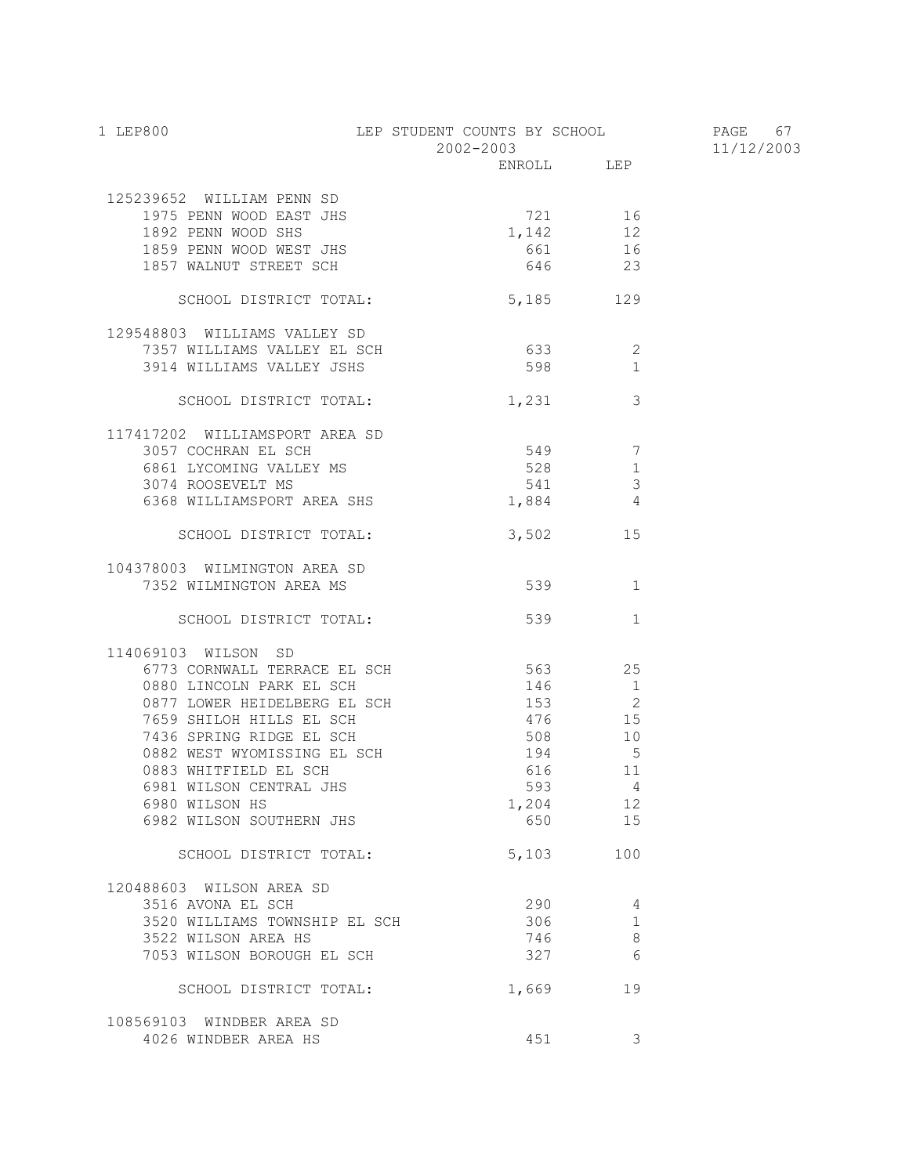| 1 LEP800                       | LEP STUDENT COUNTS BY SCHOOL PAGE 67<br>2002-2003 |                      | 11/12/2003 |
|--------------------------------|---------------------------------------------------|----------------------|------------|
|                                |                                                   | ENROLL LEP           |            |
| 125239652 WILLIAM PENN SD      |                                                   |                      |            |
| 1975 PENN WOOD EAST JHS        | 721 16                                            |                      |            |
| 1892 PENN WOOD SHS             | 1,142                                             | 12                   |            |
| 1859 PENN WOOD WEST JHS        |                                                   | 661 16               |            |
| 1857 WALNUT STREET SCH         |                                                   | 646 23               |            |
| SCHOOL DISTRICT TOTAL:         | 5,185 129                                         |                      |            |
| 129548803 WILLIAMS VALLEY SD   |                                                   |                      |            |
| 7357 WILLIAMS VALLEY EL SCH    |                                                   | 633 8<br>2           |            |
| 3914 WILLIAMS VALLEY JSHS      | 598                                               | $\mathbf{1}$         |            |
| SCHOOL DISTRICT TOTAL:         | 1,231                                             | $\overline{3}$       |            |
| 117417202 WILLIAMSPORT AREA SD |                                                   |                      |            |
| 3057 COCHRAN EL SCH            | 549 7                                             |                      |            |
| 6861 LYCOMING VALLEY MS        |                                                   | 528<br>1             |            |
| 3074 ROOSEVELT MS              |                                                   | $\mathcal{S}$<br>541 |            |
| 6368 WILLIAMSPORT AREA SHS     |                                                   | $1,884$ 4            |            |
| SCHOOL DISTRICT TOTAL:         |                                                   | 3,502 15             |            |
| 104378003 WILMINGTON AREA SD   |                                                   |                      |            |
| 7352 WILMINGTON AREA MS        |                                                   | 539<br>1             |            |
|                                |                                                   |                      |            |
| SCHOOL DISTRICT TOTAL:         | 539                                               | 1                    |            |
| 114069103 WILSON SD            |                                                   |                      |            |
| 6773 CORNWALL TERRACE EL SCH   | 563 25                                            |                      |            |
| 0880 LINCOLN PARK EL SCH       | 146                                               | $\overline{1}$       |            |
| 0877 LOWER HEIDELBERG EL SCH   | $153$ 2                                           |                      |            |
| 7659 SHILOH HILLS EL SCH       |                                                   | 476 15               |            |
| 7436 SPRING RIDGE EL SCH       | 508 10                                            |                      |            |
| 0882 WEST WYOMISSING EL SCH    |                                                   | 194 5                |            |
| 0883 WHITFIELD EL SCH          |                                                   | 616 11               |            |
| 6981 WILSON CENTRAL JHS        | 593                                               | $\overline{4}$       |            |
| 6980 WILSON HS                 | 1,204                                             | 12                   |            |
| 6982 WILSON SOUTHERN JHS       | 650                                               | 15                   |            |
| SCHOOL DISTRICT TOTAL:         | 5,103                                             | 100                  |            |
| 120488603 WILSON AREA SD       |                                                   |                      |            |
| 3516 AVONA EL SCH              | 290                                               | 4                    |            |
| 3520 WILLIAMS TOWNSHIP EL SCH  | 306                                               | 1                    |            |
| 3522 WILSON AREA HS            | 746                                               | 8                    |            |
| 7053 WILSON BOROUGH EL SCH     | 327                                               | 6                    |            |
| SCHOOL DISTRICT TOTAL:         | 1,669                                             | 19                   |            |
| 108569103 WINDBER AREA SD      |                                                   |                      |            |
| 4026 WINDBER AREA HS           | 451                                               | 3                    |            |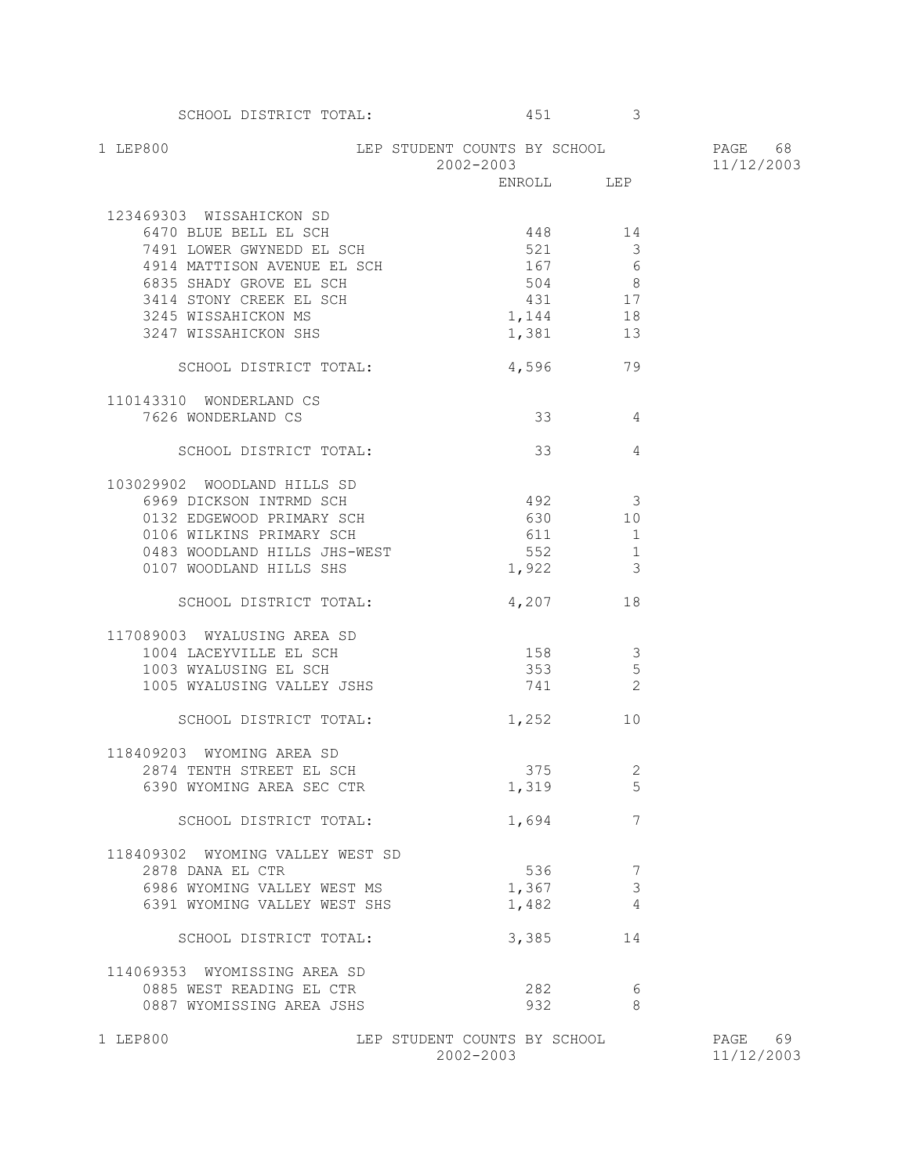| 1 LEP800                                                                                                                                                                                                           | LEP STUDENT COUNTS BY SCHOOL<br>2002-2003 |                                                                    | PAGE 68<br>11/12/2003 |
|--------------------------------------------------------------------------------------------------------------------------------------------------------------------------------------------------------------------|-------------------------------------------|--------------------------------------------------------------------|-----------------------|
|                                                                                                                                                                                                                    |                                           | ENROLL LEP                                                         |                       |
| 123469303 WISSAHICKON SD<br>6470 BLUE BELL EL SCH<br>7491 LOWER GWYNEDD EL SCH<br>4914 MATTISON AVENUE EL SCH<br>6835 SHADY GROVE EL SCH<br>3414 STONY CREEK EL SCH<br>3245 WISSAHICKON MS<br>3247 WISSAHICKON SHS | 448 14<br>521<br>504<br>431<br>1,144      | $\mathbf{3}$<br>$167$ 6<br>$\frac{3}{8}$<br>17<br>18<br>$1,381$ 13 |                       |
| SCHOOL DISTRICT TOTAL:                                                                                                                                                                                             |                                           | 4,596 79                                                           |                       |
| 110143310 WONDERLAND CS<br>7626 WONDERLAND CS                                                                                                                                                                      |                                           | $33$ 4                                                             |                       |
| SCHOOL DISTRICT TOTAL:                                                                                                                                                                                             | 33                                        | 4                                                                  |                       |
| 103029902 WOODLAND HILLS SD<br>6969 DICKSON INTRMD SCH<br>0132 EDGEWOOD PRIMARY SCH<br>0106 WILKINS PRIMARY SCH<br>0483 WOODLAND HILLS JHS-WEST<br>0107 WOODLAND HILLS SHS                                         | $492$ 3<br>630 10<br>611 1<br>1,922       | 552 1<br>3                                                         |                       |
| SCHOOL DISTRICT TOTAL:                                                                                                                                                                                             |                                           | 4,207 18                                                           |                       |
| 117089003 WYALUSING AREA SD<br>1004 LACEYVILLE EL SCH<br>1003 WYALUSING EL SCH<br>1005 WYALUSING VALLEY JSHS<br>SCHOOL DISTRICT TOTAL:                                                                             | 158 3<br>353 353<br>741<br>1,252          | 5<br>2<br>10                                                       |                       |
| 118409203 WYOMING AREA SD<br>2874 TENTH STREET EL SCH<br>6390 WYOMING AREA SEC CTR                                                                                                                                 | 375<br>1,694                              | 2<br>1,319<br>5<br>7                                               |                       |
| SCHOOL DISTRICT TOTAL:                                                                                                                                                                                             |                                           |                                                                    |                       |
| 118409302 WYOMING VALLEY WEST SD<br>2878 DANA EL CTR<br>6986 WYOMING VALLEY WEST MS<br>6391 WYOMING VALLEY WEST SHS<br>SCHOOL DISTRICT TOTAL:<br>114069353 WYOMISSING AREA SD                                      | 536<br>1,367<br>1,482<br>3,385            | 7<br>$\mathfrak{Z}$<br>4<br>14                                     |                       |
| 0885 WEST READING EL CTR<br>0887 WYOMISSING AREA JSHS                                                                                                                                                              | 282<br>932                                | 6<br>8                                                             |                       |

SCHOOL DISTRICT TOTAL: 451 451

1 LEP800 LEP STUDENT COUNTS BY SCHOOL PAGE 69  $2002-2003$   $11/12/2003$